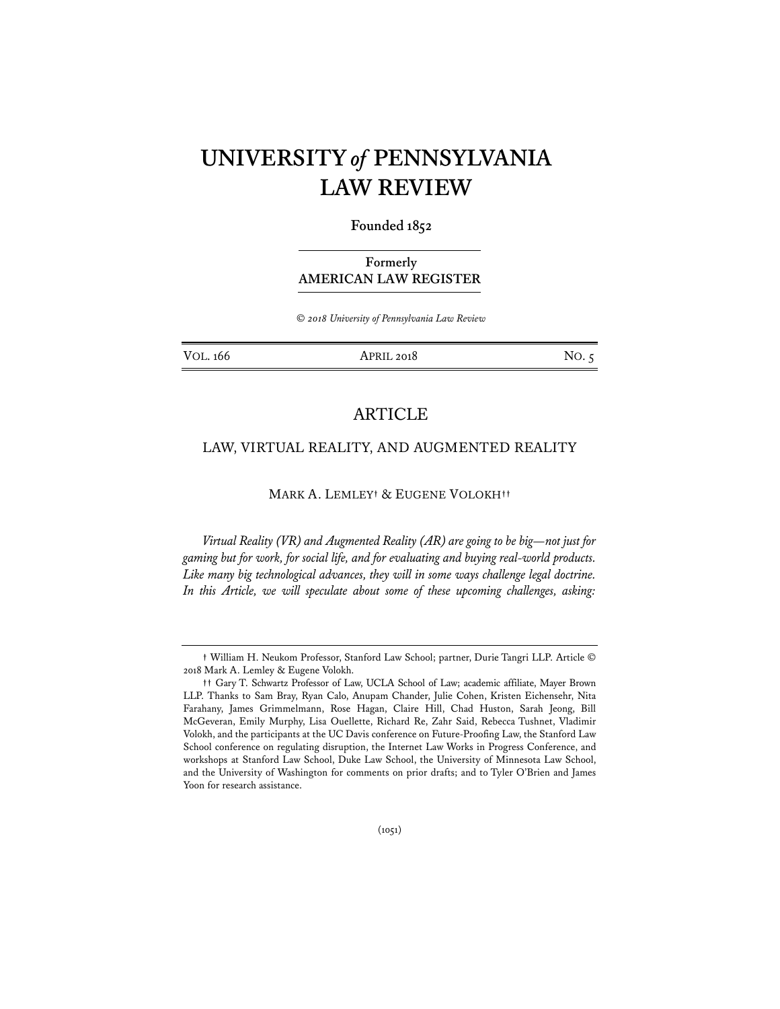# **UNIVERSITY** *of* **PENNSYLVANIA LAW REVIEW**

## **Founded 1852**

## **Formerly AMERICAN LAW REGISTER**

 *© 2018 University of Pennsylvania Law Review* 

VOL. 166 APRIL 2018 APRIL 2018

# ARTICLE

## LAW, VIRTUAL REALITY, AND AUGMENTED REALITY

MARK A. LEMLEY**†** & EUGENE VOLOKH**††** 

*Virtual Reality (VR) and Augmented Reality (AR) are going to be big—not just for gaming but for work, for social life, and for evaluating and buying real-world products. Like many big technological advances, they will in some ways challenge legal doctrine. In this Article, we will speculate about some of these upcoming challenges, asking:* 

**<sup>†</sup>** William H. Neukom Professor, Stanford Law School; partner, Durie Tangri LLP. Article © 2018 Mark A. Lemley & Eugene Volokh.

**<sup>††</sup>** Gary T. Schwartz Professor of Law, UCLA School of Law; academic affiliate, Mayer Brown LLP. Thanks to Sam Bray, Ryan Calo, Anupam Chander, Julie Cohen, Kristen Eichensehr, Nita Farahany, James Grimmelmann, Rose Hagan, Claire Hill, Chad Huston, Sarah Jeong, Bill McGeveran, Emily Murphy, Lisa Ouellette, Richard Re, Zahr Said, Rebecca Tushnet, Vladimir Volokh, and the participants at the UC Davis conference on Future-Proofing Law, the Stanford Law School conference on regulating disruption, the Internet Law Works in Progress Conference, and workshops at Stanford Law School, Duke Law School, the University of Minnesota Law School, and the University of Washington for comments on prior drafts; and to Tyler O'Brien and James Yoon for research assistance.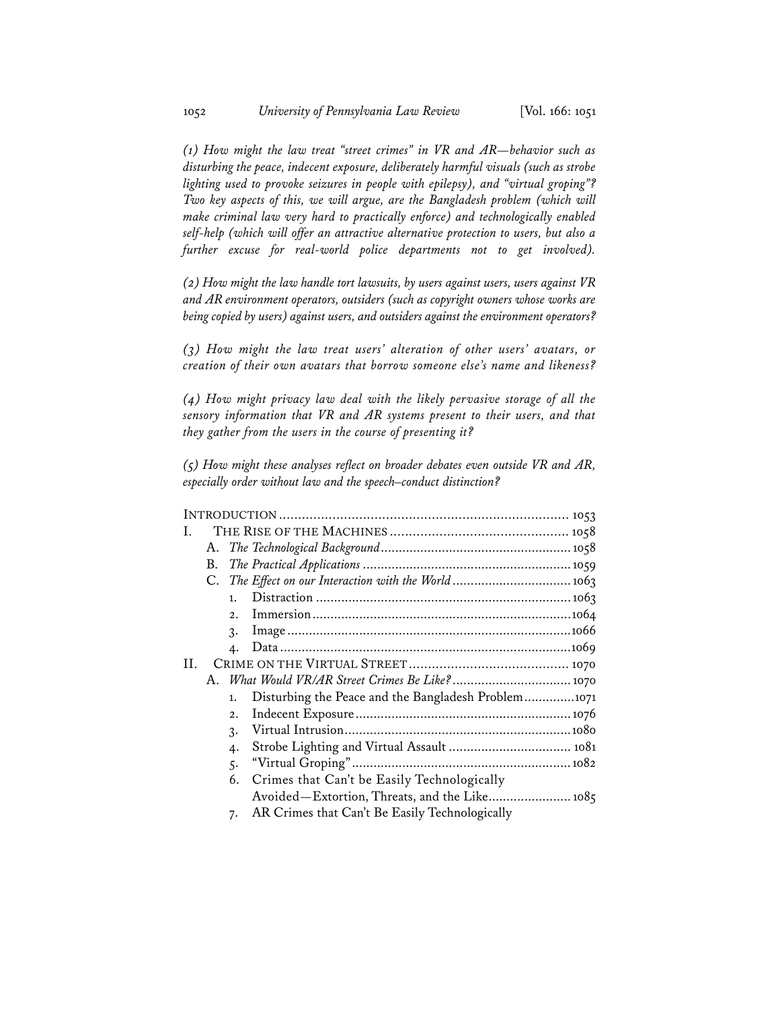*(1) How might the law treat "street crimes" in VR and AR—behavior such as disturbing the peace, indecent exposure, deliberately harmful visuals (such as strobe lighting used to provoke seizures in people with epilepsy), and "virtual groping"? Two key aspects of this, we will argue, are the Bangladesh problem (which will make criminal law very hard to practically enforce) and technologically enabled self-help (which will offer an attractive alternative protection to users, but also a further excuse for real-world police departments not to get involved).* 

*(2) How might the law handle tort lawsuits, by users against users, users against VR and AR environment operators, outsiders (such as copyright owners whose works are being copied by users) against users, and outsiders against the environment operators?* 

*(3) How might the law treat users' alteration of other users' avatars, or creation of their own avatars that borrow someone else's name and likeness?* 

*(4) How might privacy law deal with the likely pervasive storage of all the sensory information that VR and AR systems present to their users, and that they gather from the users in the course of presenting it?* 

*(5) How might these analyses reflect on broader debates even outside VR and AR, especially order without law and the speech–conduct distinction?* 

| А. |                |                                                |                                                     |
|----|----------------|------------------------------------------------|-----------------------------------------------------|
| В. |                |                                                |                                                     |
| C. |                |                                                |                                                     |
|    | 1 <sub>1</sub> |                                                |                                                     |
|    | 2.1            |                                                |                                                     |
|    | 3.             |                                                |                                                     |
|    | 4.             |                                                |                                                     |
|    |                |                                                |                                                     |
|    |                |                                                |                                                     |
|    | 1.             |                                                |                                                     |
|    | 2.             |                                                |                                                     |
|    | 3.             |                                                |                                                     |
|    | 4.             |                                                |                                                     |
|    | 5.             |                                                |                                                     |
|    | 6.             | Crimes that Can't be Easily Technologically    |                                                     |
|    |                | Avoided-Extortion, Threats, and the Like 1085  |                                                     |
|    | 7.             | AR Crimes that Can't Be Easily Technologically |                                                     |
|    |                |                                                | Disturbing the Peace and the Bangladesh Problem1071 |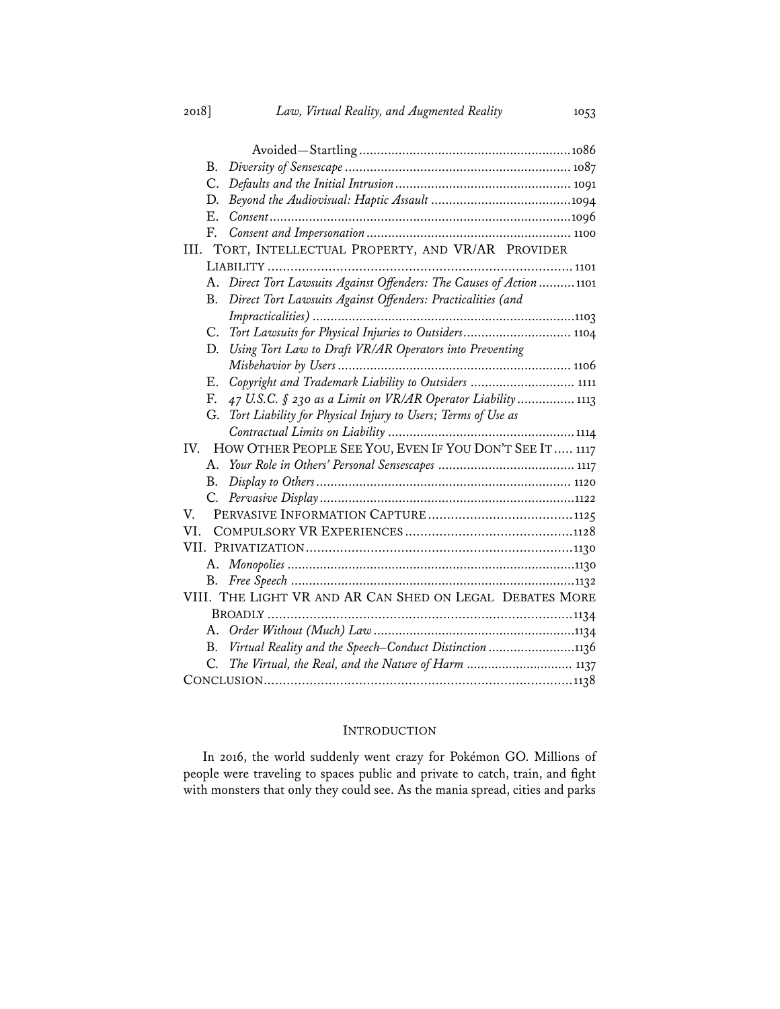| В.                                                                       |  |  |
|--------------------------------------------------------------------------|--|--|
| C.                                                                       |  |  |
| D.                                                                       |  |  |
| F.                                                                       |  |  |
| F.                                                                       |  |  |
| III. TORT, INTELLECTUAL PROPERTY, AND VR/AR PROVIDER                     |  |  |
| LIABILITY                                                                |  |  |
| Direct Tort Lawsuits Against Offenders: The Causes of Action  1101<br>А. |  |  |
| Direct Tort Lawsuits Against Offenders: Practicalities (and<br>В.        |  |  |
|                                                                          |  |  |
| Tort Lawsuits for Physical Injuries to Outsiders 1104<br>C.              |  |  |
| Using Tort Law to Draft VR/AR Operators into Preventing<br>D.            |  |  |
|                                                                          |  |  |
| Copyright and Trademark Liability to Outsiders  1111<br>Ε.               |  |  |
| 47 U.S.C. § 230 as a Limit on VR/AR Operator Liability  1113<br>F.       |  |  |
| Tort Liability for Physical Injury to Users; Terms of Use as<br>G.       |  |  |
|                                                                          |  |  |
| HOW OTHER PEOPLE SEE YOU, EVEN IF YOU DON'T SEE IT 1117<br>IV.           |  |  |
| А.                                                                       |  |  |
| В.                                                                       |  |  |
| C.                                                                       |  |  |
| V.                                                                       |  |  |
| VI.                                                                      |  |  |
|                                                                          |  |  |
|                                                                          |  |  |
| В.                                                                       |  |  |
| VIII. THE LIGHT VR AND AR CAN SHED ON LEGAL DEBATES MORE                 |  |  |
|                                                                          |  |  |
| А.                                                                       |  |  |
| Virtual Reality and the Speech-Conduct Distinction 1136<br>В.            |  |  |
| C.                                                                       |  |  |
|                                                                          |  |  |

## INTRODUCTION

In 2016, the world suddenly went crazy for Pokémon GO. Millions of people were traveling to spaces public and private to catch, train, and fight with monsters that only they could see. As the mania spread, cities and parks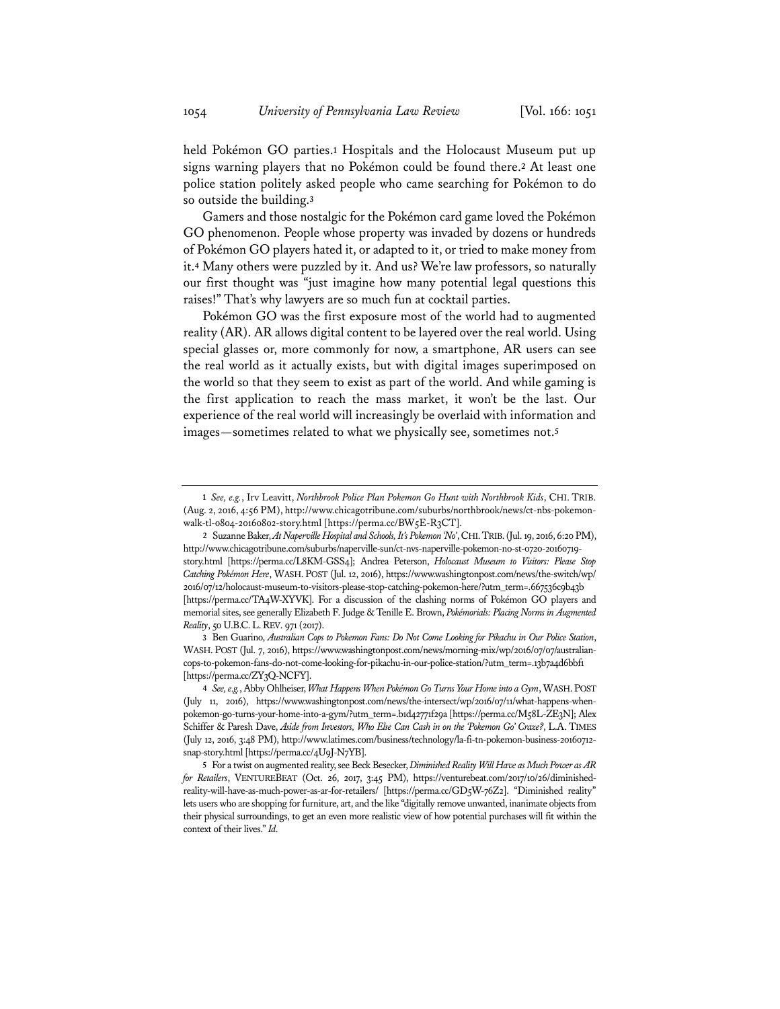held Pokémon GO parties.**<sup>1</sup>** Hospitals and the Holocaust Museum put up signs warning players that no Pokémon could be found there.**<sup>2</sup>** At least one police station politely asked people who came searching for Pokémon to do so outside the building.**<sup>3</sup>**

Gamers and those nostalgic for the Pokémon card game loved the Pokémon GO phenomenon. People whose property was invaded by dozens or hundreds of Pokémon GO players hated it, or adapted to it, or tried to make money from it.**<sup>4</sup>** Many others were puzzled by it. And us? We're law professors, so naturally our first thought was "just imagine how many potential legal questions this raises!" That's why lawyers are so much fun at cocktail parties.

Pokémon GO was the first exposure most of the world had to augmented reality (AR). AR allows digital content to be layered over the real world. Using special glasses or, more commonly for now, a smartphone, AR users can see the real world as it actually exists, but with digital images superimposed on the world so that they seem to exist as part of the world. And while gaming is the first application to reach the mass market, it won't be the last. Our experience of the real world will increasingly be overlaid with information and images—sometimes related to what we physically see, sometimes not.**<sup>5</sup>**

**<sup>1</sup>** *See, e.g.*, Irv Leavitt, *Northbrook Police Plan Pokemon Go Hunt with Northbrook Kids*, CHI. TRIB. (Aug. 2, 2016, 4:56 PM), http://www.chicagotribune.com/suburbs/northbrook/news/ct-nbs-pokemonwalk-tl-0804-20160802-story.html [https://perma.cc/BW5E-R3CT].

**<sup>2</sup>** Suzanne Baker, *At Naperville Hospital and Schools, It's Pokemon 'No'*, CHI.TRIB.(Jul. 19, 2016, 6:20 PM), http://www.chicagotribune.com/suburbs/naperville-sun/ct-nvs-naperville-pokemon-no-st-0720-20160719 story.html [https://perma.cc/L8KM-GSS4]; Andrea Peterson, *Holocaust Museum to Visitors: Please Stop Catching Pokémon Here*, WASH. POST (Jul. 12, 2016), https://www.washingtonpost.com/news/the-switch/wp/ 2016/07/12/holocaust-museum-to-visitors-please-stop-catching-pokemon-here/?utm\_term=.667536c9b43b [https://perma.cc/TA4W-XYVK]. For a discussion of the clashing norms of Pokémon GO players and memorial sites, see generally Elizabeth F. Judge & Tenille E. Brown, *Pokémorials: Placing Norms in Augmented Reality*, 50 U.B.C.L.REV. 971 (2017).

**<sup>3</sup>** Ben Guarino, *Australian Cops to Pokemon Fans: Do Not Come Looking for Pikachu in Our Police Station*, WASH. POST (Jul. 7, 2016), https://www.washingtonpost.com/news/morning-mix/wp/2016/07/07/australiancops-to-pokemon-fans-do-not-come-looking-for-pikachu-in-our-police-station/?utm\_term=.13b7a4d6bbf1 [https://perma.cc/ZY3Q-NCFY].

**<sup>4</sup>** *See, e.g.*, Abby Ohlheiser, *What Happens When Pokémon Go Turns Your Home into a Gym*, WASH.POST (July 11, 2016), https://www.washingtonpost.com/news/the-intersect/wp/2016/07/11/what-happens-whenpokemon-go-turns-your-home-into-a-gym/?utm\_term=.b1d42771f29a [https://perma.cc/M58L-ZE3N]; Alex Schiffer & Paresh Dave, *Aside from Investors, Who Else Can Cash in on the 'Pokemon Go' Craze?*, L.A. TIMES (July 12, 2016, 3:48 PM), http://www.latimes.com/business/technology/la-fi-tn-pokemon-business-20160712 snap-story.html [https://perma.cc/4U9J-N7YB].

**<sup>5</sup>** For a twist on augmented reality, see Beck Besecker, *Diminished Reality Will Have as Much Power as AR for Retailers*, VENTUREBEAT (Oct. 26, 2017, 3:45 PM), https://venturebeat.com/2017/10/26/diminishedreality-will-have-as-much-power-as-ar-for-retailers/ [https://perma.cc/GD5W-76Z2]. "Diminished reality" lets users who are shopping for furniture, art, and the like "digitally remove unwanted, inanimate objects from their physical surroundings, to get an even more realistic view of how potential purchases will fit within the context of their lives." *Id.*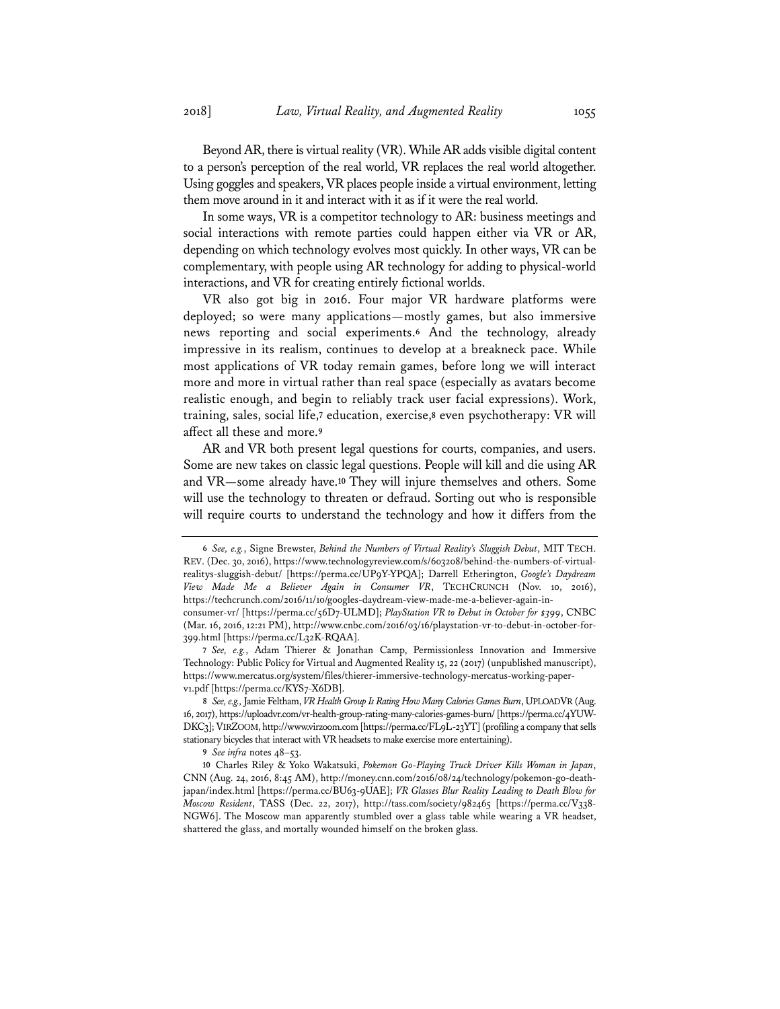Beyond AR, there is virtual reality (VR). While AR adds visible digital content to a person's perception of the real world, VR replaces the real world altogether. Using goggles and speakers, VR places people inside a virtual environment, letting them move around in it and interact with it as if it were the real world.

In some ways, VR is a competitor technology to AR: business meetings and social interactions with remote parties could happen either via VR or AR, depending on which technology evolves most quickly. In other ways, VR can be complementary, with people using AR technology for adding to physical-world interactions, and VR for creating entirely fictional worlds.

VR also got big in 2016. Four major VR hardware platforms were deployed; so were many applications—mostly games, but also immersive news reporting and social experiments.**<sup>6</sup>** And the technology, already impressive in its realism, continues to develop at a breakneck pace. While most applications of VR today remain games, before long we will interact more and more in virtual rather than real space (especially as avatars become realistic enough, and begin to reliably track user facial expressions). Work, training, sales, social life,**<sup>7</sup>** education, exercise,**<sup>8</sup>** even psychotherapy: VR will affect all these and more.**<sup>9</sup>**

AR and VR both present legal questions for courts, companies, and users. Some are new takes on classic legal questions. People will kill and die using AR and VR—some already have.**<sup>10</sup>** They will injure themselves and others. Some will use the technology to threaten or defraud. Sorting out who is responsible will require courts to understand the technology and how it differs from the

**<sup>6</sup>** *See, e.g.*, Signe Brewster, *Behind the Numbers of Virtual Reality's Sluggish Debut*, MIT TECH. REV. (Dec. 30, 2016), https://www.technologyreview.com/s/603208/behind-the-numbers-of-virtualrealitys-sluggish-debut/ [https://perma.cc/UP9Y-YPQA]; Darrell Etherington, *Google's Daydream View Made Me a Believer Again in Consumer VR*, TECHCRUNCH (Nov. 10, 2016), https://techcrunch.com/2016/11/10/googles-daydream-view-made-me-a-believer-again-inconsumer-vr/ [https://perma.cc/56D7-ULMD]; *PlayStation VR to Debut in October for \$399*, CNBC (Mar. 16, 2016, 12:21 PM), http://www.cnbc.com/2016/03/16/playstation-vr-to-debut-in-october-for-

<sup>399.</sup>html [https://perma.cc/L32K-RQAA].

**<sup>7</sup>** *See, e.g.*, Adam Thierer & Jonathan Camp, Permissionless Innovation and Immersive Technology: Public Policy for Virtual and Augmented Reality 15, 22 (2017) (unpublished manuscript), https://www.mercatus.org/system/files/thierer-immersive-technology-mercatus-working-paperv1.pdf [https://perma.cc/KYS7-X6DB].

**<sup>8</sup>** *See, e.g.,* Jamie Feltham, *VR Health Group Is Rating How Many Calories Games Burn*, UPLOADVR (Aug. 16, 2017), https://uploadvr.com/vr-health-group-rating-many-calories-games-burn/ [https://perma.cc/4YUW-DKC3]; VIRZOOM, http://www.virzoom.com [https://perma.cc/FL9L-23YT] (profiling a company that sells stationary bicycles that interact with VR headsets to make exercise more entertaining).

**<sup>9</sup>** *See infra* notes 48–53.

**<sup>10</sup>** Charles Riley & Yoko Wakatsuki, *Pokemon Go-Playing Truck Driver Kills Woman in Japan*, CNN (Aug. 24, 2016, 8:45 AM), http://money.cnn.com/2016/08/24/technology/pokemon-go-deathjapan/index.html [https://perma.cc/BU63-9UAE]; *VR Glasses Blur Reality Leading to Death Blow for Moscow Resident*, TASS (Dec. 22, 2017), http://tass.com/society/982465 [https://perma.cc/V338- NGW6]. The Moscow man apparently stumbled over a glass table while wearing a VR headset, shattered the glass, and mortally wounded himself on the broken glass.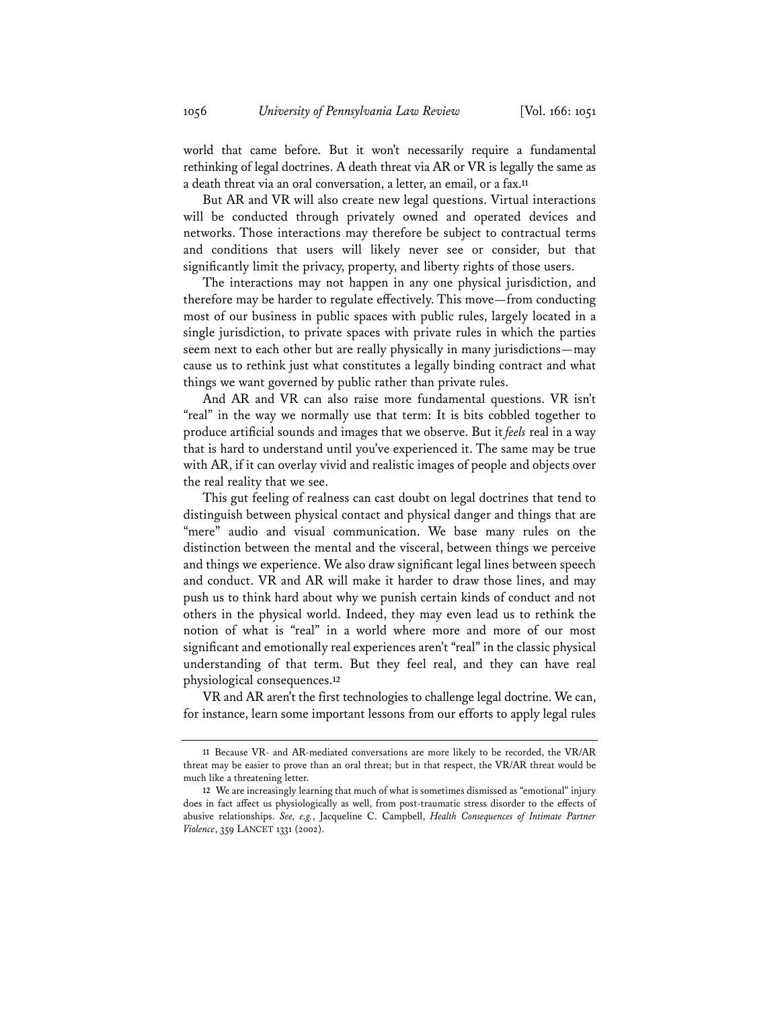world that came before. But it won't necessarily require a fundamental rethinking of legal doctrines. A death threat via AR or VR is legally the same as a death threat via an oral conversation, a letter, an email, or a fax.**<sup>11</sup>**

But AR and VR will also create new legal questions. Virtual interactions will be conducted through privately owned and operated devices and networks. Those interactions may therefore be subject to contractual terms and conditions that users will likely never see or consider, but that significantly limit the privacy, property, and liberty rights of those users.

The interactions may not happen in any one physical jurisdiction, and therefore may be harder to regulate effectively. This move—from conducting most of our business in public spaces with public rules, largely located in a single jurisdiction, to private spaces with private rules in which the parties seem next to each other but are really physically in many jurisdictions—may cause us to rethink just what constitutes a legally binding contract and what things we want governed by public rather than private rules.

And AR and VR can also raise more fundamental questions. VR isn't "real" in the way we normally use that term: It is bits cobbled together to produce artificial sounds and images that we observe. But it *feels* real in a way that is hard to understand until you've experienced it. The same may be true with AR, if it can overlay vivid and realistic images of people and objects over the real reality that we see.

This gut feeling of realness can cast doubt on legal doctrines that tend to distinguish between physical contact and physical danger and things that are "mere" audio and visual communication. We base many rules on the distinction between the mental and the visceral, between things we perceive and things we experience. We also draw significant legal lines between speech and conduct. VR and AR will make it harder to draw those lines, and may push us to think hard about why we punish certain kinds of conduct and not others in the physical world. Indeed, they may even lead us to rethink the notion of what is "real" in a world where more and more of our most significant and emotionally real experiences aren't "real" in the classic physical understanding of that term. But they feel real, and they can have real physiological consequences.**<sup>12</sup>**

VR and AR aren't the first technologies to challenge legal doctrine. We can, for instance, learn some important lessons from our efforts to apply legal rules

**<sup>11</sup>** Because VR- and AR-mediated conversations are more likely to be recorded, the VR/AR threat may be easier to prove than an oral threat; but in that respect, the VR/AR threat would be much like a threatening letter.

**<sup>12</sup>** We are increasingly learning that much of what is sometimes dismissed as "emotional" injury does in fact affect us physiologically as well, from post-traumatic stress disorder to the effects of abusive relationships. *See, e.g.*, Jacqueline C. Campbell, *Health Consequences of Intimate Partner Violence*, 359 LANCET 1331 (2002).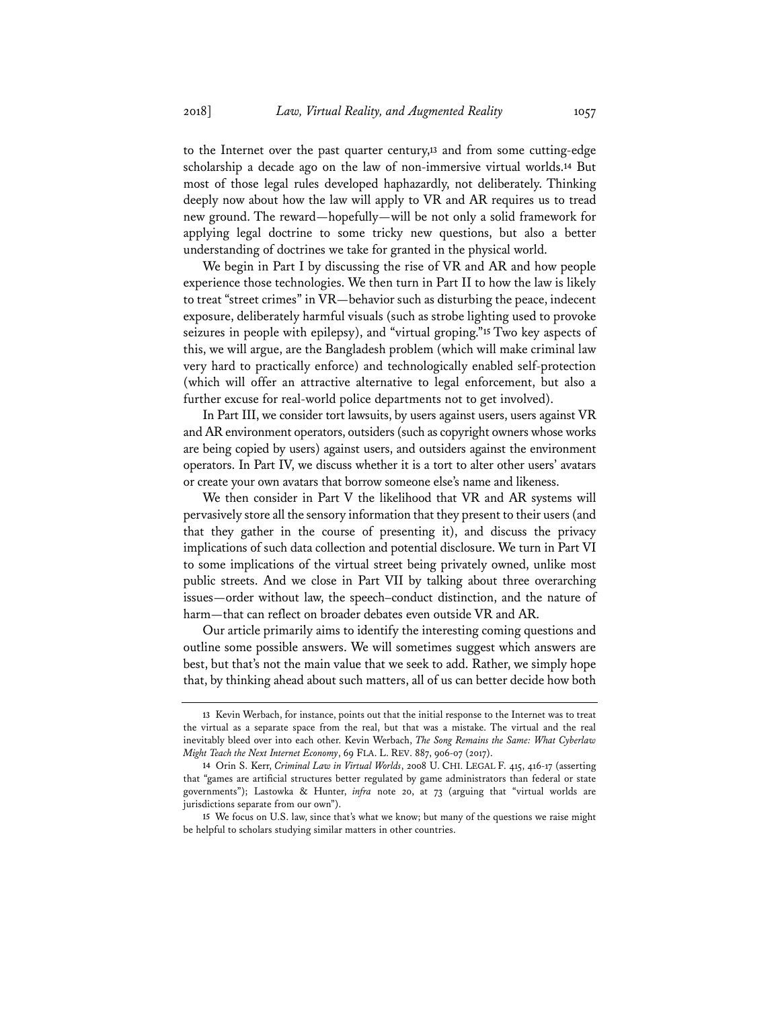to the Internet over the past quarter century,**<sup>13</sup>** and from some cutting-edge scholarship a decade ago on the law of non-immersive virtual worlds.**<sup>14</sup>** But most of those legal rules developed haphazardly, not deliberately. Thinking deeply now about how the law will apply to VR and AR requires us to tread new ground. The reward—hopefully—will be not only a solid framework for applying legal doctrine to some tricky new questions, but also a better understanding of doctrines we take for granted in the physical world.

We begin in Part I by discussing the rise of VR and AR and how people experience those technologies. We then turn in Part II to how the law is likely to treat "street crimes" in VR—behavior such as disturbing the peace, indecent exposure, deliberately harmful visuals (such as strobe lighting used to provoke seizures in people with epilepsy), and "virtual groping."**<sup>15</sup>** Two key aspects of this, we will argue, are the Bangladesh problem (which will make criminal law very hard to practically enforce) and technologically enabled self-protection (which will offer an attractive alternative to legal enforcement, but also a further excuse for real-world police departments not to get involved).

In Part III, we consider tort lawsuits, by users against users, users against VR and AR environment operators, outsiders (such as copyright owners whose works are being copied by users) against users, and outsiders against the environment operators. In Part IV, we discuss whether it is a tort to alter other users' avatars or create your own avatars that borrow someone else's name and likeness.

We then consider in Part V the likelihood that VR and AR systems will pervasively store all the sensory information that they present to their users (and that they gather in the course of presenting it), and discuss the privacy implications of such data collection and potential disclosure. We turn in Part VI to some implications of the virtual street being privately owned, unlike most public streets. And we close in Part VII by talking about three overarching issues—order without law, the speech–conduct distinction, and the nature of harm—that can reflect on broader debates even outside VR and AR.

Our article primarily aims to identify the interesting coming questions and outline some possible answers. We will sometimes suggest which answers are best, but that's not the main value that we seek to add. Rather, we simply hope that, by thinking ahead about such matters, all of us can better decide how both

**<sup>13</sup>** Kevin Werbach, for instance, points out that the initial response to the Internet was to treat the virtual as a separate space from the real, but that was a mistake. The virtual and the real inevitably bleed over into each other. Kevin Werbach, *The Song Remains the Same: What Cyberlaw Might Teach the Next Internet Economy*, 69 FLA. L. REV. 887, 906-07 (2017).

**<sup>14</sup>** Orin S. Kerr, *Criminal Law in Virtual Worlds*, 2008 U. CHI. LEGAL F. 415, 416-17 (asserting that "games are artificial structures better regulated by game administrators than federal or state governments"); Lastowka & Hunter, *infra* note 20, at 73 (arguing that "virtual worlds are jurisdictions separate from our own").

**<sup>15</sup>** We focus on U.S. law, since that's what we know; but many of the questions we raise might be helpful to scholars studying similar matters in other countries.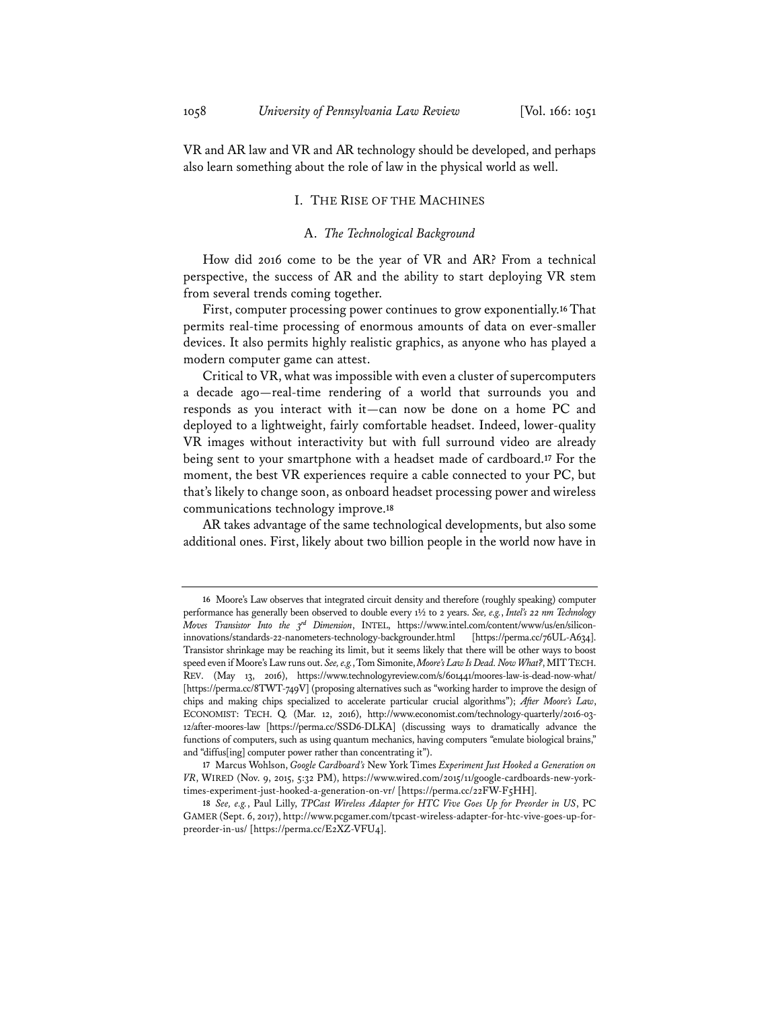VR and AR law and VR and AR technology should be developed, and perhaps also learn something about the role of law in the physical world as well.

## I. THE RISE OF THE MACHINES

#### A. *The Technological Background*

How did 2016 come to be the year of VR and AR? From a technical perspective, the success of AR and the ability to start deploying VR stem from several trends coming together.

First, computer processing power continues to grow exponentially.**<sup>16</sup>** That permits real-time processing of enormous amounts of data on ever-smaller devices. It also permits highly realistic graphics, as anyone who has played a modern computer game can attest.

Critical to VR, what was impossible with even a cluster of supercomputers a decade ago—real-time rendering of a world that surrounds you and responds as you interact with it—can now be done on a home PC and deployed to a lightweight, fairly comfortable headset. Indeed, lower-quality VR images without interactivity but with full surround video are already being sent to your smartphone with a headset made of cardboard.**<sup>17</sup>** For the moment, the best VR experiences require a cable connected to your PC, but that's likely to change soon, as onboard headset processing power and wireless communications technology improve.**<sup>18</sup>**

AR takes advantage of the same technological developments, but also some additional ones. First, likely about two billion people in the world now have in

**<sup>16</sup>** Moore's Law observes that integrated circuit density and therefore (roughly speaking) computer performance has generally been observed to double every 1½ to 2 years. *See, e.g.*, *Intel's 22 nm Technology Moves Transistor Into the 3rd Dimension*, INTEL, https://www.intel.com/content/www/us/en/siliconinnovations/standards-22-nanometers-technology-backgrounder.html [https://perma.cc/76UL-A634]. Transistor shrinkage may be reaching its limit, but it seems likely that there will be other ways to boost speed even if Moore's Law runs out. *See, e.g.*, Tom Simonite, *Moore's Law Is Dead. Now What?*, MITTECH. REV. (May 13, 2016), https://www.technologyreview.com/s/601441/moores-law-is-dead-now-what/ [https://perma.cc/8TWT-749V] (proposing alternatives such as "working harder to improve the design of chips and making chips specialized to accelerate particular crucial algorithms"); *After Moore's Law*, ECONOMIST: TECH. Q. (Mar. 12, 2016), http://www.economist.com/technology-quarterly/2016-03- 12/after-moores-law [https://perma.cc/SSD6-DLKA] (discussing ways to dramatically advance the functions of computers, such as using quantum mechanics, having computers "emulate biological brains," and "diffus[ing] computer power rather than concentrating it").

**<sup>17</sup>** Marcus Wohlson, *Google Cardboard's* New York Times *Experiment Just Hooked a Generation on VR*, WIRED (Nov. 9, 2015, 5:32 PM), https://www.wired.com/2015/11/google-cardboards-new-yorktimes-experiment-just-hooked-a-generation-on-vr/ [https://perma.cc/22FW-F5HH].

**<sup>18</sup>** *See, e.g.*, Paul Lilly, *TPCast Wireless Adapter for HTC Vive Goes Up for Preorder in US*, PC GAMER (Sept. 6, 2017), http://www.pcgamer.com/tpcast-wireless-adapter-for-htc-vive-goes-up-forpreorder-in-us/ [https://perma.cc/E2XZ-VFU4].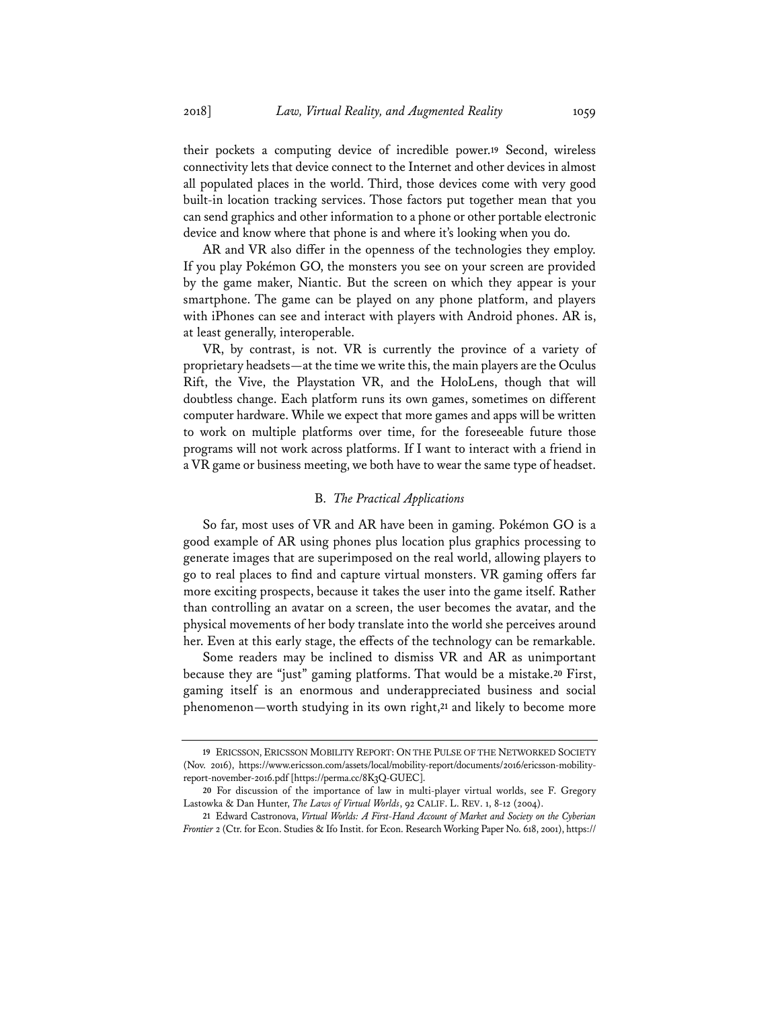their pockets a computing device of incredible power.**<sup>19</sup>** Second, wireless connectivity lets that device connect to the Internet and other devices in almost all populated places in the world. Third, those devices come with very good built-in location tracking services. Those factors put together mean that you can send graphics and other information to a phone or other portable electronic device and know where that phone is and where it's looking when you do.

AR and VR also differ in the openness of the technologies they employ. If you play Pokémon GO, the monsters you see on your screen are provided by the game maker, Niantic. But the screen on which they appear is your smartphone. The game can be played on any phone platform, and players with iPhones can see and interact with players with Android phones. AR is, at least generally, interoperable.

VR, by contrast, is not. VR is currently the province of a variety of proprietary headsets—at the time we write this, the main players are the Oculus Rift, the Vive, the Playstation VR, and the HoloLens, though that will doubtless change. Each platform runs its own games, sometimes on different computer hardware. While we expect that more games and apps will be written to work on multiple platforms over time, for the foreseeable future those programs will not work across platforms. If I want to interact with a friend in a VR game or business meeting, we both have to wear the same type of headset.

#### B. *The Practical Applications*

So far, most uses of VR and AR have been in gaming. Pokémon GO is a good example of AR using phones plus location plus graphics processing to generate images that are superimposed on the real world, allowing players to go to real places to find and capture virtual monsters. VR gaming offers far more exciting prospects, because it takes the user into the game itself. Rather than controlling an avatar on a screen, the user becomes the avatar, and the physical movements of her body translate into the world she perceives around her. Even at this early stage, the effects of the technology can be remarkable.

Some readers may be inclined to dismiss VR and AR as unimportant because they are "just" gaming platforms. That would be a mistake.**<sup>20</sup>** First, gaming itself is an enormous and underappreciated business and social phenomenon—worth studying in its own right,**<sup>21</sup>** and likely to become more

**<sup>19</sup>** ERICSSON, ERICSSON MOBILITY REPORT: ON THE PULSE OF THE NETWORKED SOCIETY (Nov. 2016), https://www.ericsson.com/assets/local/mobility-report/documents/2016/ericsson-mobilityreport-november-2016.pdf [https://perma.cc/8K3Q-GUEC].

**<sup>20</sup>** For discussion of the importance of law in multi-player virtual worlds, see F. Gregory Lastowka & Dan Hunter, *The Laws of Virtual Worlds*, 92 CALIF. L. REV. 1, 8-12 (2004).

**<sup>21</sup>** Edward Castronova, *Virtual Worlds: A First-Hand Account of Market and Society on the Cyberian Frontier* 2 (Ctr. for Econ. Studies & Ifo Instit. for Econ. Research Working Paper No. 618, 2001), https://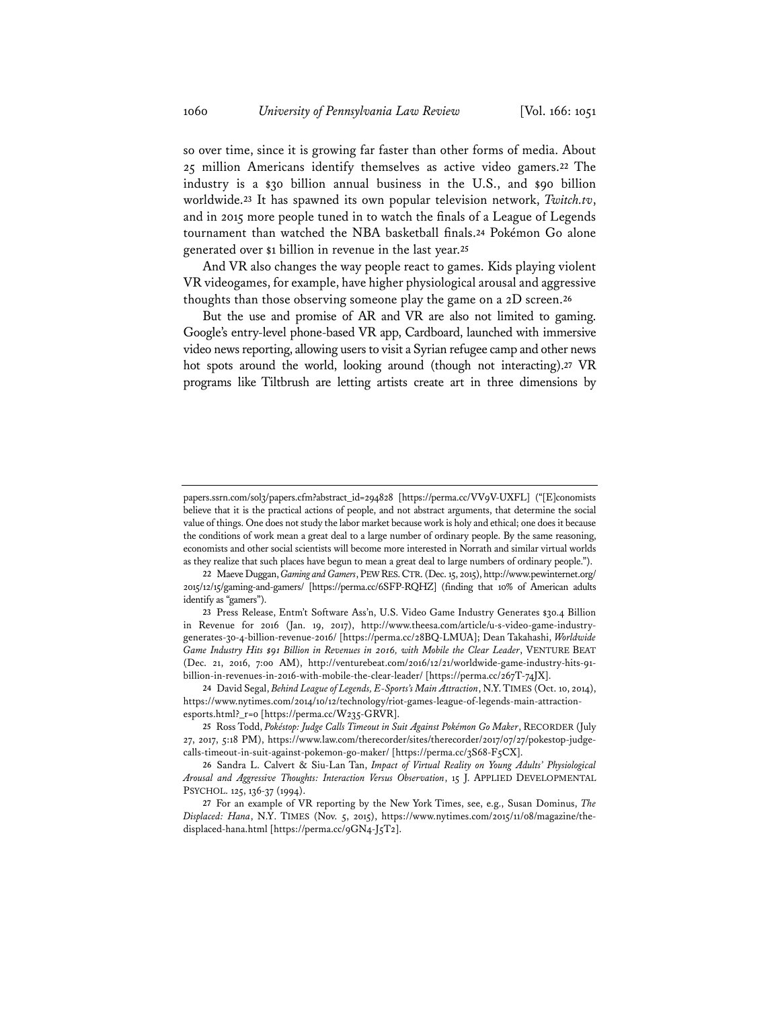so over time, since it is growing far faster than other forms of media. About 25 million Americans identify themselves as active video gamers.**<sup>22</sup>** The industry is a \$30 billion annual business in the U.S., and \$90 billion worldwide.**<sup>23</sup>** It has spawned its own popular television network, *Twitch.tv*, and in 2015 more people tuned in to watch the finals of a League of Legends tournament than watched the NBA basketball finals.**<sup>24</sup>** Pokémon Go alone generated over \$1 billion in revenue in the last year.**<sup>25</sup>**

And VR also changes the way people react to games. Kids playing violent VR videogames, for example, have higher physiological arousal and aggressive thoughts than those observing someone play the game on a 2D screen.**<sup>26</sup>**

But the use and promise of AR and VR are also not limited to gaming. Google's entry-level phone-based VR app, Cardboard, launched with immersive video news reporting, allowing users to visit a Syrian refugee camp and other news hot spots around the world, looking around (though not interacting).**<sup>27</sup>** VR programs like Tiltbrush are letting artists create art in three dimensions by

**24** David Segal, *Behind League of Legends, E-Sports's Main Attraction*, N.Y.TIMES (Oct. 10, 2014), https://www.nytimes.com/2014/10/12/technology/riot-games-league-of-legends-main-attractionesports.html?\_r=0 [https://perma.cc/W235-GRVR].

papers.ssrn.com/sol3/papers.cfm?abstract\_id=294828 [https://perma.cc/VV9V-UXFL] ("[E]conomists believe that it is the practical actions of people, and not abstract arguments, that determine the social value of things. One does not study the labor market because work is holy and ethical; one does it because the conditions of work mean a great deal to a large number of ordinary people. By the same reasoning, economists and other social scientists will become more interested in Norrath and similar virtual worlds as they realize that such places have begun to mean a great deal to large numbers of ordinary people.").

**<sup>22</sup>** Maeve Duggan, *Gaming and Gamers*, PEW RES.CTR. (Dec. 15, 2015), http://www.pewinternet.org/ 2015/12/15/gaming-and-gamers/ [https://perma.cc/6SFP-RQHZ] (finding that 10% of American adults identify as "gamers").

**<sup>23</sup>** Press Release, Entm't Software Ass'n, U.S. Video Game Industry Generates \$30.4 Billion in Revenue for 2016 (Jan. 19, 2017), http://www.theesa.com/article/u-s-video-game-industrygenerates-30-4-billion-revenue-2016/ [https://perma.cc/28BQ-LMUA]; Dean Takahashi, *Worldwide Game Industry Hits \$91 Billion in Revenues in 2016, with Mobile the Clear Leader*, VENTURE BEAT (Dec. 21, 2016, 7:00 AM), http://venturebeat.com/2016/12/21/worldwide-game-industry-hits-91 billion-in-revenues-in-2016-with-mobile-the-clear-leader/ [https://perma.cc/267T-74JX].

**<sup>25</sup>** Ross Todd, *Pokéstop: Judge Calls Timeout in Suit Against Pokémon Go Maker*, RECORDER (July 27, 2017, 5:18 PM), https://www.law.com/therecorder/sites/therecorder/2017/07/27/pokestop-judgecalls-timeout-in-suit-against-pokemon-go-maker/ [https://perma.cc/3S68-F5CX].

**<sup>26</sup>** Sandra L. Calvert & Siu-Lan Tan, *Impact of Virtual Reality on Young Adults' Physiological Arousal and Aggressive Thoughts: Interaction Versus Observation*, 15 J. APPLIED DEVELOPMENTAL PSYCHOL. 125, 136-37 (1994).

**<sup>27</sup>** For an example of VR reporting by the New York Times, see, e.g., Susan Dominus, *The Displaced: Hana*, N.Y. TIMES (Nov. 5, 2015), https://www.nytimes.com/2015/11/08/magazine/thedisplaced-hana.html [https://perma.cc/9GN4-J5T2].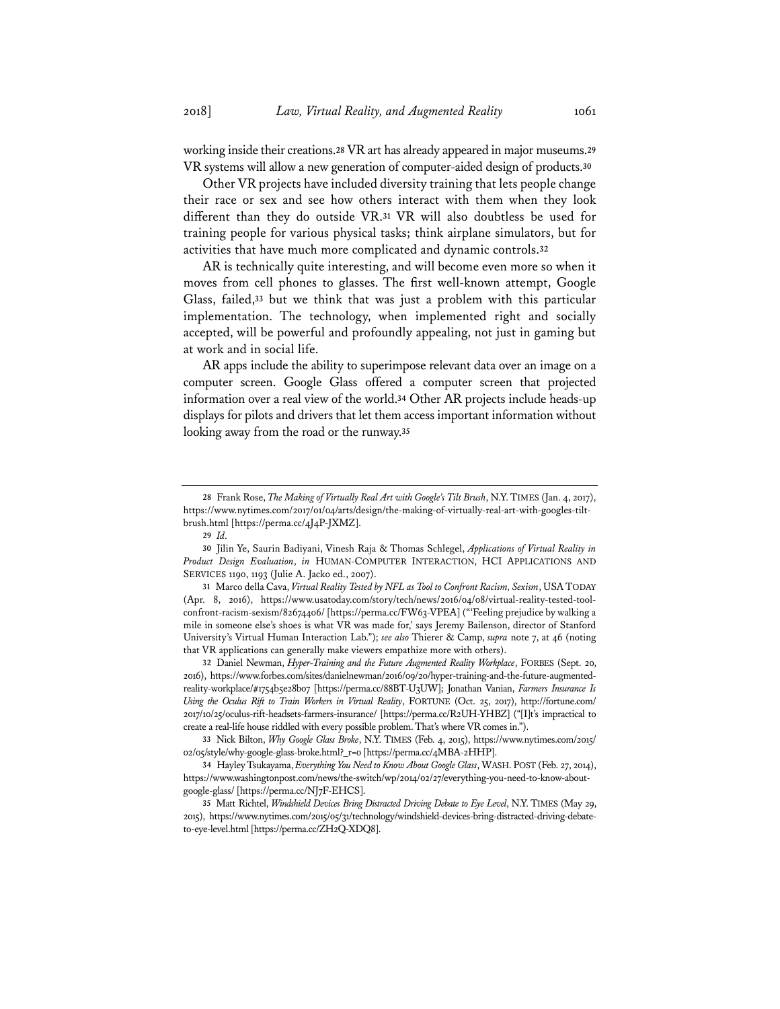working inside their creations.**<sup>28</sup>** VR art has already appeared in major museums.**<sup>29</sup>** VR systems will allow a new generation of computer-aided design of products.**<sup>30</sup>**

Other VR projects have included diversity training that lets people change their race or sex and see how others interact with them when they look different than they do outside VR.**<sup>31</sup>** VR will also doubtless be used for training people for various physical tasks; think airplane simulators, but for activities that have much more complicated and dynamic controls.**<sup>32</sup>**

AR is technically quite interesting, and will become even more so when it moves from cell phones to glasses. The first well-known attempt, Google Glass, failed,**<sup>33</sup>** but we think that was just a problem with this particular implementation. The technology, when implemented right and socially accepted, will be powerful and profoundly appealing, not just in gaming but at work and in social life.

AR apps include the ability to superimpose relevant data over an image on a computer screen. Google Glass offered a computer screen that projected information over a real view of the world.**<sup>34</sup>** Other AR projects include heads-up displays for pilots and drivers that let them access important information without looking away from the road or the runway.**<sup>35</sup>**

**31** Marco della Cava, *Virtual Reality Tested by NFL as Tool to Confront Racism, Sexism*, USATODAY (Apr. 8, 2016), https://www.usatoday.com/story/tech/news/2016/04/08/virtual-reality-tested-toolconfront-racism-sexism/82674406/ [https://perma.cc/FW63-VPEA] ("'Feeling prejudice by walking a mile in someone else's shoes is what VR was made for,' says Jeremy Bailenson, director of Stanford University's Virtual Human Interaction Lab."); *see also* Thierer & Camp, *supra* note 7, at 46 (noting that VR applications can generally make viewers empathize more with others).

**32** Daniel Newman, *Hyper-Training and the Future Augmented Reality Workplace*, FORBES (Sept. 20, 2016), https://www.forbes.com/sites/danielnewman/2016/09/20/hyper-training-and-the-future-augmentedreality-workplace/#1754b5e28b07 [https://perma.cc/88BT-U3UW]; Jonathan Vanian, *Farmers Insurance Is Using the Oculus Rift to Train Workers in Virtual Reality*, FORTUNE (Oct. 25, 2017), http://fortune.com/ 2017/10/25/oculus-rift-headsets-farmers-insurance/ [https://perma.cc/R2UH-YHBZ] ("[I]t's impractical to create a real-life house riddled with every possible problem. That's where VR comes in.").

**33** Nick Bilton, *Why Google Glass Broke*, N.Y. TIMES (Feb. 4, 2015), https://www.nytimes.com/2015/ 02/05/style/why-google-glass-broke.html?\_r=0 [https://perma.cc/4MBA-2HHP].

**34** Hayley Tsukayama, *Everything You Need to Know About Google Glass*, WASH.POST (Feb. 27, 2014), https://www.washingtonpost.com/news/the-switch/wp/2014/02/27/everything-you-need-to-know-aboutgoogle-glass/ [https://perma.cc/NJ7F-EHCS].

**35** Matt Richtel, *Windshield Devices Bring Distracted Driving Debate to Eye Level*, N.Y. TIMES (May 29, 2015), https://www.nytimes.com/2015/05/31/technology/windshield-devices-bring-distracted-driving-debateto-eye-level.html [https://perma.cc/ZH2Q-XDQ8].

**<sup>28</sup>** Frank Rose, *The Making of Virtually Real Art with Google's Tilt Brush*, N.Y. TIMES (Jan. 4, 2017), https://www.nytimes.com/2017/01/04/arts/design/the-making-of-virtually-real-art-with-googles-tiltbrush.html [https://perma.cc/4J4P-JXMZ].

**<sup>29</sup>** *Id.*

**<sup>30</sup>** Jilin Ye, Saurin Badiyani, Vinesh Raja & Thomas Schlegel, *Applications of Virtual Reality in Product Design Evaluation*, *in* HUMAN-COMPUTER INTERACTION, HCI APPLICATIONS AND SERVICES 1190, 1193 (Julie A. Jacko ed., 2007).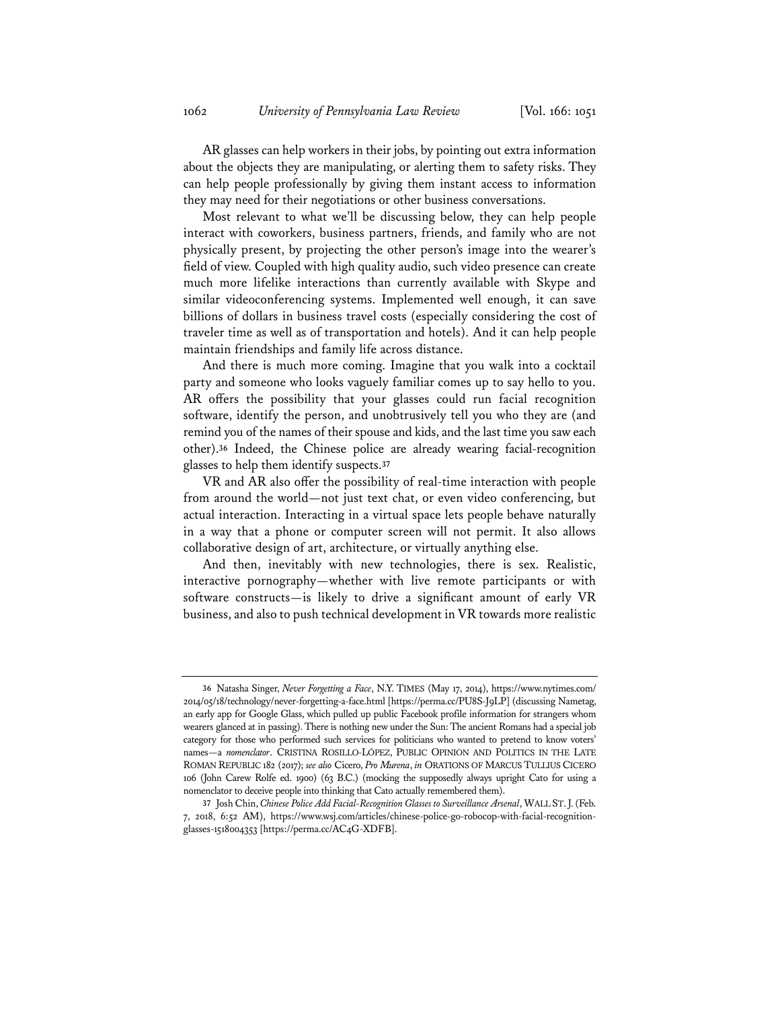AR glasses can help workers in their jobs, by pointing out extra information about the objects they are manipulating, or alerting them to safety risks. They can help people professionally by giving them instant access to information they may need for their negotiations or other business conversations.

Most relevant to what we'll be discussing below, they can help people interact with coworkers, business partners, friends, and family who are not physically present, by projecting the other person's image into the wearer's field of view. Coupled with high quality audio, such video presence can create much more lifelike interactions than currently available with Skype and similar videoconferencing systems. Implemented well enough, it can save billions of dollars in business travel costs (especially considering the cost of traveler time as well as of transportation and hotels). And it can help people maintain friendships and family life across distance.

And there is much more coming. Imagine that you walk into a cocktail party and someone who looks vaguely familiar comes up to say hello to you. AR offers the possibility that your glasses could run facial recognition software, identify the person, and unobtrusively tell you who they are (and remind you of the names of their spouse and kids, and the last time you saw each other).**<sup>36</sup>** Indeed, the Chinese police are already wearing facial-recognition glasses to help them identify suspects.**<sup>37</sup>**

VR and AR also offer the possibility of real-time interaction with people from around the world—not just text chat, or even video conferencing, but actual interaction. Interacting in a virtual space lets people behave naturally in a way that a phone or computer screen will not permit. It also allows collaborative design of art, architecture, or virtually anything else.

And then, inevitably with new technologies, there is sex. Realistic, interactive pornography—whether with live remote participants or with software constructs—is likely to drive a significant amount of early VR business, and also to push technical development in VR towards more realistic

**<sup>36</sup>** Natasha Singer, *Never Forgetting a Face*, N.Y. TIMES (May 17, 2014), https://www.nytimes.com/ 2014/05/18/technology/never-forgetting-a-face.html [https://perma.cc/PU8S-J9LP] (discussing Nametag, an early app for Google Glass, which pulled up public Facebook profile information for strangers whom wearers glanced at in passing). There is nothing new under the Sun: The ancient Romans had a special job category for those who performed such services for politicians who wanted to pretend to know voters' names—a *nomenclator*. CRISTINA ROSILLO-LÓPEZ, PUBLIC OPINION AND POLITICS IN THE LATE ROMAN REPUBLIC 182 (2017); *see also* Cicero, *Pro Murena*, *in* ORATIONS OF MARCUS TULLIUS CICERO 106 (John Carew Rolfe ed. 1900) (63 B.C.) (mocking the supposedly always upright Cato for using a nomenclator to deceive people into thinking that Cato actually remembered them).

**<sup>37</sup>** Josh Chin, *Chinese Police Add Facial-Recognition Glasses to Surveillance Arsenal*, WALL ST.J.(Feb. 7, 2018, 6:52 AM), https://www.wsj.com/articles/chinese-police-go-robocop-with-facial-recognitionglasses-1518004353 [https://perma.cc/AC4G-XDFB].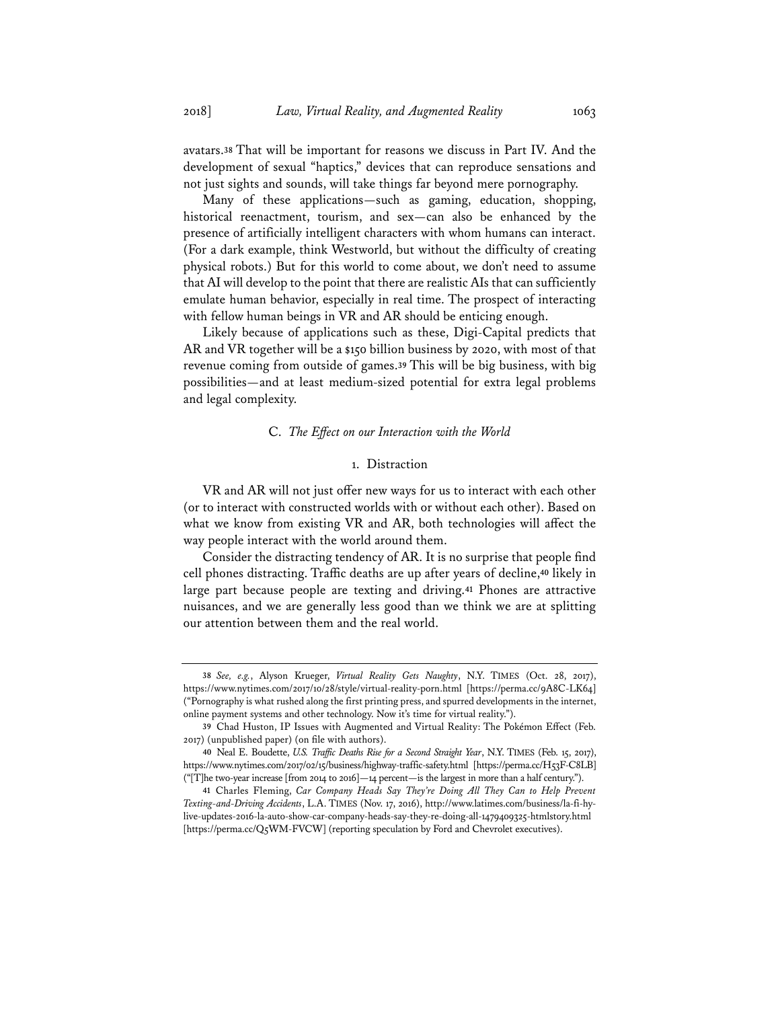avatars.**<sup>38</sup>** That will be important for reasons we discuss in Part IV. And the development of sexual "haptics," devices that can reproduce sensations and not just sights and sounds, will take things far beyond mere pornography.

Many of these applications—such as gaming, education, shopping, historical reenactment, tourism, and sex—can also be enhanced by the presence of artificially intelligent characters with whom humans can interact. (For a dark example, think Westworld, but without the difficulty of creating physical robots.) But for this world to come about, we don't need to assume that AI will develop to the point that there are realistic AIs that can sufficiently emulate human behavior, especially in real time. The prospect of interacting with fellow human beings in VR and AR should be enticing enough.

Likely because of applications such as these, Digi-Capital predicts that AR and VR together will be a \$150 billion business by 2020, with most of that revenue coming from outside of games.**<sup>39</sup>** This will be big business, with big possibilities—and at least medium-sized potential for extra legal problems and legal complexity.

#### C. *The Effect on our Interaction with the World*

#### 1. Distraction

VR and AR will not just offer new ways for us to interact with each other (or to interact with constructed worlds with or without each other). Based on what we know from existing VR and AR, both technologies will affect the way people interact with the world around them.

Consider the distracting tendency of AR. It is no surprise that people find cell phones distracting. Traffic deaths are up after years of decline,**<sup>40</sup>** likely in large part because people are texting and driving.**<sup>41</sup>** Phones are attractive nuisances, and we are generally less good than we think we are at splitting our attention between them and the real world.

**<sup>38</sup>** *See, e.g.*, Alyson Krueger, *Virtual Reality Gets Naughty*, N.Y. TIMES (Oct. 28, 2017), https://www.nytimes.com/2017/10/28/style/virtual-reality-porn.html [https://perma.cc/9A8C-LK64] ("Pornography is what rushed along the first printing press, and spurred developments in the internet, online payment systems and other technology. Now it's time for virtual reality.").

**<sup>39</sup>** Chad Huston, IP Issues with Augmented and Virtual Reality: The Pokémon Effect (Feb. 2017) (unpublished paper) (on file with authors).

**<sup>40</sup>** Neal E. Boudette, *U.S. Traffic Deaths Rise for a Second Straight Year*, N.Y. TIMES (Feb. 15, 2017), https://www.nytimes.com/2017/02/15/business/highway-traffic-safety.html [https://perma.cc/H53F-C8LB] ("[T]he two-year increase [from 2014 to 2016]—14 percent—is the largest in more than a half century.").

**<sup>41</sup>** Charles Fleming, *Car Company Heads Say They're Doing All They Can to Help Prevent Texting-and-Driving Accidents*, L.A. TIMES (Nov. 17, 2016), http://www.latimes.com/business/la-fi-hylive-updates-2016-la-auto-show-car-company-heads-say-they-re-doing-all-1479409325-htmlstory.html [https://perma.cc/Q5WM-FVCW] (reporting speculation by Ford and Chevrolet executives).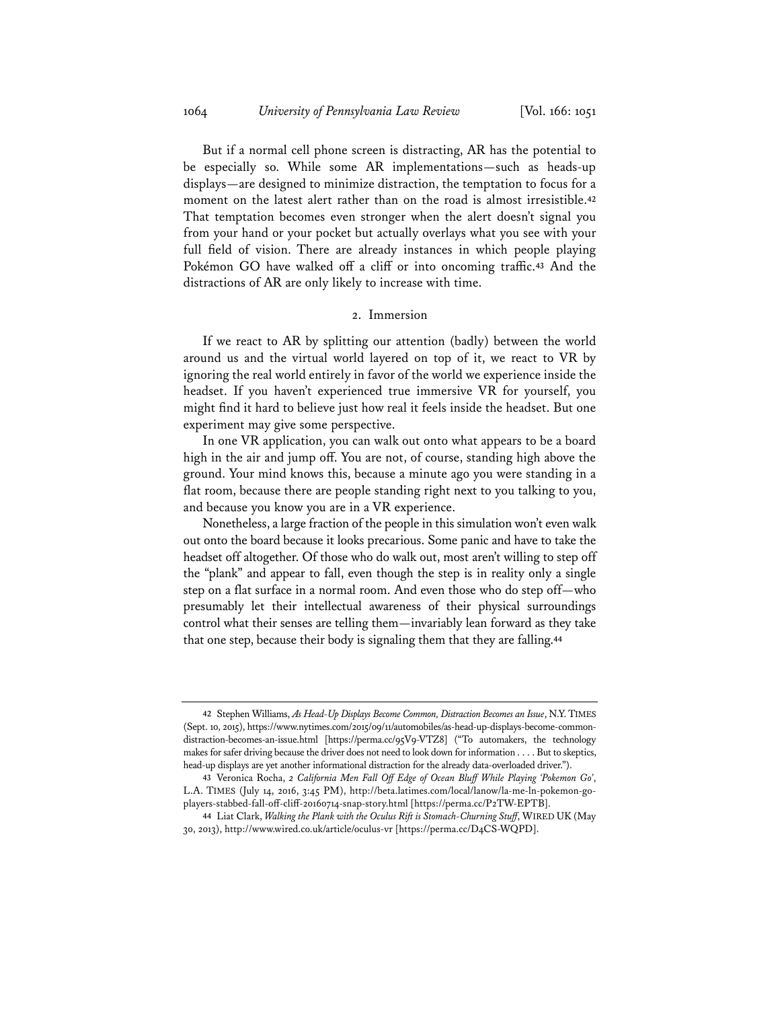But if a normal cell phone screen is distracting, AR has the potential to be especially so. While some AR implementations—such as heads-up displays—are designed to minimize distraction, the temptation to focus for a moment on the latest alert rather than on the road is almost irresistible.**<sup>42</sup>** That temptation becomes even stronger when the alert doesn't signal you from your hand or your pocket but actually overlays what you see with your full field of vision. There are already instances in which people playing Pokémon GO have walked off a cliff or into oncoming traffic.**<sup>43</sup>** And the distractions of AR are only likely to increase with time.

#### 2. Immersion

If we react to AR by splitting our attention (badly) between the world around us and the virtual world layered on top of it, we react to VR by ignoring the real world entirely in favor of the world we experience inside the headset. If you haven't experienced true immersive VR for yourself, you might find it hard to believe just how real it feels inside the headset. But one experiment may give some perspective.

In one VR application, you can walk out onto what appears to be a board high in the air and jump off. You are not, of course, standing high above the ground. Your mind knows this, because a minute ago you were standing in a flat room, because there are people standing right next to you talking to you, and because you know you are in a VR experience.

Nonetheless, a large fraction of the people in this simulation won't even walk out onto the board because it looks precarious. Some panic and have to take the headset off altogether. Of those who do walk out, most aren't willing to step off the "plank" and appear to fall, even though the step is in reality only a single step on a flat surface in a normal room. And even those who do step off—who presumably let their intellectual awareness of their physical surroundings control what their senses are telling them—invariably lean forward as they take that one step, because their body is signaling them that they are falling.**<sup>44</sup>**

**<sup>42</sup>** Stephen Williams, *As Head-Up Displays Become Common, Distraction Becomes an Issue*, N.Y.TIMES (Sept. 10, 2015), https://www.nytimes.com/2015/09/11/automobiles/as-head-up-displays-become-commondistraction-becomes-an-issue.html [https://perma.cc/95V9-VTZ8] ("To automakers, the technology makes for safer driving because the driver does not need to look down for information . . . . But to skeptics, head-up displays are yet another informational distraction for the already data-overloaded driver.").

**<sup>43</sup>** Veronica Rocha, *2 California Men Fall Off Edge of Ocean Bluff While Playing 'Pokemon Go'*, L.A. TIMES (July 14, 2016, 3:45 PM), http://beta.latimes.com/local/lanow/la-me-ln-pokemon-goplayers-stabbed-fall-off-cliff-20160714-snap-story.html [https://perma.cc/P2TW-EPTB].

**<sup>44</sup>** Liat Clark, *Walking the Plank with the Oculus Rift is Stomach-Churning Stuff*, WIRED UK (May 30, 2013), http://www.wired.co.uk/article/oculus-vr [https://perma.cc/D4CS-WQPD].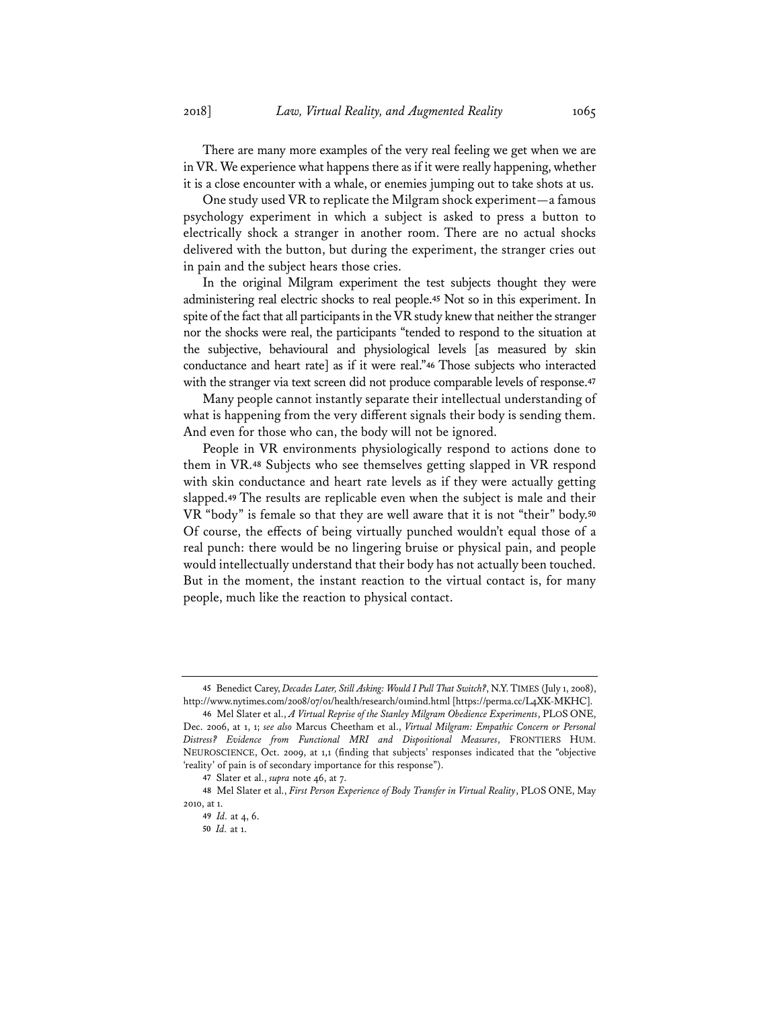There are many more examples of the very real feeling we get when we are in VR. We experience what happens there as if it were really happening, whether it is a close encounter with a whale, or enemies jumping out to take shots at us.

One study used VR to replicate the Milgram shock experiment—a famous psychology experiment in which a subject is asked to press a button to electrically shock a stranger in another room. There are no actual shocks delivered with the button, but during the experiment, the stranger cries out in pain and the subject hears those cries.

In the original Milgram experiment the test subjects thought they were administering real electric shocks to real people.**<sup>45</sup>** Not so in this experiment. In spite of the fact that all participants in the VR study knew that neither the stranger nor the shocks were real, the participants "tended to respond to the situation at the subjective, behavioural and physiological levels [as measured by skin conductance and heart rate] as if it were real."**<sup>46</sup>** Those subjects who interacted with the stranger via text screen did not produce comparable levels of response.**<sup>47</sup>**

Many people cannot instantly separate their intellectual understanding of what is happening from the very different signals their body is sending them. And even for those who can, the body will not be ignored.

People in VR environments physiologically respond to actions done to them in VR.**<sup>48</sup>** Subjects who see themselves getting slapped in VR respond with skin conductance and heart rate levels as if they were actually getting slapped.**<sup>49</sup>** The results are replicable even when the subject is male and their VR "body" is female so that they are well aware that it is not "their" body.**<sup>50</sup>** Of course, the effects of being virtually punched wouldn't equal those of a real punch: there would be no lingering bruise or physical pain, and people would intellectually understand that their body has not actually been touched. But in the moment, the instant reaction to the virtual contact is, for many people, much like the reaction to physical contact.

**<sup>45</sup>** Benedict Carey, *Decades Later, Still Asking: Would I Pull That Switch?*, N.Y. TIMES (July 1, 2008), http://www.nytimes.com/2008/07/01/health/research/01mind.html [https://perma.cc/L4XK-MKHC].

**<sup>46</sup>** Mel Slater et al., *A Virtual Reprise of the Stanley Milgram Obedience Experiments*, PLOS ONE, Dec. 2006, at 1, 1; *see also* Marcus Cheetham et al., *Virtual Milgram: Empathic Concern or Personal Distress? Evidence from Functional MRI and Dispositional Measures*, FRONTIERS HUM. NEUROSCIENCE, Oct. 2009, at 1,1 (finding that subjects' responses indicated that the "objective 'reality' of pain is of secondary importance for this response").

**<sup>47</sup>** Slater et al., *supra* note 46, at 7.

**<sup>48</sup>** Mel Slater et al., *First Person Experience of Body Transfer in Virtual Reality*, PLOS ONE, May 2010, at 1.

**<sup>49</sup>** *Id.* at 4, 6.

**<sup>50</sup>** *Id.* at 1.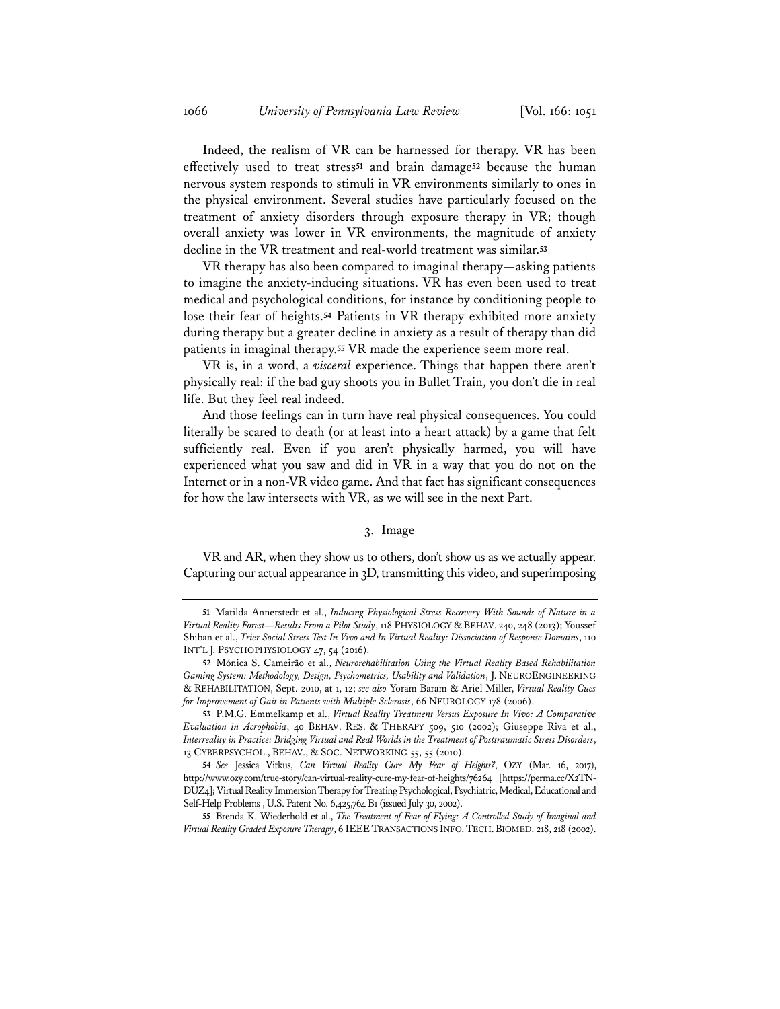Indeed, the realism of VR can be harnessed for therapy. VR has been effectively used to treat stress**<sup>51</sup>** and brain damage**<sup>52</sup>** because the human nervous system responds to stimuli in VR environments similarly to ones in the physical environment. Several studies have particularly focused on the treatment of anxiety disorders through exposure therapy in VR; though overall anxiety was lower in VR environments, the magnitude of anxiety decline in the VR treatment and real-world treatment was similar.**<sup>53</sup>**

VR therapy has also been compared to imaginal therapy—asking patients to imagine the anxiety-inducing situations. VR has even been used to treat medical and psychological conditions, for instance by conditioning people to lose their fear of heights.**<sup>54</sup>** Patients in VR therapy exhibited more anxiety during therapy but a greater decline in anxiety as a result of therapy than did patients in imaginal therapy.**<sup>55</sup>** VR made the experience seem more real.

VR is, in a word, a *visceral* experience. Things that happen there aren't physically real: if the bad guy shoots you in Bullet Train, you don't die in real life. But they feel real indeed.

And those feelings can in turn have real physical consequences. You could literally be scared to death (or at least into a heart attack) by a game that felt sufficiently real. Even if you aren't physically harmed, you will have experienced what you saw and did in VR in a way that you do not on the Internet or in a non-VR video game. And that fact has significant consequences for how the law intersects with VR, as we will see in the next Part.

## 3. Image

VR and AR, when they show us to others, don't show us as we actually appear. Capturing our actual appearance in 3D, transmitting this video, and superimposing

**<sup>51</sup>** Matilda Annerstedt et al., *Inducing Physiological Stress Recovery With Sounds of Nature in a Virtual Reality Forest—Results From a Pilot Study*, 118 PHYSIOLOGY & BEHAV. 240, 248 (2013); Youssef Shiban et al., *Trier Social Stress Test In Vivo and In Virtual Reality: Dissociation of Response Domains*, 110 INT'L J. PSYCHOPHYSIOLOGY 47, 54 (2016).

**<sup>52</sup>** Mónica S. Cameirão et al., *Neurorehabilitation Using the Virtual Reality Based Rehabilitation Gaming System: Methodology, Design, Psychometrics, Usability and Validation*, J. NEUROENGINEERING & REHABILITATION, Sept. 2010, at 1, 12; *see also* Yoram Baram & Ariel Miller, *Virtual Reality Cues for Improvement of Gait in Patients with Multiple Sclerosis*, 66 NEUROLOGY 178 (2006).

**<sup>53</sup>** P.M.G. Emmelkamp et al., *Virtual Reality Treatment Versus Exposure In Vivo: A Comparative Evaluation in Acrophobia*, 40 BEHAV. RES. & THERAPY 509, 510 (2002); Giuseppe Riva et al., *Interreality in Practice: Bridging Virtual and Real Worlds in the Treatment of Posttraumatic Stress Disorders*, 13 CYBERPSYCHOL., BEHAV., & SOC. NETWORKING 55, 55 (2010).

**<sup>54</sup>** *See* Jessica Vitkus, *Can Virtual Reality Cure My Fear of Heights?*, OZY (Mar. 16, 2017), http://www.ozy.com/true-story/can-virtual-reality-cure-my-fear-of-heights/76264 [https://perma.cc/X2TN-DUZ4]; Virtual Reality Immersion Therapy for Treating Psychological, Psychiatric, Medical, Educational and Self-Help Problems , U.S. Patent No. 6,425,764 B1 (issued July 30, 2002).

**<sup>55</sup>** Brenda K. Wiederhold et al., *The Treatment of Fear of Flying: A Controlled Study of Imaginal and Virtual Reality Graded Exposure Therapy*, 6 IEEETRANSACTIONS INFO.TECH.BIOMED. 218, 218 (2002).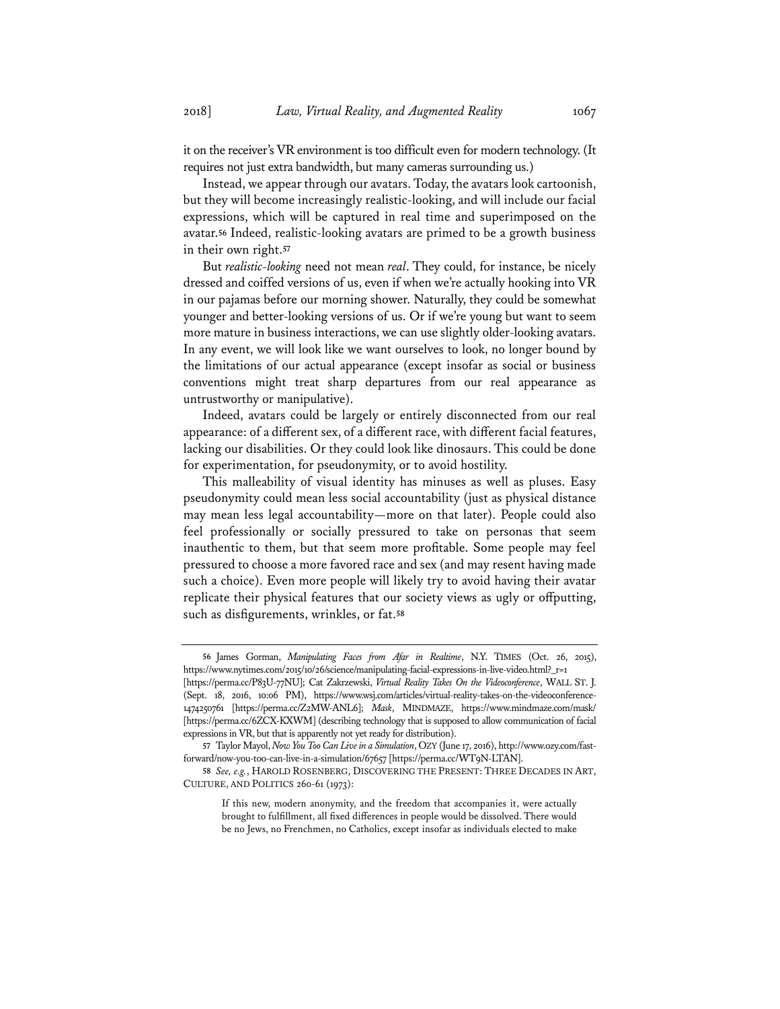it on the receiver's VR environment is too difficult even for modern technology. (It requires not just extra bandwidth, but many cameras surrounding us.)

Instead, we appear through our avatars. Today, the avatars look cartoonish, but they will become increasingly realistic-looking, and will include our facial expressions, which will be captured in real time and superimposed on the avatar.**<sup>56</sup>** Indeed, realistic-looking avatars are primed to be a growth business in their own right.**<sup>57</sup>**

But *realistic-looking* need not mean *real*. They could, for instance, be nicely dressed and coiffed versions of us, even if when we're actually hooking into VR in our pajamas before our morning shower. Naturally, they could be somewhat younger and better-looking versions of us. Or if we're young but want to seem more mature in business interactions, we can use slightly older-looking avatars. In any event, we will look like we want ourselves to look, no longer bound by the limitations of our actual appearance (except insofar as social or business conventions might treat sharp departures from our real appearance as untrustworthy or manipulative).

Indeed, avatars could be largely or entirely disconnected from our real appearance: of a different sex, of a different race, with different facial features, lacking our disabilities. Or they could look like dinosaurs. This could be done for experimentation, for pseudonymity, or to avoid hostility.

This malleability of visual identity has minuses as well as pluses. Easy pseudonymity could mean less social accountability (just as physical distance may mean less legal accountability—more on that later). People could also feel professionally or socially pressured to take on personas that seem inauthentic to them, but that seem more profitable. Some people may feel pressured to choose a more favored race and sex (and may resent having made such a choice). Even more people will likely try to avoid having their avatar replicate their physical features that our society views as ugly or offputting, such as disfigurements, wrinkles, or fat.**<sup>58</sup>**

**<sup>56</sup>** James Gorman, *Manipulating Faces from Afar in Realtime*, N.Y. TIMES (Oct. 26, 2015), https://www.nytimes.com/2015/10/26/science/manipulating-facial-expressions-in-live-video.html?\_r=1 [https://perma.cc/P83U-77NU]; Cat Zakrzewski, *Virtual Reality Takes On the Videoconference*, WALL ST. J. (Sept. 18, 2016, 10:06 PM), https://www.wsj.com/articles/virtual-reality-takes-on-the-videoconference-1474250761 [https://perma.cc/Z2MW-ANL6]; *Mask*, MINDMAZE, https://www.mindmaze.com/mask/ [https://perma.cc/6ZCX-KXWM] (describing technology that is supposed to allow communication of facial expressions in VR, but that is apparently not yet ready for distribution).

**<sup>57</sup>** Taylor Mayol, *Now You Too Can Live in a Simulation*, OZY (June 17, 2016), http://www.ozy.com/fastforward/now-you-too-can-live-in-a-simulation/67657 [https://perma.cc/WT9N-LTAN].

**<sup>58</sup>** *See, e.g.*, HAROLD ROSENBERG, DISCOVERING THE PRESENT: THREE DECADES IN ART, CULTURE, AND POLITICS 260-61 (1973):

If this new, modern anonymity, and the freedom that accompanies it, were actually brought to fulfillment, all fixed differences in people would be dissolved. There would be no Jews, no Frenchmen, no Catholics, except insofar as individuals elected to make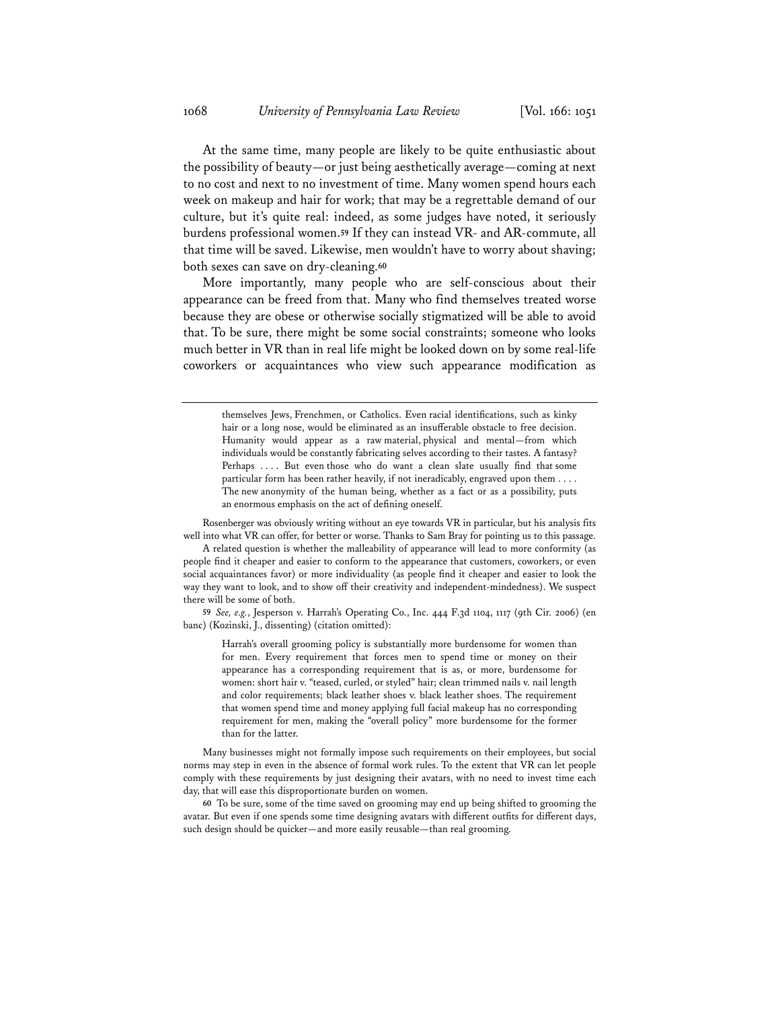At the same time, many people are likely to be quite enthusiastic about the possibility of beauty—or just being aesthetically average—coming at next to no cost and next to no investment of time. Many women spend hours each week on makeup and hair for work; that may be a regrettable demand of our culture, but it's quite real: indeed, as some judges have noted, it seriously burdens professional women.**<sup>59</sup>** If they can instead VR- and AR-commute, all that time will be saved. Likewise, men wouldn't have to worry about shaving; both sexes can save on dry-cleaning.**<sup>60</sup>**

More importantly, many people who are self-conscious about their appearance can be freed from that. Many who find themselves treated worse because they are obese or otherwise socially stigmatized will be able to avoid that. To be sure, there might be some social constraints; someone who looks much better in VR than in real life might be looked down on by some real-life coworkers or acquaintances who view such appearance modification as

themselves Jews, Frenchmen, or Catholics. Even racial identifications, such as kinky hair or a long nose, would be eliminated as an insufferable obstacle to free decision. Humanity would appear as a raw material, physical and mental—from which individuals would be constantly fabricating selves according to their tastes. A fantasy? Perhaps .... But even those who do want a clean slate usually find that some particular form has been rather heavily, if not ineradicably, engraved upon them . . . . The new anonymity of the human being, whether as a fact or as a possibility, puts an enormous emphasis on the act of defining oneself.

Rosenberger was obviously writing without an eye towards VR in particular, but his analysis fits well into what VR can offer, for better or worse. Thanks to Sam Bray for pointing us to this passage.

A related question is whether the malleability of appearance will lead to more conformity (as people find it cheaper and easier to conform to the appearance that customers, coworkers, or even social acquaintances favor) or more individuality (as people find it cheaper and easier to look the way they want to look, and to show off their creativity and independent-mindedness). We suspect there will be some of both.

**59** *See, e.g.*, Jesperson v. Harrah's Operating Co., Inc. 444 F.3d 1104, 1117 (9th Cir. 2006) (en banc) (Kozinski, J., dissenting) (citation omitted):

Harrah's overall grooming policy is substantially more burdensome for women than for men. Every requirement that forces men to spend time or money on their appearance has a corresponding requirement that is as, or more, burdensome for women: short hair v. "teased, curled, or styled" hair; clean trimmed nails v. nail length and color requirements; black leather shoes v. black leather shoes. The requirement that women spend time and money applying full facial makeup has no corresponding requirement for men, making the "overall policy" more burdensome for the former than for the latter.

Many businesses might not formally impose such requirements on their employees, but social norms may step in even in the absence of formal work rules. To the extent that VR can let people comply with these requirements by just designing their avatars, with no need to invest time each day, that will ease this disproportionate burden on women.

**60** To be sure, some of the time saved on grooming may end up being shifted to grooming the avatar. But even if one spends some time designing avatars with different outfits for different days, such design should be quicker—and more easily reusable—than real grooming.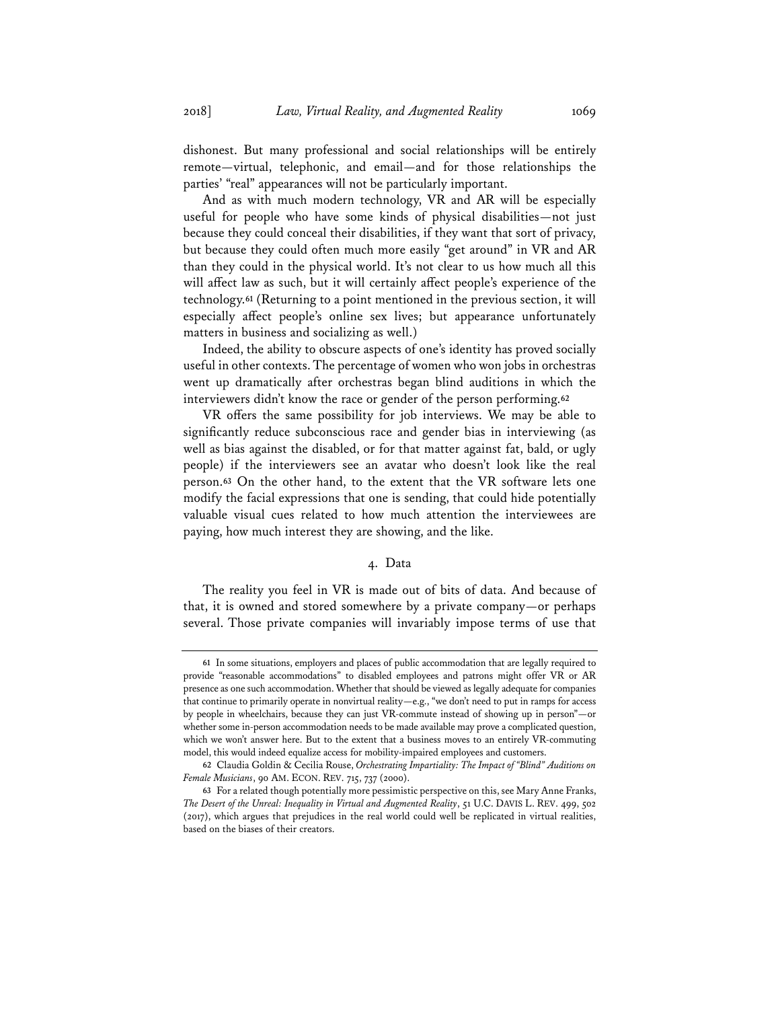dishonest. But many professional and social relationships will be entirely remote—virtual, telephonic, and email—and for those relationships the parties' "real" appearances will not be particularly important.

And as with much modern technology, VR and AR will be especially useful for people who have some kinds of physical disabilities—not just because they could conceal their disabilities, if they want that sort of privacy, but because they could often much more easily "get around" in VR and AR than they could in the physical world. It's not clear to us how much all this will affect law as such, but it will certainly affect people's experience of the technology.**<sup>61</sup>** (Returning to a point mentioned in the previous section, it will especially affect people's online sex lives; but appearance unfortunately matters in business and socializing as well.)

Indeed, the ability to obscure aspects of one's identity has proved socially useful in other contexts. The percentage of women who won jobs in orchestras went up dramatically after orchestras began blind auditions in which the interviewers didn't know the race or gender of the person performing.**<sup>62</sup>**

VR offers the same possibility for job interviews. We may be able to significantly reduce subconscious race and gender bias in interviewing (as well as bias against the disabled, or for that matter against fat, bald, or ugly people) if the interviewers see an avatar who doesn't look like the real person.**<sup>63</sup>** On the other hand, to the extent that the VR software lets one modify the facial expressions that one is sending, that could hide potentially valuable visual cues related to how much attention the interviewees are paying, how much interest they are showing, and the like.

#### 4. Data

The reality you feel in VR is made out of bits of data. And because of that, it is owned and stored somewhere by a private company—or perhaps several. Those private companies will invariably impose terms of use that

**<sup>61</sup>** In some situations, employers and places of public accommodation that are legally required to provide "reasonable accommodations" to disabled employees and patrons might offer VR or AR presence as one such accommodation. Whether that should be viewed as legally adequate for companies that continue to primarily operate in nonvirtual reality—e.g., "we don't need to put in ramps for access by people in wheelchairs, because they can just VR-commute instead of showing up in person"—or whether some in-person accommodation needs to be made available may prove a complicated question, which we won't answer here. But to the extent that a business moves to an entirely VR-commuting model, this would indeed equalize access for mobility-impaired employees and customers.

**<sup>62</sup>** Claudia Goldin & Cecilia Rouse, *Orchestrating Impartiality: The Impact of "Blind" Auditions on Female Musicians*, 90 AM. ECON. REV. 715, 737 (2000).

**<sup>63</sup>** For a related though potentially more pessimistic perspective on this, see Mary Anne Franks, *The Desert of the Unreal: Inequality in Virtual and Augmented Reality*, 51 U.C. DAVIS L. REV. 499, 502 (2017), which argues that prejudices in the real world could well be replicated in virtual realities, based on the biases of their creators.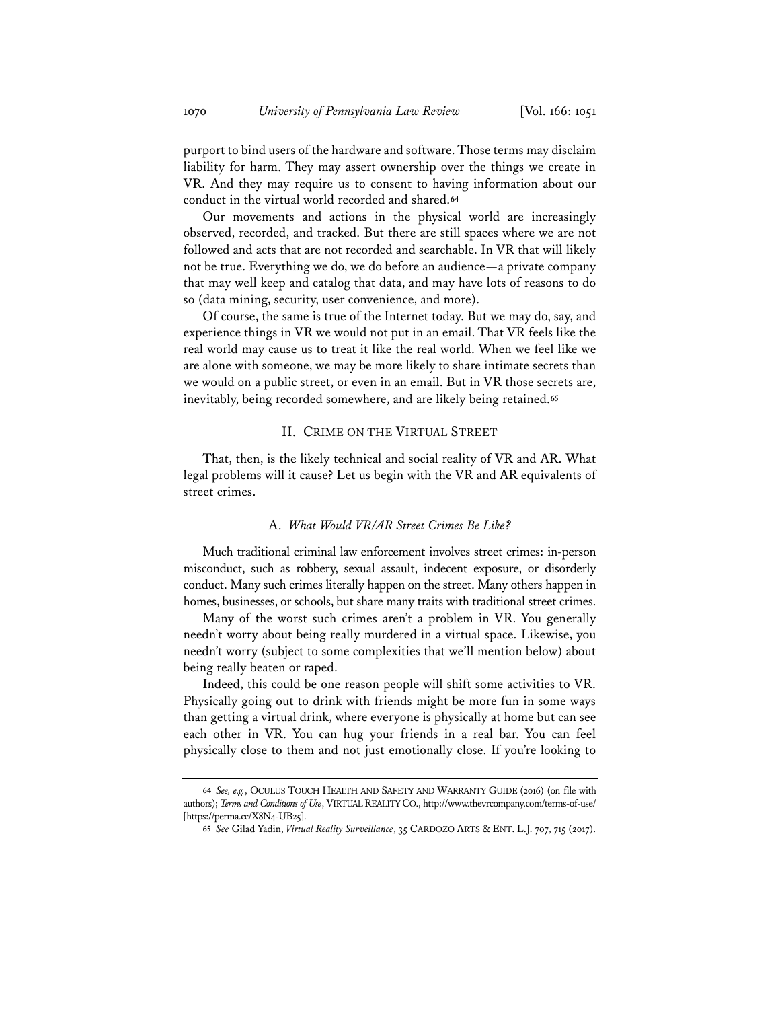purport to bind users of the hardware and software. Those terms may disclaim liability for harm. They may assert ownership over the things we create in VR. And they may require us to consent to having information about our conduct in the virtual world recorded and shared.**<sup>64</sup>**

Our movements and actions in the physical world are increasingly observed, recorded, and tracked. But there are still spaces where we are not followed and acts that are not recorded and searchable. In VR that will likely not be true. Everything we do, we do before an audience—a private company that may well keep and catalog that data, and may have lots of reasons to do so (data mining, security, user convenience, and more).

Of course, the same is true of the Internet today. But we may do, say, and experience things in VR we would not put in an email. That VR feels like the real world may cause us to treat it like the real world. When we feel like we are alone with someone, we may be more likely to share intimate secrets than we would on a public street, or even in an email. But in VR those secrets are, inevitably, being recorded somewhere, and are likely being retained.**<sup>65</sup>**

## II. CRIME ON THE VIRTUAL STREET

That, then, is the likely technical and social reality of VR and AR. What legal problems will it cause? Let us begin with the VR and AR equivalents of street crimes.

## A. *What Would VR/AR Street Crimes Be Like?*

Much traditional criminal law enforcement involves street crimes: in-person misconduct, such as robbery, sexual assault, indecent exposure, or disorderly conduct. Many such crimes literally happen on the street. Many others happen in homes, businesses, or schools, but share many traits with traditional street crimes.

Many of the worst such crimes aren't a problem in VR. You generally needn't worry about being really murdered in a virtual space. Likewise, you needn't worry (subject to some complexities that we'll mention below) about being really beaten or raped.

Indeed, this could be one reason people will shift some activities to VR. Physically going out to drink with friends might be more fun in some ways than getting a virtual drink, where everyone is physically at home but can see each other in VR. You can hug your friends in a real bar. You can feel physically close to them and not just emotionally close. If you're looking to

**<sup>64</sup>** *See, e.g.*, OCULUS TOUCH HEALTH AND SAFETY AND WARRANTY GUIDE (2016) (on file with authors); *Terms and Conditions of Use*, VIRTUAL REALITY CO., http://www.thevrcompany.com/terms-of-use/ [https://perma.cc/X8N4-UB25].

**<sup>65</sup>** *See* Gilad Yadin, *Virtual Reality Surveillance*, 35 CARDOZO ARTS & ENT. L.J. 707, 715 (2017).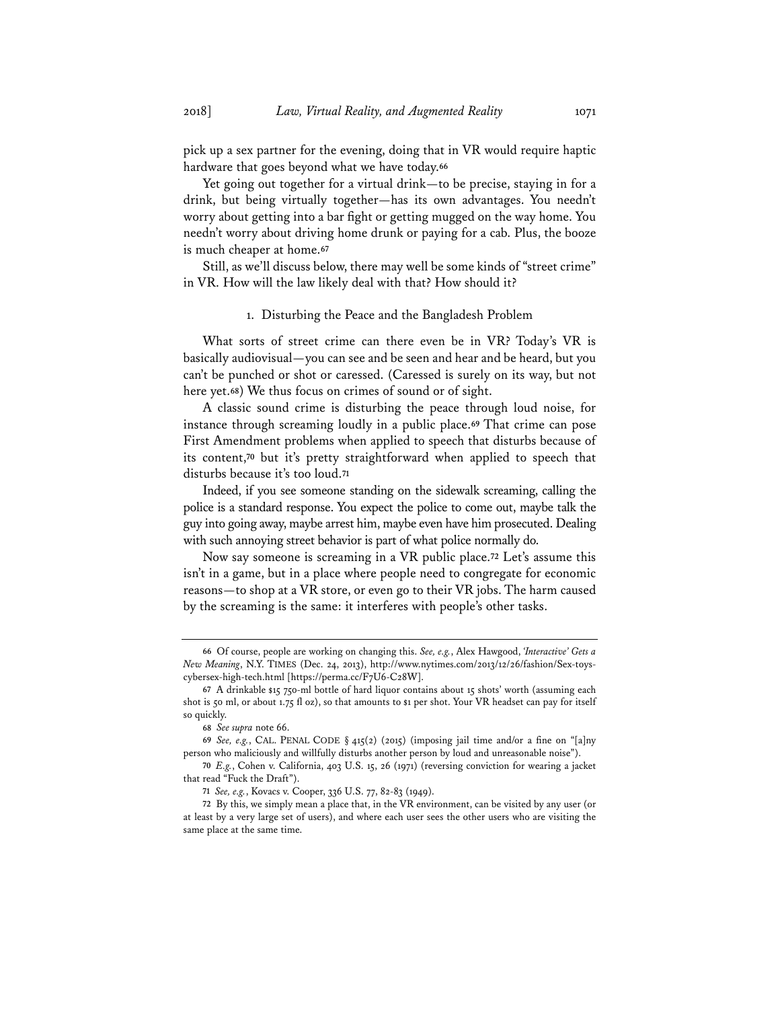pick up a sex partner for the evening, doing that in VR would require haptic hardware that goes beyond what we have today.**<sup>66</sup>**

Yet going out together for a virtual drink—to be precise, staying in for a drink, but being virtually together—has its own advantages. You needn't worry about getting into a bar fight or getting mugged on the way home. You needn't worry about driving home drunk or paying for a cab. Plus, the booze is much cheaper at home.**<sup>67</sup>**

Still, as we'll discuss below, there may well be some kinds of "street crime" in VR. How will the law likely deal with that? How should it?

#### 1. Disturbing the Peace and the Bangladesh Problem

What sorts of street crime can there even be in VR? Today's VR is basically audiovisual—you can see and be seen and hear and be heard, but you can't be punched or shot or caressed. (Caressed is surely on its way, but not here yet.**<sup>68</sup>**) We thus focus on crimes of sound or of sight.

A classic sound crime is disturbing the peace through loud noise, for instance through screaming loudly in a public place.**<sup>69</sup>** That crime can pose First Amendment problems when applied to speech that disturbs because of its content,**<sup>70</sup>** but it's pretty straightforward when applied to speech that disturbs because it's too loud.**<sup>71</sup>**

Indeed, if you see someone standing on the sidewalk screaming, calling the police is a standard response. You expect the police to come out, maybe talk the guy into going away, maybe arrest him, maybe even have him prosecuted. Dealing with such annoying street behavior is part of what police normally do.

Now say someone is screaming in a VR public place.**<sup>72</sup>** Let's assume this isn't in a game, but in a place where people need to congregate for economic reasons—to shop at a VR store, or even go to their VR jobs. The harm caused by the screaming is the same: it interferes with people's other tasks.

**<sup>66</sup>** Of course, people are working on changing this. *See, e.g.*, Alex Hawgood, *'Interactive' Gets a New Meaning*, N.Y. TIMES (Dec. 24, 2013), http://www.nytimes.com/2013/12/26/fashion/Sex-toyscybersex-high-tech.html [https://perma.cc/F7U6-C28W].

**<sup>67</sup>** A drinkable \$15 750-ml bottle of hard liquor contains about 15 shots' worth (assuming each shot is 50 ml, or about 1.75 fl oz), so that amounts to \$1 per shot. Your VR headset can pay for itself so quickly.

**<sup>68</sup>** *See supra* note 66.

**<sup>69</sup>** *See, e.g.*, CAL. PENAL CODE § 415(2) (2015) (imposing jail time and/or a fine on "[a]ny person who maliciously and willfully disturbs another person by loud and unreasonable noise").

**<sup>70</sup>** *E.g.*, Cohen v. California, 403 U.S. 15, 26 (1971) (reversing conviction for wearing a jacket that read "Fuck the Draft").

**<sup>71</sup>** *See, e.g.*, Kovacs v. Cooper, 336 U.S. 77, 82-83 (1949).

**<sup>72</sup>** By this, we simply mean a place that, in the VR environment, can be visited by any user (or at least by a very large set of users), and where each user sees the other users who are visiting the same place at the same time.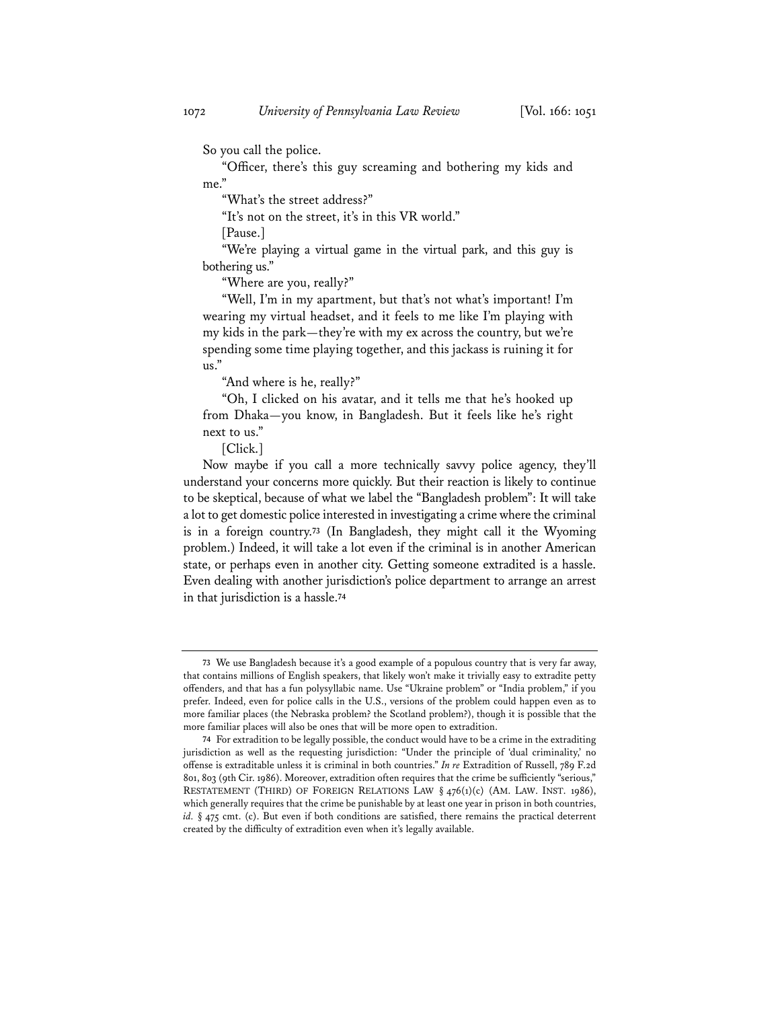So you call the police.

"Officer, there's this guy screaming and bothering my kids and me."

"What's the street address?"

"It's not on the street, it's in this VR world."

[Pause.]

"We're playing a virtual game in the virtual park, and this guy is bothering us."

"Where are you, really?"

"Well, I'm in my apartment, but that's not what's important! I'm wearing my virtual headset, and it feels to me like I'm playing with my kids in the park—they're with my ex across the country, but we're spending some time playing together, and this jackass is ruining it for us."

"And where is he, really?"

"Oh, I clicked on his avatar, and it tells me that he's hooked up from Dhaka—you know, in Bangladesh. But it feels like he's right next to us."

[Click.]

Now maybe if you call a more technically savvy police agency, they'll understand your concerns more quickly. But their reaction is likely to continue to be skeptical, because of what we label the "Bangladesh problem": It will take a lot to get domestic police interested in investigating a crime where the criminal is in a foreign country.**<sup>73</sup>** (In Bangladesh, they might call it the Wyoming problem.) Indeed, it will take a lot even if the criminal is in another American state, or perhaps even in another city. Getting someone extradited is a hassle. Even dealing with another jurisdiction's police department to arrange an arrest in that jurisdiction is a hassle.**<sup>74</sup>**

**<sup>73</sup>** We use Bangladesh because it's a good example of a populous country that is very far away, that contains millions of English speakers, that likely won't make it trivially easy to extradite petty offenders, and that has a fun polysyllabic name. Use "Ukraine problem" or "India problem," if you prefer. Indeed, even for police calls in the U.S., versions of the problem could happen even as to more familiar places (the Nebraska problem? the Scotland problem?), though it is possible that the more familiar places will also be ones that will be more open to extradition.

**<sup>74</sup>** For extradition to be legally possible, the conduct would have to be a crime in the extraditing jurisdiction as well as the requesting jurisdiction: "Under the principle of 'dual criminality,' no offense is extraditable unless it is criminal in both countries." *In re* Extradition of Russell, 789 F.2d 801, 803 (9th Cir. 1986). Moreover, extradition often requires that the crime be sufficiently "serious," RESTATEMENT (THIRD) OF FOREIGN RELATIONS LAW  $\S$  476(1)(c) (AM. LAW. INST. 1986), which generally requires that the crime be punishable by at least one year in prison in both countries, *id.* § 475 cmt. (c). But even if both conditions are satisfied, there remains the practical deterrent created by the difficulty of extradition even when it's legally available.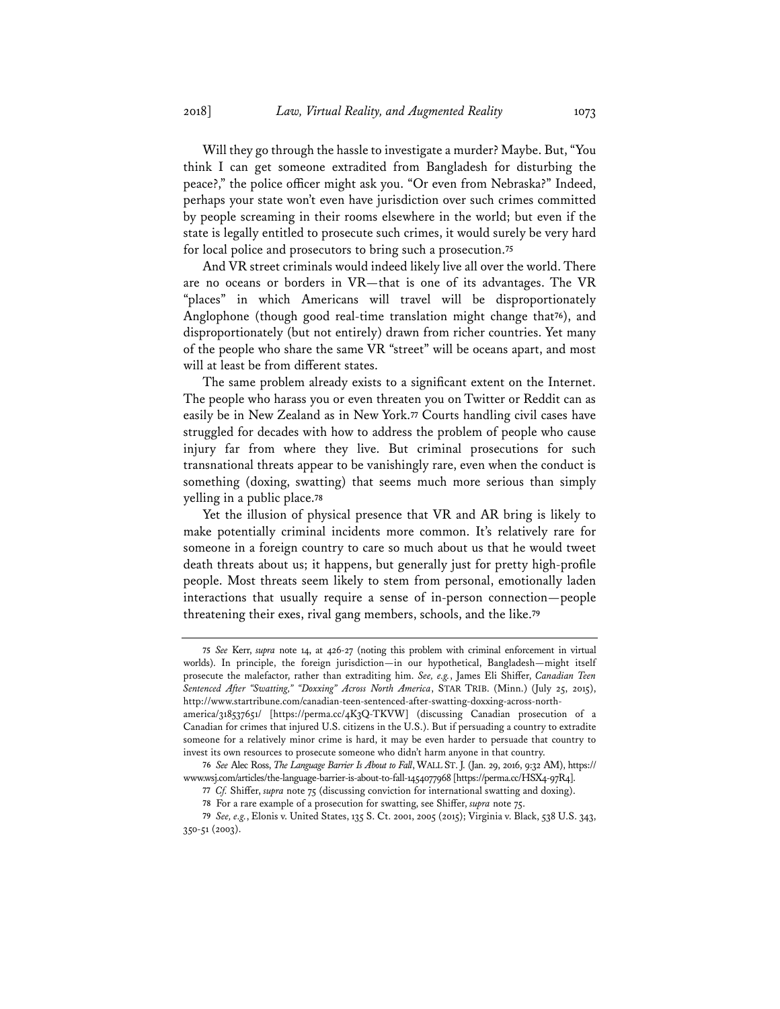Will they go through the hassle to investigate a murder? Maybe. But, "You think I can get someone extradited from Bangladesh for disturbing the peace?," the police officer might ask you. "Or even from Nebraska?" Indeed, perhaps your state won't even have jurisdiction over such crimes committed by people screaming in their rooms elsewhere in the world; but even if the state is legally entitled to prosecute such crimes, it would surely be very hard for local police and prosecutors to bring such a prosecution.**<sup>75</sup>**

And VR street criminals would indeed likely live all over the world. There are no oceans or borders in VR—that is one of its advantages. The VR "places" in which Americans will travel will be disproportionately Anglophone (though good real-time translation might change that**<sup>76</sup>**), and disproportionately (but not entirely) drawn from richer countries. Yet many of the people who share the same VR "street" will be oceans apart, and most will at least be from different states.

The same problem already exists to a significant extent on the Internet. The people who harass you or even threaten you on Twitter or Reddit can as easily be in New Zealand as in New York.**<sup>77</sup>** Courts handling civil cases have struggled for decades with how to address the problem of people who cause injury far from where they live. But criminal prosecutions for such transnational threats appear to be vanishingly rare, even when the conduct is something (doxing, swatting) that seems much more serious than simply yelling in a public place.**<sup>78</sup>**

Yet the illusion of physical presence that VR and AR bring is likely to make potentially criminal incidents more common. It's relatively rare for someone in a foreign country to care so much about us that he would tweet death threats about us; it happens, but generally just for pretty high-profile people. Most threats seem likely to stem from personal, emotionally laden interactions that usually require a sense of in-person connection—people threatening their exes, rival gang members, schools, and the like.**<sup>79</sup>**

**<sup>75</sup>** *See* Kerr, *supra* note 14, at 426-27 (noting this problem with criminal enforcement in virtual worlds). In principle, the foreign jurisdiction—in our hypothetical, Bangladesh—might itself prosecute the malefactor, rather than extraditing him. *See, e.g.*, James Eli Shiffer, *Canadian Teen Sentenced After "Swatting," "Doxxing" Across North America*, STAR TRIB. (Minn.) (July 25, 2015), http://www.startribune.com/canadian-teen-sentenced-after-swatting-doxxing-across-northamerica/318537651/ [https://perma.cc/4K3Q-TKVW] (discussing Canadian prosecution of a Canadian for crimes that injured U.S. citizens in the U.S.). But if persuading a country to extradite someone for a relatively minor crime is hard, it may be even harder to persuade that country to invest its own resources to prosecute someone who didn't harm anyone in that country.

**<sup>76</sup>** *See* Alec Ross, *The Language Barrier Is About to Fall*, WALL ST. J. (Jan. 29, 2016, 9:32 AM), https:// www.wsj.com/articles/the-language-barrier-is-about-to-fall-1454077968 [https://perma.cc/HSX4-97R4].

**<sup>77</sup>** *Cf.* Shiffer, *supra* note 75 (discussing conviction for international swatting and doxing).

**<sup>78</sup>** For a rare example of a prosecution for swatting, see Shiffer, *supra* note 75.

**<sup>79</sup>** *See, e.g.*, Elonis v. United States, 135 S. Ct. 2001, 2005 (2015); Virginia v. Black, 538 U.S. 343, 350-51 (2003).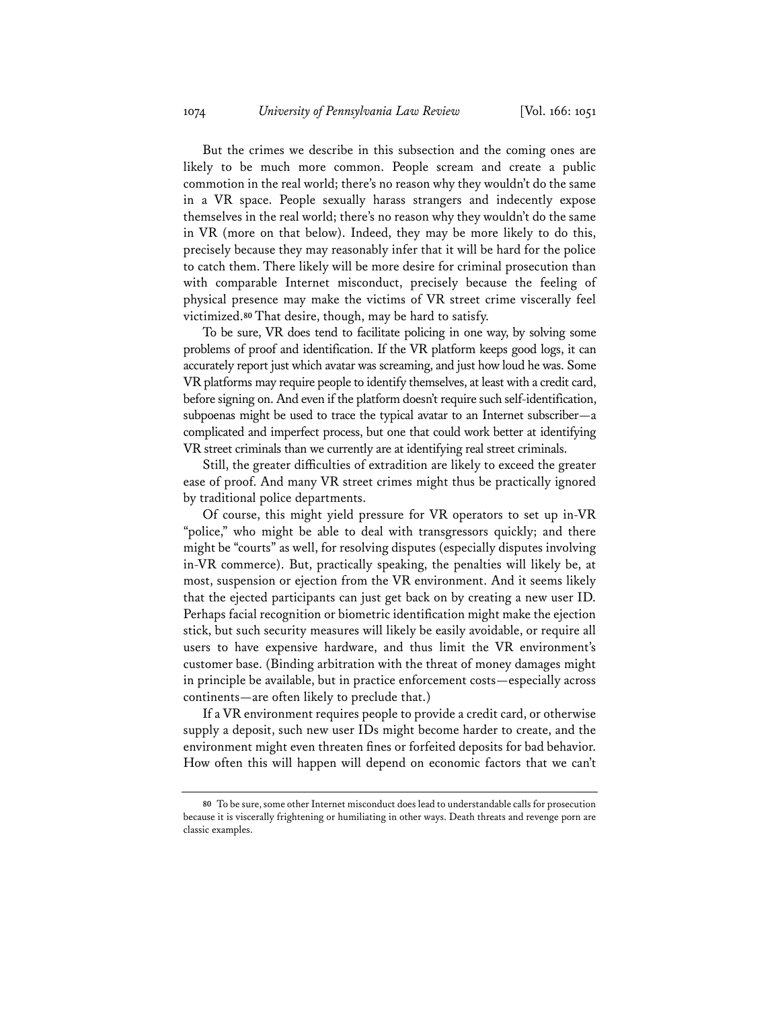But the crimes we describe in this subsection and the coming ones are likely to be much more common. People scream and create a public commotion in the real world; there's no reason why they wouldn't do the same in a VR space. People sexually harass strangers and indecently expose themselves in the real world; there's no reason why they wouldn't do the same in VR (more on that below). Indeed, they may be more likely to do this, precisely because they may reasonably infer that it will be hard for the police to catch them. There likely will be more desire for criminal prosecution than with comparable Internet misconduct, precisely because the feeling of physical presence may make the victims of VR street crime viscerally feel victimized.**<sup>80</sup>** That desire, though, may be hard to satisfy.

To be sure, VR does tend to facilitate policing in one way, by solving some problems of proof and identification. If the VR platform keeps good logs, it can accurately report just which avatar was screaming, and just how loud he was. Some VR platforms may require people to identify themselves, at least with a credit card, before signing on. And even if the platform doesn't require such self-identification, subpoenas might be used to trace the typical avatar to an Internet subscriber—a complicated and imperfect process, but one that could work better at identifying VR street criminals than we currently are at identifying real street criminals.

Still, the greater difficulties of extradition are likely to exceed the greater ease of proof. And many VR street crimes might thus be practically ignored by traditional police departments.

Of course, this might yield pressure for VR operators to set up in-VR "police," who might be able to deal with transgressors quickly; and there might be "courts" as well, for resolving disputes (especially disputes involving in-VR commerce). But, practically speaking, the penalties will likely be, at most, suspension or ejection from the VR environment. And it seems likely that the ejected participants can just get back on by creating a new user ID. Perhaps facial recognition or biometric identification might make the ejection stick, but such security measures will likely be easily avoidable, or require all users to have expensive hardware, and thus limit the VR environment's customer base. (Binding arbitration with the threat of money damages might in principle be available, but in practice enforcement costs—especially across continents—are often likely to preclude that.)

If a VR environment requires people to provide a credit card, or otherwise supply a deposit, such new user IDs might become harder to create, and the environment might even threaten fines or forfeited deposits for bad behavior. How often this will happen will depend on economic factors that we can't

**<sup>80</sup>** To be sure, some other Internet misconduct does lead to understandable calls for prosecution because it is viscerally frightening or humiliating in other ways. Death threats and revenge porn are classic examples.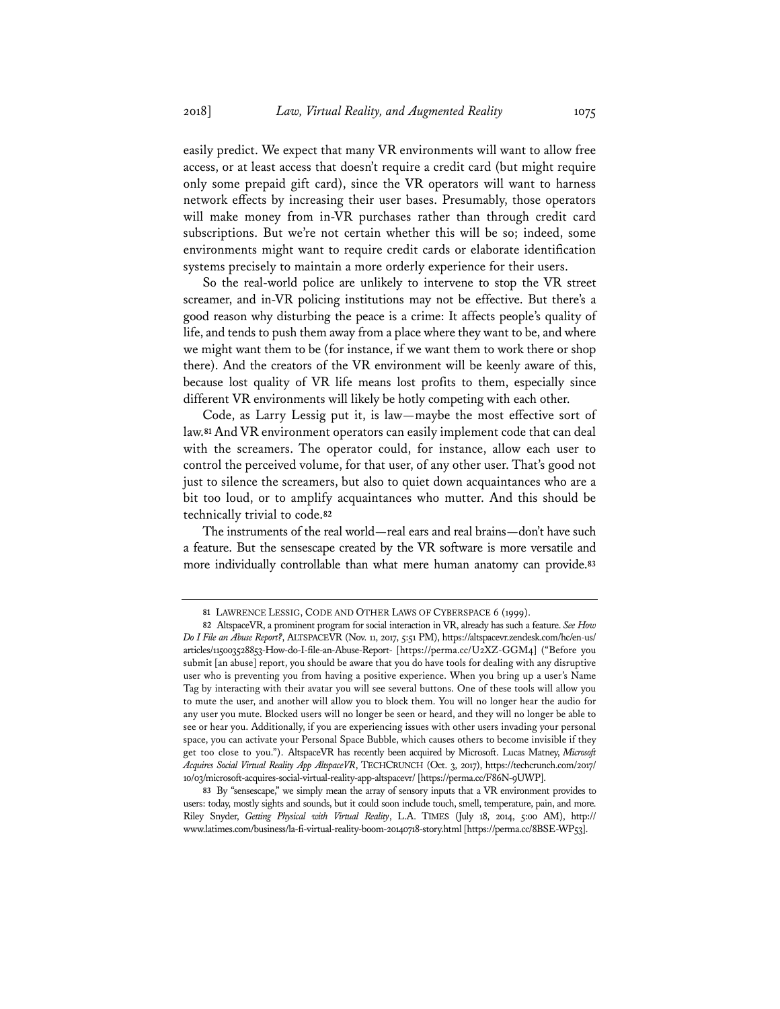easily predict. We expect that many VR environments will want to allow free access, or at least access that doesn't require a credit card (but might require only some prepaid gift card), since the VR operators will want to harness network effects by increasing their user bases. Presumably, those operators will make money from in-VR purchases rather than through credit card subscriptions. But we're not certain whether this will be so; indeed, some environments might want to require credit cards or elaborate identification systems precisely to maintain a more orderly experience for their users.

So the real-world police are unlikely to intervene to stop the VR street screamer, and in-VR policing institutions may not be effective. But there's a good reason why disturbing the peace is a crime: It affects people's quality of life, and tends to push them away from a place where they want to be, and where we might want them to be (for instance, if we want them to work there or shop there). And the creators of the VR environment will be keenly aware of this, because lost quality of VR life means lost profits to them, especially since different VR environments will likely be hotly competing with each other.

Code, as Larry Lessig put it, is law—maybe the most effective sort of law.**<sup>81</sup>** And VR environment operators can easily implement code that can deal with the screamers. The operator could, for instance, allow each user to control the perceived volume, for that user, of any other user. That's good not just to silence the screamers, but also to quiet down acquaintances who are a bit too loud, or to amplify acquaintances who mutter. And this should be technically trivial to code.**<sup>82</sup>**

The instruments of the real world—real ears and real brains—don't have such a feature. But the sensescape created by the VR software is more versatile and more individually controllable than what mere human anatomy can provide.**<sup>83</sup>**

**<sup>81</sup>** LAWRENCE LESSIG, CODE AND OTHER LAWS OF CYBERSPACE 6 (1999).

**<sup>82</sup>** AltspaceVR, a prominent program for social interaction in VR, already has such a feature. *See How Do I File an Abuse Report?*, ALTSPACEVR (Nov. 11, 2017, 5:51 PM), https://altspacevr.zendesk.com/hc/en-us/ articles/115003528853-How-do-I-file-an-Abuse-Report- [https://perma.cc/U2XZ-GGM4] ("Before you submit [an abuse] report, you should be aware that you do have tools for dealing with any disruptive user who is preventing you from having a positive experience. When you bring up a user's Name Tag by interacting with their avatar you will see several buttons. One of these tools will allow you to mute the user, and another will allow you to block them. You will no longer hear the audio for any user you mute. Blocked users will no longer be seen or heard, and they will no longer be able to see or hear you. Additionally, if you are experiencing issues with other users invading your personal space, you can activate your Personal Space Bubble, which causes others to become invisible if they get too close to you."). AltspaceVR has recently been acquired by Microsoft. Lucas Matney, *Microsoft Acquires Social Virtual Reality App AltspaceVR*, TECHCRUNCH (Oct. 3, 2017), https://techcrunch.com/2017/ 10/03/microsoft-acquires-social-virtual-reality-app-altspacevr/ [https://perma.cc/F86N-9UWP].

**<sup>83</sup>** By "sensescape," we simply mean the array of sensory inputs that a VR environment provides to users: today, mostly sights and sounds, but it could soon include touch, smell, temperature, pain, and more. Riley Snyder, *Getting Physical with Virtual Reality*, L.A. TIMES (July 18, 2014, 5:00 AM), http:// www.latimes.com/business/la-fi-virtual-reality-boom-20140718-story.html [https://perma.cc/8BSE-WP53].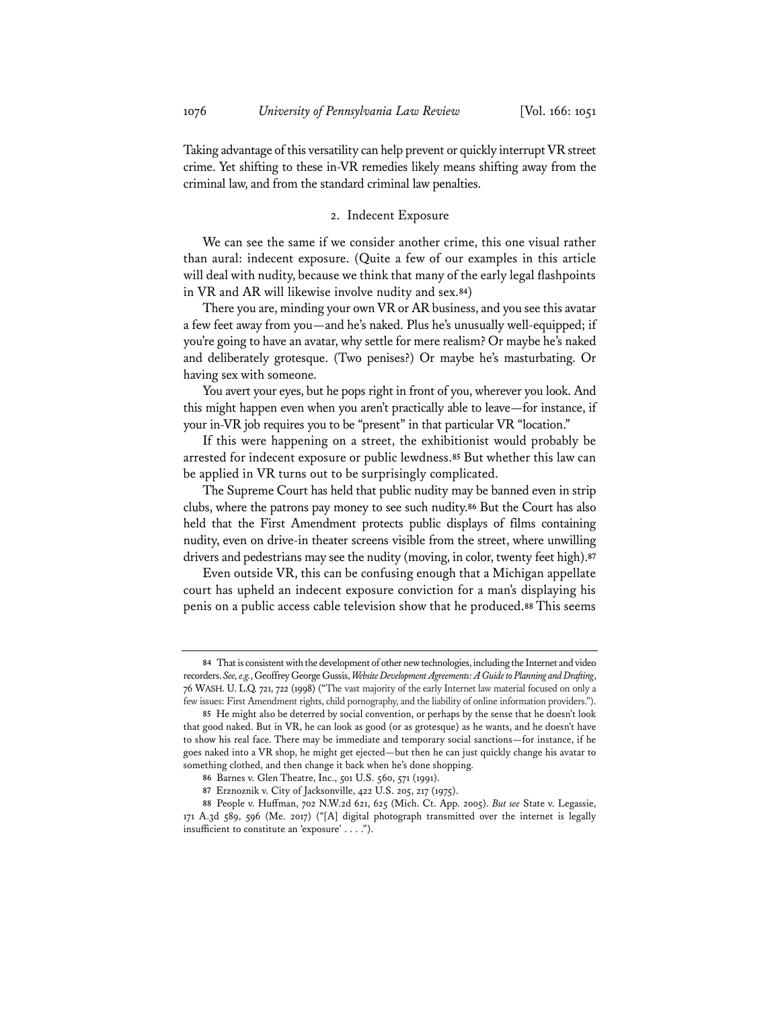Taking advantage of this versatility can help prevent or quickly interrupt VR street crime. Yet shifting to these in-VR remedies likely means shifting away from the criminal law, and from the standard criminal law penalties.

#### 2. Indecent Exposure

We can see the same if we consider another crime, this one visual rather than aural: indecent exposure. (Quite a few of our examples in this article will deal with nudity, because we think that many of the early legal flashpoints in VR and AR will likewise involve nudity and sex.**<sup>84</sup>**)

There you are, minding your own VR or AR business, and you see this avatar a few feet away from you—and he's naked. Plus he's unusually well-equipped; if you're going to have an avatar, why settle for mere realism? Or maybe he's naked and deliberately grotesque. (Two penises?) Or maybe he's masturbating. Or having sex with someone.

You avert your eyes, but he pops right in front of you, wherever you look. And this might happen even when you aren't practically able to leave—for instance, if your in-VR job requires you to be "present" in that particular VR "location."

If this were happening on a street, the exhibitionist would probably be arrested for indecent exposure or public lewdness.**<sup>85</sup>** But whether this law can be applied in VR turns out to be surprisingly complicated.

The Supreme Court has held that public nudity may be banned even in strip clubs, where the patrons pay money to see such nudity.**<sup>86</sup>** But the Court has also held that the First Amendment protects public displays of films containing nudity, even on drive-in theater screens visible from the street, where unwilling drivers and pedestrians may see the nudity (moving, in color, twenty feet high).**<sup>87</sup>**

Even outside VR, this can be confusing enough that a Michigan appellate court has upheld an indecent exposure conviction for a man's displaying his penis on a public access cable television show that he produced.**<sup>88</sup>** This seems

**<sup>84</sup>** That is consistent with the development of other new technologies, including the Internet and video recorders. *See, e.g.*, Geoffrey George Gussis, *Website Development Agreements: A Guide to Planning and Drafting*, 76 WASH. U. L.Q. 721, 722 (1998) ("The vast majority of the early Internet law material focused on only a few issues: First Amendment rights, child pornography, and the liability of online information providers.").

**<sup>85</sup>** He might also be deterred by social convention, or perhaps by the sense that he doesn't look that good naked. But in VR, he can look as good (or as grotesque) as he wants, and he doesn't have to show his real face. There may be immediate and temporary social sanctions—for instance, if he goes naked into a VR shop, he might get ejected—but then he can just quickly change his avatar to something clothed, and then change it back when he's done shopping.

**<sup>86</sup>** Barnes v. Glen Theatre, Inc., 501 U.S. 560, 571 (1991).

**<sup>87</sup>** Erznoznik v. City of Jacksonville, 422 U.S. 205, 217 (1975).

**<sup>88</sup>** People v. Huffman, 702 N.W.2d 621, 625 (Mich. Ct. App. 2005). *But see* State v. Legassie, 171 A.3d 589, 596 (Me. 2017) ("[A] digital photograph transmitted over the internet is legally insufficient to constitute an 'exposure' . . . .").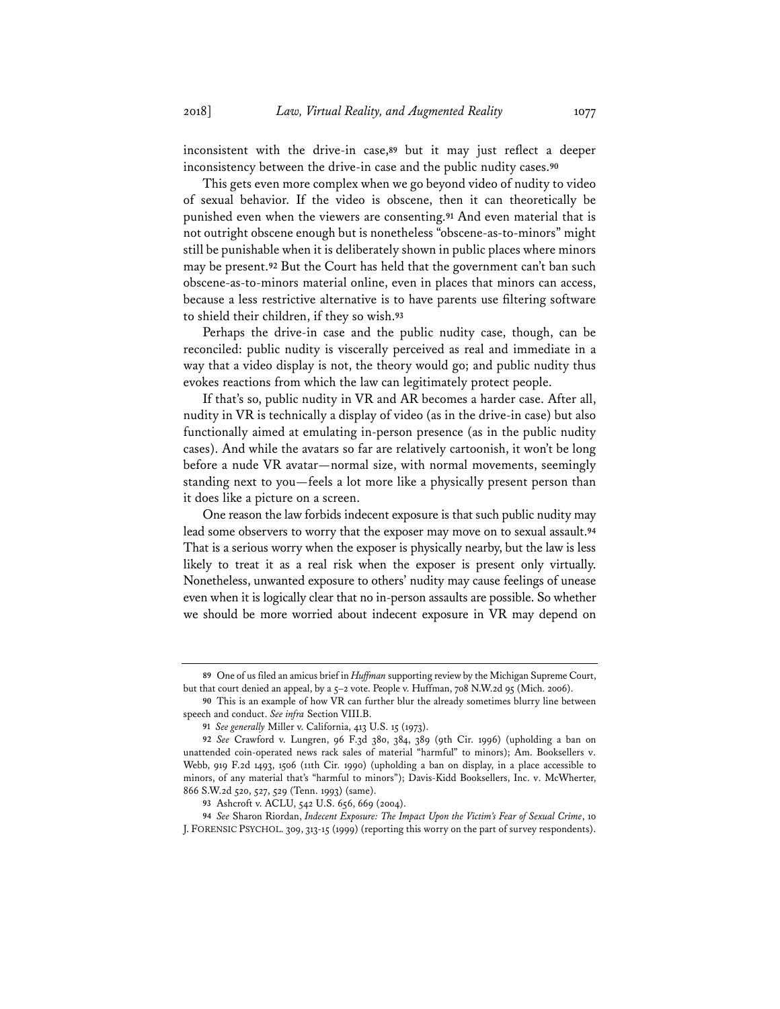inconsistent with the drive-in case,**<sup>89</sup>** but it may just reflect a deeper inconsistency between the drive-in case and the public nudity cases.**<sup>90</sup>**

This gets even more complex when we go beyond video of nudity to video of sexual behavior. If the video is obscene, then it can theoretically be punished even when the viewers are consenting.**<sup>91</sup>** And even material that is not outright obscene enough but is nonetheless "obscene-as-to-minors" might still be punishable when it is deliberately shown in public places where minors may be present.**<sup>92</sup>** But the Court has held that the government can't ban such obscene-as-to-minors material online, even in places that minors can access, because a less restrictive alternative is to have parents use filtering software to shield their children, if they so wish.**<sup>93</sup>**

Perhaps the drive-in case and the public nudity case, though, can be reconciled: public nudity is viscerally perceived as real and immediate in a way that a video display is not, the theory would go; and public nudity thus evokes reactions from which the law can legitimately protect people.

If that's so, public nudity in VR and AR becomes a harder case. After all, nudity in VR is technically a display of video (as in the drive-in case) but also functionally aimed at emulating in-person presence (as in the public nudity cases). And while the avatars so far are relatively cartoonish, it won't be long before a nude VR avatar—normal size, with normal movements, seemingly standing next to you—feels a lot more like a physically present person than it does like a picture on a screen.

One reason the law forbids indecent exposure is that such public nudity may lead some observers to worry that the exposer may move on to sexual assault.**<sup>94</sup>** That is a serious worry when the exposer is physically nearby, but the law is less likely to treat it as a real risk when the exposer is present only virtually. Nonetheless, unwanted exposure to others' nudity may cause feelings of unease even when it is logically clear that no in-person assaults are possible. So whether we should be more worried about indecent exposure in VR may depend on

**<sup>89</sup>** One of us filed an amicus brief in *Huffman* supporting review by the Michigan Supreme Court, but that court denied an appeal, by a 5-2 vote. People v. Huffman, 708 N.W.2d 95 (Mich. 2006).

**<sup>90</sup>** This is an example of how VR can further blur the already sometimes blurry line between speech and conduct. *See infra* Section VIII.B.

**<sup>91</sup>** *See generally* Miller v. California, 413 U.S. 15 (1973).

**<sup>92</sup>** *See* Crawford v. Lungren, 96 F.3d 380, 384, 389 (9th Cir. 1996) (upholding a ban on unattended coin-operated news rack sales of material "harmful" to minors); Am. Booksellers v. Webb, 919 F.2d 1493, 1506 (11th Cir. 1990) (upholding a ban on display, in a place accessible to minors, of any material that's "harmful to minors"); Davis-Kidd Booksellers, Inc. v. McWherter, 866 S.W.2d 520, 527, 529 (Tenn. 1993) (same).

**<sup>93</sup>** Ashcroft v. ACLU, 542 U.S. 656, 669 (2004).

**<sup>94</sup>** *See* Sharon Riordan, *Indecent Exposure: The Impact Upon the Victim's Fear of Sexual Crime*, 10 J. FORENSIC PSYCHOL. 309, 313-15 (1999) (reporting this worry on the part of survey respondents).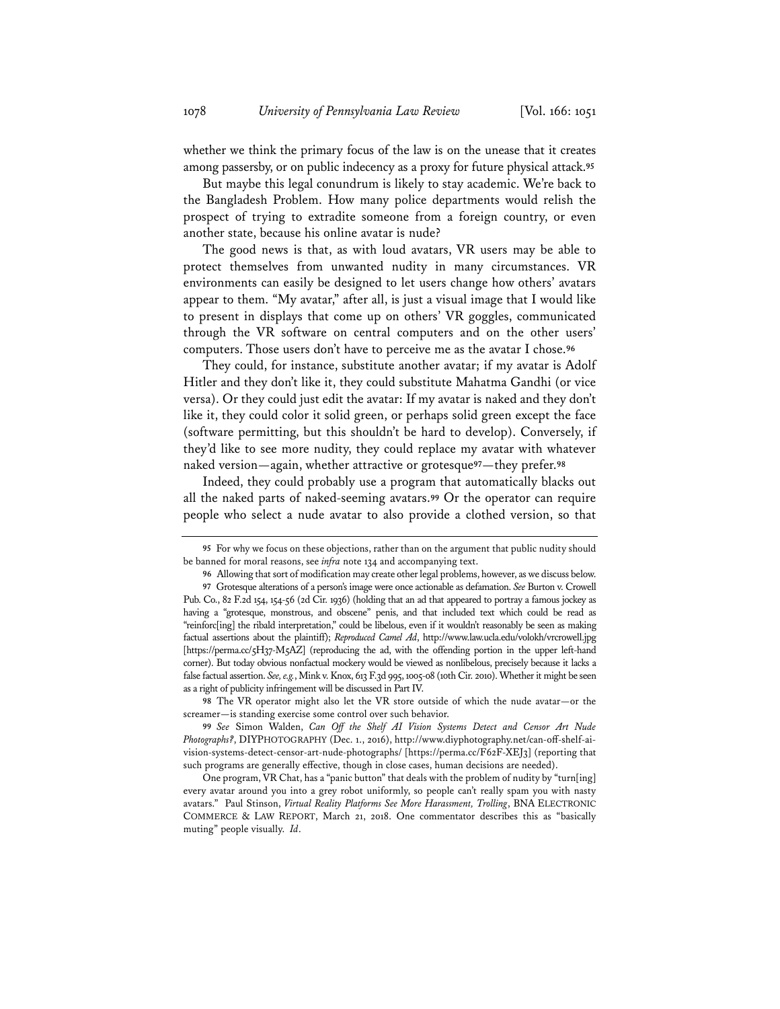whether we think the primary focus of the law is on the unease that it creates among passersby, or on public indecency as a proxy for future physical attack.**<sup>95</sup>**

But maybe this legal conundrum is likely to stay academic. We're back to the Bangladesh Problem. How many police departments would relish the prospect of trying to extradite someone from a foreign country, or even another state, because his online avatar is nude?

The good news is that, as with loud avatars, VR users may be able to protect themselves from unwanted nudity in many circumstances. VR environments can easily be designed to let users change how others' avatars appear to them. "My avatar," after all, is just a visual image that I would like to present in displays that come up on others' VR goggles, communicated through the VR software on central computers and on the other users' computers. Those users don't have to perceive me as the avatar I chose.**<sup>96</sup>**

They could, for instance, substitute another avatar; if my avatar is Adolf Hitler and they don't like it, they could substitute Mahatma Gandhi (or vice versa). Or they could just edit the avatar: If my avatar is naked and they don't like it, they could color it solid green, or perhaps solid green except the face (software permitting, but this shouldn't be hard to develop). Conversely, if they'd like to see more nudity, they could replace my avatar with whatever naked version—again, whether attractive or grotesque**<sup>97</sup>**—they prefer.**<sup>98</sup>**

Indeed, they could probably use a program that automatically blacks out all the naked parts of naked-seeming avatars.**<sup>99</sup>** Or the operator can require people who select a nude avatar to also provide a clothed version, so that

**98** The VR operator might also let the VR store outside of which the nude avatar—or the screamer—is standing exercise some control over such behavior.

**99** *See* Simon Walden, *Can Off the Shelf AI Vision Systems Detect and Censor Art Nude Photographs?*, DIYPHOTOGRAPHY (Dec. 1., 2016), http://www.diyphotography.net/can-off-shelf-aivision-systems-detect-censor-art-nude-photographs/ [https://perma.cc/F62F-XEJ3] (reporting that such programs are generally effective, though in close cases, human decisions are needed).

**<sup>95</sup>** For why we focus on these objections, rather than on the argument that public nudity should be banned for moral reasons, see *infra* note 134 and accompanying text.

**<sup>96</sup>** Allowing that sort of modification may create other legal problems, however, as we discuss below. **97** Grotesque alterations of a person's image were once actionable as defamation. *See* Burton v. Crowell Pub. Co., 82 F.2d 154, 154-56 (2d Cir. 1936) (holding that an ad that appeared to portray a famous jockey as having a "grotesque, monstrous, and obscene" penis, and that included text which could be read as "reinforc[ing] the ribald interpretation," could be libelous, even if it wouldn't reasonably be seen as making factual assertions about the plaintiff); *Reproduced Camel Ad*, http://www.law.ucla.edu/volokh/vrcrowell.jpg [https://perma.cc/5H37-M5AZ] (reproducing the ad, with the offending portion in the upper left-hand corner). But today obvious nonfactual mockery would be viewed as nonlibelous, precisely because it lacks a false factual assertion. *See, e.g.*, Mink v. Knox, 613 F.3d 995, 1005-08 (10th Cir. 2010). Whether it might be seen as a right of publicity infringement will be discussed in Part IV.

One program, VR Chat, has a "panic button" that deals with the problem of nudity by "turn[ing] every avatar around you into a grey robot uniformly, so people can't really spam you with nasty avatars." Paul Stinson, *Virtual Reality Platforms See More Harassment, Trolling*, BNA ELECTRONIC COMMERCE & LAW REPORT, March 21, 2018. One commentator describes this as "basically muting" people visually. *Id*.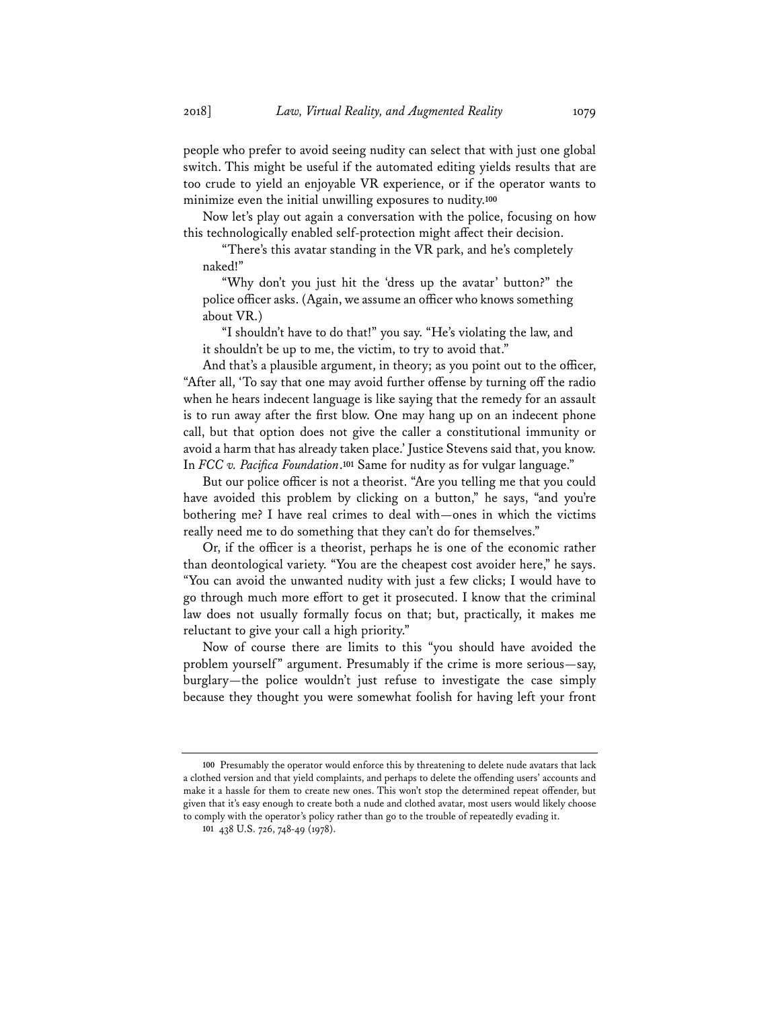people who prefer to avoid seeing nudity can select that with just one global switch. This might be useful if the automated editing yields results that are too crude to yield an enjoyable VR experience, or if the operator wants to minimize even the initial unwilling exposures to nudity.**<sup>100</sup>**

Now let's play out again a conversation with the police, focusing on how this technologically enabled self-protection might affect their decision.

"There's this avatar standing in the VR park, and he's completely naked!"

"Why don't you just hit the 'dress up the avatar' button?" the police officer asks. (Again, we assume an officer who knows something about VR.)

"I shouldn't have to do that!" you say. "He's violating the law, and it shouldn't be up to me, the victim, to try to avoid that."

And that's a plausible argument, in theory; as you point out to the officer, "After all, 'To say that one may avoid further offense by turning off the radio when he hears indecent language is like saying that the remedy for an assault is to run away after the first blow. One may hang up on an indecent phone call, but that option does not give the caller a constitutional immunity or avoid a harm that has already taken place.' Justice Stevens said that, you know. In *FCC v. Pacifica Foundation*.**<sup>101</sup>** Same for nudity as for vulgar language."

But our police officer is not a theorist. "Are you telling me that you could have avoided this problem by clicking on a button," he says, "and you're bothering me? I have real crimes to deal with—ones in which the victims really need me to do something that they can't do for themselves."

Or, if the officer is a theorist, perhaps he is one of the economic rather than deontological variety. "You are the cheapest cost avoider here," he says. "You can avoid the unwanted nudity with just a few clicks; I would have to go through much more effort to get it prosecuted. I know that the criminal law does not usually formally focus on that; but, practically, it makes me reluctant to give your call a high priority."

Now of course there are limits to this "you should have avoided the problem yourself" argument. Presumably if the crime is more serious—say, burglary—the police wouldn't just refuse to investigate the case simply because they thought you were somewhat foolish for having left your front

**<sup>100</sup>** Presumably the operator would enforce this by threatening to delete nude avatars that lack a clothed version and that yield complaints, and perhaps to delete the offending users' accounts and make it a hassle for them to create new ones. This won't stop the determined repeat offender, but given that it's easy enough to create both a nude and clothed avatar, most users would likely choose to comply with the operator's policy rather than go to the trouble of repeatedly evading it.

**<sup>101</sup>** 438 U.S. 726, 748-49 (1978).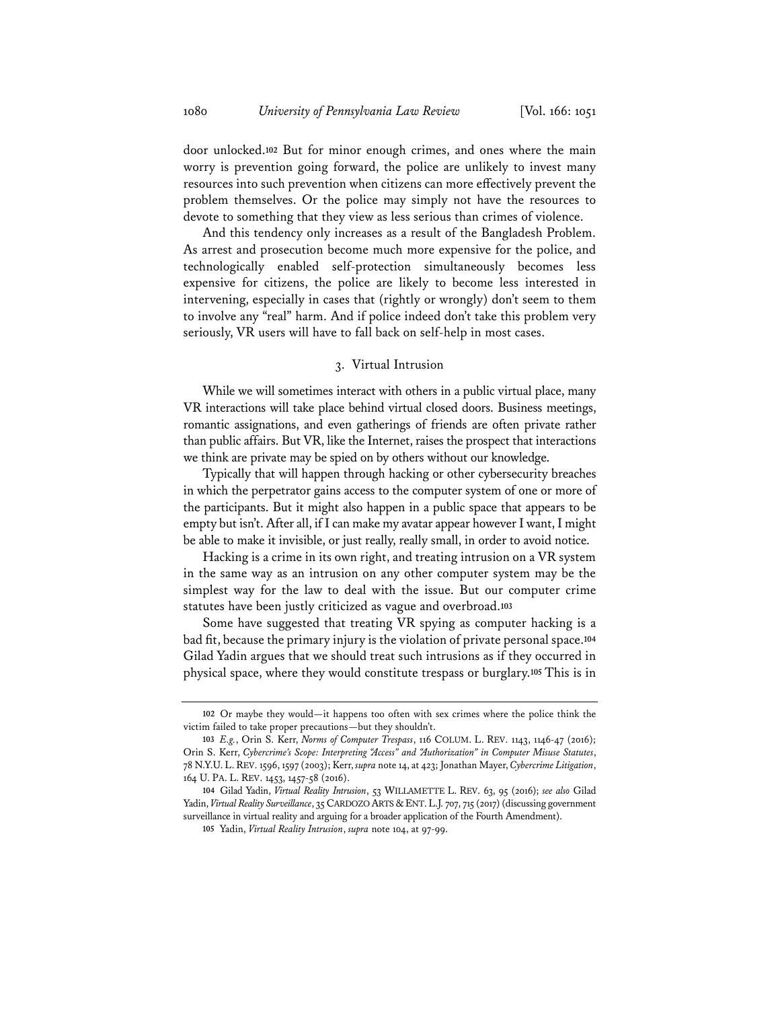door unlocked.**<sup>102</sup>** But for minor enough crimes, and ones where the main worry is prevention going forward, the police are unlikely to invest many resources into such prevention when citizens can more effectively prevent the problem themselves. Or the police may simply not have the resources to devote to something that they view as less serious than crimes of violence.

And this tendency only increases as a result of the Bangladesh Problem. As arrest and prosecution become much more expensive for the police, and technologically enabled self-protection simultaneously becomes less expensive for citizens, the police are likely to become less interested in intervening, especially in cases that (rightly or wrongly) don't seem to them to involve any "real" harm. And if police indeed don't take this problem very seriously, VR users will have to fall back on self-help in most cases.

## 3. Virtual Intrusion

While we will sometimes interact with others in a public virtual place, many VR interactions will take place behind virtual closed doors. Business meetings, romantic assignations, and even gatherings of friends are often private rather than public affairs. But VR, like the Internet, raises the prospect that interactions we think are private may be spied on by others without our knowledge.

Typically that will happen through hacking or other cybersecurity breaches in which the perpetrator gains access to the computer system of one or more of the participants. But it might also happen in a public space that appears to be empty but isn't. After all, if I can make my avatar appear however I want, I might be able to make it invisible, or just really, really small, in order to avoid notice.

Hacking is a crime in its own right, and treating intrusion on a VR system in the same way as an intrusion on any other computer system may be the simplest way for the law to deal with the issue. But our computer crime statutes have been justly criticized as vague and overbroad.**<sup>103</sup>**

Some have suggested that treating VR spying as computer hacking is a bad fit, because the primary injury is the violation of private personal space.**<sup>104</sup>** Gilad Yadin argues that we should treat such intrusions as if they occurred in physical space, where they would constitute trespass or burglary.**<sup>105</sup>** This is in

**<sup>102</sup>** Or maybe they would—it happens too often with sex crimes where the police think the victim failed to take proper precautions—but they shouldn't.

**<sup>103</sup>** *E.g.*, Orin S. Kerr, *Norms of Computer Trespass*, 116 COLUM. L. REV. 1143, 1146-47 (2016); Orin S. Kerr, *Cybercrime's Scope: Interpreting "Access" and "Authorization" in Computer Misuse Statutes*, 78 N.Y.U. L.REV. 1596, 1597 (2003); Kerr, *supra* note 14, at 423; Jonathan Mayer, *Cybercrime Litigation*, 164 U. PA. L. REV. 1453, 1457-58 (2016).

**<sup>104</sup>** Gilad Yadin, *Virtual Reality Intrusion*, 53 WILLAMETTE L. REV. 63, 95 (2016); *see also* Gilad Yadin, *Virtual Reality Surveillance*, 35 CARDOZO ARTS &ENT.L.J. 707, 715 (2017) (discussing government surveillance in virtual reality and arguing for a broader application of the Fourth Amendment).

**<sup>105</sup>** Yadin, *Virtual Reality Intrusion*, *supra* note 104, at 97-99.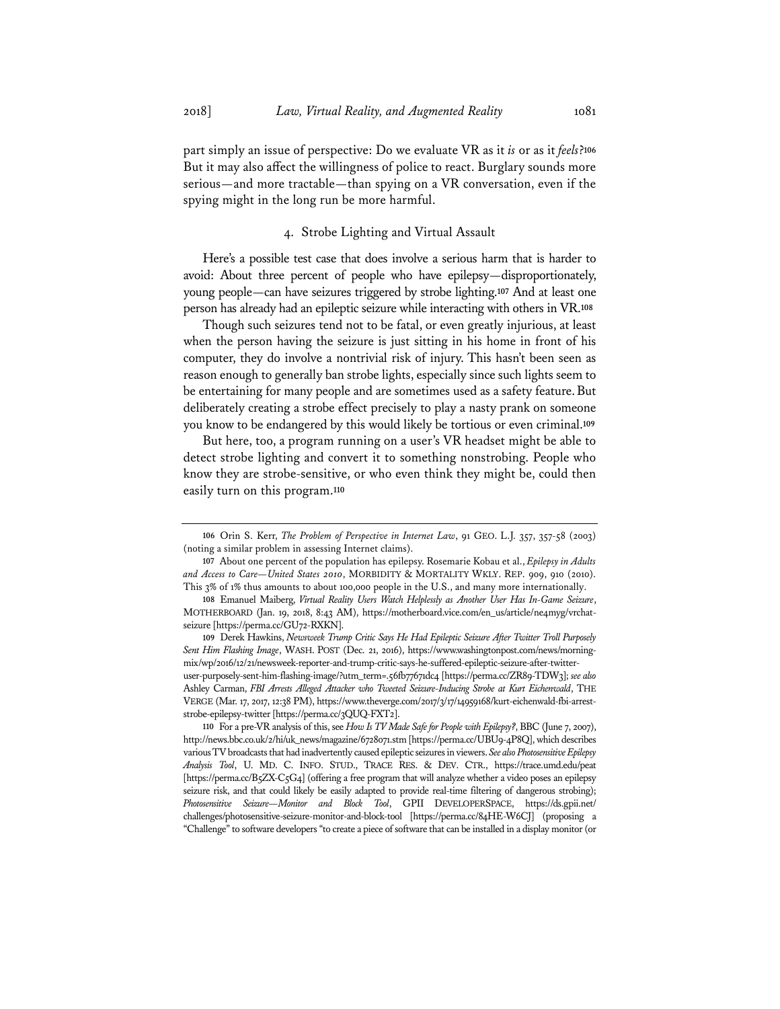part simply an issue of perspective: Do we evaluate VR as it *is* or as it *feels*?**<sup>106</sup>** But it may also affect the willingness of police to react. Burglary sounds more serious—and more tractable—than spying on a VR conversation, even if the spying might in the long run be more harmful.

#### 4. Strobe Lighting and Virtual Assault

Here's a possible test case that does involve a serious harm that is harder to avoid: About three percent of people who have epilepsy—disproportionately, young people—can have seizures triggered by strobe lighting.**<sup>107</sup>** And at least one person has already had an epileptic seizure while interacting with others in VR.**<sup>108</sup>**

Though such seizures tend not to be fatal, or even greatly injurious, at least when the person having the seizure is just sitting in his home in front of his computer, they do involve a nontrivial risk of injury. This hasn't been seen as reason enough to generally ban strobe lights, especially since such lights seem to be entertaining for many people and are sometimes used as a safety feature. But deliberately creating a strobe effect precisely to play a nasty prank on someone you know to be endangered by this would likely be tortious or even criminal.**<sup>109</sup>**

But here, too, a program running on a user's VR headset might be able to detect strobe lighting and convert it to something nonstrobing. People who know they are strobe-sensitive, or who even think they might be, could then easily turn on this program.**<sup>110</sup>**

**<sup>106</sup>** Orin S. Kerr, *The Problem of Perspective in Internet Law*, 91 GEO. L.J. 357, 357-58 (2003) (noting a similar problem in assessing Internet claims).

**<sup>107</sup>** About one percent of the population has epilepsy. Rosemarie Kobau et al., *Epilepsy in Adults and Access to Care—United States 2010*, MORBIDITY & MORTALITY WKLY. REP. 909, 910 (2010). This 3% of 1% thus amounts to about 100,000 people in the U.S., and many more internationally.

**<sup>108</sup>** Emanuel Maiberg, *Virtual Reality Users Watch Helplessly as Another User Has In-Game Seizure*, MOTHERBOARD (Jan. 19, 2018, 8:43 AM), https://motherboard.vice.com/en\_us/article/ne4myg/vrchatseizure [https://perma.cc/GU72-RXKN].

**<sup>109</sup>** Derek Hawkins, *Newsweek Trump Critic Says He Had Epileptic Seizure After Twitter Troll Purposely Sent Him Flashing Image*, WASH. POST (Dec. 21, 2016), https://www.washingtonpost.com/news/morningmix/wp/2016/12/21/newsweek-reporter-and-trump-critic-says-he-suffered-epileptic-seizure-after-twitteruser-purposely-sent-him-flashing-image/?utm\_term=.56fb77671dc4 [https://perma.cc/ZR89-TDW3]; *see also* Ashley Carman, *FBI Arrests Alleged Attacker who Tweeted Seizure-Inducing Strobe at Kurt Eichenwald*, THE VERGE (Mar. 17, 2017, 12:38 PM), https://www.theverge.com/2017/3/17/14959168/kurt-eichenwald-fbi-arreststrobe-epilepsy-twitter [https://perma.cc/3QUQ-FXT2].

**<sup>110</sup>** For a pre-VR analysis of this, see *How Is TV Made Safe for People with Epilepsy?*, BBC (June 7, 2007), http://news.bbc.co.uk/2/hi/uk\_news/magazine/6728071.stm [https://perma.cc/UBU9-4P8Q], which describes various TV broadcasts that had inadvertently caused epileptic seizures in viewers. *See alsoPhotosensitive Epilepsy Analysis Tool*, U. MD. C. INFO. STUD., TRACE RES. & DEV. CTR., https://trace.umd.edu/peat [https://perma.cc/B5ZX-C5G4] (offering a free program that will analyze whether a video poses an epilepsy seizure risk, and that could likely be easily adapted to provide real-time filtering of dangerous strobing); *Photosensitive Seizure—Monitor and Block Tool*, GPII DEVELOPERSPACE, https://ds.gpii.net/ challenges/photosensitive-seizure-monitor-and-block-tool [https://perma.cc/84HE-W6CJ] (proposing a "Challenge" to software developers "to create a piece of software that can be installed in a display monitor (or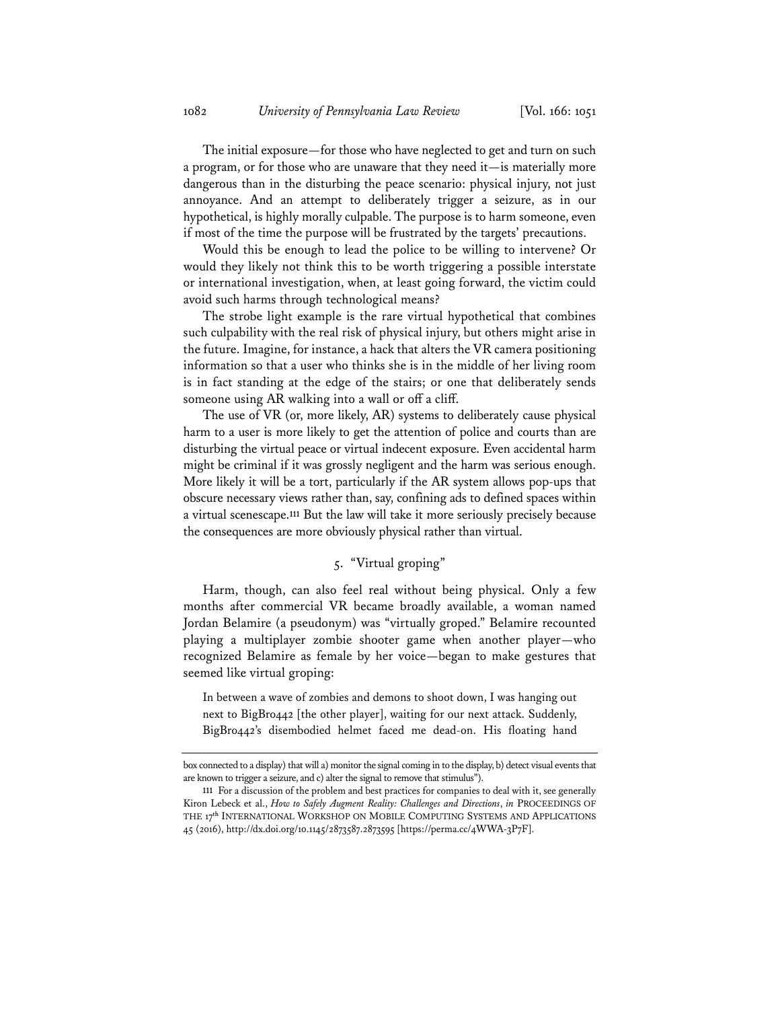The initial exposure—for those who have neglected to get and turn on such a program, or for those who are unaware that they need it—is materially more dangerous than in the disturbing the peace scenario: physical injury, not just annoyance. And an attempt to deliberately trigger a seizure, as in our hypothetical, is highly morally culpable. The purpose is to harm someone, even if most of the time the purpose will be frustrated by the targets' precautions.

Would this be enough to lead the police to be willing to intervene? Or would they likely not think this to be worth triggering a possible interstate or international investigation, when, at least going forward, the victim could avoid such harms through technological means?

The strobe light example is the rare virtual hypothetical that combines such culpability with the real risk of physical injury, but others might arise in the future. Imagine, for instance, a hack that alters the VR camera positioning information so that a user who thinks she is in the middle of her living room is in fact standing at the edge of the stairs; or one that deliberately sends someone using AR walking into a wall or off a cliff.

The use of VR (or, more likely, AR) systems to deliberately cause physical harm to a user is more likely to get the attention of police and courts than are disturbing the virtual peace or virtual indecent exposure. Even accidental harm might be criminal if it was grossly negligent and the harm was serious enough. More likely it will be a tort, particularly if the AR system allows pop-ups that obscure necessary views rather than, say, confining ads to defined spaces within a virtual scenescape.**<sup>111</sup>** But the law will take it more seriously precisely because the consequences are more obviously physical rather than virtual.

## 5. "Virtual groping"

Harm, though, can also feel real without being physical. Only a few months after commercial VR became broadly available, a woman named Jordan Belamire (a pseudonym) was "virtually groped." Belamire recounted playing a multiplayer zombie shooter game when another player—who recognized Belamire as female by her voice—began to make gestures that seemed like virtual groping:

In between a wave of zombies and demons to shoot down, I was hanging out next to BigBro442 [the other player], waiting for our next attack. Suddenly, BigBro442's disembodied helmet faced me dead-on. His floating hand

box connected to a display) that will a) monitor the signal coming in to the display, b) detect visual events that are known to trigger a seizure, and c) alter the signal to remove that stimulus").

**<sup>111</sup>** For a discussion of the problem and best practices for companies to deal with it, see generally Kiron Lebeck et al., *How to Safely Augment Reality: Challenges and Directions*, *in* PROCEEDINGS OF THE 17**th** INTERNATIONAL WORKSHOP ON MOBILE COMPUTING SYSTEMS AND APPLICATIONS 45 (2016), http://dx.doi.org/10.1145/2873587.2873595 [https://perma.cc/4WWA-3P7F].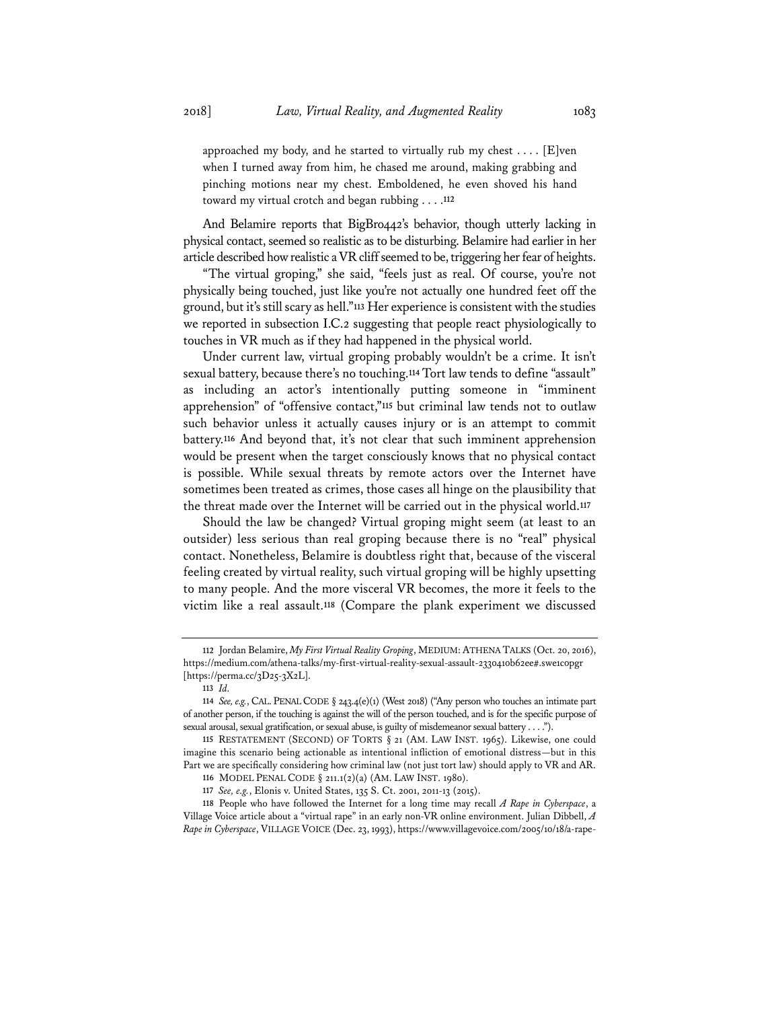approached my body, and he started to virtually rub my chest  $\dots$  [E]ven when I turned away from him, he chased me around, making grabbing and pinching motions near my chest. Emboldened, he even shoved his hand toward my virtual crotch and began rubbing . . . .**<sup>112</sup>**

And Belamire reports that BigBro442's behavior, though utterly lacking in physical contact, seemed so realistic as to be disturbing. Belamire had earlier in her article described how realistic a VR cliff seemed to be, triggering her fear of heights.

"The virtual groping," she said, "feels just as real. Of course, you're not physically being touched, just like you're not actually one hundred feet off the ground, but it's still scary as hell."**<sup>113</sup>** Her experience is consistent with the studies we reported in subsection I.C.2 suggesting that people react physiologically to touches in VR much as if they had happened in the physical world.

Under current law, virtual groping probably wouldn't be a crime. It isn't sexual battery, because there's no touching.**<sup>114</sup>** Tort law tends to define "assault" as including an actor's intentionally putting someone in "imminent apprehension" of "offensive contact,"**<sup>115</sup>** but criminal law tends not to outlaw such behavior unless it actually causes injury or is an attempt to commit battery.**<sup>116</sup>** And beyond that, it's not clear that such imminent apprehension would be present when the target consciously knows that no physical contact is possible. While sexual threats by remote actors over the Internet have sometimes been treated as crimes, those cases all hinge on the plausibility that the threat made over the Internet will be carried out in the physical world.**<sup>117</sup>**

Should the law be changed? Virtual groping might seem (at least to an outsider) less serious than real groping because there is no "real" physical contact. Nonetheless, Belamire is doubtless right that, because of the visceral feeling created by virtual reality, such virtual groping will be highly upsetting to many people. And the more visceral VR becomes, the more it feels to the victim like a real assault.**<sup>118</sup>** (Compare the plank experiment we discussed

**<sup>112</sup>** Jordan Belamire, *My First Virtual Reality Groping*, MEDIUM:ATHENA TALKS (Oct. 20, 2016), https://medium.com/athena-talks/my-first-virtual-reality-sexual-assault-2330410b62ee#.swe1c0pgr [https://perma.cc/3D25-3X2L].

**<sup>113</sup>** *Id.*

**<sup>114</sup>** *See, e.g.*, CAL. PENAL CODE § 243.4(e)(1) (West 2018) ("Any person who touches an intimate part of another person, if the touching is against the will of the person touched, and is for the specific purpose of sexual arousal, sexual gratification, or sexual abuse, is guilty of misdemeanor sexual battery . . . .").

**<sup>115</sup>** RESTATEMENT (SECOND) OF TORTS § 21 (AM. LAW INST. 1965). Likewise, one could imagine this scenario being actionable as intentional infliction of emotional distress—but in this Part we are specifically considering how criminal law (not just tort law) should apply to VR and AR.

**<sup>116</sup>** MODEL PENAL CODE § 211.1(2)(a) (AM. LAW INST. 1980).

**<sup>117</sup>** *See, e.g.*, Elonis v. United States, 135 S. Ct. 2001, 2011-13 (2015).

**<sup>118</sup>** People who have followed the Internet for a long time may recall *A Rape in Cyberspace*, a Village Voice article about a "virtual rape" in an early non-VR online environment. Julian Dibbell, *A Rape in Cyberspace*, VILLAGE VOICE (Dec. 23, 1993), https://www.villagevoice.com/2005/10/18/a-rape-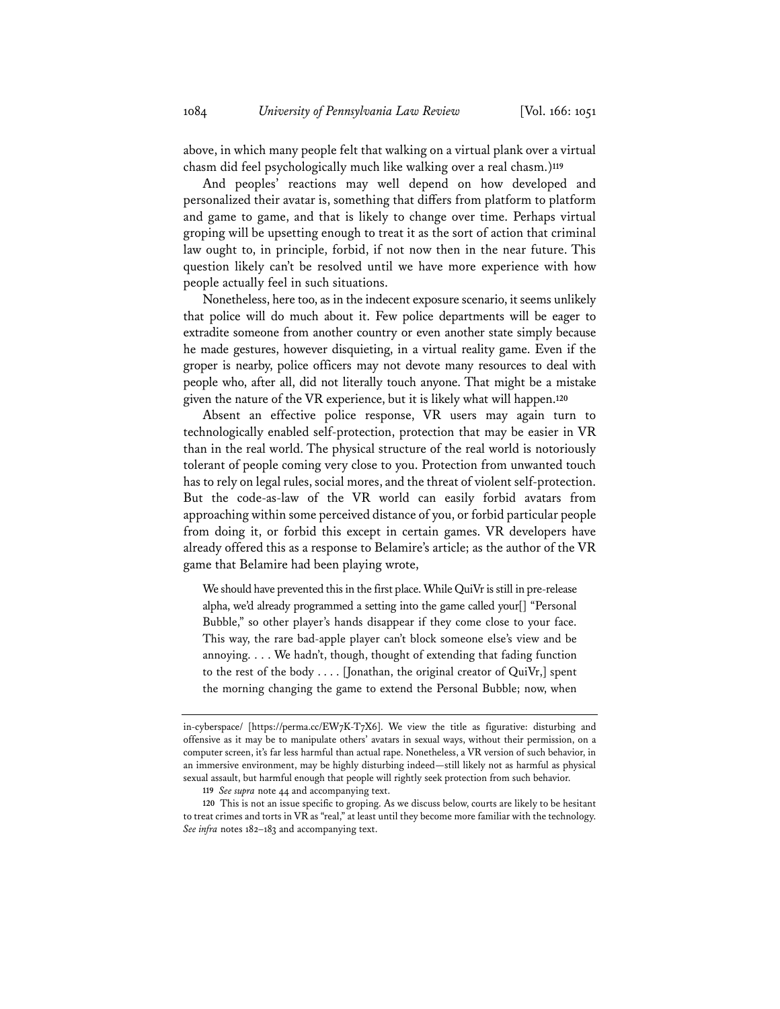above, in which many people felt that walking on a virtual plank over a virtual chasm did feel psychologically much like walking over a real chasm.)**<sup>119</sup>**

And peoples' reactions may well depend on how developed and personalized their avatar is, something that differs from platform to platform and game to game, and that is likely to change over time. Perhaps virtual groping will be upsetting enough to treat it as the sort of action that criminal law ought to, in principle, forbid, if not now then in the near future. This question likely can't be resolved until we have more experience with how people actually feel in such situations.

Nonetheless, here too, as in the indecent exposure scenario, it seems unlikely that police will do much about it. Few police departments will be eager to extradite someone from another country or even another state simply because he made gestures, however disquieting, in a virtual reality game. Even if the groper is nearby, police officers may not devote many resources to deal with people who, after all, did not literally touch anyone. That might be a mistake given the nature of the VR experience, but it is likely what will happen.**<sup>120</sup>**

Absent an effective police response, VR users may again turn to technologically enabled self-protection, protection that may be easier in VR than in the real world. The physical structure of the real world is notoriously tolerant of people coming very close to you. Protection from unwanted touch has to rely on legal rules, social mores, and the threat of violent self-protection. But the code-as-law of the VR world can easily forbid avatars from approaching within some perceived distance of you, or forbid particular people from doing it, or forbid this except in certain games. VR developers have already offered this as a response to Belamire's article; as the author of the VR game that Belamire had been playing wrote,

We should have prevented this in the first place. While QuiVr is still in pre-release alpha, we'd already programmed a setting into the game called your[] "Personal Bubble," so other player's hands disappear if they come close to your face. This way, the rare bad-apple player can't block someone else's view and be annoying. . . . We hadn't, though, thought of extending that fading function to the rest of the body  $\dots$ . [Jonathan, the original creator of QuiVr,] spent the morning changing the game to extend the Personal Bubble; now, when

in-cyberspace/ [https://perma.cc/EW7K-T7X6]. We view the title as figurative: disturbing and offensive as it may be to manipulate others' avatars in sexual ways, without their permission, on a computer screen, it's far less harmful than actual rape. Nonetheless, a VR version of such behavior, in an immersive environment, may be highly disturbing indeed—still likely not as harmful as physical sexual assault, but harmful enough that people will rightly seek protection from such behavior.

**<sup>119</sup>** *See supra* note 44 and accompanying text.

**<sup>120</sup>** This is not an issue specific to groping. As we discuss below, courts are likely to be hesitant to treat crimes and torts in VR as "real," at least until they become more familiar with the technology. *See infra* notes 182–183 and accompanying text.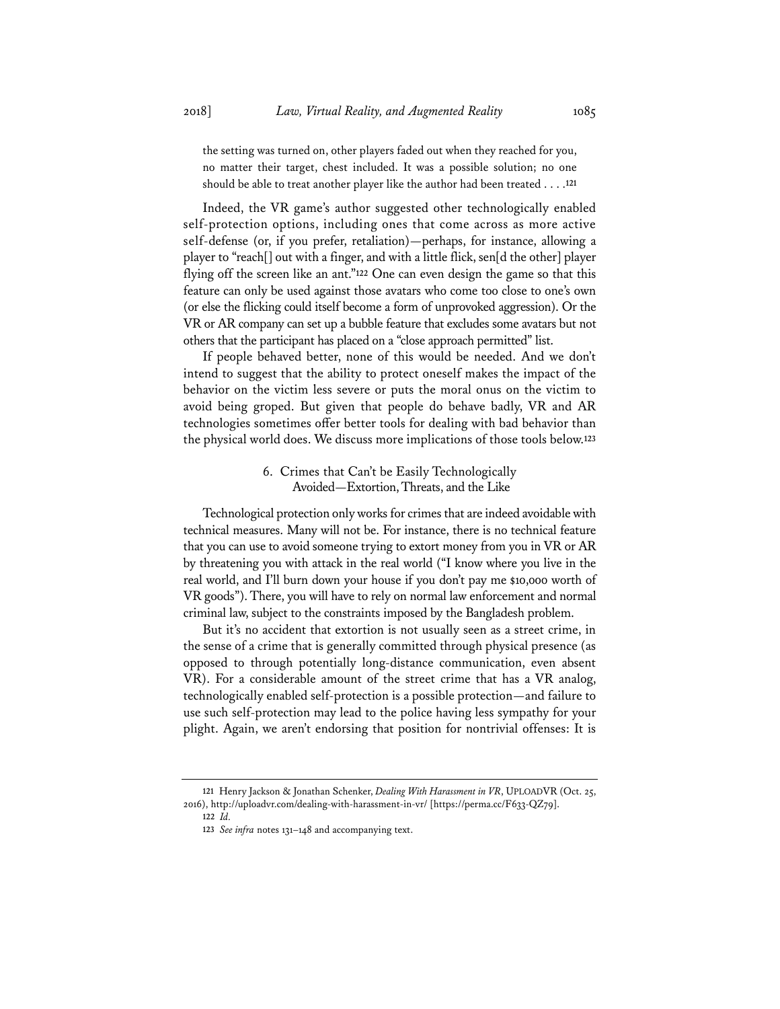the setting was turned on, other players faded out when they reached for you, no matter their target, chest included. It was a possible solution; no one should be able to treat another player like the author had been treated . . . .**<sup>121</sup>**

Indeed, the VR game's author suggested other technologically enabled self-protection options, including ones that come across as more active self-defense (or, if you prefer, retaliation)—perhaps, for instance, allowing a player to "reach[] out with a finger, and with a little flick, sen[d the other] player flying off the screen like an ant."**<sup>122</sup>** One can even design the game so that this feature can only be used against those avatars who come too close to one's own (or else the flicking could itself become a form of unprovoked aggression). Or the VR or AR company can set up a bubble feature that excludes some avatars but not others that the participant has placed on a "close approach permitted" list.

If people behaved better, none of this would be needed. And we don't intend to suggest that the ability to protect oneself makes the impact of the behavior on the victim less severe or puts the moral onus on the victim to avoid being groped. But given that people do behave badly, VR and AR technologies sometimes offer better tools for dealing with bad behavior than the physical world does. We discuss more implications of those tools below.**<sup>123</sup>**

## 6. Crimes that Can't be Easily Technologically Avoided—Extortion, Threats, and the Like

Technological protection only works for crimes that are indeed avoidable with technical measures. Many will not be. For instance, there is no technical feature that you can use to avoid someone trying to extort money from you in VR or AR by threatening you with attack in the real world ("I know where you live in the real world, and I'll burn down your house if you don't pay me \$10,000 worth of VR goods"). There, you will have to rely on normal law enforcement and normal criminal law, subject to the constraints imposed by the Bangladesh problem.

But it's no accident that extortion is not usually seen as a street crime, in the sense of a crime that is generally committed through physical presence (as opposed to through potentially long-distance communication, even absent VR). For a considerable amount of the street crime that has a VR analog, technologically enabled self-protection is a possible protection—and failure to use such self-protection may lead to the police having less sympathy for your plight. Again, we aren't endorsing that position for nontrivial offenses: It is

**<sup>121</sup>** Henry Jackson & Jonathan Schenker, *Dealing With Harassment in VR*, UPLOADVR (Oct. 25, 2016), http://uploadvr.com/dealing-with-harassment-in-vr/ [https://perma.cc/F633-QZ79].

**<sup>122</sup>** *Id.*

**<sup>123</sup>** *See infra* notes 131–148 and accompanying text.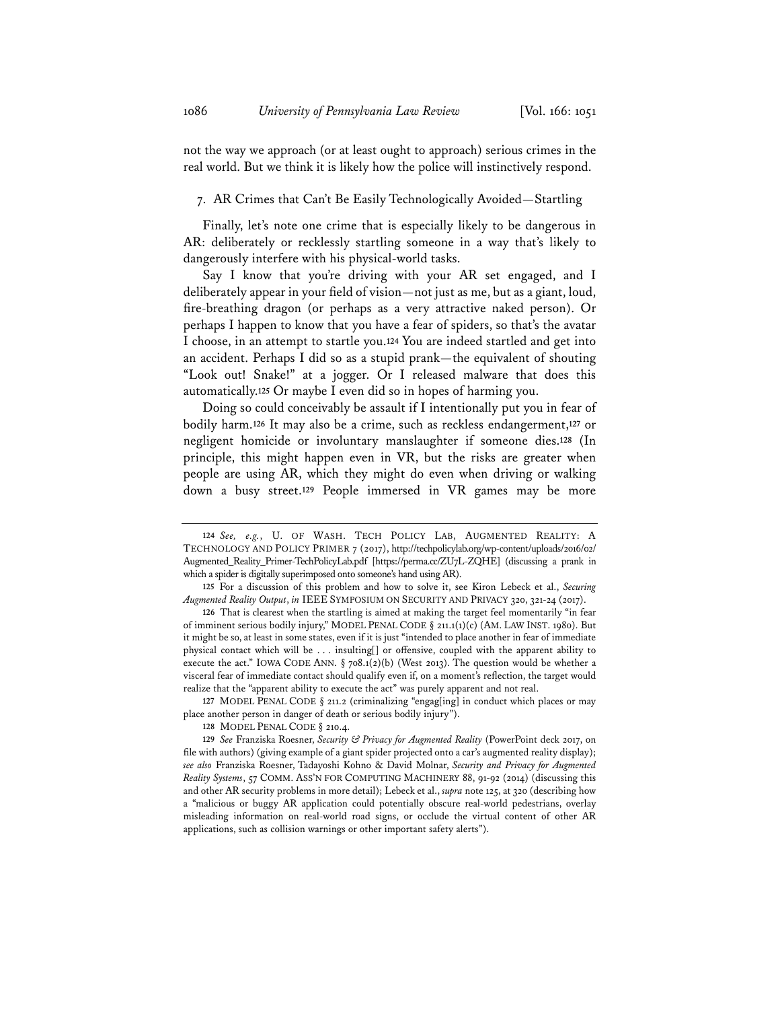not the way we approach (or at least ought to approach) serious crimes in the real world. But we think it is likely how the police will instinctively respond.

#### 7. AR Crimes that Can't Be Easily Technologically Avoided—Startling

Finally, let's note one crime that is especially likely to be dangerous in AR: deliberately or recklessly startling someone in a way that's likely to dangerously interfere with his physical-world tasks.

Say I know that you're driving with your AR set engaged, and I deliberately appear in your field of vision—not just as me, but as a giant, loud, fire-breathing dragon (or perhaps as a very attractive naked person). Or perhaps I happen to know that you have a fear of spiders, so that's the avatar I choose, in an attempt to startle you.**<sup>124</sup>** You are indeed startled and get into an accident. Perhaps I did so as a stupid prank—the equivalent of shouting "Look out! Snake!" at a jogger. Or I released malware that does this automatically.**<sup>125</sup>** Or maybe I even did so in hopes of harming you.

Doing so could conceivably be assault if I intentionally put you in fear of bodily harm.**<sup>126</sup>** It may also be a crime, such as reckless endangerment,**<sup>127</sup>** or negligent homicide or involuntary manslaughter if someone dies.**<sup>128</sup>** (In principle, this might happen even in VR, but the risks are greater when people are using AR, which they might do even when driving or walking down a busy street.**<sup>129</sup>** People immersed in VR games may be more

**127** MODEL PENAL CODE § 211.2 (criminalizing "engag[ing] in conduct which places or may place another person in danger of death or serious bodily injury").

**128** MODEL PENAL CODE § 210.4.

**<sup>124</sup>** *See, e.g.*, U. OF WASH. TECH POLICY LAB, AUGMENTED REALITY: A TECHNOLOGY AND POLICY PRIMER 7 (2017), http://techpolicylab.org/wp-content/uploads/2016/02/ Augmented\_Reality\_Primer-TechPolicyLab.pdf [https://perma.cc/ZU7L-ZQHE] (discussing a prank in which a spider is digitally superimposed onto someone's hand using AR).

**<sup>125</sup>** For a discussion of this problem and how to solve it, see Kiron Lebeck et al., *Securing Augmented Reality Output*, *in* IEEE SYMPOSIUM ON SECURITY AND PRIVACY 320, 321-24 (2017).

**<sup>126</sup>** That is clearest when the startling is aimed at making the target feel momentarily "in fear of imminent serious bodily injury," MODEL PENAL CODE § 211.1(1)(c) (AM. LAW INST. 1980). But it might be so, at least in some states, even if it is just "intended to place another in fear of immediate physical contact which will be . . . insulting[] or offensive, coupled with the apparent ability to execute the act." IOWA CODE ANN. § 708.1(2)(b) (West 2013). The question would be whether a visceral fear of immediate contact should qualify even if, on a moment's reflection, the target would realize that the "apparent ability to execute the act" was purely apparent and not real.

**<sup>129</sup>** *See* Franziska Roesner, *Security & Privacy for Augmented Reality* (PowerPoint deck 2017, on file with authors) (giving example of a giant spider projected onto a car's augmented reality display); *see also* Franziska Roesner, Tadayoshi Kohno & David Molnar, *Security and Privacy for Augmented Reality Systems*, 57 COMM. ASS'N FOR COMPUTING MACHINERY 88, 91-92 (2014) (discussing this and other AR security problems in more detail); Lebeck et al., *supra* note 125, at 320 (describing how a "malicious or buggy AR application could potentially obscure real-world pedestrians, overlay misleading information on real-world road signs, or occlude the virtual content of other AR applications, such as collision warnings or other important safety alerts").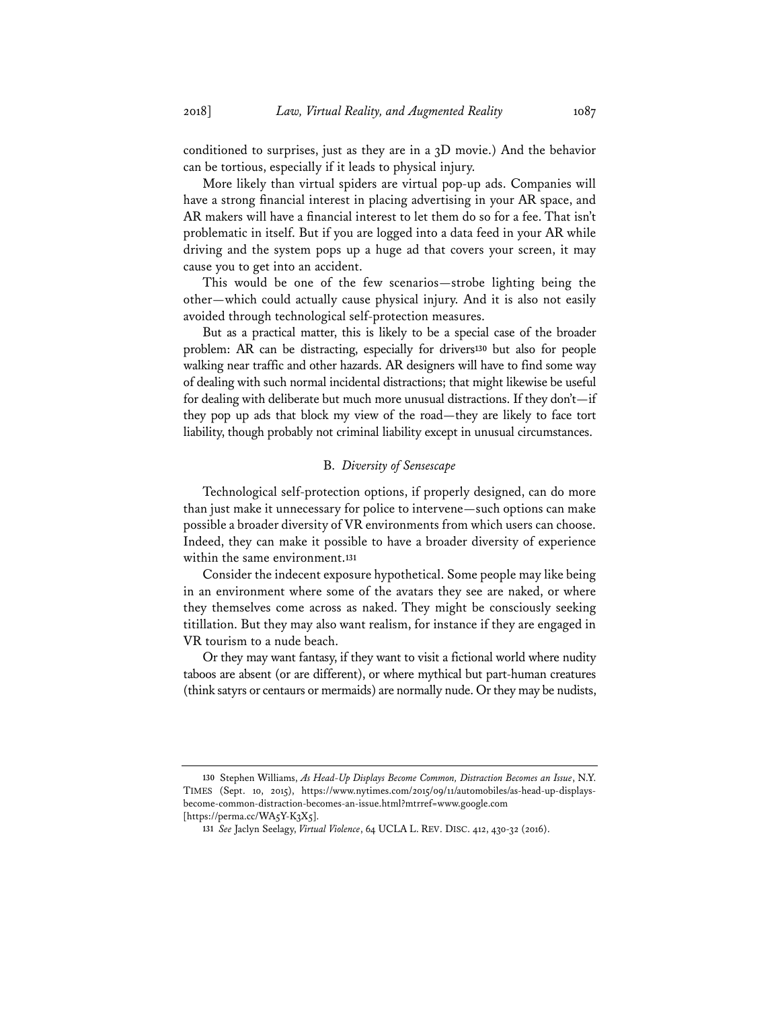conditioned to surprises, just as they are in a 3D movie.) And the behavior can be tortious, especially if it leads to physical injury.

More likely than virtual spiders are virtual pop-up ads. Companies will have a strong financial interest in placing advertising in your AR space, and AR makers will have a financial interest to let them do so for a fee. That isn't problematic in itself. But if you are logged into a data feed in your AR while driving and the system pops up a huge ad that covers your screen, it may cause you to get into an accident.

This would be one of the few scenarios—strobe lighting being the other—which could actually cause physical injury. And it is also not easily avoided through technological self-protection measures.

But as a practical matter, this is likely to be a special case of the broader problem: AR can be distracting, especially for drivers**<sup>130</sup>** but also for people walking near traffic and other hazards. AR designers will have to find some way of dealing with such normal incidental distractions; that might likewise be useful for dealing with deliberate but much more unusual distractions. If they don't—if they pop up ads that block my view of the road—they are likely to face tort liability, though probably not criminal liability except in unusual circumstances.

## B. *Diversity of Sensescape*

Technological self-protection options, if properly designed, can do more than just make it unnecessary for police to intervene—such options can make possible a broader diversity of VR environments from which users can choose. Indeed, they can make it possible to have a broader diversity of experience within the same environment.**<sup>131</sup>**

Consider the indecent exposure hypothetical. Some people may like being in an environment where some of the avatars they see are naked, or where they themselves come across as naked. They might be consciously seeking titillation. But they may also want realism, for instance if they are engaged in VR tourism to a nude beach.

Or they may want fantasy, if they want to visit a fictional world where nudity taboos are absent (or are different), or where mythical but part-human creatures (think satyrs or centaurs or mermaids) are normally nude. Or they may be nudists,

**<sup>130</sup>** Stephen Williams, *As Head-Up Displays Become Common, Distraction Becomes an Issue*, N.Y. TIMES (Sept. 10, 2015), https://www.nytimes.com/2015/09/11/automobiles/as-head-up-displaysbecome-common-distraction-becomes-an-issue.html?mtrref=www.google.com  $[https://perma.cc/WA5Y-K3X5].$ 

**<sup>131</sup>** *See* Jaclyn Seelagy, *Virtual Violence*, 64 UCLA L. REV. DISC. 412, 430-32 (2016).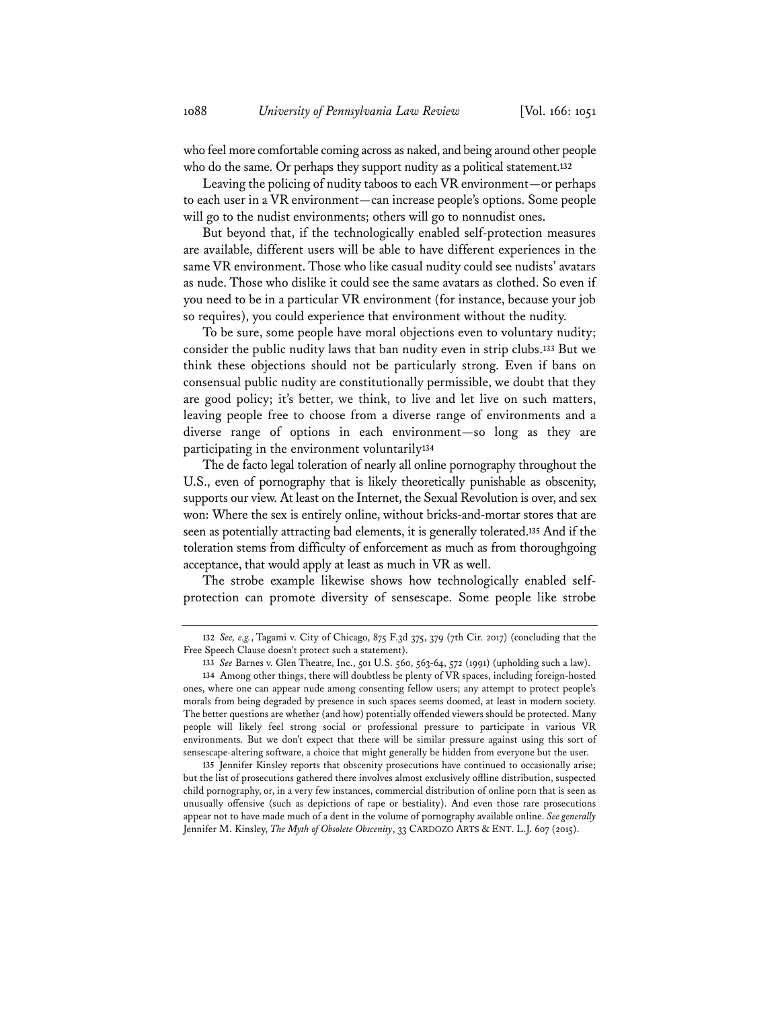who feel more comfortable coming across as naked, and being around other people who do the same. Or perhaps they support nudity as a political statement.**<sup>132</sup>**

Leaving the policing of nudity taboos to each VR environment—or perhaps to each user in a VR environment—can increase people's options. Some people will go to the nudist environments; others will go to nonnudist ones.

But beyond that, if the technologically enabled self-protection measures are available, different users will be able to have different experiences in the same VR environment. Those who like casual nudity could see nudists' avatars as nude. Those who dislike it could see the same avatars as clothed. So even if you need to be in a particular VR environment (for instance, because your job so requires), you could experience that environment without the nudity.

To be sure, some people have moral objections even to voluntary nudity; consider the public nudity laws that ban nudity even in strip clubs.**<sup>133</sup>** But we think these objections should not be particularly strong. Even if bans on consensual public nudity are constitutionally permissible, we doubt that they are good policy; it's better, we think, to live and let live on such matters, leaving people free to choose from a diverse range of environments and a diverse range of options in each environment—so long as they are participating in the environment voluntarily**<sup>134</sup>**

The de facto legal toleration of nearly all online pornography throughout the U.S., even of pornography that is likely theoretically punishable as obscenity, supports our view. At least on the Internet, the Sexual Revolution is over, and sex won: Where the sex is entirely online, without bricks-and-mortar stores that are seen as potentially attracting bad elements, it is generally tolerated.**<sup>135</sup>** And if the toleration stems from difficulty of enforcement as much as from thoroughgoing acceptance, that would apply at least as much in VR as well.

The strobe example likewise shows how technologically enabled selfprotection can promote diversity of sensescape. Some people like strobe

**<sup>132</sup>** *See, e.g.*, Tagami v. City of Chicago, 875 F.3d 375, 379 (7th Cir. 2017) (concluding that the Free Speech Clause doesn't protect such a statement).

**<sup>133</sup>** *See* Barnes v. Glen Theatre, Inc., 501 U.S. 560, 563-64, 572 (1991) (upholding such a law). **134** Among other things, there will doubtless be plenty of VR spaces, including foreign-hosted ones, where one can appear nude among consenting fellow users; any attempt to protect people's morals from being degraded by presence in such spaces seems doomed, at least in modern society. The better questions are whether (and how) potentially offended viewers should be protected. Many people will likely feel strong social or professional pressure to participate in various VR environments. But we don't expect that there will be similar pressure against using this sort of sensescape-altering software, a choice that might generally be hidden from everyone but the user.

**<sup>135</sup>** Jennifer Kinsley reports that obscenity prosecutions have continued to occasionally arise; but the list of prosecutions gathered there involves almost exclusively offline distribution, suspected child pornography, or, in a very few instances, commercial distribution of online porn that is seen as unusually offensive (such as depictions of rape or bestiality). And even those rare prosecutions appear not to have made much of a dent in the volume of pornography available online. *See generally* Jennifer M. Kinsley, *The Myth of Obsolete Obscenity*, 33 CARDOZO ARTS & ENT. L.J. 607 (2015).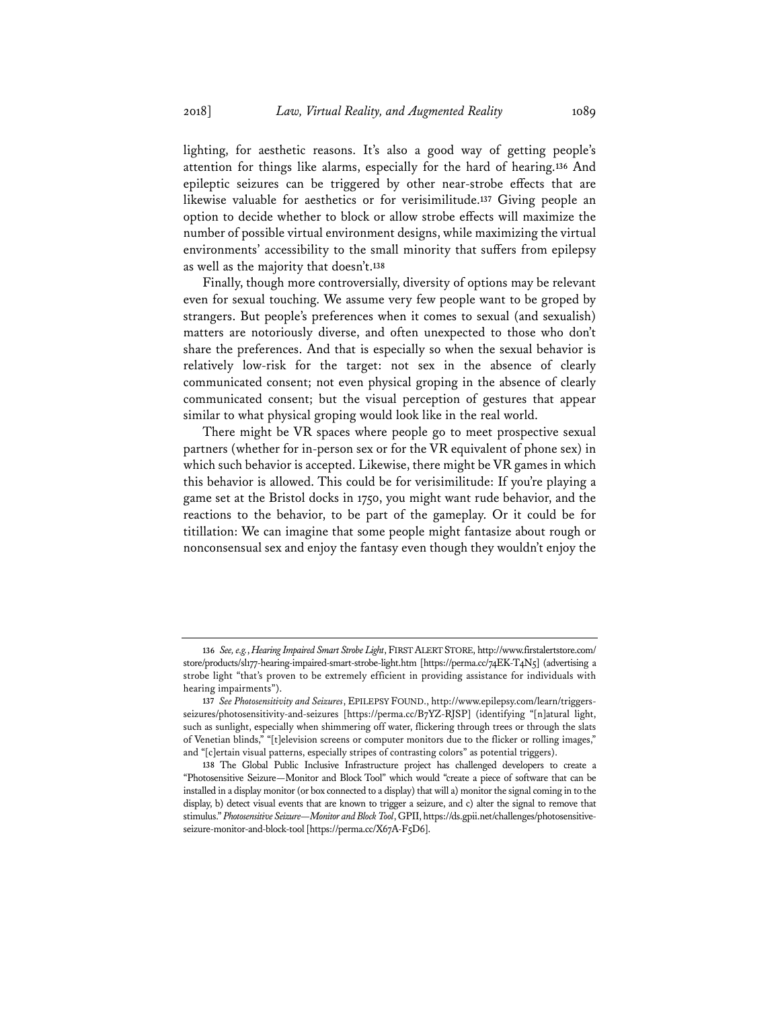lighting, for aesthetic reasons. It's also a good way of getting people's attention for things like alarms, especially for the hard of hearing.**<sup>136</sup>** And epileptic seizures can be triggered by other near-strobe effects that are likewise valuable for aesthetics or for verisimilitude.**<sup>137</sup>** Giving people an option to decide whether to block or allow strobe effects will maximize the number of possible virtual environment designs, while maximizing the virtual environments' accessibility to the small minority that suffers from epilepsy as well as the majority that doesn't.**<sup>138</sup>**

Finally, though more controversially, diversity of options may be relevant even for sexual touching. We assume very few people want to be groped by strangers. But people's preferences when it comes to sexual (and sexualish) matters are notoriously diverse, and often unexpected to those who don't share the preferences. And that is especially so when the sexual behavior is relatively low-risk for the target: not sex in the absence of clearly communicated consent; not even physical groping in the absence of clearly communicated consent; but the visual perception of gestures that appear similar to what physical groping would look like in the real world.

There might be VR spaces where people go to meet prospective sexual partners (whether for in-person sex or for the VR equivalent of phone sex) in which such behavior is accepted. Likewise, there might be VR games in which this behavior is allowed. This could be for verisimilitude: If you're playing a game set at the Bristol docks in 1750, you might want rude behavior, and the reactions to the behavior, to be part of the gameplay. Or it could be for titillation: We can imagine that some people might fantasize about rough or nonconsensual sex and enjoy the fantasy even though they wouldn't enjoy the

**<sup>136</sup>** *See, e.g.*, *Hearing Impaired Smart Strobe Light*, FIRST ALERT STORE, http://www.firstalertstore.com/ store/products/sl177-hearing-impaired-smart-strobe-light.htm [https://perma.cc/74EK-T4N5] (advertising a strobe light "that's proven to be extremely efficient in providing assistance for individuals with hearing impairments").

**<sup>137</sup>** *See Photosensitivity and Seizures*, EPILEPSY FOUND., http://www.epilepsy.com/learn/triggersseizures/photosensitivity-and-seizures [https://perma.cc/B7YZ-RJSP] (identifying "[n]atural light, such as sunlight, especially when shimmering off water, flickering through trees or through the slats of Venetian blinds," "[t]elevision screens or computer monitors due to the flicker or rolling images," and "[c]ertain visual patterns, especially stripes of contrasting colors" as potential triggers).

**<sup>138</sup>** The Global Public Inclusive Infrastructure project has challenged developers to create a "Photosensitive Seizure—Monitor and Block Tool" which would "create a piece of software that can be installed in a display monitor (or box connected to a display) that will a) monitor the signal coming in to the display, b) detect visual events that are known to trigger a seizure, and c) alter the signal to remove that stimulus." *Photosensitive Seizure—Monitor and Block Tool*, GPII, https://ds.gpii.net/challenges/photosensitiveseizure-monitor-and-block-tool [https://perma.cc/X67A-F5D6].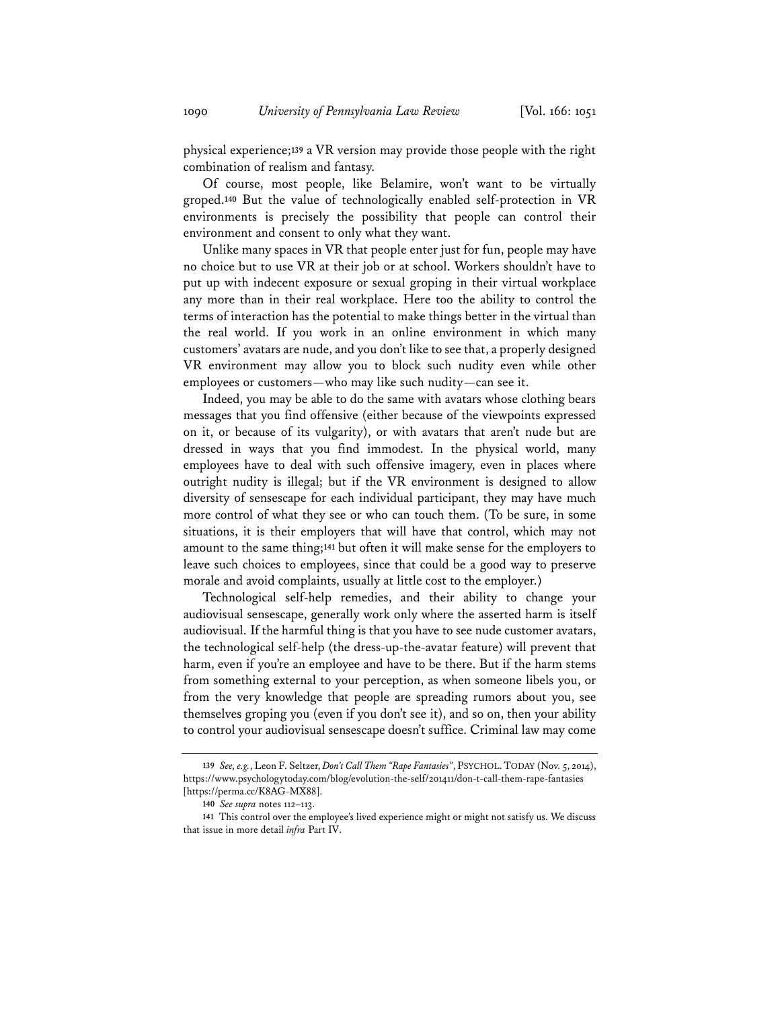physical experience;**<sup>139</sup>** a VR version may provide those people with the right combination of realism and fantasy.

Of course, most people, like Belamire, won't want to be virtually groped.**<sup>140</sup>** But the value of technologically enabled self-protection in VR environments is precisely the possibility that people can control their environment and consent to only what they want.

Unlike many spaces in VR that people enter just for fun, people may have no choice but to use VR at their job or at school. Workers shouldn't have to put up with indecent exposure or sexual groping in their virtual workplace any more than in their real workplace. Here too the ability to control the terms of interaction has the potential to make things better in the virtual than the real world. If you work in an online environment in which many customers' avatars are nude, and you don't like to see that, a properly designed VR environment may allow you to block such nudity even while other employees or customers—who may like such nudity—can see it.

Indeed, you may be able to do the same with avatars whose clothing bears messages that you find offensive (either because of the viewpoints expressed on it, or because of its vulgarity), or with avatars that aren't nude but are dressed in ways that you find immodest. In the physical world, many employees have to deal with such offensive imagery, even in places where outright nudity is illegal; but if the VR environment is designed to allow diversity of sensescape for each individual participant, they may have much more control of what they see or who can touch them. (To be sure, in some situations, it is their employers that will have that control, which may not amount to the same thing;**<sup>141</sup>** but often it will make sense for the employers to leave such choices to employees, since that could be a good way to preserve morale and avoid complaints, usually at little cost to the employer.)

Technological self-help remedies, and their ability to change your audiovisual sensescape, generally work only where the asserted harm is itself audiovisual. If the harmful thing is that you have to see nude customer avatars, the technological self-help (the dress-up-the-avatar feature) will prevent that harm, even if you're an employee and have to be there. But if the harm stems from something external to your perception, as when someone libels you, or from the very knowledge that people are spreading rumors about you, see themselves groping you (even if you don't see it), and so on, then your ability to control your audiovisual sensescape doesn't suffice. Criminal law may come

**<sup>139</sup>** *See, e.g.*, Leon F. Seltzer, *Don't Call Them "Rape Fantasies"*, PSYCHOL.TODAY (Nov. 5, 2014), https://www.psychologytoday.com/blog/evolution-the-self/201411/don-t-call-them-rape-fantasies [https://perma.cc/K8AG-MX88].

**<sup>140</sup>** *See supra* notes 112–113.

**<sup>141</sup>** This control over the employee's lived experience might or might not satisfy us. We discuss that issue in more detail *infra* Part IV.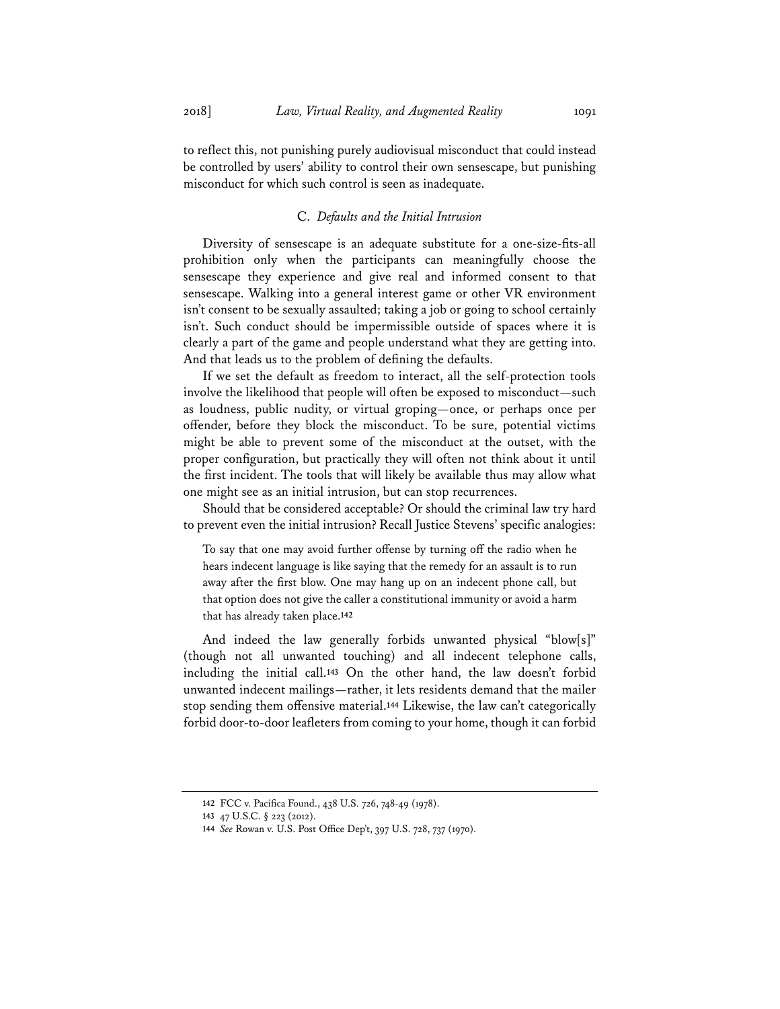to reflect this, not punishing purely audiovisual misconduct that could instead be controlled by users' ability to control their own sensescape, but punishing misconduct for which such control is seen as inadequate.

## C. *Defaults and the Initial Intrusion*

Diversity of sensescape is an adequate substitute for a one-size-fits-all prohibition only when the participants can meaningfully choose the sensescape they experience and give real and informed consent to that sensescape. Walking into a general interest game or other VR environment isn't consent to be sexually assaulted; taking a job or going to school certainly isn't. Such conduct should be impermissible outside of spaces where it is clearly a part of the game and people understand what they are getting into. And that leads us to the problem of defining the defaults.

If we set the default as freedom to interact, all the self-protection tools involve the likelihood that people will often be exposed to misconduct—such as loudness, public nudity, or virtual groping—once, or perhaps once per offender, before they block the misconduct. To be sure, potential victims might be able to prevent some of the misconduct at the outset, with the proper configuration, but practically they will often not think about it until the first incident. The tools that will likely be available thus may allow what one might see as an initial intrusion, but can stop recurrences.

Should that be considered acceptable? Or should the criminal law try hard to prevent even the initial intrusion? Recall Justice Stevens' specific analogies:

To say that one may avoid further offense by turning off the radio when he hears indecent language is like saying that the remedy for an assault is to run away after the first blow. One may hang up on an indecent phone call, but that option does not give the caller a constitutional immunity or avoid a harm that has already taken place.**<sup>142</sup>**

And indeed the law generally forbids unwanted physical "blow[s]" (though not all unwanted touching) and all indecent telephone calls, including the initial call.**<sup>143</sup>** On the other hand, the law doesn't forbid unwanted indecent mailings—rather, it lets residents demand that the mailer stop sending them offensive material.**<sup>144</sup>** Likewise, the law can't categorically forbid door-to-door leafleters from coming to your home, though it can forbid

**<sup>142</sup>** FCC v. Pacifica Found., 438 U.S. 726, 748-49 (1978).

**<sup>143</sup>** 47 U.S.C. § 223 (2012).

**<sup>144</sup>** *See* Rowan v. U.S. Post Office Dep't, 397 U.S. 728, 737 (1970).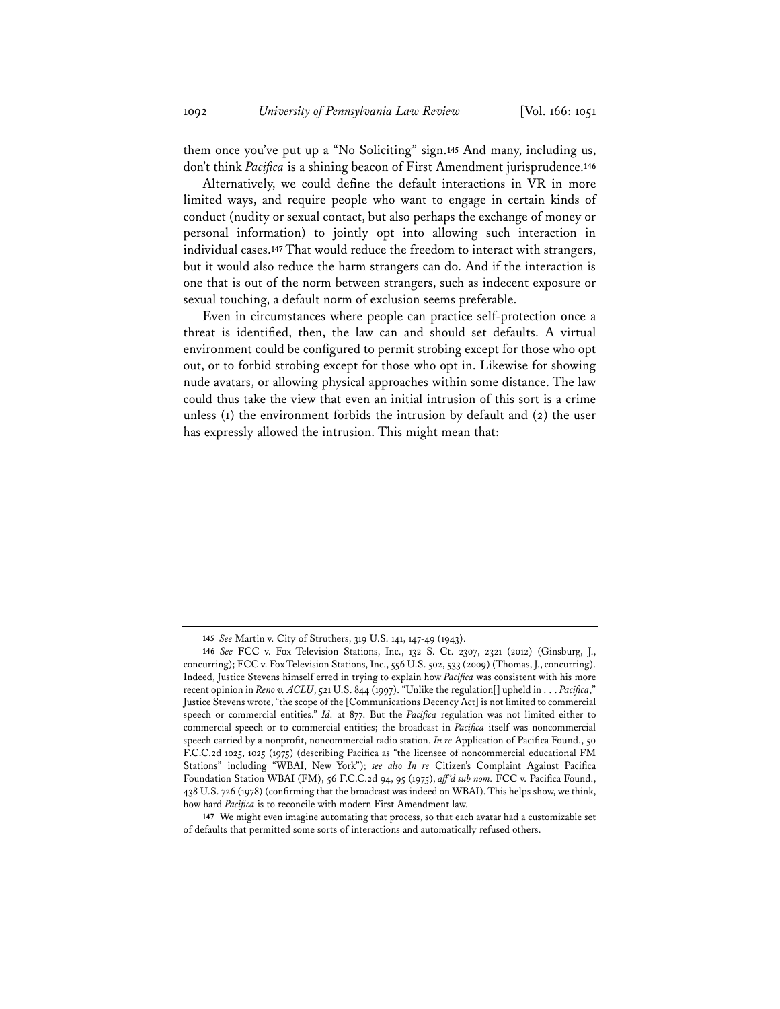them once you've put up a "No Soliciting" sign.**<sup>145</sup>** And many, including us, don't think *Pacifica* is a shining beacon of First Amendment jurisprudence.**<sup>146</sup>**

Alternatively, we could define the default interactions in VR in more limited ways, and require people who want to engage in certain kinds of conduct (nudity or sexual contact, but also perhaps the exchange of money or personal information) to jointly opt into allowing such interaction in individual cases.**<sup>147</sup>** That would reduce the freedom to interact with strangers, but it would also reduce the harm strangers can do. And if the interaction is one that is out of the norm between strangers, such as indecent exposure or sexual touching, a default norm of exclusion seems preferable.

Even in circumstances where people can practice self-protection once a threat is identified, then, the law can and should set defaults. A virtual environment could be configured to permit strobing except for those who opt out, or to forbid strobing except for those who opt in. Likewise for showing nude avatars, or allowing physical approaches within some distance. The law could thus take the view that even an initial intrusion of this sort is a crime unless  $(i)$  the environment forbids the intrusion by default and  $(i)$  the user has expressly allowed the intrusion. This might mean that:

**147** We might even imagine automating that process, so that each avatar had a customizable set of defaults that permitted some sorts of interactions and automatically refused others.

**<sup>145</sup>** *See* Martin v. City of Struthers, 319 U.S. 141, 147-49 (1943).

**<sup>146</sup>** *See* FCC v. Fox Television Stations, Inc., 132 S. Ct. 2307, 2321 (2012) (Ginsburg, J., concurring); FCC v. Fox Television Stations, Inc., 556 U.S. 502, 533 (2009) (Thomas, J., concurring). Indeed, Justice Stevens himself erred in trying to explain how *Pacifica* was consistent with his more recent opinion in *Reno v. ACLU*, 521 U.S. 844 (1997). "Unlike the regulation[] upheld in . . . *Pacifica*," Justice Stevens wrote, "the scope of the [Communications Decency Act] is not limited to commercial speech or commercial entities." *Id.* at 877. But the *Pacifica* regulation was not limited either to commercial speech or to commercial entities; the broadcast in *Pacifica* itself was noncommercial speech carried by a nonprofit, noncommercial radio station. *In re* Application of Pacifica Found., 50 F.C.C.2d 1025, 1025 (1975) (describing Pacifica as "the licensee of noncommercial educational FM Stations" including "WBAI, New York"); *see also In re* Citizen's Complaint Against Pacifica Foundation Station WBAI (FM), 56 F.C.C.2d 94, 95 (1975), *aff 'd sub nom.* FCC v. Pacifica Found., 438 U.S. 726 (1978) (confirming that the broadcast was indeed on WBAI). This helps show, we think, how hard *Pacifica* is to reconcile with modern First Amendment law.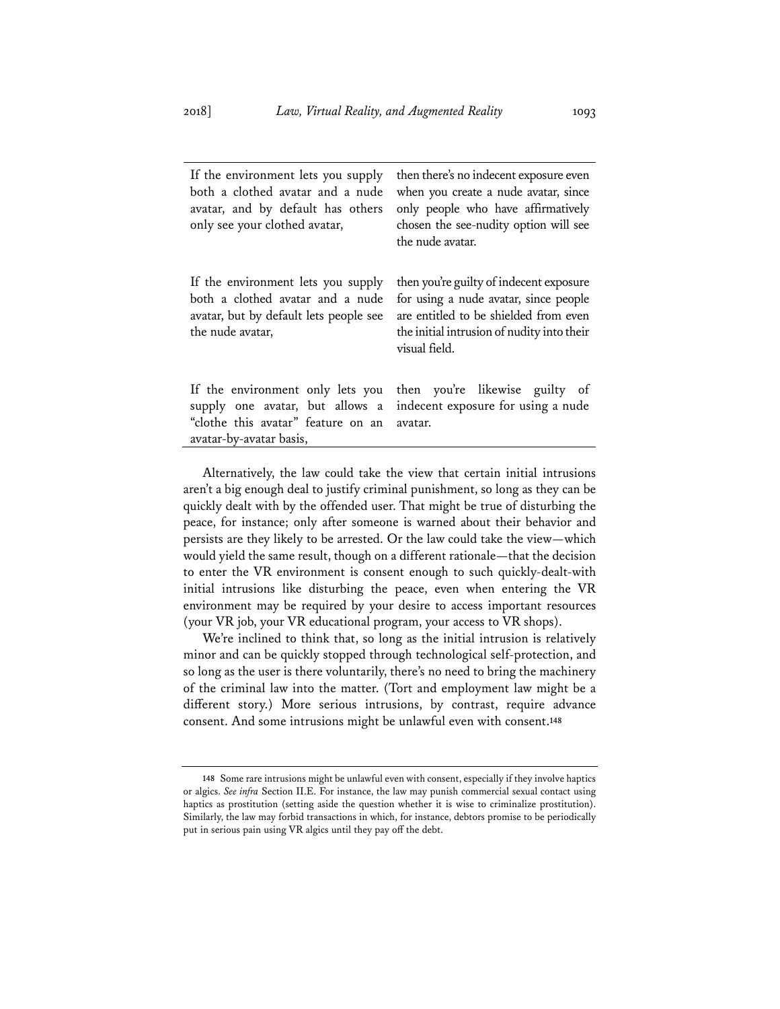| If the environment lets you supply<br>both a clothed avatar and a nude<br>avatar, and by default has others<br>only see your clothed avatar, | then there's no indecent exposure even<br>when you create a nude avatar, since<br>only people who have affirmatively<br>chosen the see-nudity option will see<br>the nude avatar.        |
|----------------------------------------------------------------------------------------------------------------------------------------------|------------------------------------------------------------------------------------------------------------------------------------------------------------------------------------------|
| If the environment lets you supply<br>both a clothed avatar and a nude<br>avatar, but by default lets people see<br>the nude avatar,         | then you're guilty of indecent exposure<br>for using a nude avatar, since people<br>are entitled to be shielded from even<br>the initial intrusion of nudity into their<br>visual field. |
| If the environment only lets you<br>supply one avatar, but allows a<br>"clothe this avatar" feature on an<br>avatar-by-avatar basis,         | then you're likewise guilty of<br>indecent exposure for using a nude<br>avatar.                                                                                                          |

Alternatively, the law could take the view that certain initial intrusions aren't a big enough deal to justify criminal punishment, so long as they can be quickly dealt with by the offended user. That might be true of disturbing the peace, for instance; only after someone is warned about their behavior and persists are they likely to be arrested. Or the law could take the view—which would yield the same result, though on a different rationale—that the decision to enter the VR environment is consent enough to such quickly-dealt-with initial intrusions like disturbing the peace, even when entering the VR environment may be required by your desire to access important resources (your VR job, your VR educational program, your access to VR shops).

We're inclined to think that, so long as the initial intrusion is relatively minor and can be quickly stopped through technological self-protection, and so long as the user is there voluntarily, there's no need to bring the machinery of the criminal law into the matter. (Tort and employment law might be a different story.) More serious intrusions, by contrast, require advance consent. And some intrusions might be unlawful even with consent.**<sup>148</sup>**

**<sup>148</sup>** Some rare intrusions might be unlawful even with consent, especially if they involve haptics or algics. *See infra* Section II.E. For instance, the law may punish commercial sexual contact using haptics as prostitution (setting aside the question whether it is wise to criminalize prostitution). Similarly, the law may forbid transactions in which, for instance, debtors promise to be periodically put in serious pain using VR algics until they pay off the debt.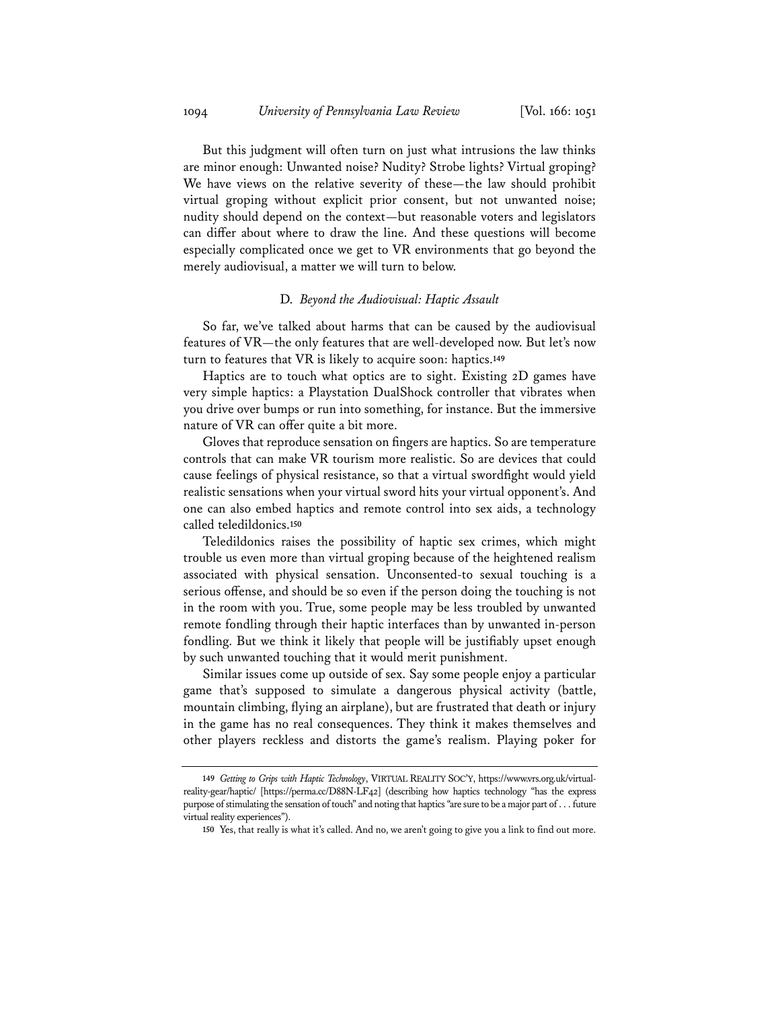But this judgment will often turn on just what intrusions the law thinks are minor enough: Unwanted noise? Nudity? Strobe lights? Virtual groping? We have views on the relative severity of these—the law should prohibit virtual groping without explicit prior consent, but not unwanted noise; nudity should depend on the context—but reasonable voters and legislators can differ about where to draw the line. And these questions will become especially complicated once we get to VR environments that go beyond the merely audiovisual, a matter we will turn to below.

#### D. *Beyond the Audiovisual: Haptic Assault*

So far, we've talked about harms that can be caused by the audiovisual features of VR—the only features that are well-developed now. But let's now turn to features that VR is likely to acquire soon: haptics.**<sup>149</sup>**

Haptics are to touch what optics are to sight. Existing 2D games have very simple haptics: a Playstation DualShock controller that vibrates when you drive over bumps or run into something, for instance. But the immersive nature of VR can offer quite a bit more.

Gloves that reproduce sensation on fingers are haptics. So are temperature controls that can make VR tourism more realistic. So are devices that could cause feelings of physical resistance, so that a virtual swordfight would yield realistic sensations when your virtual sword hits your virtual opponent's. And one can also embed haptics and remote control into sex aids, a technology called teledildonics.**<sup>150</sup>**

Teledildonics raises the possibility of haptic sex crimes, which might trouble us even more than virtual groping because of the heightened realism associated with physical sensation. Unconsented-to sexual touching is a serious offense, and should be so even if the person doing the touching is not in the room with you. True, some people may be less troubled by unwanted remote fondling through their haptic interfaces than by unwanted in-person fondling. But we think it likely that people will be justifiably upset enough by such unwanted touching that it would merit punishment.

Similar issues come up outside of sex. Say some people enjoy a particular game that's supposed to simulate a dangerous physical activity (battle, mountain climbing, flying an airplane), but are frustrated that death or injury in the game has no real consequences. They think it makes themselves and other players reckless and distorts the game's realism. Playing poker for

**<sup>149</sup>** *Getting to Grips with Haptic Technology*, VIRTUAL REALITY SOC'Y, https://www.vrs.org.uk/virtualreality-gear/haptic/ [https://perma.cc/D88N-LF42] (describing how haptics technology "has the express purpose of stimulating the sensation of touch" and noting that haptics "are sure to be a major part of . . . future virtual reality experiences").

**<sup>150</sup>** Yes, that really is what it's called. And no, we aren't going to give you a link to find out more.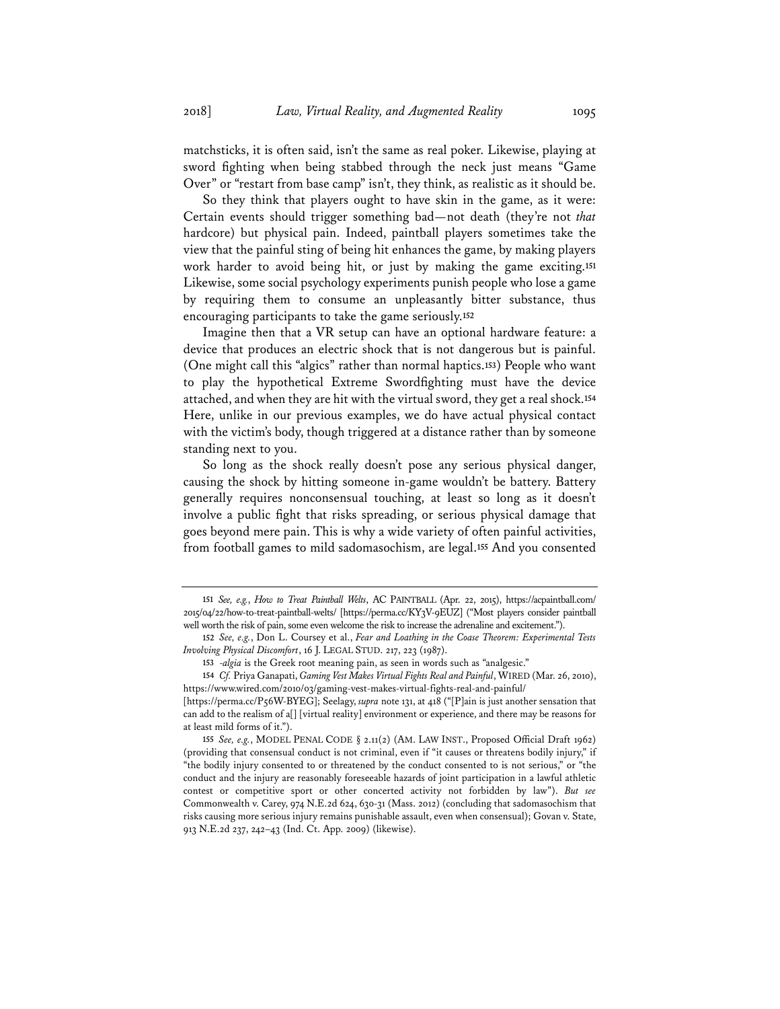matchsticks, it is often said, isn't the same as real poker. Likewise, playing at sword fighting when being stabbed through the neck just means "Game Over" or "restart from base camp" isn't, they think, as realistic as it should be.

So they think that players ought to have skin in the game, as it were: Certain events should trigger something bad—not death (they're not *that* hardcore) but physical pain. Indeed, paintball players sometimes take the view that the painful sting of being hit enhances the game, by making players work harder to avoid being hit, or just by making the game exciting.**<sup>151</sup>** Likewise, some social psychology experiments punish people who lose a game by requiring them to consume an unpleasantly bitter substance, thus encouraging participants to take the game seriously.**<sup>152</sup>**

Imagine then that a VR setup can have an optional hardware feature: a device that produces an electric shock that is not dangerous but is painful. (One might call this "algics" rather than normal haptics.**<sup>153</sup>**) People who want to play the hypothetical Extreme Swordfighting must have the device attached, and when they are hit with the virtual sword, they get a real shock.**<sup>154</sup>** Here, unlike in our previous examples, we do have actual physical contact with the victim's body, though triggered at a distance rather than by someone standing next to you.

So long as the shock really doesn't pose any serious physical danger, causing the shock by hitting someone in-game wouldn't be battery. Battery generally requires nonconsensual touching, at least so long as it doesn't involve a public fight that risks spreading, or serious physical damage that goes beyond mere pain. This is why a wide variety of often painful activities, from football games to mild sadomasochism, are legal.**<sup>155</sup>** And you consented

**<sup>151</sup>** *See, e.g.*, *How to Treat Paintball Welts*, AC PAINTBALL (Apr. 22, 2015), https://acpaintball.com/ 2015/04/22/how-to-treat-paintball-welts/ [https://perma.cc/KY3V-9EUZ] ("Most players consider paintball well worth the risk of pain, some even welcome the risk to increase the adrenaline and excitement.").

**<sup>152</sup>** *See, e.g.*, Don L. Coursey et al., *Fear and Loathing in the Coase Theorem: Experimental Tests Involving Physical Discomfort*, 16 J. LEGAL STUD. 217, 223 (1987).

**<sup>153</sup>** -*algia* is the Greek root meaning pain, as seen in words such as "analgesic."

**<sup>154</sup>** *Cf.* Priya Ganapati, *Gaming Vest Makes Virtual Fights Real and Painful*, WIRED (Mar. 26, 2010), https://www.wired.com/2010/03/gaming-vest-makes-virtual-fights-real-and-painful/

<sup>[</sup>https://perma.cc/P56W-BYEG]; Seelagy, *supra* note 131, at 418 ("[P]ain is just another sensation that can add to the realism of a[] [virtual reality] environment or experience, and there may be reasons for at least mild forms of it.").

**<sup>155</sup>** *See, e.g.*, MODEL PENAL CODE § 2.11(2) (AM. LAW INST., Proposed Official Draft 1962) (providing that consensual conduct is not criminal, even if "it causes or threatens bodily injury," if "the bodily injury consented to or threatened by the conduct consented to is not serious," or "the conduct and the injury are reasonably foreseeable hazards of joint participation in a lawful athletic contest or competitive sport or other concerted activity not forbidden by law"). *But see* Commonwealth v. Carey, 974 N.E.2d 624, 630-31 (Mass. 2012) (concluding that sadomasochism that risks causing more serious injury remains punishable assault, even when consensual); Govan v. State, 913 N.E.2d 237, 242–43 (Ind. Ct. App. 2009) (likewise).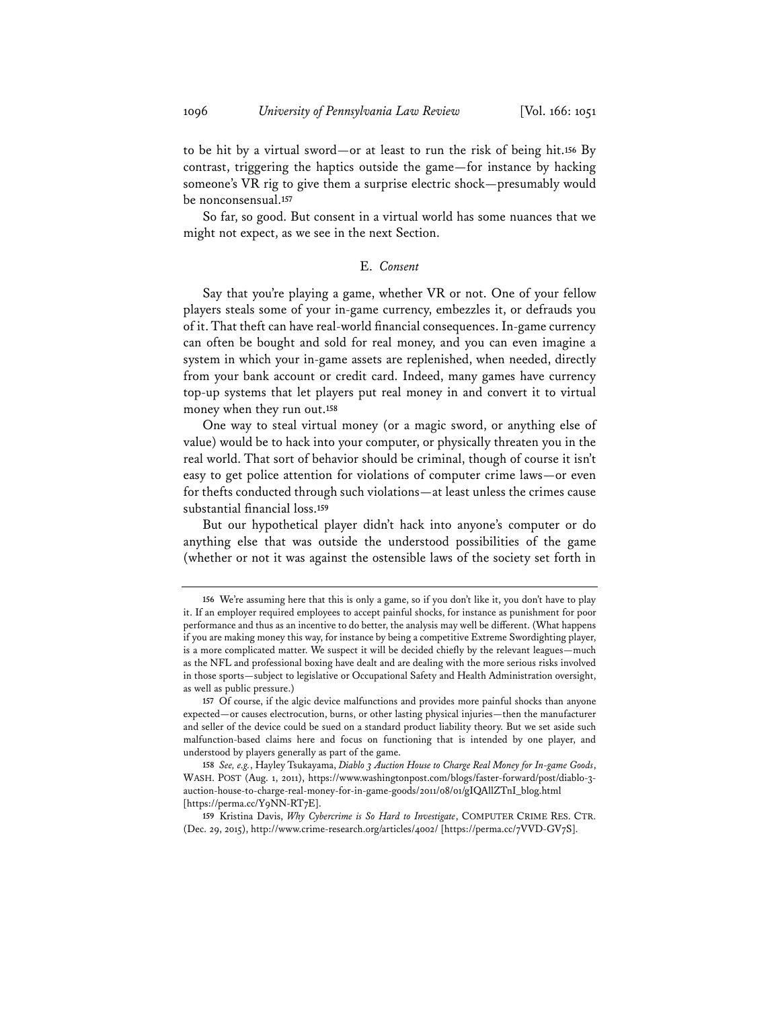to be hit by a virtual sword—or at least to run the risk of being hit.**<sup>156</sup>** By contrast, triggering the haptics outside the game—for instance by hacking someone's VR rig to give them a surprise electric shock—presumably would be nonconsensual.**<sup>157</sup>**

So far, so good. But consent in a virtual world has some nuances that we might not expect, as we see in the next Section.

## E. *Consent*

Say that you're playing a game, whether VR or not. One of your fellow players steals some of your in-game currency, embezzles it, or defrauds you of it. That theft can have real-world financial consequences. In-game currency can often be bought and sold for real money, and you can even imagine a system in which your in-game assets are replenished, when needed, directly from your bank account or credit card. Indeed, many games have currency top-up systems that let players put real money in and convert it to virtual money when they run out.**<sup>158</sup>**

One way to steal virtual money (or a magic sword, or anything else of value) would be to hack into your computer, or physically threaten you in the real world. That sort of behavior should be criminal, though of course it isn't easy to get police attention for violations of computer crime laws—or even for thefts conducted through such violations—at least unless the crimes cause substantial financial loss.**<sup>159</sup>**

But our hypothetical player didn't hack into anyone's computer or do anything else that was outside the understood possibilities of the game (whether or not it was against the ostensible laws of the society set forth in

**<sup>156</sup>** We're assuming here that this is only a game, so if you don't like it, you don't have to play it. If an employer required employees to accept painful shocks, for instance as punishment for poor performance and thus as an incentive to do better, the analysis may well be different. (What happens if you are making money this way, for instance by being a competitive Extreme Swordighting player, is a more complicated matter. We suspect it will be decided chiefly by the relevant leagues—much as the NFL and professional boxing have dealt and are dealing with the more serious risks involved in those sports—subject to legislative or Occupational Safety and Health Administration oversight, as well as public pressure.)

**<sup>157</sup>** Of course, if the algic device malfunctions and provides more painful shocks than anyone expected—or causes electrocution, burns, or other lasting physical injuries—then the manufacturer and seller of the device could be sued on a standard product liability theory. But we set aside such malfunction-based claims here and focus on functioning that is intended by one player, and understood by players generally as part of the game.

**<sup>158</sup>** *See, e.g.*, Hayley Tsukayama, *Diablo 3 Auction House to Charge Real Money for In-game Goods*, WASH. POST (Aug. 1, 2011), https://www.washingtonpost.com/blogs/faster-forward/post/diablo-3 auction-house-to-charge-real-money-for-in-game-goods/2011/08/01/gIQAllZTnI\_blog.html [https://perma.cc/Y9NN-RT7E].

**<sup>159</sup>** Kristina Davis, *Why Cybercrime is So Hard to Investigate*, COMPUTER CRIME RES. CTR. (Dec. 29, 2015), http://www.crime-research.org/articles/4002/ [https://perma.cc/7VVD-GV7S].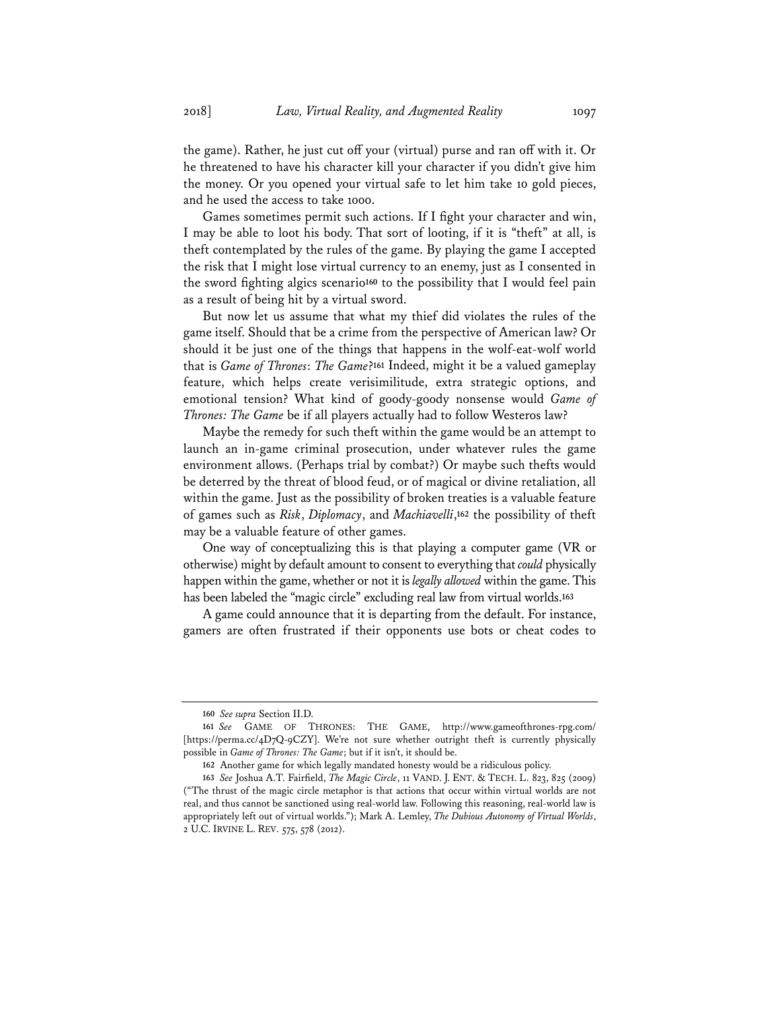the game). Rather, he just cut off your (virtual) purse and ran off with it. Or he threatened to have his character kill your character if you didn't give him the money. Or you opened your virtual safe to let him take 10 gold pieces, and he used the access to take 1000.

Games sometimes permit such actions. If I fight your character and win, I may be able to loot his body. That sort of looting, if it is "theft" at all, is theft contemplated by the rules of the game. By playing the game I accepted the risk that I might lose virtual currency to an enemy, just as I consented in the sword fighting algics scenario**<sup>160</sup>** to the possibility that I would feel pain as a result of being hit by a virtual sword.

But now let us assume that what my thief did violates the rules of the game itself. Should that be a crime from the perspective of American law? Or should it be just one of the things that happens in the wolf-eat-wolf world that is *Game of Thrones*: *The Game*?**<sup>161</sup>** Indeed, might it be a valued gameplay feature, which helps create verisimilitude, extra strategic options, and emotional tension? What kind of goody-goody nonsense would *Game of Thrones: The Game* be if all players actually had to follow Westeros law?

Maybe the remedy for such theft within the game would be an attempt to launch an in-game criminal prosecution, under whatever rules the game environment allows. (Perhaps trial by combat?) Or maybe such thefts would be deterred by the threat of blood feud, or of magical or divine retaliation, all within the game. Just as the possibility of broken treaties is a valuable feature of games such as *Risk*, *Diplomacy*, and *Machiavelli*,**<sup>162</sup>** the possibility of theft may be a valuable feature of other games.

One way of conceptualizing this is that playing a computer game (VR or otherwise) might by default amount to consent to everything that *could* physically happen within the game, whether or not it is *legally allowed* within the game. This has been labeled the "magic circle" excluding real law from virtual worlds.**<sup>163</sup>**

A game could announce that it is departing from the default. For instance, gamers are often frustrated if their opponents use bots or cheat codes to

**<sup>160</sup>** *See supra* Section II.D.

**<sup>161</sup>** *See* GAME OF THRONES: THE GAME, http://www.gameofthrones-rpg.com/ [https://perma.cc/4D7Q-9CZY]. We're not sure whether outright theft is currently physically possible in *Game of Thrones: The Game*; but if it isn't, it should be.

**<sup>162</sup>** Another game for which legally mandated honesty would be a ridiculous policy.

**<sup>163</sup>** *See* Joshua A.T. Fairfield, *The Magic Circle*, 11 VAND. J. ENT. & TECH. L. 823, 825 (2009) ("The thrust of the magic circle metaphor is that actions that occur within virtual worlds are not real, and thus cannot be sanctioned using real-world law. Following this reasoning, real-world law is appropriately left out of virtual worlds."); Mark A. Lemley, *The Dubious Autonomy of Virtual Worlds*, 2 U.C. IRVINE L. REV. 575, 578 (2012).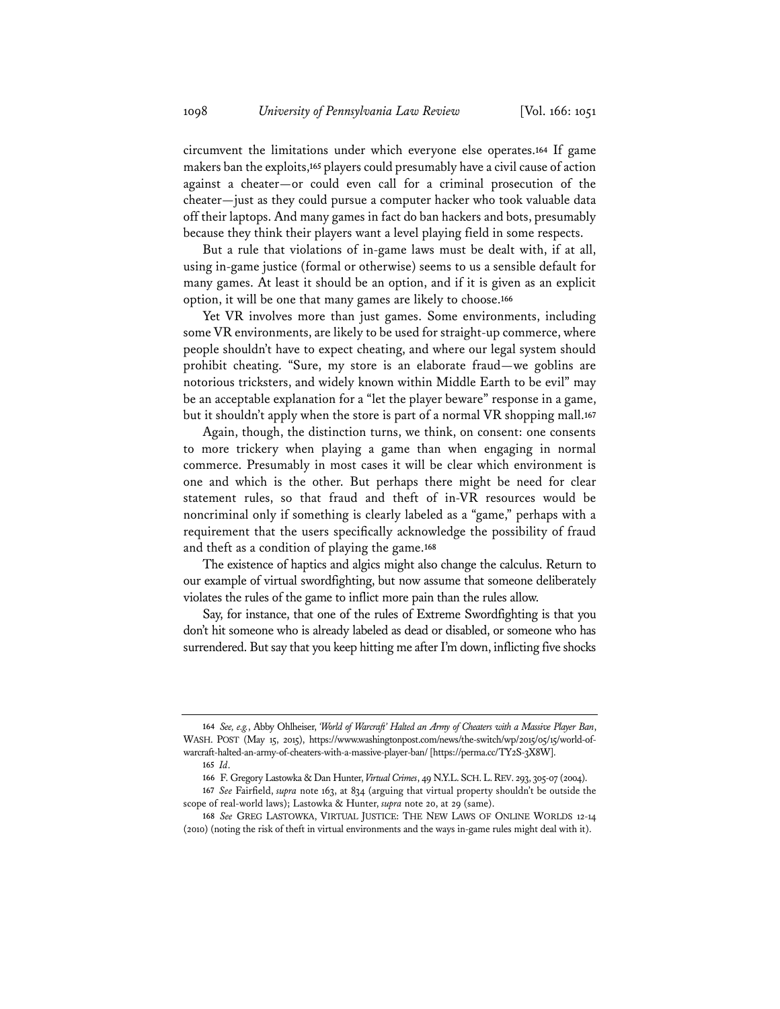circumvent the limitations under which everyone else operates.**<sup>164</sup>** If game makers ban the exploits,**<sup>165</sup>** players could presumably have a civil cause of action against a cheater—or could even call for a criminal prosecution of the cheater—just as they could pursue a computer hacker who took valuable data off their laptops. And many games in fact do ban hackers and bots, presumably because they think their players want a level playing field in some respects.

But a rule that violations of in-game laws must be dealt with, if at all, using in-game justice (formal or otherwise) seems to us a sensible default for many games. At least it should be an option, and if it is given as an explicit option, it will be one that many games are likely to choose.**<sup>166</sup>**

Yet VR involves more than just games. Some environments, including some VR environments, are likely to be used for straight-up commerce, where people shouldn't have to expect cheating, and where our legal system should prohibit cheating. "Sure, my store is an elaborate fraud—we goblins are notorious tricksters, and widely known within Middle Earth to be evil" may be an acceptable explanation for a "let the player beware" response in a game, but it shouldn't apply when the store is part of a normal VR shopping mall.**<sup>167</sup>**

Again, though, the distinction turns, we think, on consent: one consents to more trickery when playing a game than when engaging in normal commerce. Presumably in most cases it will be clear which environment is one and which is the other. But perhaps there might be need for clear statement rules, so that fraud and theft of in-VR resources would be noncriminal only if something is clearly labeled as a "game," perhaps with a requirement that the users specifically acknowledge the possibility of fraud and theft as a condition of playing the game.**<sup>168</sup>**

The existence of haptics and algics might also change the calculus. Return to our example of virtual swordfighting, but now assume that someone deliberately violates the rules of the game to inflict more pain than the rules allow.

Say, for instance, that one of the rules of Extreme Swordfighting is that you don't hit someone who is already labeled as dead or disabled, or someone who has surrendered. But say that you keep hitting me after I'm down, inflicting five shocks

**<sup>164</sup>** *See, e.g.*, Abby Ohlheiser, *'World of Warcraft' Halted an Army of Cheaters with a Massive Player Ban*, WASH. POST (May 15, 2015), https://www.washingtonpost.com/news/the-switch/wp/2015/05/15/world-ofwarcraft-halted-an-army-of-cheaters-with-a-massive-player-ban/ [https://perma.cc/TY2S-3X8W].

**<sup>165</sup>** *Id*.

**<sup>166</sup>** F. Gregory Lastowka & Dan Hunter, *Virtual Crimes*, 49 N.Y.L.SCH.L.REV. 293, 305-07 (2004).

**<sup>167</sup>** *See* Fairfield, *supra* note 163, at 834 (arguing that virtual property shouldn't be outside the scope of real-world laws); Lastowka & Hunter, *supra* note 20, at 29 (same).

**<sup>168</sup>** *See* GREG LASTOWKA, VIRTUAL JUSTICE: THE NEW LAWS OF ONLINE WORLDS 12-14 (2010) (noting the risk of theft in virtual environments and the ways in-game rules might deal with it).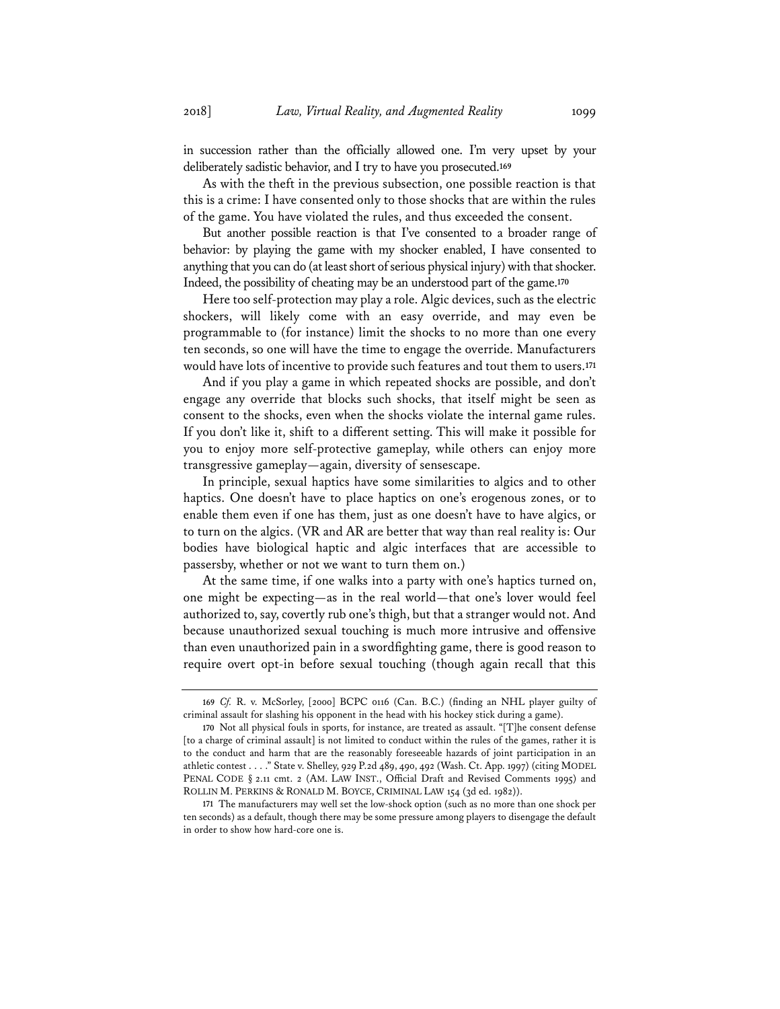in succession rather than the officially allowed one. I'm very upset by your deliberately sadistic behavior, and I try to have you prosecuted.**<sup>169</sup>**

As with the theft in the previous subsection, one possible reaction is that this is a crime: I have consented only to those shocks that are within the rules of the game. You have violated the rules, and thus exceeded the consent.

But another possible reaction is that I've consented to a broader range of behavior: by playing the game with my shocker enabled, I have consented to anything that you can do (at least short of serious physical injury) with that shocker. Indeed, the possibility of cheating may be an understood part of the game.**<sup>170</sup>**

Here too self-protection may play a role. Algic devices, such as the electric shockers, will likely come with an easy override, and may even be programmable to (for instance) limit the shocks to no more than one every ten seconds, so one will have the time to engage the override. Manufacturers would have lots of incentive to provide such features and tout them to users.**<sup>171</sup>**

And if you play a game in which repeated shocks are possible, and don't engage any override that blocks such shocks, that itself might be seen as consent to the shocks, even when the shocks violate the internal game rules. If you don't like it, shift to a different setting. This will make it possible for you to enjoy more self-protective gameplay, while others can enjoy more transgressive gameplay—again, diversity of sensescape.

In principle, sexual haptics have some similarities to algics and to other haptics. One doesn't have to place haptics on one's erogenous zones, or to enable them even if one has them, just as one doesn't have to have algics, or to turn on the algics. (VR and AR are better that way than real reality is: Our bodies have biological haptic and algic interfaces that are accessible to passersby, whether or not we want to turn them on.)

At the same time, if one walks into a party with one's haptics turned on, one might be expecting—as in the real world—that one's lover would feel authorized to, say, covertly rub one's thigh, but that a stranger would not. And because unauthorized sexual touching is much more intrusive and offensive than even unauthorized pain in a swordfighting game, there is good reason to require overt opt-in before sexual touching (though again recall that this

**<sup>169</sup>** *Cf.* R. v. McSorley, [2000] BCPC 0116 (Can. B.C.) (finding an NHL player guilty of criminal assault for slashing his opponent in the head with his hockey stick during a game).

**<sup>170</sup>** Not all physical fouls in sports, for instance, are treated as assault. "[T]he consent defense [to a charge of criminal assault] is not limited to conduct within the rules of the games, rather it is to the conduct and harm that are the reasonably foreseeable hazards of joint participation in an athletic contest . . . ." State v. Shelley, 929 P.2d 489, 490, 492 (Wash. Ct. App. 1997) (citing MODEL PENAL CODE § 2.11 cmt. 2 (AM. LAW INST., Official Draft and Revised Comments 1995) and ROLLIN M. PERKINS & RONALD M. BOYCE, CRIMINAL LAW 154 (3d ed. 1982)).

**<sup>171</sup>** The manufacturers may well set the low-shock option (such as no more than one shock per ten seconds) as a default, though there may be some pressure among players to disengage the default in order to show how hard-core one is.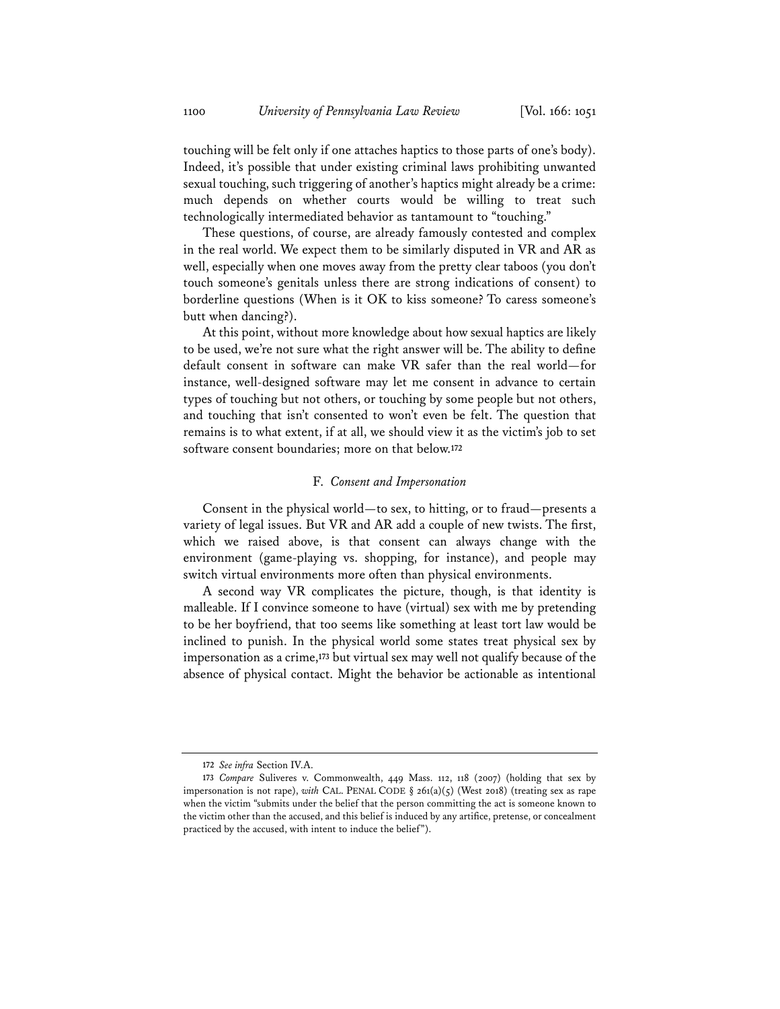touching will be felt only if one attaches haptics to those parts of one's body). Indeed, it's possible that under existing criminal laws prohibiting unwanted sexual touching, such triggering of another's haptics might already be a crime: much depends on whether courts would be willing to treat such technologically intermediated behavior as tantamount to "touching."

These questions, of course, are already famously contested and complex in the real world. We expect them to be similarly disputed in VR and AR as well, especially when one moves away from the pretty clear taboos (you don't touch someone's genitals unless there are strong indications of consent) to borderline questions (When is it OK to kiss someone? To caress someone's butt when dancing?).

At this point, without more knowledge about how sexual haptics are likely to be used, we're not sure what the right answer will be. The ability to define default consent in software can make VR safer than the real world—for instance, well-designed software may let me consent in advance to certain types of touching but not others, or touching by some people but not others, and touching that isn't consented to won't even be felt. The question that remains is to what extent, if at all, we should view it as the victim's job to set software consent boundaries; more on that below.**<sup>172</sup>**

## F. *Consent and Impersonation*

Consent in the physical world—to sex, to hitting, or to fraud—presents a variety of legal issues. But VR and AR add a couple of new twists. The first, which we raised above, is that consent can always change with the environment (game-playing vs. shopping, for instance), and people may switch virtual environments more often than physical environments.

A second way VR complicates the picture, though, is that identity is malleable. If I convince someone to have (virtual) sex with me by pretending to be her boyfriend, that too seems like something at least tort law would be inclined to punish. In the physical world some states treat physical sex by impersonation as a crime,**<sup>173</sup>** but virtual sex may well not qualify because of the absence of physical contact. Might the behavior be actionable as intentional

**<sup>172</sup>** *See infra* Section IV.A.

**<sup>173</sup>** *Compare* Suliveres v. Commonwealth, 449 Mass. 112, 118 (2007) (holding that sex by impersonation is not rape), *with* CAL. PENAL CODE § 261(a)(5) (West 2018) (treating sex as rape when the victim "submits under the belief that the person committing the act is someone known to the victim other than the accused, and this belief is induced by any artifice, pretense, or concealment practiced by the accused, with intent to induce the belief").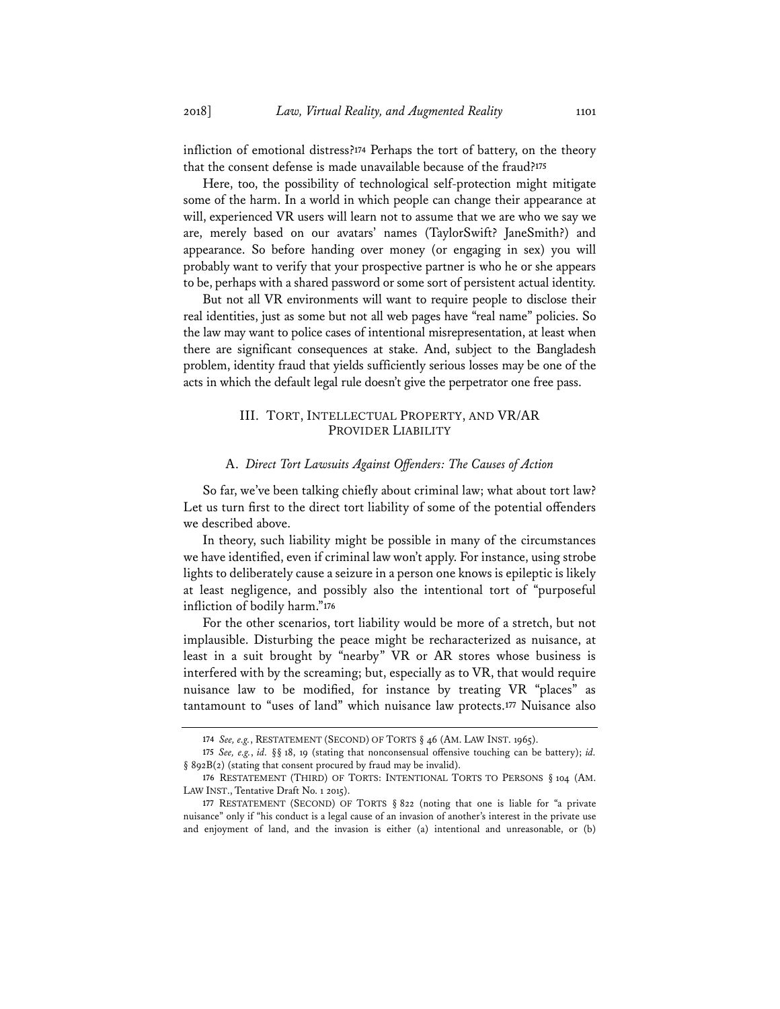infliction of emotional distress?**<sup>174</sup>** Perhaps the tort of battery, on the theory that the consent defense is made unavailable because of the fraud?**<sup>175</sup>**

Here, too, the possibility of technological self-protection might mitigate some of the harm. In a world in which people can change their appearance at will, experienced VR users will learn not to assume that we are who we say we are, merely based on our avatars' names (TaylorSwift? JaneSmith?) and appearance. So before handing over money (or engaging in sex) you will probably want to verify that your prospective partner is who he or she appears to be, perhaps with a shared password or some sort of persistent actual identity.

But not all VR environments will want to require people to disclose their real identities, just as some but not all web pages have "real name" policies. So the law may want to police cases of intentional misrepresentation, at least when there are significant consequences at stake. And, subject to the Bangladesh problem, identity fraud that yields sufficiently serious losses may be one of the acts in which the default legal rule doesn't give the perpetrator one free pass.

## III. TORT, INTELLECTUAL PROPERTY, AND VR/AR PROVIDER LIABILITY

## A. *Direct Tort Lawsuits Against Offenders: The Causes of Action*

So far, we've been talking chiefly about criminal law; what about tort law? Let us turn first to the direct tort liability of some of the potential offenders we described above.

In theory, such liability might be possible in many of the circumstances we have identified, even if criminal law won't apply. For instance, using strobe lights to deliberately cause a seizure in a person one knows is epileptic is likely at least negligence, and possibly also the intentional tort of "purposeful infliction of bodily harm."**<sup>176</sup>**

For the other scenarios, tort liability would be more of a stretch, but not implausible. Disturbing the peace might be recharacterized as nuisance, at least in a suit brought by "nearby" VR or AR stores whose business is interfered with by the screaming; but, especially as to VR, that would require nuisance law to be modified, for instance by treating VR "places" as tantamount to "uses of land" which nuisance law protects.**<sup>177</sup>** Nuisance also

**<sup>174</sup>** *See, e.g.*, RESTATEMENT (SECOND) OF TORTS § 46 (AM. LAW INST. 1965).

**<sup>175</sup>** *See, e.g.*, *id.* §§ 18, 19 (stating that nonconsensual offensive touching can be battery); *id.* § 892B(2) (stating that consent procured by fraud may be invalid).

**<sup>176</sup>** RESTATEMENT (THIRD) OF TORTS: INTENTIONAL TORTS TO PERSONS § 104 (AM. LAW INST., Tentative Draft No. 1 2015).

**<sup>177</sup>** RESTATEMENT (SECOND) OF TORTS § 822 (noting that one is liable for "a private nuisance" only if "his conduct is a legal cause of an invasion of another's interest in the private use and enjoyment of land, and the invasion is either (a) intentional and unreasonable, or (b)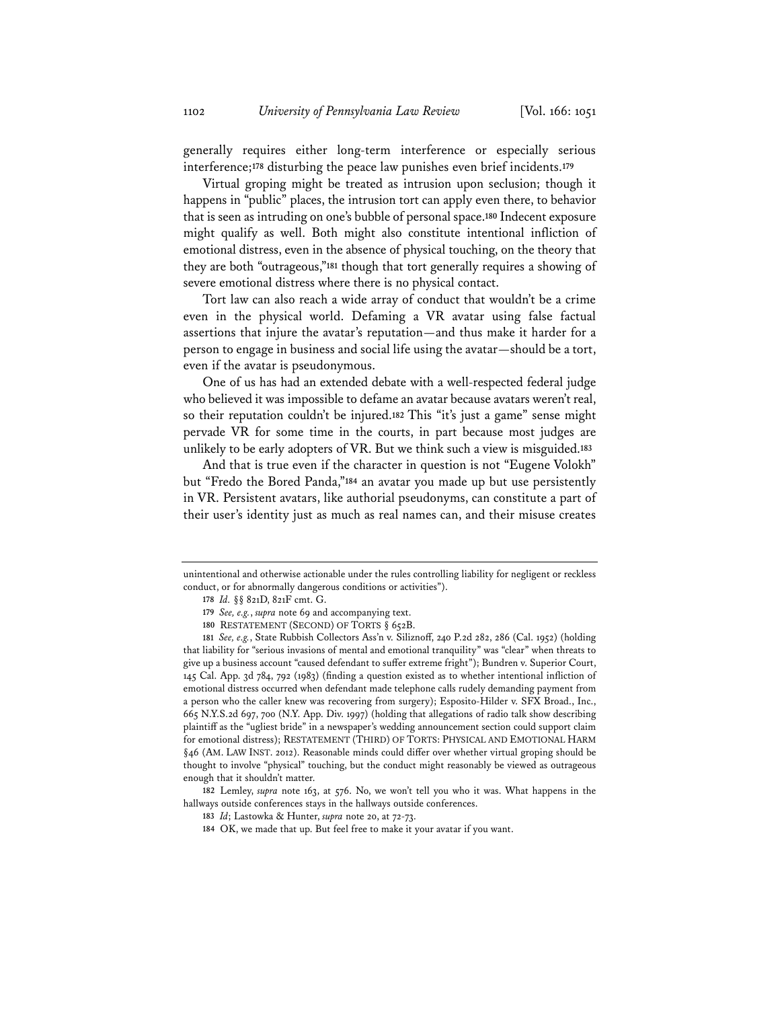generally requires either long-term interference or especially serious interference;**<sup>178</sup>** disturbing the peace law punishes even brief incidents.**<sup>179</sup>**

Virtual groping might be treated as intrusion upon seclusion; though it happens in "public" places, the intrusion tort can apply even there, to behavior that is seen as intruding on one's bubble of personal space.**<sup>180</sup>** Indecent exposure might qualify as well. Both might also constitute intentional infliction of emotional distress, even in the absence of physical touching, on the theory that they are both "outrageous,"**<sup>181</sup>** though that tort generally requires a showing of severe emotional distress where there is no physical contact.

Tort law can also reach a wide array of conduct that wouldn't be a crime even in the physical world. Defaming a VR avatar using false factual assertions that injure the avatar's reputation—and thus make it harder for a person to engage in business and social life using the avatar—should be a tort, even if the avatar is pseudonymous.

One of us has had an extended debate with a well-respected federal judge who believed it was impossible to defame an avatar because avatars weren't real, so their reputation couldn't be injured.**<sup>182</sup>** This "it's just a game" sense might pervade VR for some time in the courts, in part because most judges are unlikely to be early adopters of VR. But we think such a view is misguided.**<sup>183</sup>**

And that is true even if the character in question is not "Eugene Volokh" but "Fredo the Bored Panda,"**<sup>184</sup>** an avatar you made up but use persistently in VR. Persistent avatars, like authorial pseudonyms, can constitute a part of their user's identity just as much as real names can, and their misuse creates

unintentional and otherwise actionable under the rules controlling liability for negligent or reckless conduct, or for abnormally dangerous conditions or activities").

**<sup>178</sup>** *Id.* §§ 821D, 821F cmt. G.

**<sup>179</sup>** *See, e.g.*, *supra* note 69 and accompanying text.

<sup>180</sup> RESTATEMENT (SECOND) OF TORTS § 652B.

**<sup>181</sup>** *See, e.g.*, State Rubbish Collectors Ass'n v. Siliznoff, 240 P.2d 282, 286 (Cal. 1952) (holding that liability for "serious invasions of mental and emotional tranquility" was "clear" when threats to give up a business account "caused defendant to suffer extreme fright"); Bundren v. Superior Court, 145 Cal. App. 3d 784, 792 (1983) (finding a question existed as to whether intentional infliction of emotional distress occurred when defendant made telephone calls rudely demanding payment from a person who the caller knew was recovering from surgery); Esposito-Hilder v. SFX Broad., Inc., 665 N.Y.S.2d 697, 700 (N.Y. App. Div. 1997) (holding that allegations of radio talk show describing plaintiff as the "ugliest bride" in a newspaper's wedding announcement section could support claim for emotional distress); RESTATEMENT (THIRD) OF TORTS: PHYSICAL AND EMOTIONAL HARM §46 (AM. LAW INST. 2012). Reasonable minds could differ over whether virtual groping should be thought to involve "physical" touching, but the conduct might reasonably be viewed as outrageous enough that it shouldn't matter.

**<sup>182</sup>** Lemley, *supra* note 163, at 576. No, we won't tell you who it was. What happens in the hallways outside conferences stays in the hallways outside conferences.

**<sup>183</sup>** *Id*; Lastowka & Hunter, *supra* note 20, at 72-73.

**<sup>184</sup>** OK, we made that up. But feel free to make it your avatar if you want.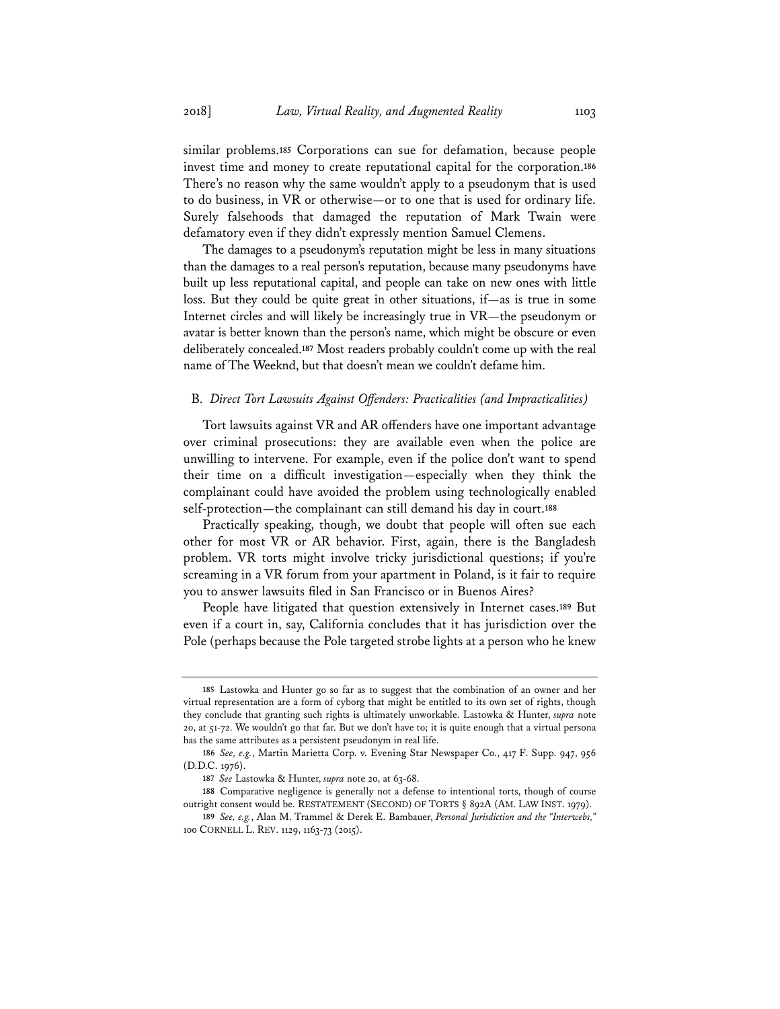similar problems.**<sup>185</sup>** Corporations can sue for defamation, because people invest time and money to create reputational capital for the corporation.**<sup>186</sup>** There's no reason why the same wouldn't apply to a pseudonym that is used to do business, in VR or otherwise—or to one that is used for ordinary life. Surely falsehoods that damaged the reputation of Mark Twain were defamatory even if they didn't expressly mention Samuel Clemens.

The damages to a pseudonym's reputation might be less in many situations than the damages to a real person's reputation, because many pseudonyms have built up less reputational capital, and people can take on new ones with little loss. But they could be quite great in other situations, if—as is true in some Internet circles and will likely be increasingly true in VR—the pseudonym or avatar is better known than the person's name, which might be obscure or even deliberately concealed.**<sup>187</sup>** Most readers probably couldn't come up with the real name of The Weeknd, but that doesn't mean we couldn't defame him.

## B. *Direct Tort Lawsuits Against Offenders: Practicalities (and Impracticalities)*

Tort lawsuits against VR and AR offenders have one important advantage over criminal prosecutions: they are available even when the police are unwilling to intervene. For example, even if the police don't want to spend their time on a difficult investigation—especially when they think the complainant could have avoided the problem using technologically enabled self-protection—the complainant can still demand his day in court.**<sup>188</sup>**

Practically speaking, though, we doubt that people will often sue each other for most VR or AR behavior. First, again, there is the Bangladesh problem. VR torts might involve tricky jurisdictional questions; if you're screaming in a VR forum from your apartment in Poland, is it fair to require you to answer lawsuits filed in San Francisco or in Buenos Aires?

People have litigated that question extensively in Internet cases.**<sup>189</sup>** But even if a court in, say, California concludes that it has jurisdiction over the Pole (perhaps because the Pole targeted strobe lights at a person who he knew

**<sup>185</sup>** Lastowka and Hunter go so far as to suggest that the combination of an owner and her virtual representation are a form of cyborg that might be entitled to its own set of rights, though they conclude that granting such rights is ultimately unworkable. Lastowka & Hunter, *supra* note 20, at 51-72. We wouldn't go that far. But we don't have to; it is quite enough that a virtual persona has the same attributes as a persistent pseudonym in real life.

**<sup>186</sup>** *See, e.g.*, Martin Marietta Corp. v. Evening Star Newspaper Co., 417 F. Supp. 947, 956 (D.D.C. 1976).

**<sup>187</sup>** *See* Lastowka & Hunter, *supra* note 20, at 63-68.

**<sup>188</sup>** Comparative negligence is generally not a defense to intentional torts, though of course outright consent would be. RESTATEMENT (SECOND) OF TORTS § 892A (AM. LAW INST. 1979).

**<sup>189</sup>** *See, e.g.*, Alan M. Trammel & Derek E. Bambauer, *Personal Jurisdiction and the "Interwebs,"* 100 CORNELL L. REV. 1129, 1163-73 (2015).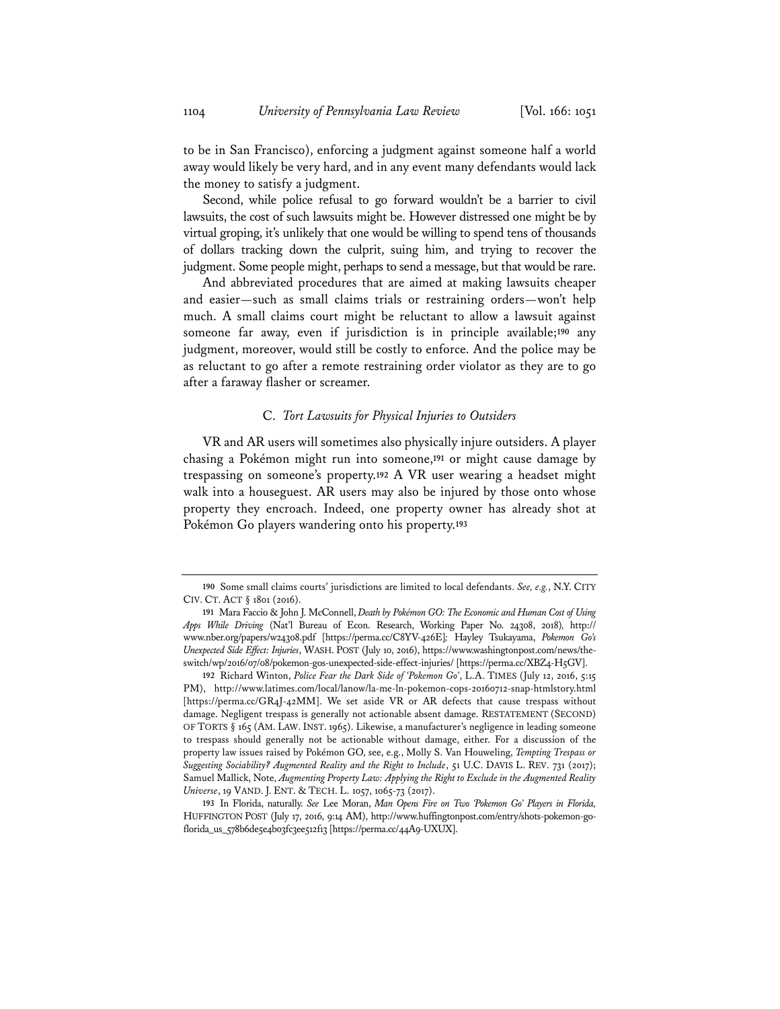to be in San Francisco), enforcing a judgment against someone half a world away would likely be very hard, and in any event many defendants would lack the money to satisfy a judgment.

Second, while police refusal to go forward wouldn't be a barrier to civil lawsuits, the cost of such lawsuits might be. However distressed one might be by virtual groping, it's unlikely that one would be willing to spend tens of thousands of dollars tracking down the culprit, suing him, and trying to recover the judgment. Some people might, perhaps to send a message, but that would be rare.

And abbreviated procedures that are aimed at making lawsuits cheaper and easier—such as small claims trials or restraining orders—won't help much. A small claims court might be reluctant to allow a lawsuit against someone far away, even if jurisdiction is in principle available;**<sup>190</sup>** any judgment, moreover, would still be costly to enforce. And the police may be as reluctant to go after a remote restraining order violator as they are to go after a faraway flasher or screamer.

## C. *Tort Lawsuits for Physical Injuries to Outsiders*

VR and AR users will sometimes also physically injure outsiders. A player chasing a Pokémon might run into someone,**<sup>191</sup>** or might cause damage by trespassing on someone's property.**<sup>192</sup>** A VR user wearing a headset might walk into a houseguest. AR users may also be injured by those onto whose property they encroach. Indeed, one property owner has already shot at Pokémon Go players wandering onto his property.**<sup>193</sup>**

**193** In Florida, naturally. *See* Lee Moran, *Man Opens Fire on Two 'Pokemon Go' Players in Florida,* HUFFINGTON POST (July 17, 2016, 9:14 AM), http://www.huffingtonpost.com/entry/shots-pokemon-goflorida\_us\_578b6de5e4b03fc3ee512f13 [https://perma.cc/44A9-UXUX].

**<sup>190</sup>** Some small claims courts' jurisdictions are limited to local defendants. *See, e.g.*, N.Y. CITY CIV. CT. ACT § 1801 (2016).

**<sup>191</sup>** Mara Faccio & John J. McConnell, *Death by Pokémon GO: The Economic and Human Cost of Using Apps While Driving* (Nat'l Bureau of Econ. Research, Working Paper No. 24308, 2018)*,* http:// www.nber.org/papers/w24308.pdf [https://perma.cc/C8YV-426E]*;* Hayley Tsukayama, *Pokemon Go's Unexpected Side Effect: Injuries*, WASH. POST (July 10, 2016), https://www.washingtonpost.com/news/theswitch/wp/2016/07/08/pokemon-gos-unexpected-side-effect-injuries/ [https://perma.cc/XBZ4-H5GV].

**<sup>192</sup>** Richard Winton, *Police Fear the Dark Side of 'Pokemon Go'*, L.A. TIMES (July 12, 2016, 5:15 PM), http://www.latimes.com/local/lanow/la-me-ln-pokemon-cops-20160712-snap-htmlstory.html [https://perma.cc/GR4J-42MM]. We set aside VR or AR defects that cause trespass without damage. Negligent trespass is generally not actionable absent damage. RESTATEMENT (SECOND) OF TORTS § 165 (AM. LAW. INST. 1965). Likewise, a manufacturer's negligence in leading someone to trespass should generally not be actionable without damage, either. For a discussion of the property law issues raised by Pokémon GO, see, e.g., Molly S. Van Houweling, *Tempting Trespass or Suggesting Sociability? Augmented Reality and the Right to Include*, 51 U.C. DAVIS L. REV. 731 (2017); Samuel Mallick, Note, *Augmenting Property Law: Applying the Right to Exclude in the Augmented Reality Universe*, 19 VAND. J. ENT. & TECH. L. 1057, 1065-73 (2017).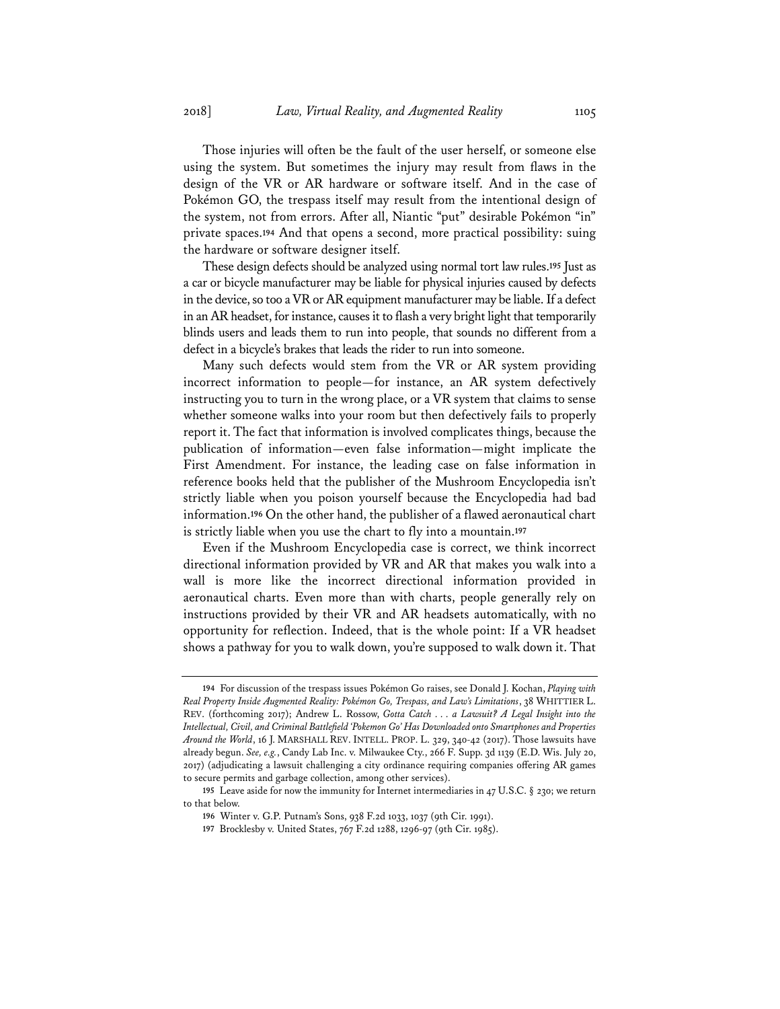Those injuries will often be the fault of the user herself, or someone else using the system. But sometimes the injury may result from flaws in the design of the VR or AR hardware or software itself. And in the case of Pokémon GO, the trespass itself may result from the intentional design of the system, not from errors. After all, Niantic "put" desirable Pokémon "in" private spaces.**<sup>194</sup>** And that opens a second, more practical possibility: suing the hardware or software designer itself.

These design defects should be analyzed using normal tort law rules.**<sup>195</sup>** Just as a car or bicycle manufacturer may be liable for physical injuries caused by defects in the device, so too a VR or AR equipment manufacturer may be liable. If a defect in an AR headset, for instance, causes it to flash a very bright light that temporarily blinds users and leads them to run into people, that sounds no different from a defect in a bicycle's brakes that leads the rider to run into someone.

Many such defects would stem from the VR or AR system providing incorrect information to people—for instance, an AR system defectively instructing you to turn in the wrong place, or a VR system that claims to sense whether someone walks into your room but then defectively fails to properly report it. The fact that information is involved complicates things, because the publication of information—even false information—might implicate the First Amendment. For instance, the leading case on false information in reference books held that the publisher of the Mushroom Encyclopedia isn't strictly liable when you poison yourself because the Encyclopedia had bad information.**<sup>196</sup>** On the other hand, the publisher of a flawed aeronautical chart is strictly liable when you use the chart to fly into a mountain.**<sup>197</sup>**

Even if the Mushroom Encyclopedia case is correct, we think incorrect directional information provided by VR and AR that makes you walk into a wall is more like the incorrect directional information provided in aeronautical charts. Even more than with charts, people generally rely on instructions provided by their VR and AR headsets automatically, with no opportunity for reflection. Indeed, that is the whole point: If a VR headset shows a pathway for you to walk down, you're supposed to walk down it. That

**<sup>194</sup>** For discussion of the trespass issues Pokémon Go raises, see Donald J. Kochan, *Playing with Real Property Inside Augmented Reality: Pokémon Go, Trespass, and Law's Limitations*, 38 WHITTIER L. REV. (forthcoming 2017); Andrew L. Rossow, *Gotta Catch . . . a Lawsuit? A Legal Insight into the Intellectual, Civil, and Criminal Battlefield 'Pokemon Go' Has Downloaded onto Smartphones and Properties Around the World*, 16 J. MARSHALL REV. INTELL. PROP. L. 329, 340-42 (2017). Those lawsuits have already begun. *See, e.g.*, Candy Lab Inc. v. Milwaukee Cty., 266 F. Supp. 3d 1139 (E.D. Wis. July 20, 2017) (adjudicating a lawsuit challenging a city ordinance requiring companies offering AR games to secure permits and garbage collection, among other services).

**<sup>195</sup>** Leave aside for now the immunity for Internet intermediaries in 47 U.S.C. § 230; we return to that below.

**<sup>196</sup>** Winter v. G.P. Putnam's Sons, 938 F.2d 1033, 1037 (9th Cir. 1991).

**<sup>197</sup>** Brocklesby v. United States, 767 F.2d 1288, 1296-97 (9th Cir. 1985).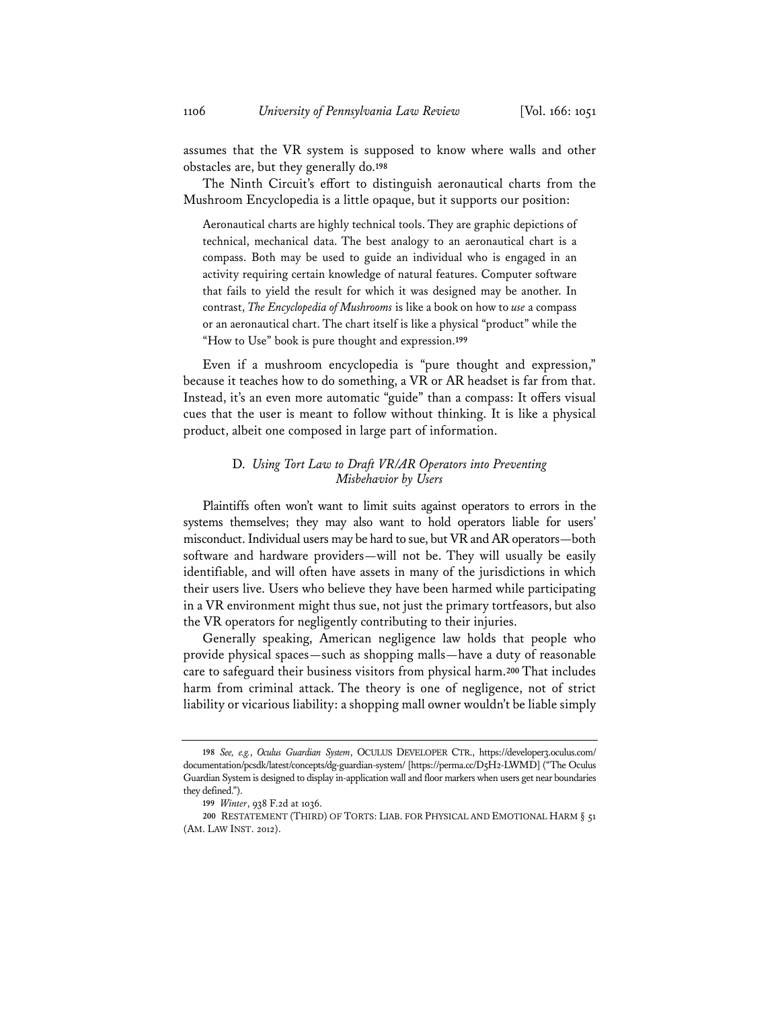assumes that the VR system is supposed to know where walls and other obstacles are, but they generally do.**<sup>198</sup>**

The Ninth Circuit's effort to distinguish aeronautical charts from the Mushroom Encyclopedia is a little opaque, but it supports our position:

Aeronautical charts are highly technical tools. They are graphic depictions of technical, mechanical data. The best analogy to an aeronautical chart is a compass. Both may be used to guide an individual who is engaged in an activity requiring certain knowledge of natural features. Computer software that fails to yield the result for which it was designed may be another. In contrast, *The Encyclopedia of Mushrooms* is like a book on how to *use* a compass or an aeronautical chart. The chart itself is like a physical "product" while the "How to Use" book is pure thought and expression.**<sup>199</sup>**

Even if a mushroom encyclopedia is "pure thought and expression," because it teaches how to do something, a VR or AR headset is far from that. Instead, it's an even more automatic "guide" than a compass: It offers visual cues that the user is meant to follow without thinking. It is like a physical product, albeit one composed in large part of information.

## D. *Using Tort Law to Draft VR/AR Operators into Preventing Misbehavior by Users*

Plaintiffs often won't want to limit suits against operators to errors in the systems themselves; they may also want to hold operators liable for users' misconduct. Individual users may be hard to sue, but VR and AR operators—both software and hardware providers—will not be. They will usually be easily identifiable, and will often have assets in many of the jurisdictions in which their users live. Users who believe they have been harmed while participating in a VR environment might thus sue, not just the primary tortfeasors, but also the VR operators for negligently contributing to their injuries.

Generally speaking, American negligence law holds that people who provide physical spaces—such as shopping malls—have a duty of reasonable care to safeguard their business visitors from physical harm.**<sup>200</sup>** That includes harm from criminal attack. The theory is one of negligence, not of strict liability or vicarious liability: a shopping mall owner wouldn't be liable simply

**<sup>198</sup>** *See, e.g.*, *Oculus Guardian System*, OCULUS DEVELOPER CTR., https://developer3.oculus.com/ documentation/pcsdk/latest/concepts/dg-guardian-system/ [https://perma.cc/D5H2-LWMD] ("The Oculus Guardian System is designed to display in-application wall and floor markers when users get near boundaries they defined.").

**<sup>199</sup>** *Winter*, 938 F.2d at 1036.

**<sup>200</sup>** RESTATEMENT (THIRD) OF TORTS: LIAB. FOR PHYSICAL AND EMOTIONAL HARM § 51 (AM. LAW INST. 2012).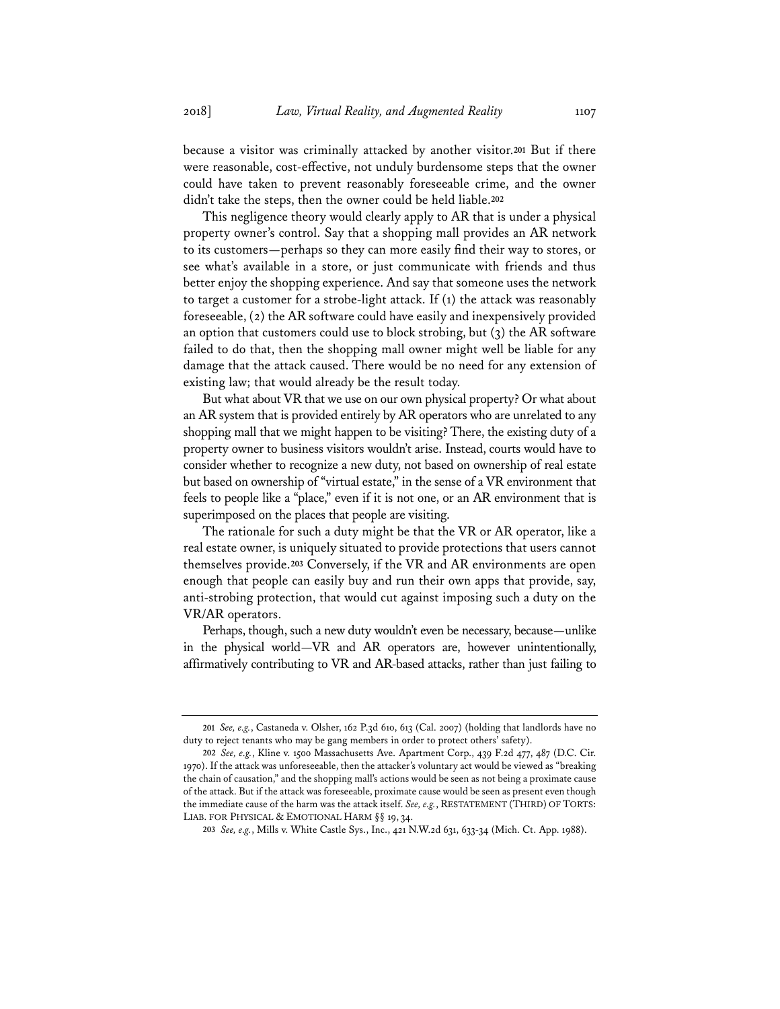because a visitor was criminally attacked by another visitor.**<sup>201</sup>** But if there were reasonable, cost-effective, not unduly burdensome steps that the owner could have taken to prevent reasonably foreseeable crime, and the owner didn't take the steps, then the owner could be held liable.**<sup>202</sup>**

This negligence theory would clearly apply to AR that is under a physical property owner's control. Say that a shopping mall provides an AR network to its customers—perhaps so they can more easily find their way to stores, or see what's available in a store, or just communicate with friends and thus better enjoy the shopping experience. And say that someone uses the network to target a customer for a strobe-light attack. If (1) the attack was reasonably foreseeable, (2) the AR software could have easily and inexpensively provided an option that customers could use to block strobing, but  $(3)$  the AR software failed to do that, then the shopping mall owner might well be liable for any damage that the attack caused. There would be no need for any extension of existing law; that would already be the result today.

But what about VR that we use on our own physical property? Or what about an AR system that is provided entirely by AR operators who are unrelated to any shopping mall that we might happen to be visiting? There, the existing duty of a property owner to business visitors wouldn't arise. Instead, courts would have to consider whether to recognize a new duty, not based on ownership of real estate but based on ownership of "virtual estate," in the sense of a VR environment that feels to people like a "place," even if it is not one, or an AR environment that is superimposed on the places that people are visiting.

The rationale for such a duty might be that the VR or AR operator, like a real estate owner, is uniquely situated to provide protections that users cannot themselves provide.**<sup>203</sup>** Conversely, if the VR and AR environments are open enough that people can easily buy and run their own apps that provide, say, anti-strobing protection, that would cut against imposing such a duty on the VR/AR operators.

Perhaps, though, such a new duty wouldn't even be necessary, because—unlike in the physical world—VR and AR operators are, however unintentionally, affirmatively contributing to VR and AR-based attacks, rather than just failing to

**<sup>201</sup>** *See, e.g.*, Castaneda v. Olsher, 162 P.3d 610, 613 (Cal. 2007) (holding that landlords have no duty to reject tenants who may be gang members in order to protect others' safety).

**<sup>202</sup>** *See, e.g.*, Kline v. 1500 Massachusetts Ave. Apartment Corp., 439 F.2d 477, 487 (D.C. Cir. 1970). If the attack was unforeseeable, then the attacker's voluntary act would be viewed as "breaking the chain of causation," and the shopping mall's actions would be seen as not being a proximate cause of the attack. But if the attack was foreseeable, proximate cause would be seen as present even though the immediate cause of the harm was the attack itself. *See, e.g.*, RESTATEMENT (THIRD) OF TORTS: LIAB. FOR PHYSICAL & EMOTIONAL HARM §§ 19, 34.

**<sup>203</sup>** *See, e.g.*, Mills v. White Castle Sys., Inc., 421 N.W.2d 631, 633-34 (Mich. Ct. App. 1988).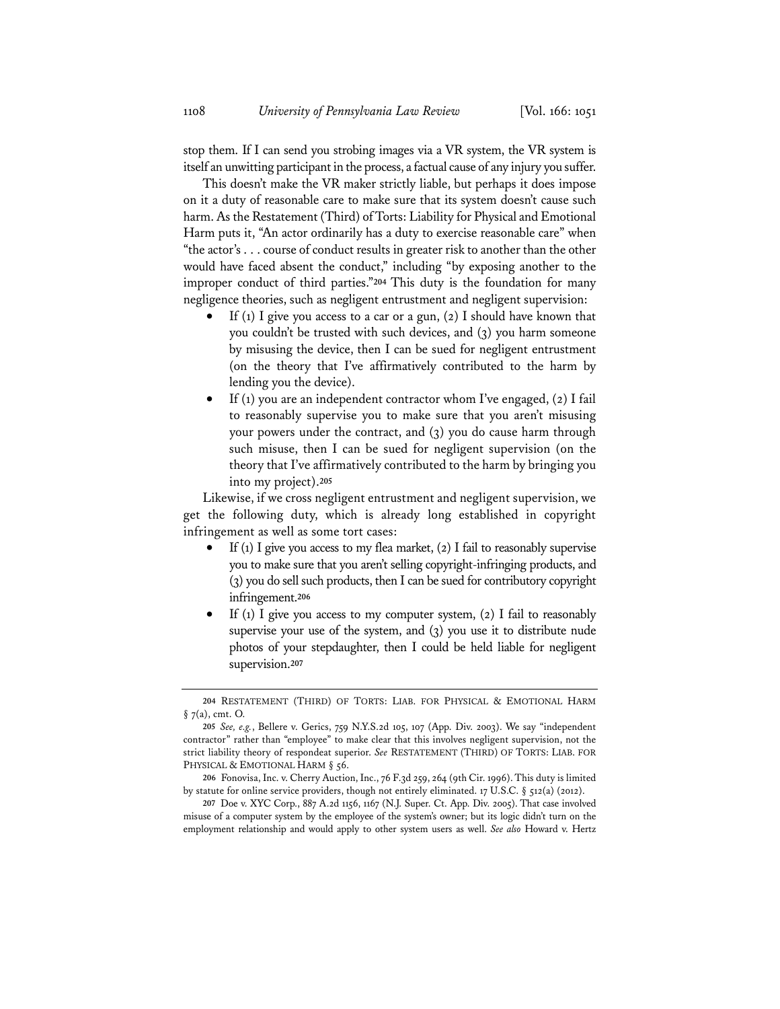stop them. If I can send you strobing images via a VR system, the VR system is itself an unwitting participant in the process, a factual cause of any injury you suffer.

This doesn't make the VR maker strictly liable, but perhaps it does impose on it a duty of reasonable care to make sure that its system doesn't cause such harm. As the Restatement (Third) of Torts: Liability for Physical and Emotional Harm puts it, "An actor ordinarily has a duty to exercise reasonable care" when "the actor's . . . course of conduct results in greater risk to another than the other would have faced absent the conduct," including "by exposing another to the improper conduct of third parties."**<sup>204</sup>** This duty is the foundation for many negligence theories, such as negligent entrustment and negligent supervision:

- If (1) I give you access to a car or a gun, (2) I should have known that you couldn't be trusted with such devices, and (3) you harm someone by misusing the device, then I can be sued for negligent entrustment (on the theory that I've affirmatively contributed to the harm by lending you the device).
- If (1) you are an independent contractor whom I've engaged,  $(2)$  I fail to reasonably supervise you to make sure that you aren't misusing your powers under the contract, and (3) you do cause harm through such misuse, then I can be sued for negligent supervision (on the theory that I've affirmatively contributed to the harm by bringing you into my project).**<sup>205</sup>**

Likewise, if we cross negligent entrustment and negligent supervision, we get the following duty, which is already long established in copyright infringement as well as some tort cases:

- If (1) I give you access to my flea market, (2) I fail to reasonably supervise you to make sure that you aren't selling copyright-infringing products, and (3) you do sell such products, then I can be sued for contributory copyright infringement.**<sup>206</sup>**
- If (1) I give you access to my computer system, (2) I fail to reasonably supervise your use of the system, and (3) you use it to distribute nude photos of your stepdaughter, then I could be held liable for negligent supervision.**<sup>207</sup>**

**<sup>204</sup>** RESTATEMENT (THIRD) OF TORTS: LIAB. FOR PHYSICAL & EMOTIONAL HARM  $\S$  7(a), cmt. O.

**<sup>205</sup>** *See, e.g.*, Bellere v. Gerics, 759 N.Y.S.2d 105, 107 (App. Div. 2003). We say "independent contractor" rather than "employee" to make clear that this involves negligent supervision, not the strict liability theory of respondeat superior. *See* RESTATEMENT (THIRD) OF TORTS: LIAB. FOR PHYSICAL & EMOTIONAL HARM § 56.

**<sup>206</sup>** Fonovisa, Inc. v. Cherry Auction, Inc., 76 F.3d 259, 264 (9th Cir. 1996). This duty is limited by statute for online service providers, though not entirely eliminated. 17 U.S.C. § 512(a) (2012).

**<sup>207</sup>** Doe v. XYC Corp., 887 A.2d 1156, 1167 (N.J. Super. Ct. App. Div. 2005). That case involved misuse of a computer system by the employee of the system's owner; but its logic didn't turn on the employment relationship and would apply to other system users as well. *See also* Howard v. Hertz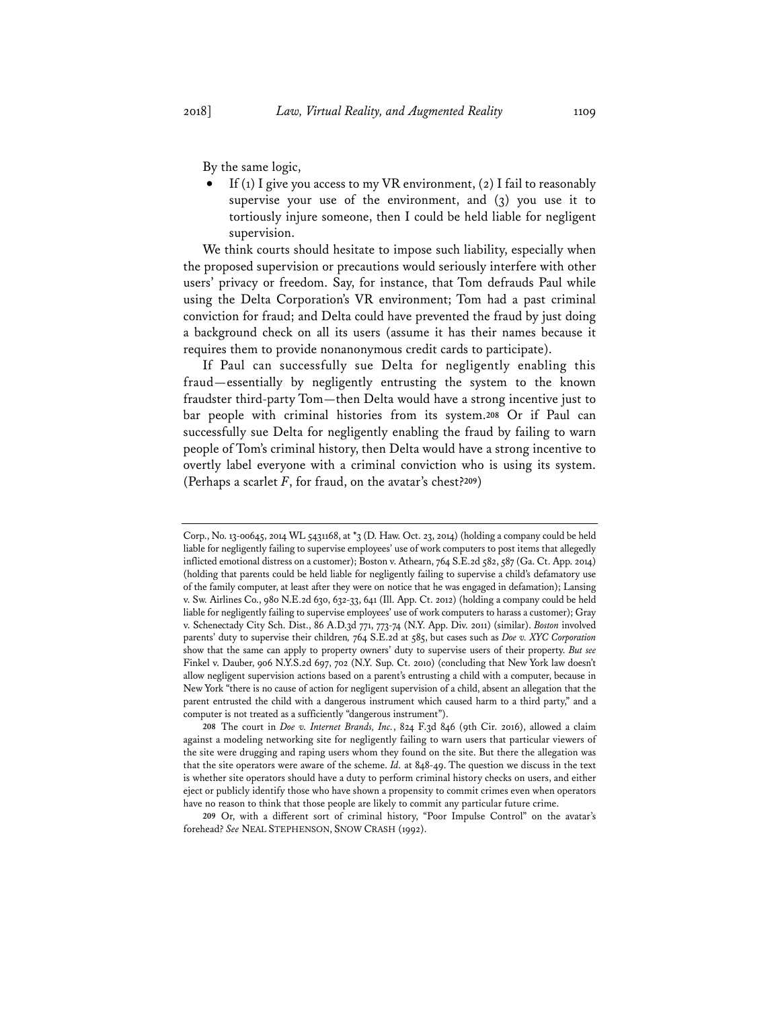By the same logic,

If (1) I give you access to my VR environment, (2) I fail to reasonably supervise your use of the environment, and (3) you use it to tortiously injure someone, then I could be held liable for negligent supervision.

We think courts should hesitate to impose such liability, especially when the proposed supervision or precautions would seriously interfere with other users' privacy or freedom. Say, for instance, that Tom defrauds Paul while using the Delta Corporation's VR environment; Tom had a past criminal conviction for fraud; and Delta could have prevented the fraud by just doing a background check on all its users (assume it has their names because it requires them to provide nonanonymous credit cards to participate).

If Paul can successfully sue Delta for negligently enabling this fraud—essentially by negligently entrusting the system to the known fraudster third-party Tom—then Delta would have a strong incentive just to bar people with criminal histories from its system.**<sup>208</sup>** Or if Paul can successfully sue Delta for negligently enabling the fraud by failing to warn people of Tom's criminal history, then Delta would have a strong incentive to overtly label everyone with a criminal conviction who is using its system. (Perhaps a scarlet *F*, for fraud, on the avatar's chest?**<sup>209</sup>**)

**209** Or, with a different sort of criminal history, "Poor Impulse Control" on the avatar's forehead? *See* NEAL STEPHENSON, SNOW CRASH (1992).

Corp., No. 13-00645, 2014 WL 5431168, at \*3 (D. Haw. Oct. 23, 2014) (holding a company could be held liable for negligently failing to supervise employees' use of work computers to post items that allegedly inflicted emotional distress on a customer); Boston v. Athearn, 764 S.E.2d 582, 587 (Ga. Ct. App. 2014) (holding that parents could be held liable for negligently failing to supervise a child's defamatory use of the family computer, at least after they were on notice that he was engaged in defamation); Lansing v. Sw. Airlines Co., 980 N.E.2d 630, 632-33, 641 (Ill. App. Ct. 2012) (holding a company could be held liable for negligently failing to supervise employees' use of work computers to harass a customer); Gray v. Schenectady City Sch. Dist., 86 A.D.3d 771, 773-74 (N.Y. App. Div. 2011) (similar). *Boston* involved parents' duty to supervise their children*,* 764 S.E.2d at 585, but cases such as *Doe v. XYC Corporation* show that the same can apply to property owners' duty to supervise users of their property. *But see* Finkel v. Dauber, 906 N.Y.S.2d 697, 702 (N.Y. Sup. Ct. 2010) (concluding that New York law doesn't allow negligent supervision actions based on a parent's entrusting a child with a computer, because in New York "there is no cause of action for negligent supervision of a child, absent an allegation that the parent entrusted the child with a dangerous instrument which caused harm to a third party," and a computer is not treated as a sufficiently "dangerous instrument").

**<sup>208</sup>** The court in *Doe v. Internet Brands, Inc.*, 824 F.3d 846 (9th Cir. 2016), allowed a claim against a modeling networking site for negligently failing to warn users that particular viewers of the site were drugging and raping users whom they found on the site. But there the allegation was that the site operators were aware of the scheme. *Id.* at 848-49. The question we discuss in the text is whether site operators should have a duty to perform criminal history checks on users, and either eject or publicly identify those who have shown a propensity to commit crimes even when operators have no reason to think that those people are likely to commit any particular future crime.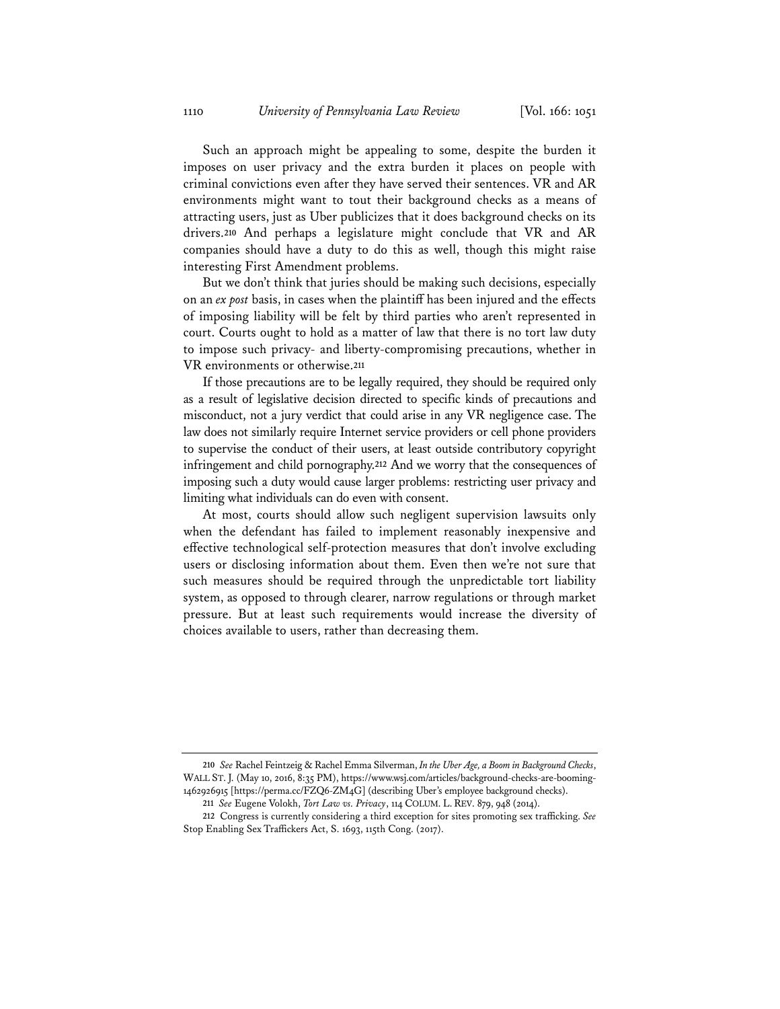Such an approach might be appealing to some, despite the burden it imposes on user privacy and the extra burden it places on people with criminal convictions even after they have served their sentences. VR and AR environments might want to tout their background checks as a means of attracting users, just as Uber publicizes that it does background checks on its drivers.**<sup>210</sup>** And perhaps a legislature might conclude that VR and AR companies should have a duty to do this as well, though this might raise interesting First Amendment problems.

But we don't think that juries should be making such decisions, especially on an *ex post* basis, in cases when the plaintiff has been injured and the effects of imposing liability will be felt by third parties who aren't represented in court. Courts ought to hold as a matter of law that there is no tort law duty to impose such privacy- and liberty-compromising precautions, whether in VR environments or otherwise.**<sup>211</sup>**

If those precautions are to be legally required, they should be required only as a result of legislative decision directed to specific kinds of precautions and misconduct, not a jury verdict that could arise in any VR negligence case. The law does not similarly require Internet service providers or cell phone providers to supervise the conduct of their users, at least outside contributory copyright infringement and child pornography.**<sup>212</sup>** And we worry that the consequences of imposing such a duty would cause larger problems: restricting user privacy and limiting what individuals can do even with consent.

At most, courts should allow such negligent supervision lawsuits only when the defendant has failed to implement reasonably inexpensive and effective technological self-protection measures that don't involve excluding users or disclosing information about them. Even then we're not sure that such measures should be required through the unpredictable tort liability system, as opposed to through clearer, narrow regulations or through market pressure. But at least such requirements would increase the diversity of choices available to users, rather than decreasing them.

**<sup>210</sup>** *See* Rachel Feintzeig & Rachel Emma Silverman, *In the Uber Age, a Boom in Background Checks*, WALL ST. J. (May 10, 2016, 8:35 PM), https://www.wsj.com/articles/background-checks-are-booming-1462926915 [https://perma.cc/FZQ6-ZM4G] (describing Uber's employee background checks).

**<sup>211</sup>** *See* Eugene Volokh, *Tort Law vs. Privacy*, 114 COLUM. L. REV. 879, 948 (2014).

**<sup>212</sup>** Congress is currently considering a third exception for sites promoting sex trafficking. *See* Stop Enabling Sex Traffickers Act, S. 1693, 115th Cong. (2017).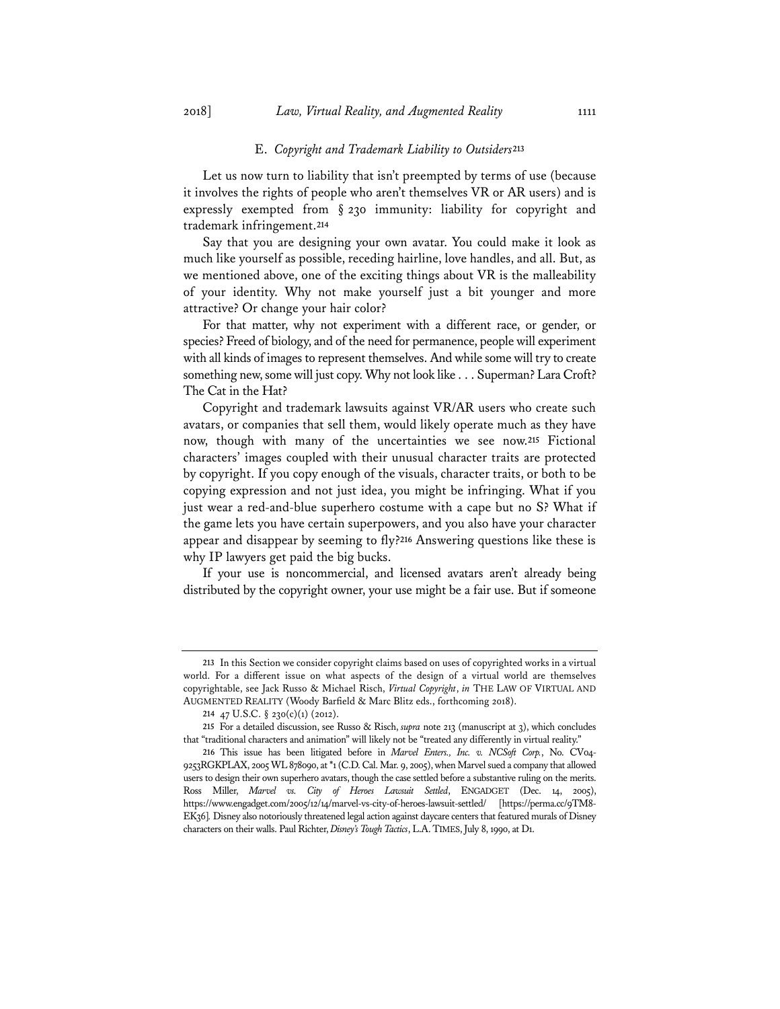#### E. *Copyright and Trademark Liability to Outsiders***<sup>213</sup>**

Let us now turn to liability that isn't preempted by terms of use (because it involves the rights of people who aren't themselves VR or AR users) and is expressly exempted from § 230 immunity: liability for copyright and trademark infringement.**<sup>214</sup>**

Say that you are designing your own avatar. You could make it look as much like yourself as possible, receding hairline, love handles, and all. But, as we mentioned above, one of the exciting things about VR is the malleability of your identity. Why not make yourself just a bit younger and more attractive? Or change your hair color?

For that matter, why not experiment with a different race, or gender, or species? Freed of biology, and of the need for permanence, people will experiment with all kinds of images to represent themselves. And while some will try to create something new, some will just copy. Why not look like . . . Superman? Lara Croft? The Cat in the Hat?

Copyright and trademark lawsuits against VR/AR users who create such avatars, or companies that sell them, would likely operate much as they have now, though with many of the uncertainties we see now.**<sup>215</sup>** Fictional characters' images coupled with their unusual character traits are protected by copyright. If you copy enough of the visuals, character traits, or both to be copying expression and not just idea, you might be infringing. What if you just wear a red-and-blue superhero costume with a cape but no S? What if the game lets you have certain superpowers, and you also have your character appear and disappear by seeming to fly?**<sup>216</sup>** Answering questions like these is why IP lawyers get paid the big bucks.

If your use is noncommercial, and licensed avatars aren't already being distributed by the copyright owner, your use might be a fair use. But if someone

**<sup>213</sup>** In this Section we consider copyright claims based on uses of copyrighted works in a virtual world. For a different issue on what aspects of the design of a virtual world are themselves copyrightable, see Jack Russo & Michael Risch, *Virtual Copyright*, *in* THE LAW OF VIRTUAL AND AUGMENTED REALITY (Woody Barfield & Marc Blitz eds., forthcoming 2018).

**<sup>214</sup>** 47 U.S.C. § 230(c)(1) (2012).

**<sup>215</sup>** For a detailed discussion, see Russo & Risch, *supra* note 213 (manuscript at 3), which concludes that "traditional characters and animation" will likely not be "treated any differently in virtual reality."

**<sup>216</sup>** This issue has been litigated before in *Marvel Enters., Inc. v. NCSoft Corp.*, No. CV04- 9253RGKPLAX, 2005 WL 878090, at \*1 (C.D. Cal. Mar. 9, 2005), when Marvel sued a company that allowed users to design their own superhero avatars, though the case settled before a substantive ruling on the merits. Ross Miller, *Marvel vs. City of Heroes Lawsuit Settled*, ENGADGET (Dec. 14, 2005), https://www.engadget.com/2005/12/14/marvel-vs-city-of-heroes-lawsuit-settled/ [https://perma.cc/9TM8- EK36]*.* Disney also notoriously threatened legal action against daycare centers that featured murals of Disney characters on their walls. Paul Richter, *Disney's Tough Tactics*, L.A.TIMES, July 8, 1990, at D1.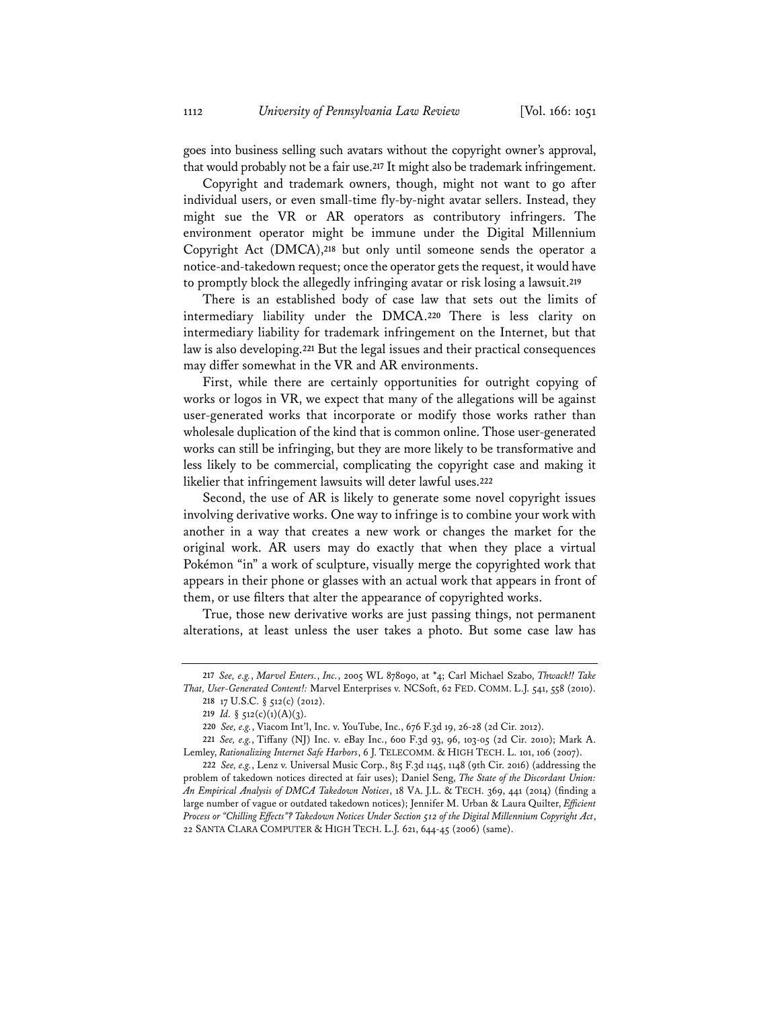goes into business selling such avatars without the copyright owner's approval, that would probably not be a fair use.**<sup>217</sup>** It might also be trademark infringement.

Copyright and trademark owners, though, might not want to go after individual users, or even small-time fly-by-night avatar sellers. Instead, they might sue the VR or AR operators as contributory infringers. The environment operator might be immune under the Digital Millennium Copyright Act (DMCA),**<sup>218</sup>** but only until someone sends the operator a notice-and-takedown request; once the operator gets the request, it would have to promptly block the allegedly infringing avatar or risk losing a lawsuit.**<sup>219</sup>**

There is an established body of case law that sets out the limits of intermediary liability under the DMCA.**<sup>220</sup>** There is less clarity on intermediary liability for trademark infringement on the Internet, but that law is also developing.**<sup>221</sup>** But the legal issues and their practical consequences may differ somewhat in the VR and AR environments.

First, while there are certainly opportunities for outright copying of works or logos in VR, we expect that many of the allegations will be against user-generated works that incorporate or modify those works rather than wholesale duplication of the kind that is common online. Those user-generated works can still be infringing, but they are more likely to be transformative and less likely to be commercial, complicating the copyright case and making it likelier that infringement lawsuits will deter lawful uses.**<sup>222</sup>**

Second, the use of AR is likely to generate some novel copyright issues involving derivative works. One way to infringe is to combine your work with another in a way that creates a new work or changes the market for the original work. AR users may do exactly that when they place a virtual Pokémon "in" a work of sculpture, visually merge the copyrighted work that appears in their phone or glasses with an actual work that appears in front of them, or use filters that alter the appearance of copyrighted works.

True, those new derivative works are just passing things, not permanent alterations, at least unless the user takes a photo. But some case law has

**<sup>217</sup>** *See, e.g.*, *Marvel Enters.*, *Inc.*, 2005 WL 878090, at \*4; Carl Michael Szabo, *Thwack!! Take That, User-Generated Content!:* Marvel Enterprises v. NCSoft, 62 FED. COMM. L.J. 541, 558 (2010). **218** 17 U.S.C. § 512(c) (2012).

**<sup>219</sup>** *Id.* § 512(c)(1)(A)(3).

**<sup>220</sup>** *See, e.g.*, Viacom Int'l, Inc. v. YouTube, Inc., 676 F.3d 19, 26-28 (2d Cir. 2012).

**<sup>221</sup>** *See, e.g.*, Tiffany (NJ) Inc. v. eBay Inc., 600 F.3d 93, 96, 103-05 (2d Cir. 2010); Mark A. Lemley, *Rationalizing Internet Safe Harbors*, 6 J. TELECOMM. & HIGH TECH. L. 101, 106 (2007).

**<sup>222</sup>** *See, e.g.*, Lenz v. Universal Music Corp., 815 F.3d 1145, 1148 (9th Cir. 2016) (addressing the problem of takedown notices directed at fair uses); Daniel Seng, *The State of the Discordant Union: An Empirical Analysis of DMCA Takedown Notices*, 18 VA. J.L. & TECH. 369, 441 (2014) (finding a large number of vague or outdated takedown notices); Jennifer M. Urban & Laura Quilter, *Efficient Process or "Chilling Effects"? Takedown Notices Under Section 512 of the Digital Millennium Copyright Act*, 22 SANTA CLARA COMPUTER & HIGH TECH. L.J. 621, 644-45 (2006) (same).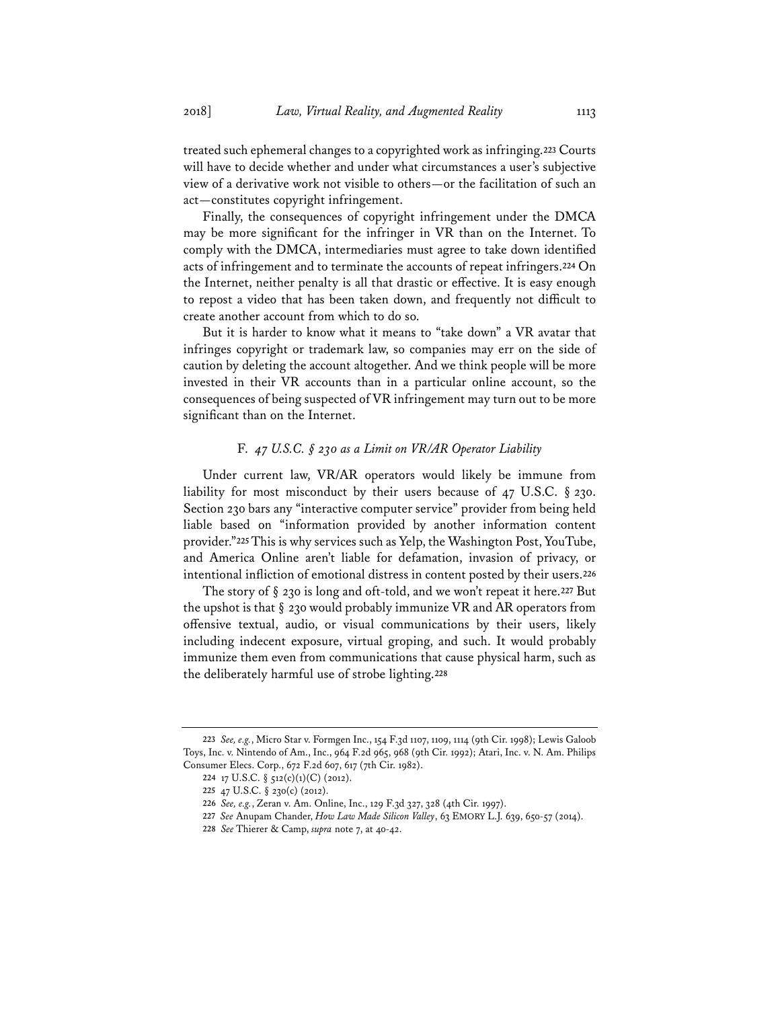treated such ephemeral changes to a copyrighted work as infringing.**<sup>223</sup>** Courts will have to decide whether and under what circumstances a user's subjective view of a derivative work not visible to others—or the facilitation of such an act—constitutes copyright infringement.

Finally, the consequences of copyright infringement under the DMCA may be more significant for the infringer in VR than on the Internet. To comply with the DMCA, intermediaries must agree to take down identified acts of infringement and to terminate the accounts of repeat infringers.**<sup>224</sup>** On the Internet, neither penalty is all that drastic or effective. It is easy enough to repost a video that has been taken down, and frequently not difficult to create another account from which to do so.

But it is harder to know what it means to "take down" a VR avatar that infringes copyright or trademark law, so companies may err on the side of caution by deleting the account altogether. And we think people will be more invested in their VR accounts than in a particular online account, so the consequences of being suspected of VR infringement may turn out to be more significant than on the Internet.

## F. *47 U.S.C. § 230 as a Limit on VR/AR Operator Liability*

Under current law, VR/AR operators would likely be immune from liability for most misconduct by their users because of 47 U.S.C. § 230. Section 230 bars any "interactive computer service" provider from being held liable based on "information provided by another information content provider."**<sup>225</sup>** This is why services such as Yelp, the Washington Post, YouTube, and America Online aren't liable for defamation, invasion of privacy, or intentional infliction of emotional distress in content posted by their users.**<sup>226</sup>**

The story of § 230 is long and oft-told, and we won't repeat it here.**<sup>227</sup>** But the upshot is that  $\S$  230 would probably immunize VR and AR operators from offensive textual, audio, or visual communications by their users, likely including indecent exposure, virtual groping, and such. It would probably immunize them even from communications that cause physical harm, such as the deliberately harmful use of strobe lighting.**<sup>228</sup>**

**<sup>223</sup>** *See, e.g.*, Micro Star v. Formgen Inc., 154 F.3d 1107, 1109, 1114 (9th Cir. 1998); Lewis Galoob Toys, Inc. v. Nintendo of Am., Inc., 964 F.2d 965, 968 (9th Cir. 1992); Atari, Inc. v. N. Am. Philips Consumer Elecs. Corp., 672 F.2d 607, 617 (7th Cir. 1982).

**<sup>224</sup>** 17 U.S.C. § 512(c)(1)(C) (2012).

**<sup>225</sup>** 47 U.S.C. § 230(c) (2012).

**<sup>226</sup>** *See, e.g.*, Zeran v. Am. Online, Inc., 129 F.3d 327, 328 (4th Cir. 1997).

**<sup>227</sup>** *See* Anupam Chander, *How Law Made Silicon Valley*, 63 EMORY L.J. 639, 650-57 (2014).

**<sup>228</sup>** *See* Thierer & Camp, *supra* note 7, at 40-42.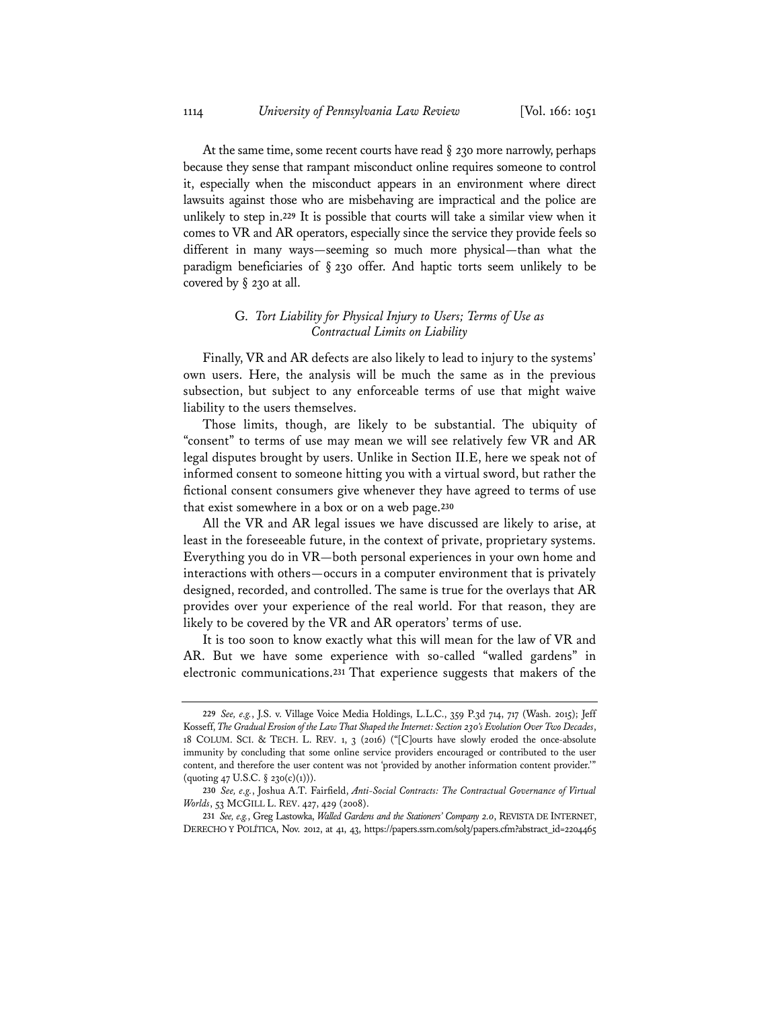At the same time, some recent courts have read  $\S$  230 more narrowly, perhaps because they sense that rampant misconduct online requires someone to control it, especially when the misconduct appears in an environment where direct lawsuits against those who are misbehaving are impractical and the police are unlikely to step in.**<sup>229</sup>** It is possible that courts will take a similar view when it comes to VR and AR operators, especially since the service they provide feels so different in many ways—seeming so much more physical—than what the paradigm beneficiaries of § 230 offer. And haptic torts seem unlikely to be covered by  $\S$  230 at all.

## G. *Tort Liability for Physical Injury to Users; Terms of Use as Contractual Limits on Liability*

Finally, VR and AR defects are also likely to lead to injury to the systems' own users. Here, the analysis will be much the same as in the previous subsection, but subject to any enforceable terms of use that might waive liability to the users themselves.

Those limits, though, are likely to be substantial. The ubiquity of "consent" to terms of use may mean we will see relatively few VR and AR legal disputes brought by users. Unlike in Section II.E, here we speak not of informed consent to someone hitting you with a virtual sword, but rather the fictional consent consumers give whenever they have agreed to terms of use that exist somewhere in a box or on a web page.**<sup>230</sup>**

All the VR and AR legal issues we have discussed are likely to arise, at least in the foreseeable future, in the context of private, proprietary systems. Everything you do in VR—both personal experiences in your own home and interactions with others—occurs in a computer environment that is privately designed, recorded, and controlled. The same is true for the overlays that AR provides over your experience of the real world. For that reason, they are likely to be covered by the VR and AR operators' terms of use.

It is too soon to know exactly what this will mean for the law of VR and AR. But we have some experience with so-called "walled gardens" in electronic communications.**<sup>231</sup>** That experience suggests that makers of the

**<sup>229</sup>** *See, e.g.*, J.S. v. Village Voice Media Holdings, L.L.C., 359 P.3d 714, 717 (Wash. 2015); Jeff Kosseff, *The Gradual Erosion of the Law That Shaped the Internet: Section 230's Evolution Over Two Decades*, 18 COLUM. SCI. & TECH. L. REV. 1, 3 (2016) ("[C]ourts have slowly eroded the once-absolute immunity by concluding that some online service providers encouraged or contributed to the user content, and therefore the user content was not 'provided by another information content provider.'" (quoting 47 U.S.C.  $\S$  230(c)(1))).

**<sup>230</sup>** *See, e.g.*, Joshua A.T. Fairfield, *Anti-Social Contracts: The Contractual Governance of Virtual Worlds*, 53 MCGILL L. REV. 427, 429 (2008).

**<sup>231</sup>** *See, e.g.*, Greg Lastowka, *Walled Gardens and the Stationers' Company 2.0*, REVISTA DE INTERNET, DERECHO Y POLÍTICA, Nov. 2012, at 41, 43, https://papers.ssrn.com/sol3/papers.cfm?abstract\_id=2204465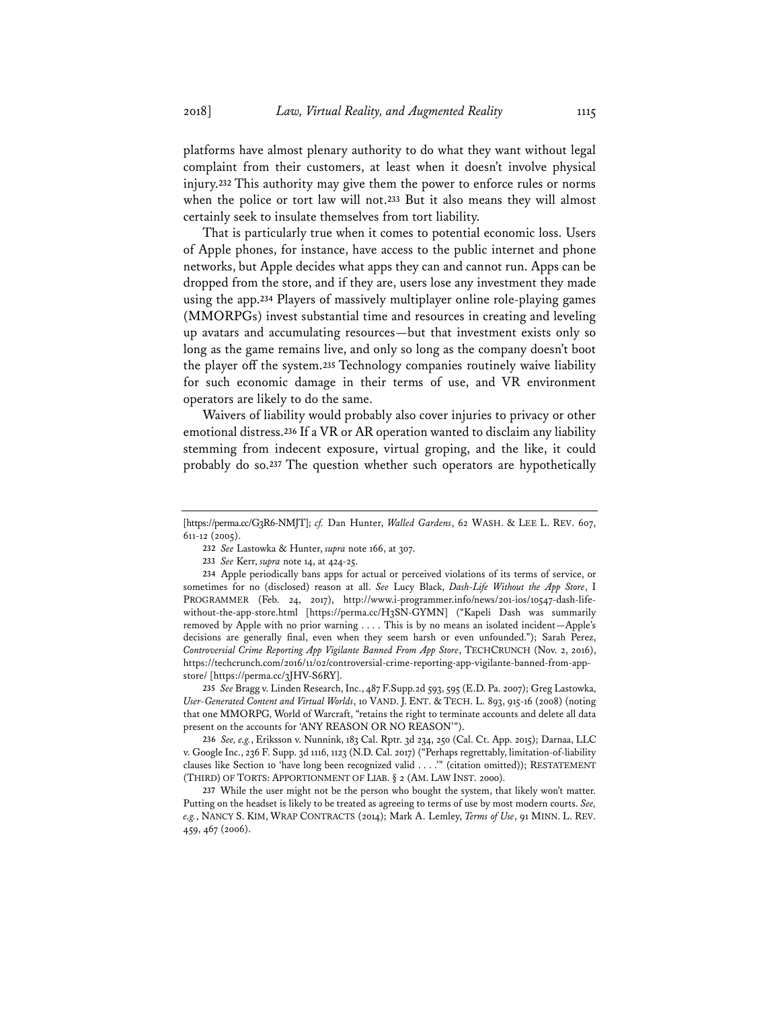platforms have almost plenary authority to do what they want without legal complaint from their customers, at least when it doesn't involve physical injury.**<sup>232</sup>** This authority may give them the power to enforce rules or norms when the police or tort law will not.**<sup>233</sup>** But it also means they will almost certainly seek to insulate themselves from tort liability.

That is particularly true when it comes to potential economic loss. Users of Apple phones, for instance, have access to the public internet and phone networks, but Apple decides what apps they can and cannot run. Apps can be dropped from the store, and if they are, users lose any investment they made using the app.**<sup>234</sup>** Players of massively multiplayer online role-playing games (MMORPGs) invest substantial time and resources in creating and leveling up avatars and accumulating resources—but that investment exists only so long as the game remains live, and only so long as the company doesn't boot the player off the system.**<sup>235</sup>** Technology companies routinely waive liability for such economic damage in their terms of use, and VR environment operators are likely to do the same.

Waivers of liability would probably also cover injuries to privacy or other emotional distress.**<sup>236</sup>** If a VR or AR operation wanted to disclaim any liability stemming from indecent exposure, virtual groping, and the like, it could probably do so.**<sup>237</sup>** The question whether such operators are hypothetically

**235** *See* Bragg v. Linden Research, Inc., 487 F.Supp.2d 593, 595 (E.D. Pa. 2007); Greg Lastowka, *User-Generated Content and Virtual Worlds*, 10 VAND. J. ENT. & TECH. L. 893, 915-16 (2008) (noting that one MMORPG, World of Warcraft, "retains the right to terminate accounts and delete all data present on the accounts for 'ANY REASON OR NO REASON'").

**236** *See, e.g.*, Eriksson v. Nunnink, 183 Cal. Rptr. 3d 234, 250 (Cal. Ct. App. 2015); Darnaa, LLC v. Google Inc., 236 F. Supp. 3d 1116, 1123 (N.D. Cal. 2017) ("Perhaps regrettably, limitation-of-liability clauses like Section 10 'have long been recognized valid . . . .'" (citation omitted)); RESTATEMENT (THIRD) OF TORTS: APPORTIONMENT OF LIAB. § 2 (AM. LAW INST. 2000).

**237** While the user might not be the person who bought the system, that likely won't matter. Putting on the headset is likely to be treated as agreeing to terms of use by most modern courts. *See, e.g.*, NANCY S. KIM, WRAP CONTRACTS (2014); Mark A. Lemley, *Terms of Use*, 91 MINN. L. REV. 459, 467 (2006).

<sup>[</sup>https://perma.cc/G3R6-NMJT]; *cf.* Dan Hunter, *Walled Gardens*, 62 WASH. & LEE L. REV. 607,  $611-12$   $(2005)$ .

**<sup>232</sup>** *See* Lastowka & Hunter, *supra* note 166, at 307.

**<sup>233</sup>** *See* Kerr, *supra* note 14, at 424-25.

**<sup>234</sup>** Apple periodically bans apps for actual or perceived violations of its terms of service, or sometimes for no (disclosed) reason at all. *See* Lucy Black, *Dash-Life Without the App Store*, I PROGRAMMER (Feb. 24, 2017), http://www.i-programmer.info/news/201-ios/10547-dash-lifewithout-the-app-store.html [https://perma.cc/H3SN-GYMN] ("Kapeli Dash was summarily removed by Apple with no prior warning . . . . This is by no means an isolated incident—Apple's decisions are generally final, even when they seem harsh or even unfounded."); Sarah Perez, *Controversial Crime Reporting App Vigilante Banned From App Store*, TECHCRUNCH (Nov. 2, 2016), https://techcrunch.com/2016/11/02/controversial-crime-reporting-app-vigilante-banned-from-appstore/ [https://perma.cc/3JHV-S6RY].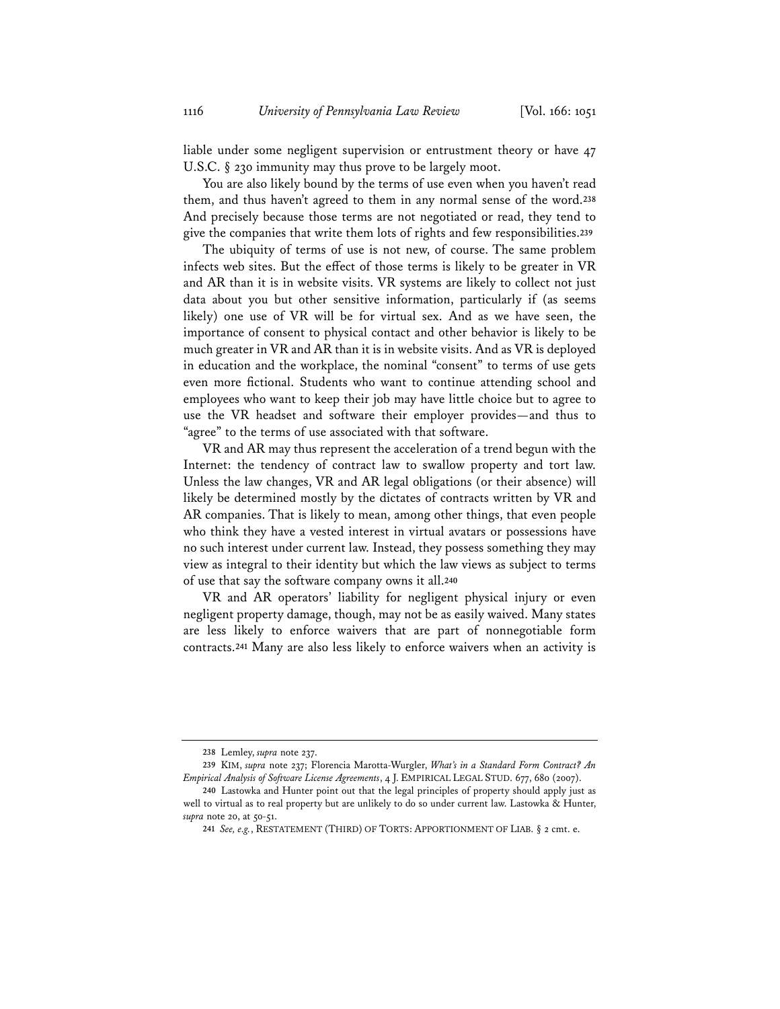liable under some negligent supervision or entrustment theory or have 47 U.S.C. § 230 immunity may thus prove to be largely moot.

You are also likely bound by the terms of use even when you haven't read them, and thus haven't agreed to them in any normal sense of the word.**<sup>238</sup>** And precisely because those terms are not negotiated or read, they tend to give the companies that write them lots of rights and few responsibilities.**<sup>239</sup>**

The ubiquity of terms of use is not new, of course. The same problem infects web sites. But the effect of those terms is likely to be greater in VR and AR than it is in website visits. VR systems are likely to collect not just data about you but other sensitive information, particularly if (as seems likely) one use of VR will be for virtual sex. And as we have seen, the importance of consent to physical contact and other behavior is likely to be much greater in VR and AR than it is in website visits. And as VR is deployed in education and the workplace, the nominal "consent" to terms of use gets even more fictional. Students who want to continue attending school and employees who want to keep their job may have little choice but to agree to use the VR headset and software their employer provides—and thus to "agree" to the terms of use associated with that software.

VR and AR may thus represent the acceleration of a trend begun with the Internet: the tendency of contract law to swallow property and tort law. Unless the law changes, VR and AR legal obligations (or their absence) will likely be determined mostly by the dictates of contracts written by VR and AR companies. That is likely to mean, among other things, that even people who think they have a vested interest in virtual avatars or possessions have no such interest under current law. Instead, they possess something they may view as integral to their identity but which the law views as subject to terms of use that say the software company owns it all.**<sup>240</sup>**

VR and AR operators' liability for negligent physical injury or even negligent property damage, though, may not be as easily waived. Many states are less likely to enforce waivers that are part of nonnegotiable form contracts.**<sup>241</sup>** Many are also less likely to enforce waivers when an activity is

**<sup>238</sup>** Lemley, *supra* note 237.

**<sup>239</sup>** KIM, *supra* note 237; Florencia Marotta-Wurgler, *What's in a Standard Form Contract? An Empirical Analysis of Software License Agreements*, 4 J. EMPIRICAL LEGAL STUD. 677, 680 (2007).

**<sup>240</sup>** Lastowka and Hunter point out that the legal principles of property should apply just as well to virtual as to real property but are unlikely to do so under current law. Lastowka & Hunter, *supra* note 20, at 50-51.

**<sup>241</sup>** *See, e.g.*, RESTATEMENT (THIRD) OF TORTS: APPORTIONMENT OF LIAB. § 2 cmt. e.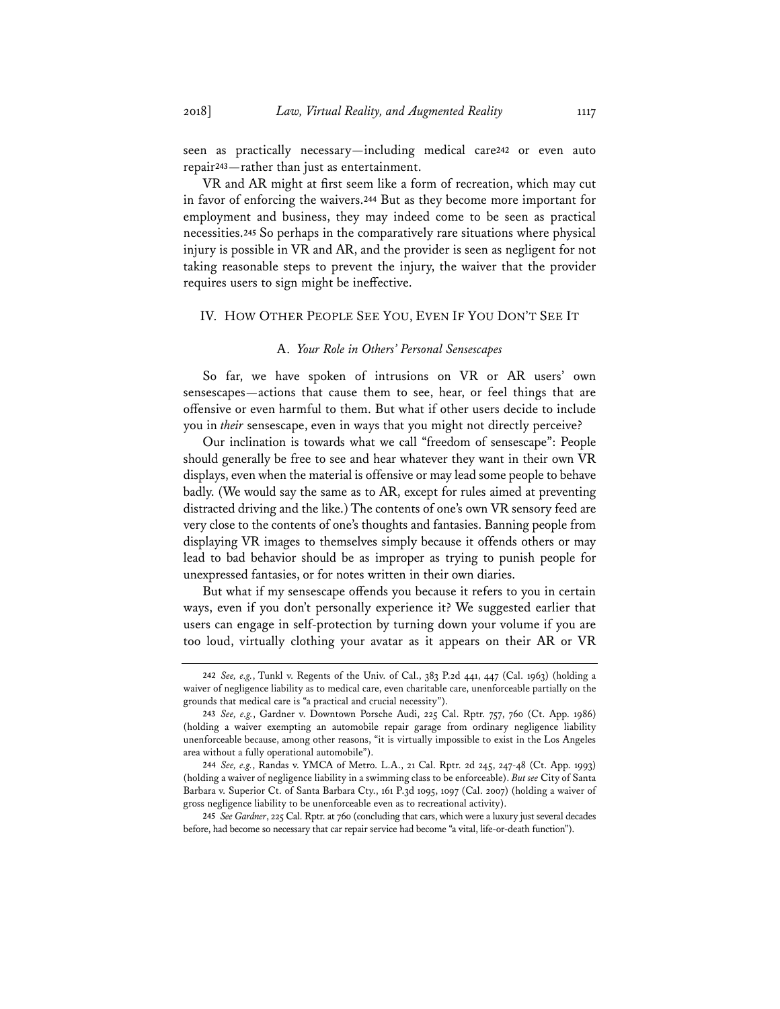seen as practically necessary—including medical care**<sup>242</sup>** or even auto repair**<sup>243</sup>**—rather than just as entertainment.

VR and AR might at first seem like a form of recreation, which may cut in favor of enforcing the waivers.**<sup>244</sup>** But as they become more important for employment and business, they may indeed come to be seen as practical necessities.**<sup>245</sup>** So perhaps in the comparatively rare situations where physical injury is possible in VR and AR, and the provider is seen as negligent for not taking reasonable steps to prevent the injury, the waiver that the provider requires users to sign might be ineffective.

#### IV. HOW OTHER PEOPLE SEE YOU, EVEN IF YOU DON'T SEE IT

#### A. *Your Role in Others' Personal Sensescapes*

So far, we have spoken of intrusions on VR or AR users' own sensescapes—actions that cause them to see, hear, or feel things that are offensive or even harmful to them. But what if other users decide to include you in *their* sensescape, even in ways that you might not directly perceive?

Our inclination is towards what we call "freedom of sensescape": People should generally be free to see and hear whatever they want in their own VR displays, even when the material is offensive or may lead some people to behave badly. (We would say the same as to AR, except for rules aimed at preventing distracted driving and the like.) The contents of one's own VR sensory feed are very close to the contents of one's thoughts and fantasies. Banning people from displaying VR images to themselves simply because it offends others or may lead to bad behavior should be as improper as trying to punish people for unexpressed fantasies, or for notes written in their own diaries.

But what if my sensescape offends you because it refers to you in certain ways, even if you don't personally experience it? We suggested earlier that users can engage in self-protection by turning down your volume if you are too loud, virtually clothing your avatar as it appears on their AR or VR

**<sup>242</sup>** *See, e.g.*, Tunkl v. Regents of the Univ. of Cal., 383 P.2d 441, 447 (Cal. 1963) (holding a waiver of negligence liability as to medical care, even charitable care, unenforceable partially on the grounds that medical care is "a practical and crucial necessity").

**<sup>243</sup>** *See, e.g.*, Gardner v. Downtown Porsche Audi, 225 Cal. Rptr. 757, 760 (Ct. App. 1986) (holding a waiver exempting an automobile repair garage from ordinary negligence liability unenforceable because, among other reasons, "it is virtually impossible to exist in the Los Angeles area without a fully operational automobile").

**<sup>244</sup>** *See, e.g.*, Randas v. YMCA of Metro. L.A., 21 Cal. Rptr. 2d 245, 247-48 (Ct. App. 1993) (holding a waiver of negligence liability in a swimming class to be enforceable). *But see* City of Santa Barbara v. Superior Ct. of Santa Barbara Cty., 161 P.3d 1095, 1097 (Cal. 2007) (holding a waiver of gross negligence liability to be unenforceable even as to recreational activity).

**<sup>245</sup>** *See Gardner*, 225 Cal. Rptr. at 760 (concluding that cars, which were a luxury just several decades before, had become so necessary that car repair service had become "a vital, life-or-death function").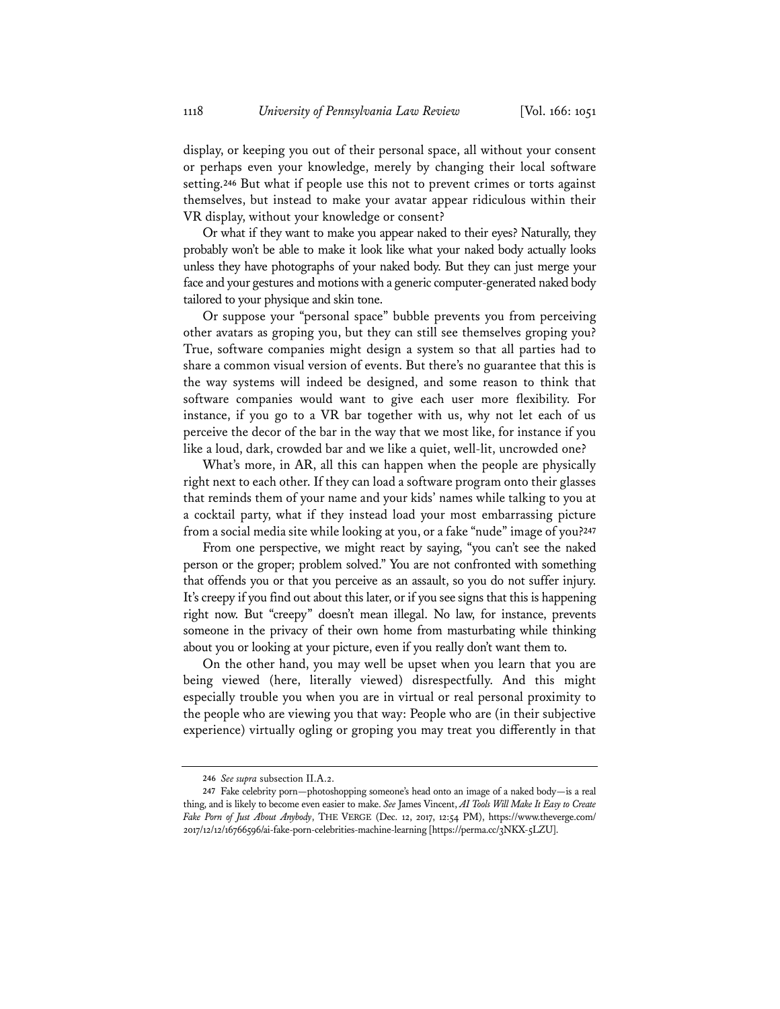display, or keeping you out of their personal space, all without your consent or perhaps even your knowledge, merely by changing their local software setting.**<sup>246</sup>** But what if people use this not to prevent crimes or torts against themselves, but instead to make your avatar appear ridiculous within their VR display, without your knowledge or consent?

Or what if they want to make you appear naked to their eyes? Naturally, they probably won't be able to make it look like what your naked body actually looks unless they have photographs of your naked body. But they can just merge your face and your gestures and motions with a generic computer-generated naked body tailored to your physique and skin tone.

Or suppose your "personal space" bubble prevents you from perceiving other avatars as groping you, but they can still see themselves groping you? True, software companies might design a system so that all parties had to share a common visual version of events. But there's no guarantee that this is the way systems will indeed be designed, and some reason to think that software companies would want to give each user more flexibility. For instance, if you go to a VR bar together with us, why not let each of us perceive the decor of the bar in the way that we most like, for instance if you like a loud, dark, crowded bar and we like a quiet, well-lit, uncrowded one?

What's more, in AR, all this can happen when the people are physically right next to each other. If they can load a software program onto their glasses that reminds them of your name and your kids' names while talking to you at a cocktail party, what if they instead load your most embarrassing picture from a social media site while looking at you, or a fake "nude" image of you?**<sup>247</sup>**

From one perspective, we might react by saying, "you can't see the naked person or the groper; problem solved." You are not confronted with something that offends you or that you perceive as an assault, so you do not suffer injury. It's creepy if you find out about this later, or if you see signs that this is happening right now. But "creepy" doesn't mean illegal. No law, for instance, prevents someone in the privacy of their own home from masturbating while thinking about you or looking at your picture, even if you really don't want them to.

On the other hand, you may well be upset when you learn that you are being viewed (here, literally viewed) disrespectfully. And this might especially trouble you when you are in virtual or real personal proximity to the people who are viewing you that way: People who are (in their subjective experience) virtually ogling or groping you may treat you differently in that

**<sup>246</sup>** *See supra* subsection II.A.2.

**<sup>247</sup>** Fake celebrity porn—photoshopping someone's head onto an image of a naked body—is a real thing, and is likely to become even easier to make. *See* James Vincent, *AI Tools Will Make It Easy to Create Fake Porn of Just About Anybody*, THE VERGE (Dec. 12, 2017, 12:54 PM), https://www.theverge.com/ 2017/12/12/16766596/ai-fake-porn-celebrities-machine-learning [https://perma.cc/3NKX-5LZU].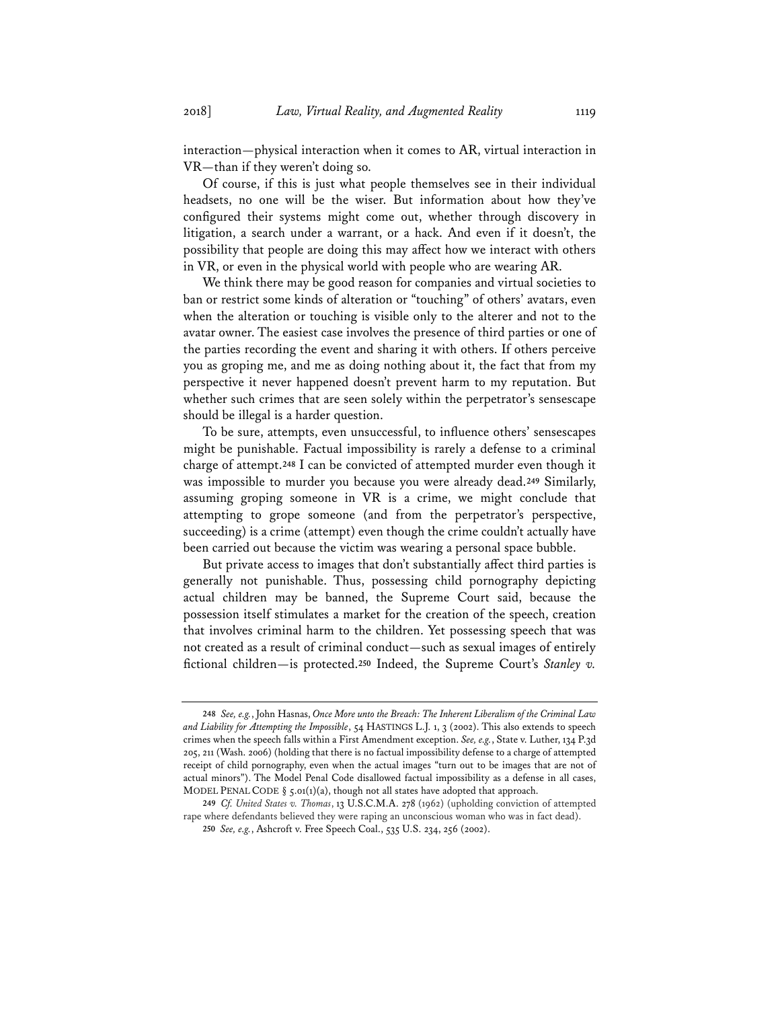interaction—physical interaction when it comes to AR, virtual interaction in VR—than if they weren't doing so.

Of course, if this is just what people themselves see in their individual headsets, no one will be the wiser. But information about how they've configured their systems might come out, whether through discovery in litigation, a search under a warrant, or a hack. And even if it doesn't, the possibility that people are doing this may affect how we interact with others in VR, or even in the physical world with people who are wearing AR.

We think there may be good reason for companies and virtual societies to ban or restrict some kinds of alteration or "touching" of others' avatars, even when the alteration or touching is visible only to the alterer and not to the avatar owner. The easiest case involves the presence of third parties or one of the parties recording the event and sharing it with others. If others perceive you as groping me, and me as doing nothing about it, the fact that from my perspective it never happened doesn't prevent harm to my reputation. But whether such crimes that are seen solely within the perpetrator's sensescape should be illegal is a harder question.

To be sure, attempts, even unsuccessful, to influence others' sensescapes might be punishable. Factual impossibility is rarely a defense to a criminal charge of attempt.**<sup>248</sup>** I can be convicted of attempted murder even though it was impossible to murder you because you were already dead.**<sup>249</sup>** Similarly, assuming groping someone in VR is a crime, we might conclude that attempting to grope someone (and from the perpetrator's perspective, succeeding) is a crime (attempt) even though the crime couldn't actually have been carried out because the victim was wearing a personal space bubble.

But private access to images that don't substantially affect third parties is generally not punishable. Thus, possessing child pornography depicting actual children may be banned, the Supreme Court said, because the possession itself stimulates a market for the creation of the speech, creation that involves criminal harm to the children. Yet possessing speech that was not created as a result of criminal conduct—such as sexual images of entirely fictional children—is protected.**<sup>250</sup>** Indeed, the Supreme Court's *Stanley v.* 

**<sup>248</sup>** *See, e.g.*, John Hasnas, *Once More unto the Breach: The Inherent Liberalism of the Criminal Law and Liability for Attempting the Impossible*, 54 HASTINGS L.J. 1, 3 (2002). This also extends to speech crimes when the speech falls within a First Amendment exception. *See, e.g.*, State v. Luther, 134 P.3d 205, 211 (Wash. 2006) (holding that there is no factual impossibility defense to a charge of attempted receipt of child pornography, even when the actual images "turn out to be images that are not of actual minors"). The Model Penal Code disallowed factual impossibility as a defense in all cases, MODEL PENAL CODE § 5.01(1)(a), though not all states have adopted that approach.

**<sup>249</sup>** *Cf. United States v. Thomas*, 13 U.S.C.M.A. 278 (1962) (upholding conviction of attempted rape where defendants believed they were raping an unconscious woman who was in fact dead).

**<sup>250</sup>** *See, e.g.*, Ashcroft v. Free Speech Coal., 535 U.S. 234, 256 (2002).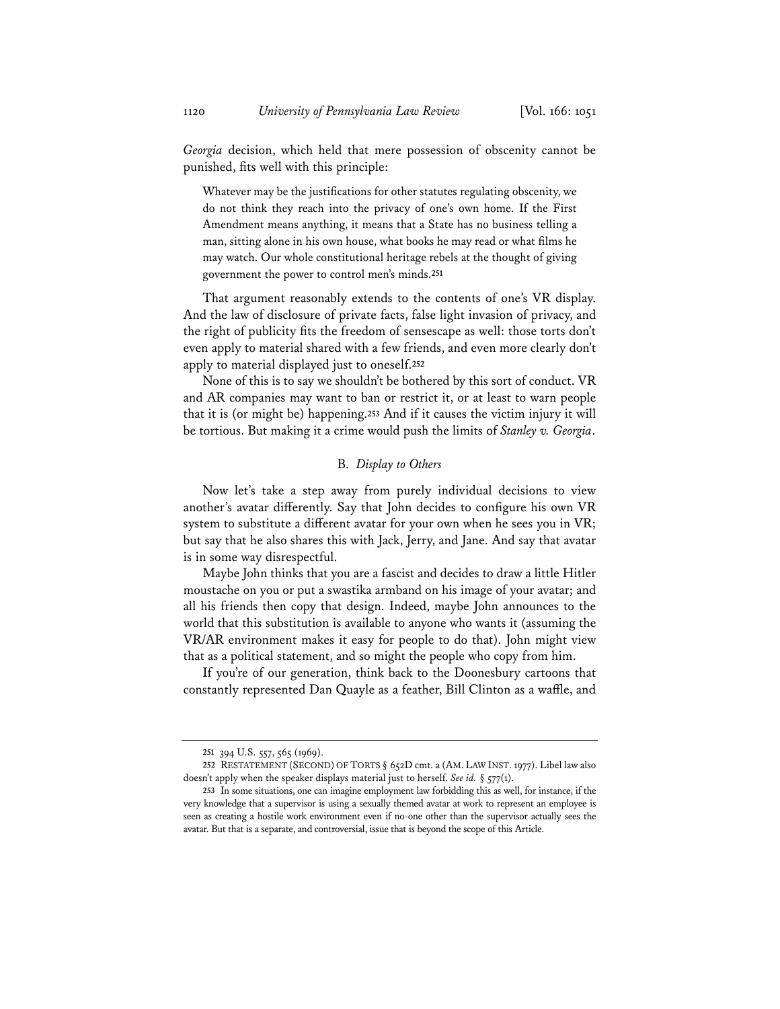*Georgia* decision, which held that mere possession of obscenity cannot be punished, fits well with this principle:

Whatever may be the justifications for other statutes regulating obscenity, we do not think they reach into the privacy of one's own home. If the First Amendment means anything, it means that a State has no business telling a man, sitting alone in his own house, what books he may read or what films he may watch. Our whole constitutional heritage rebels at the thought of giving government the power to control men's minds.**<sup>251</sup>**

That argument reasonably extends to the contents of one's VR display. And the law of disclosure of private facts, false light invasion of privacy, and the right of publicity fits the freedom of sensescape as well: those torts don't even apply to material shared with a few friends, and even more clearly don't apply to material displayed just to oneself.**<sup>252</sup>**

None of this is to say we shouldn't be bothered by this sort of conduct. VR and AR companies may want to ban or restrict it, or at least to warn people that it is (or might be) happening.**<sup>253</sup>** And if it causes the victim injury it will be tortious. But making it a crime would push the limits of *Stanley v. Georgia*.

## B. *Display to Others*

Now let's take a step away from purely individual decisions to view another's avatar differently. Say that John decides to configure his own VR system to substitute a different avatar for your own when he sees you in VR; but say that he also shares this with Jack, Jerry, and Jane. And say that avatar is in some way disrespectful.

Maybe John thinks that you are a fascist and decides to draw a little Hitler moustache on you or put a swastika armband on his image of your avatar; and all his friends then copy that design. Indeed, maybe John announces to the world that this substitution is available to anyone who wants it (assuming the VR/AR environment makes it easy for people to do that). John might view that as a political statement, and so might the people who copy from him.

If you're of our generation, think back to the Doonesbury cartoons that constantly represented Dan Quayle as a feather, Bill Clinton as a waffle, and

**<sup>251</sup>** 394 U.S. 557, 565 (1969).

**<sup>252</sup>** RESTATEMENT (SECOND) OF TORTS § 652D cmt. a (AM. LAW INST. 1977). Libel law also doesn't apply when the speaker displays material just to herself. *See id.* § 577(1).

**<sup>253</sup>** In some situations, one can imagine employment law forbidding this as well, for instance, if the very knowledge that a supervisor is using a sexually themed avatar at work to represent an employee is seen as creating a hostile work environment even if no-one other than the supervisor actually sees the avatar. But that is a separate, and controversial, issue that is beyond the scope of this Article.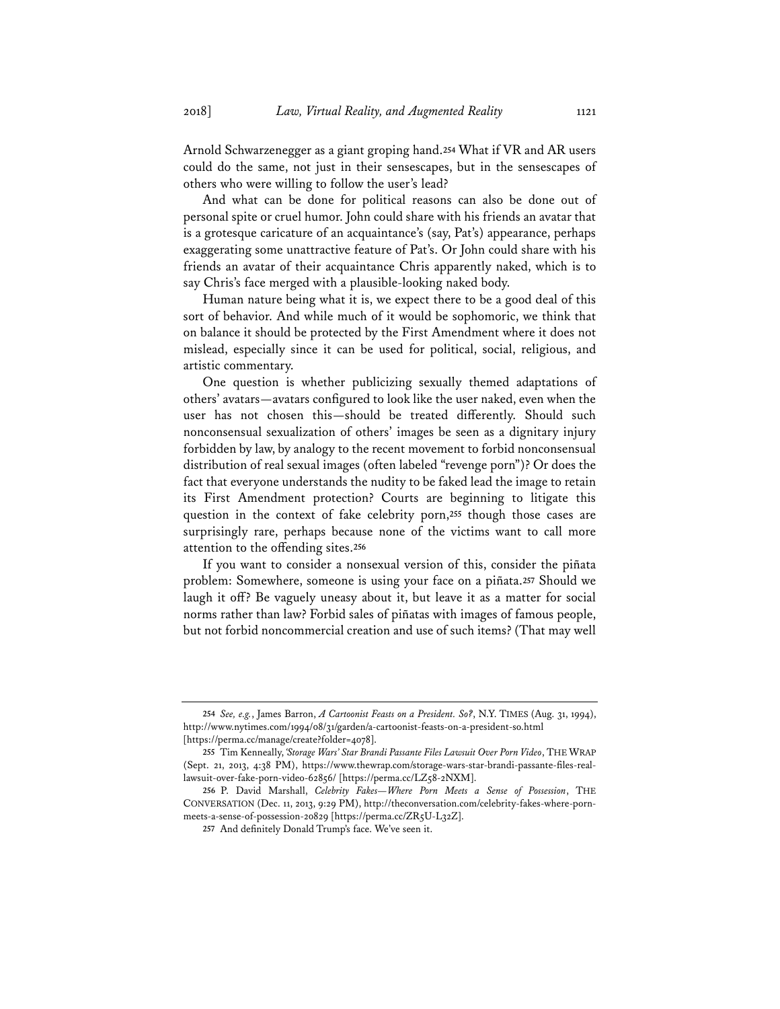Arnold Schwarzenegger as a giant groping hand.**<sup>254</sup>** What if VR and AR users could do the same, not just in their sensescapes, but in the sensescapes of others who were willing to follow the user's lead?

And what can be done for political reasons can also be done out of personal spite or cruel humor. John could share with his friends an avatar that is a grotesque caricature of an acquaintance's (say, Pat's) appearance, perhaps exaggerating some unattractive feature of Pat's. Or John could share with his friends an avatar of their acquaintance Chris apparently naked, which is to say Chris's face merged with a plausible-looking naked body.

Human nature being what it is, we expect there to be a good deal of this sort of behavior. And while much of it would be sophomoric, we think that on balance it should be protected by the First Amendment where it does not mislead, especially since it can be used for political, social, religious, and artistic commentary.

One question is whether publicizing sexually themed adaptations of others' avatars—avatars configured to look like the user naked, even when the user has not chosen this—should be treated differently. Should such nonconsensual sexualization of others' images be seen as a dignitary injury forbidden by law, by analogy to the recent movement to forbid nonconsensual distribution of real sexual images (often labeled "revenge porn")? Or does the fact that everyone understands the nudity to be faked lead the image to retain its First Amendment protection? Courts are beginning to litigate this question in the context of fake celebrity porn,**<sup>255</sup>** though those cases are surprisingly rare, perhaps because none of the victims want to call more attention to the offending sites.**<sup>256</sup>**

If you want to consider a nonsexual version of this, consider the piñata problem: Somewhere, someone is using your face on a piñata.**<sup>257</sup>** Should we laugh it off? Be vaguely uneasy about it, but leave it as a matter for social norms rather than law? Forbid sales of piñatas with images of famous people, but not forbid noncommercial creation and use of such items? (That may well

**<sup>254</sup>** *See, e.g.*, James Barron, *A Cartoonist Feasts on a President. So?*, N.Y. TIMES (Aug. 31, 1994), http://www.nytimes.com/1994/08/31/garden/a-cartoonist-feasts-on-a-president-so.html [https://perma.cc/manage/create?folder=4078].

**<sup>255</sup>** Tim Kenneally, *'Storage Wars' Star Brandi Passante Files Lawsuit Over Porn Video*, THE WRAP (Sept. 21, 2013, 4:38 PM), https://www.thewrap.com/storage-wars-star-brandi-passante-files-reallawsuit-over-fake-porn-video-62856/ [https://perma.cc/LZ58-2NXM].

**<sup>256</sup>** P. David Marshall, *Celebrity Fakes—Where Porn Meets a Sense of Possession*, THE CONVERSATION (Dec. 11, 2013, 9:29 PM), http://theconversation.com/celebrity-fakes-where-pornmeets-a-sense-of-possession-20829 [https://perma.cc/ZR5U-L32Z].

**<sup>257</sup>** And definitely Donald Trump's face. We've seen it.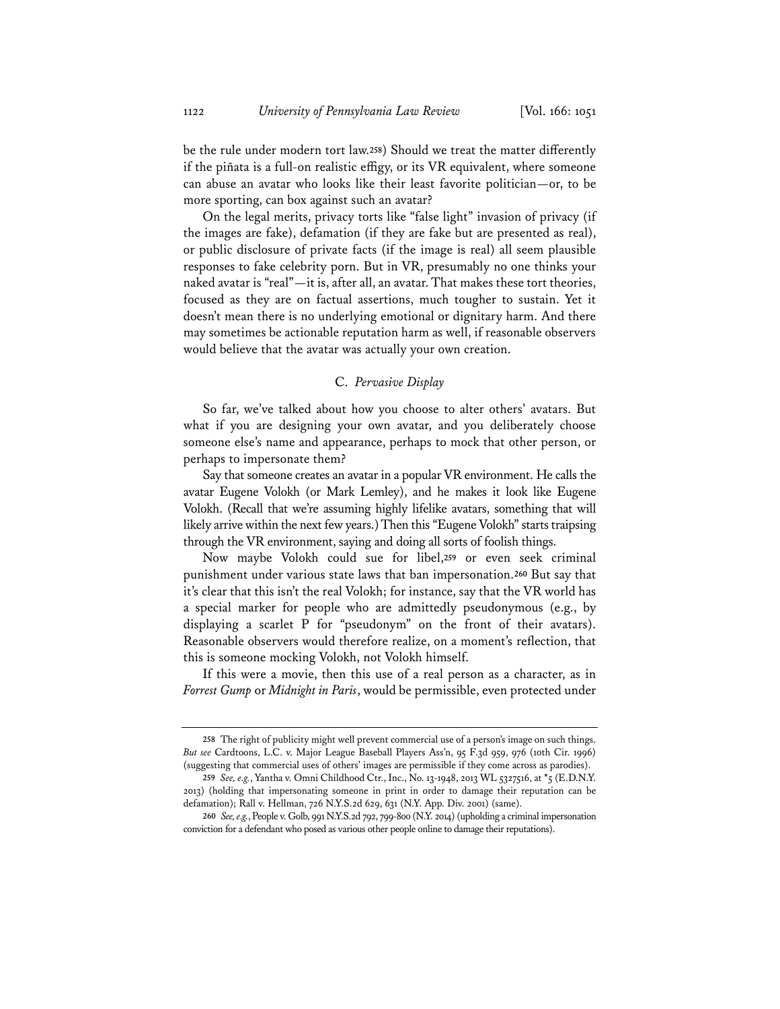be the rule under modern tort law.**<sup>258</sup>**) Should we treat the matter differently if the piñata is a full-on realistic effigy, or its VR equivalent, where someone can abuse an avatar who looks like their least favorite politician—or, to be more sporting, can box against such an avatar?

On the legal merits, privacy torts like "false light" invasion of privacy (if the images are fake), defamation (if they are fake but are presented as real), or public disclosure of private facts (if the image is real) all seem plausible responses to fake celebrity porn. But in VR, presumably no one thinks your naked avatar is "real"—it is, after all, an avatar. That makes these tort theories, focused as they are on factual assertions, much tougher to sustain. Yet it doesn't mean there is no underlying emotional or dignitary harm. And there may sometimes be actionable reputation harm as well, if reasonable observers would believe that the avatar was actually your own creation.

# C. *Pervasive Display*

So far, we've talked about how you choose to alter others' avatars. But what if you are designing your own avatar, and you deliberately choose someone else's name and appearance, perhaps to mock that other person, or perhaps to impersonate them?

Say that someone creates an avatar in a popular VR environment. He calls the avatar Eugene Volokh (or Mark Lemley), and he makes it look like Eugene Volokh. (Recall that we're assuming highly lifelike avatars, something that will likely arrive within the next few years.) Then this "Eugene Volokh" starts traipsing through the VR environment, saying and doing all sorts of foolish things.

Now maybe Volokh could sue for libel,**<sup>259</sup>** or even seek criminal punishment under various state laws that ban impersonation.**<sup>260</sup>** But say that it's clear that this isn't the real Volokh; for instance, say that the VR world has a special marker for people who are admittedly pseudonymous (e.g., by displaying a scarlet P for "pseudonym" on the front of their avatars). Reasonable observers would therefore realize, on a moment's reflection, that this is someone mocking Volokh, not Volokh himself.

If this were a movie, then this use of a real person as a character, as in *Forrest Gump* or *Midnight in Paris*, would be permissible, even protected under

**<sup>258</sup>** The right of publicity might well prevent commercial use of a person's image on such things. *But see* Cardtoons, L.C. v. Major League Baseball Players Ass'n, 95 F.3d 959, 976 (10th Cir. 1996) (suggesting that commercial uses of others' images are permissible if they come across as parodies).

**<sup>259</sup>** *See, e.g.*, Yantha v. Omni Childhood Ctr., Inc., No. 13-1948, 2013 WL 5327516, at \*5 (E.D.N.Y. 2013) (holding that impersonating someone in print in order to damage their reputation can be defamation); Rall v. Hellman, 726 N.Y.S.2d 629, 631 (N.Y. App. Div. 2001) (same).

**<sup>260</sup>** *See, e.g.*, People v. Golb, 991 N.Y.S.2d 792, 799-800 (N.Y. 2014) (upholding a criminal impersonation conviction for a defendant who posed as various other people online to damage their reputations).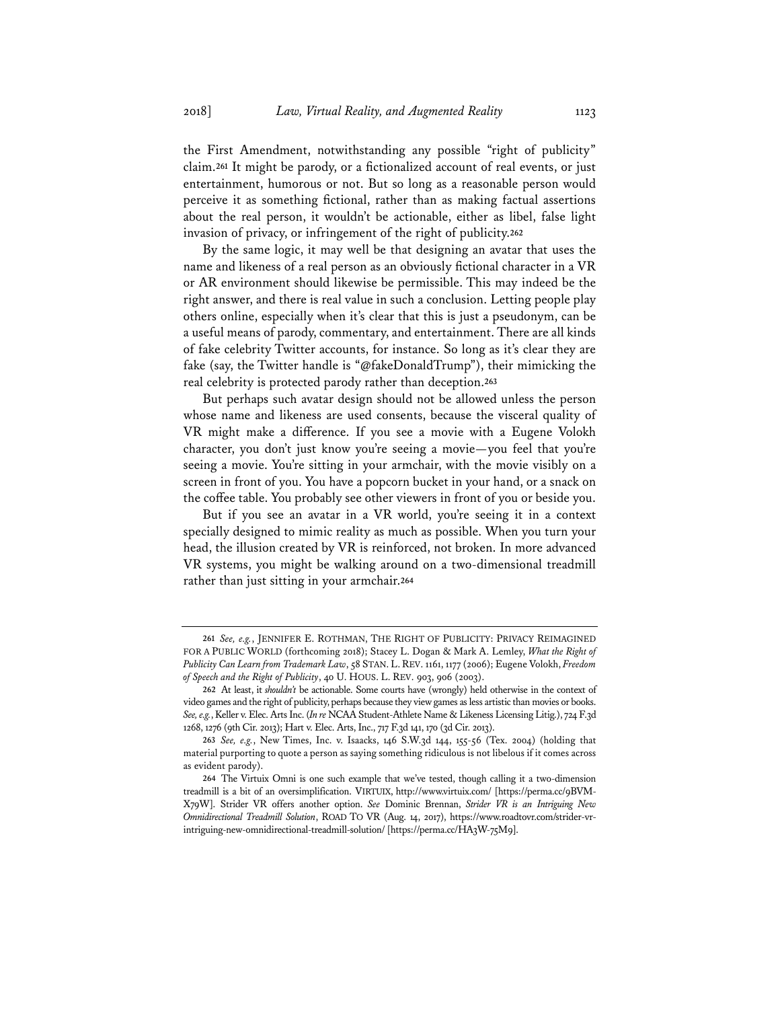the First Amendment, notwithstanding any possible "right of publicity" claim.**<sup>261</sup>** It might be parody, or a fictionalized account of real events, or just entertainment, humorous or not. But so long as a reasonable person would perceive it as something fictional, rather than as making factual assertions about the real person, it wouldn't be actionable, either as libel, false light invasion of privacy, or infringement of the right of publicity.**<sup>262</sup>**

By the same logic, it may well be that designing an avatar that uses the name and likeness of a real person as an obviously fictional character in a VR or AR environment should likewise be permissible. This may indeed be the right answer, and there is real value in such a conclusion. Letting people play others online, especially when it's clear that this is just a pseudonym, can be a useful means of parody, commentary, and entertainment. There are all kinds of fake celebrity Twitter accounts, for instance. So long as it's clear they are fake (say, the Twitter handle is "@fakeDonaldTrump"), their mimicking the real celebrity is protected parody rather than deception.**<sup>263</sup>**

But perhaps such avatar design should not be allowed unless the person whose name and likeness are used consents, because the visceral quality of VR might make a difference. If you see a movie with a Eugene Volokh character, you don't just know you're seeing a movie—you feel that you're seeing a movie. You're sitting in your armchair, with the movie visibly on a screen in front of you. You have a popcorn bucket in your hand, or a snack on the coffee table. You probably see other viewers in front of you or beside you.

But if you see an avatar in a VR world, you're seeing it in a context specially designed to mimic reality as much as possible. When you turn your head, the illusion created by VR is reinforced, not broken. In more advanced VR systems, you might be walking around on a two-dimensional treadmill rather than just sitting in your armchair.**<sup>264</sup>**

**<sup>261</sup>** *See, e.g.*, JENNIFER E. ROTHMAN, THE RIGHT OF PUBLICITY: PRIVACY REIMAGINED FOR A PUBLIC WORLD (forthcoming 2018); Stacey L. Dogan & Mark A. Lemley, *What the Right of Publicity Can Learn from Trademark Law*, 58 STAN. L.REV. 1161, 1177 (2006); Eugene Volokh, *Freedom of Speech and the Right of Publicity*, 40 U. HOUS. L. REV. 903, 906 (2003).

**<sup>262</sup>** At least, it *shouldn't* be actionable. Some courts have (wrongly) held otherwise in the context of video games and the right of publicity, perhaps because they view games as less artistic than movies or books. *See, e.g.*, Keller v. Elec. Arts Inc. (*In re* NCAA Student-Athlete Name & Likeness Licensing Litig.), 724 F.3d 1268, 1276 (9th Cir. 2013); Hart v. Elec. Arts, Inc., 717 F.3d 141, 170 (3d Cir. 2013).

**<sup>263</sup>** *See, e.g.*, New Times, Inc. v. Isaacks, 146 S.W.3d 144, 155-56 (Tex. 2004) (holding that material purporting to quote a person as saying something ridiculous is not libelous if it comes across as evident parody).

**<sup>264</sup>** The Virtuix Omni is one such example that we've tested, though calling it a two-dimension treadmill is a bit of an oversimplification. VIRTUIX, http://www.virtuix.com/ [https://perma.cc/9BVM-X79W]. Strider VR offers another option. *See* Dominic Brennan, *Strider VR is an Intriguing New Omnidirectional Treadmill Solution*, ROAD TO VR (Aug. 14, 2017), https://www.roadtovr.com/strider-vrintriguing-new-omnidirectional-treadmill-solution/ [https://perma.cc/HA3W-75M9].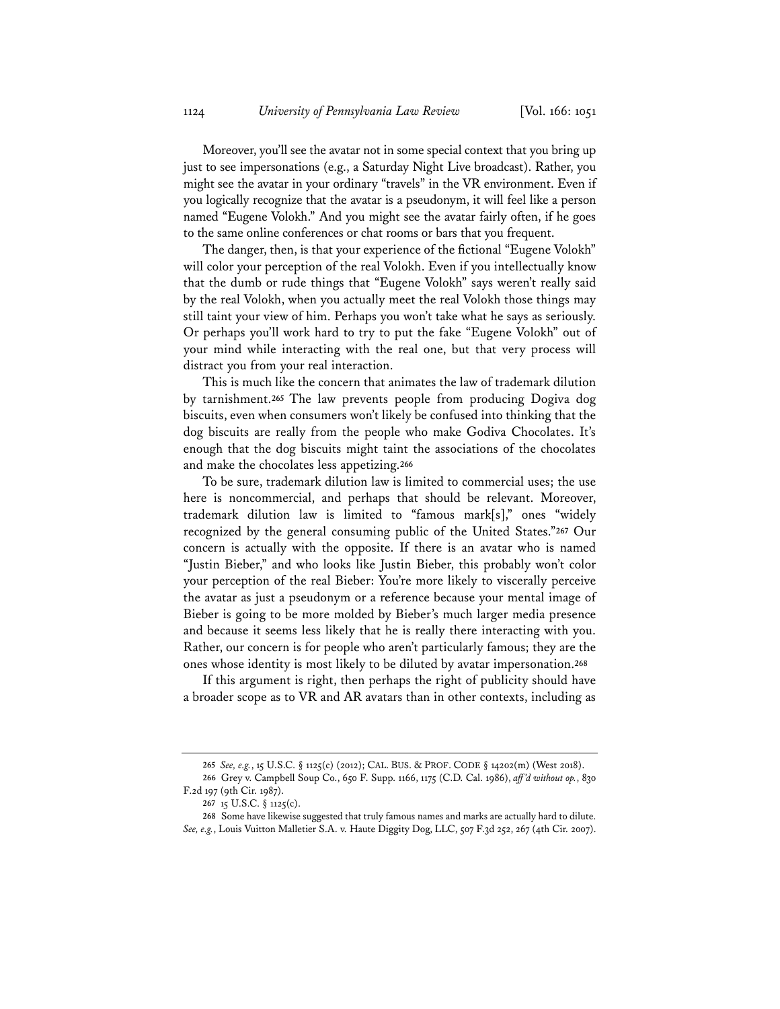Moreover, you'll see the avatar not in some special context that you bring up just to see impersonations (e.g., a Saturday Night Live broadcast). Rather, you might see the avatar in your ordinary "travels" in the VR environment. Even if you logically recognize that the avatar is a pseudonym, it will feel like a person named "Eugene Volokh." And you might see the avatar fairly often, if he goes to the same online conferences or chat rooms or bars that you frequent.

The danger, then, is that your experience of the fictional "Eugene Volokh" will color your perception of the real Volokh. Even if you intellectually know that the dumb or rude things that "Eugene Volokh" says weren't really said by the real Volokh, when you actually meet the real Volokh those things may still taint your view of him. Perhaps you won't take what he says as seriously. Or perhaps you'll work hard to try to put the fake "Eugene Volokh" out of your mind while interacting with the real one, but that very process will distract you from your real interaction.

This is much like the concern that animates the law of trademark dilution by tarnishment.**<sup>265</sup>** The law prevents people from producing Dogiva dog biscuits, even when consumers won't likely be confused into thinking that the dog biscuits are really from the people who make Godiva Chocolates. It's enough that the dog biscuits might taint the associations of the chocolates and make the chocolates less appetizing.**<sup>266</sup>**

To be sure, trademark dilution law is limited to commercial uses; the use here is noncommercial, and perhaps that should be relevant. Moreover, trademark dilution law is limited to "famous mark[s]," ones "widely recognized by the general consuming public of the United States."**<sup>267</sup>** Our concern is actually with the opposite. If there is an avatar who is named "Justin Bieber," and who looks like Justin Bieber, this probably won't color your perception of the real Bieber: You're more likely to viscerally perceive the avatar as just a pseudonym or a reference because your mental image of Bieber is going to be more molded by Bieber's much larger media presence and because it seems less likely that he is really there interacting with you. Rather, our concern is for people who aren't particularly famous; they are the ones whose identity is most likely to be diluted by avatar impersonation.**<sup>268</sup>**

If this argument is right, then perhaps the right of publicity should have a broader scope as to VR and AR avatars than in other contexts, including as

**<sup>265</sup>** *See, e.g.*, 15 U.S.C. § 1125(c) (2012); CAL. BUS. & PROF. CODE § 14202(m) (West 2018).

**<sup>266</sup>** Grey v. Campbell Soup Co., 650 F. Supp. 1166, 1175 (C.D. Cal. 1986), *aff 'd without op.*, 830 F.2d 197 (9th Cir. 1987).

**<sup>267</sup>** 15 U.S.C. § 1125(c).

**<sup>268</sup>** Some have likewise suggested that truly famous names and marks are actually hard to dilute. *See, e.g.*, Louis Vuitton Malletier S.A. v. Haute Diggity Dog, LLC, 507 F.3d 252, 267 (4th Cir. 2007).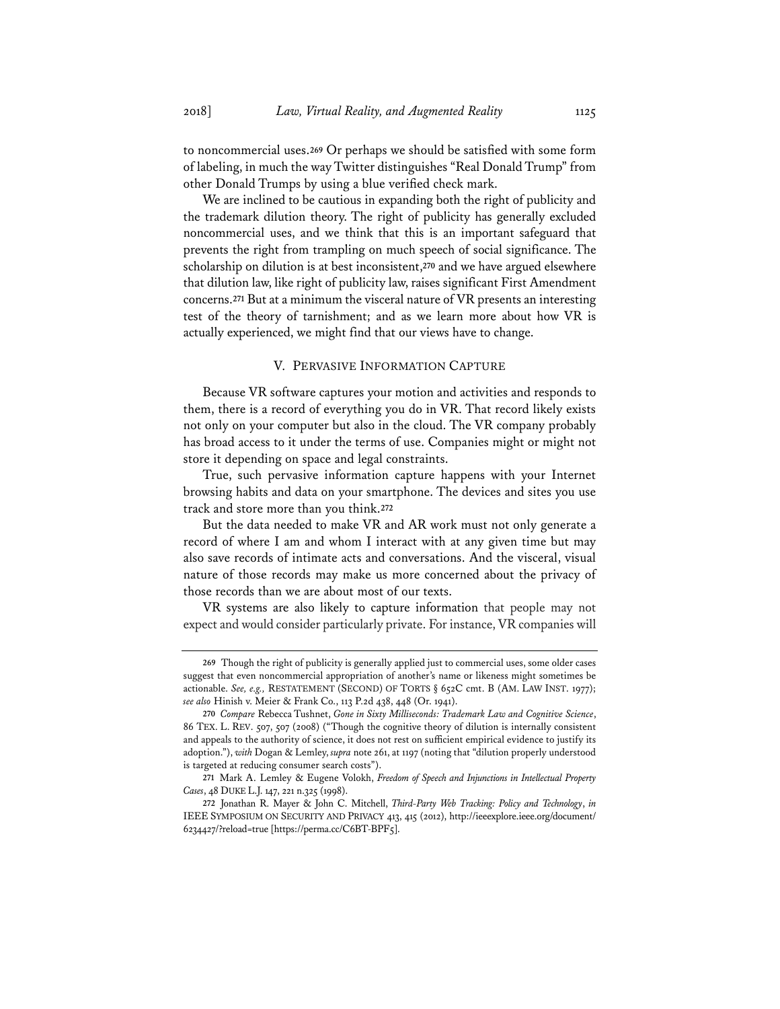to noncommercial uses.**<sup>269</sup>** Or perhaps we should be satisfied with some form of labeling, in much the way Twitter distinguishes "Real Donald Trump" from other Donald Trumps by using a blue verified check mark.

We are inclined to be cautious in expanding both the right of publicity and the trademark dilution theory. The right of publicity has generally excluded noncommercial uses, and we think that this is an important safeguard that prevents the right from trampling on much speech of social significance. The scholarship on dilution is at best inconsistent,**<sup>270</sup>** and we have argued elsewhere that dilution law, like right of publicity law, raises significant First Amendment concerns.**<sup>271</sup>** But at a minimum the visceral nature of VR presents an interesting test of the theory of tarnishment; and as we learn more about how VR is actually experienced, we might find that our views have to change.

### V. PERVASIVE INFORMATION CAPTURE

Because VR software captures your motion and activities and responds to them, there is a record of everything you do in VR. That record likely exists not only on your computer but also in the cloud. The VR company probably has broad access to it under the terms of use. Companies might or might not store it depending on space and legal constraints.

True, such pervasive information capture happens with your Internet browsing habits and data on your smartphone. The devices and sites you use track and store more than you think.**<sup>272</sup>**

But the data needed to make VR and AR work must not only generate a record of where I am and whom I interact with at any given time but may also save records of intimate acts and conversations. And the visceral, visual nature of those records may make us more concerned about the privacy of those records than we are about most of our texts.

VR systems are also likely to capture information that people may not expect and would consider particularly private. For instance, VR companies will

**<sup>269</sup>** Though the right of publicity is generally applied just to commercial uses, some older cases suggest that even noncommercial appropriation of another's name or likeness might sometimes be actionable. *See, e.g.,* RESTATEMENT (SECOND) OF TORTS § 652C cmt. B (AM. LAW INST. 1977); *see also* Hinish v. Meier & Frank Co., 113 P.2d 438, 448 (Or. 1941).

**<sup>270</sup>** *Compare* Rebecca Tushnet, *Gone in Sixty Milliseconds: Trademark Law and Cognitive Science*, 86 TEX. L. REV. 507, 507 (2008) ("Though the cognitive theory of dilution is internally consistent and appeals to the authority of science, it does not rest on sufficient empirical evidence to justify its adoption."), *with* Dogan & Lemley, *supra* note 261, at 1197 (noting that "dilution properly understood is targeted at reducing consumer search costs").

**<sup>271</sup>** Mark A. Lemley & Eugene Volokh, *Freedom of Speech and Injunctions in Intellectual Property Cases*, 48 DUKE L.J. 147, 221 n.325 (1998).

**<sup>272</sup>** Jonathan R. Mayer & John C. Mitchell, *Third-Party Web Tracking: Policy and Technology*, *in* IEEE SYMPOSIUM ON SECURITY AND PRIVACY 413, 415 (2012), http://ieeexplore.ieee.org/document/ 6234427/?reload=true [https://perma.cc/C6BT-BPF5].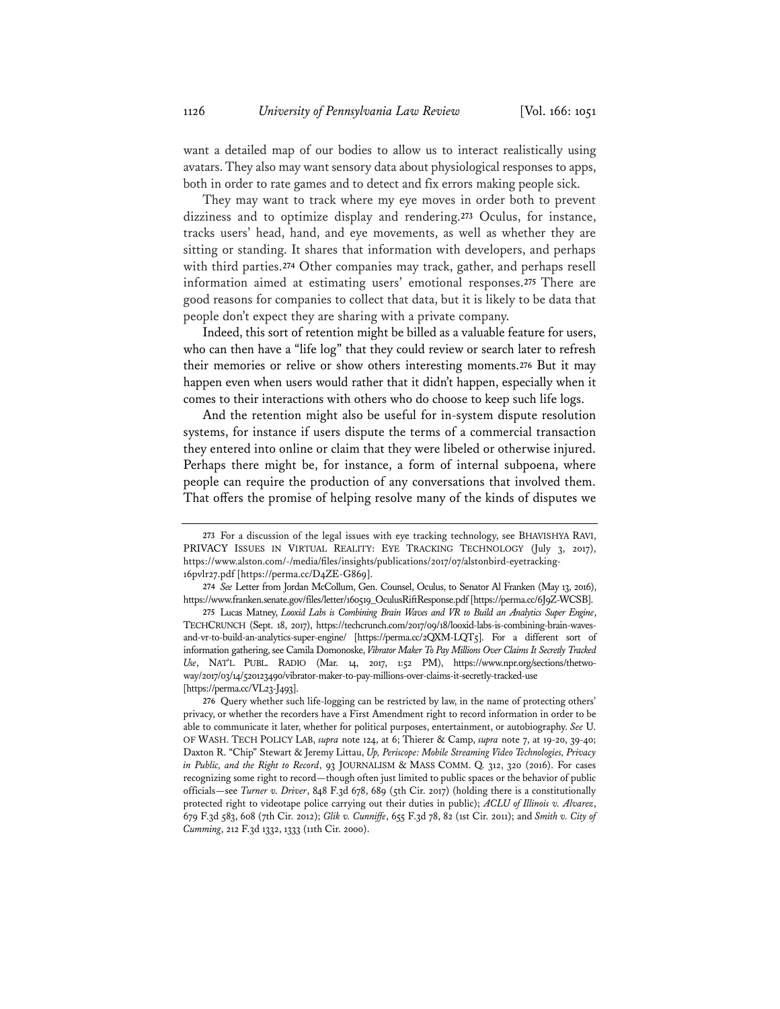want a detailed map of our bodies to allow us to interact realistically using avatars. They also may want sensory data about physiological responses to apps, both in order to rate games and to detect and fix errors making people sick.

They may want to track where my eye moves in order both to prevent dizziness and to optimize display and rendering.**<sup>273</sup>** Oculus, for instance, tracks users' head, hand, and eye movements, as well as whether they are sitting or standing. It shares that information with developers, and perhaps with third parties.**<sup>274</sup>** Other companies may track, gather, and perhaps resell information aimed at estimating users' emotional responses.**<sup>275</sup>** There are good reasons for companies to collect that data, but it is likely to be data that people don't expect they are sharing with a private company.

Indeed, this sort of retention might be billed as a valuable feature for users, who can then have a "life log" that they could review or search later to refresh their memories or relive or show others interesting moments.**<sup>276</sup>** But it may happen even when users would rather that it didn't happen, especially when it comes to their interactions with others who do choose to keep such life logs.

And the retention might also be useful for in-system dispute resolution systems, for instance if users dispute the terms of a commercial transaction they entered into online or claim that they were libeled or otherwise injured. Perhaps there might be, for instance, a form of internal subpoena, where people can require the production of any conversations that involved them. That offers the promise of helping resolve many of the kinds of disputes we

**<sup>273</sup>** For a discussion of the legal issues with eye tracking technology, see BHAVISHYA RAVI, PRIVACY ISSUES IN VIRTUAL REALITY: EYE TRACKING TECHNOLOGY (July 3, 2017), https://www.alston.com/-/media/files/insights/publications/2017/07/alstonbird-eyetracking-16pvlr27.pdf [https://perma.cc/D4ZE-G869].

**<sup>274</sup>** *See* Letter from Jordan McCollum, Gen. Counsel, Oculus, to Senator Al Franken (May 13, 2016), https://www.franken.senate.gov/files/letter/160519\_OculusRiftResponse.pdf [https://perma.cc/6J9Z-WCSB].

**<sup>275</sup>** Lucas Matney, *Looxid Labs is Combining Brain Waves and VR to Build an Analytics Super Engine*, TECHCRUNCH (Sept. 18, 2017), https://techcrunch.com/2017/09/18/looxid-labs-is-combining-brain-wavesand-vr-to-build-an-analytics-super-engine/ [https://perma.cc/2QXM-LQT5]. For a different sort of information gathering, see Camila Domonoske, *Vibrator Maker To Pay Millions Over Claims It Secretly Tracked Use*, NAT'L PUBL. RADIO (Mar. 14, 2017, 1:52 PM), https://www.npr.org/sections/thetwoway/2017/03/14/520123490/vibrator-maker-to-pay-millions-over-claims-it-secretly-tracked-use [https://perma.cc/VL23-J493].

**<sup>276</sup>** Query whether such life-logging can be restricted by law, in the name of protecting others' privacy, or whether the recorders have a First Amendment right to record information in order to be able to communicate it later, whether for political purposes, entertainment, or autobiography. *See* U. OF WASH. TECH POLICY LAB, *supra* note 124, at 6; Thierer & Camp, *supra* note 7, at 19-20, 39-40; Daxton R. "Chip" Stewart & Jeremy Littau, *Up, Periscope: Mobile Streaming Video Technologies, Privacy in Public, and the Right to Record*, 93 JOURNALISM & MASS COMM. Q. 312, 320 (2016). For cases recognizing some right to record—though often just limited to public spaces or the behavior of public officials—see *Turner v. Driver*, 848 F.3d 678, 689 (5th Cir. 2017) (holding there is a constitutionally protected right to videotape police carrying out their duties in public); *ACLU of Illinois v. Alvarez*, 679 F.3d 583, 608 (7th Cir. 2012); *Glik v. Cunniffe*, 655 F.3d 78, 82 (1st Cir. 2011); and *Smith v. City of Cumming*, 212 F.3d 1332, 1333 (11th Cir. 2000).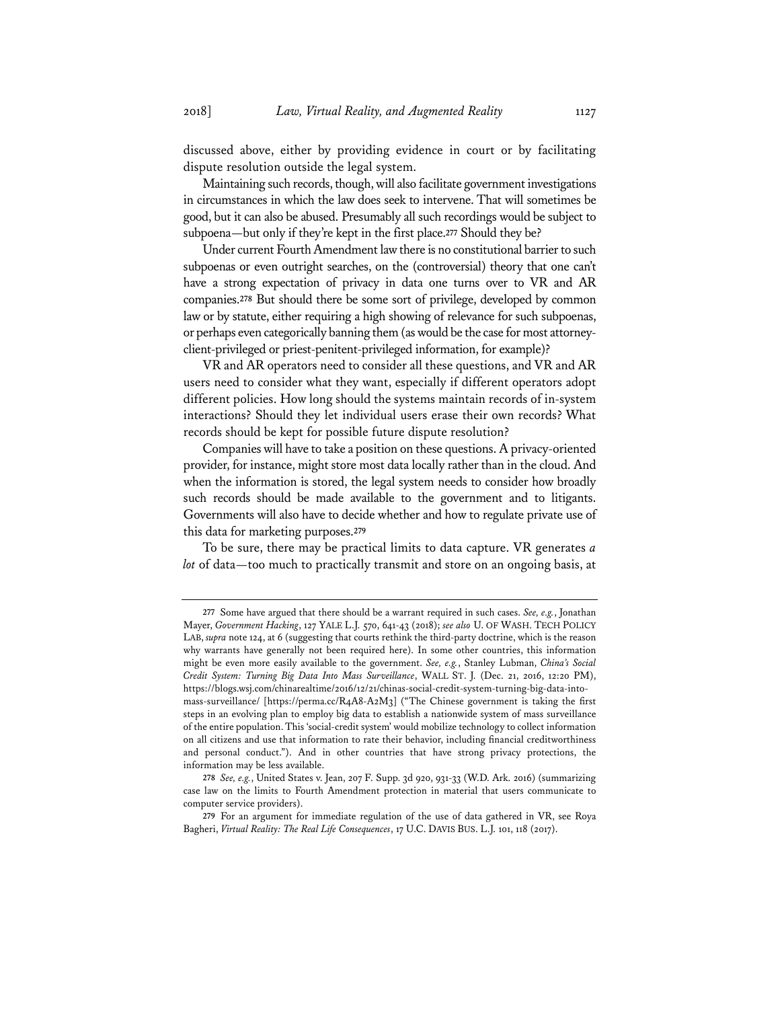discussed above, either by providing evidence in court or by facilitating dispute resolution outside the legal system.

Maintaining such records, though, will also facilitate government investigations in circumstances in which the law does seek to intervene. That will sometimes be good, but it can also be abused. Presumably all such recordings would be subject to subpoena—but only if they're kept in the first place.**<sup>277</sup>** Should they be?

Under current Fourth Amendment law there is no constitutional barrier to such subpoenas or even outright searches, on the (controversial) theory that one can't have a strong expectation of privacy in data one turns over to VR and AR companies.**<sup>278</sup>** But should there be some sort of privilege, developed by common law or by statute, either requiring a high showing of relevance for such subpoenas, or perhaps even categorically banning them (as would be the case for most attorneyclient-privileged or priest-penitent-privileged information, for example)?

VR and AR operators need to consider all these questions, and VR and AR users need to consider what they want, especially if different operators adopt different policies. How long should the systems maintain records of in-system interactions? Should they let individual users erase their own records? What records should be kept for possible future dispute resolution?

Companies will have to take a position on these questions. A privacy-oriented provider, for instance, might store most data locally rather than in the cloud. And when the information is stored, the legal system needs to consider how broadly such records should be made available to the government and to litigants. Governments will also have to decide whether and how to regulate private use of this data for marketing purposes.**<sup>279</sup>**

To be sure, there may be practical limits to data capture. VR generates *a lot* of data—too much to practically transmit and store on an ongoing basis, at

**<sup>277</sup>** Some have argued that there should be a warrant required in such cases. *See, e.g.*, Jonathan Mayer, *Government Hacking*, 127 YALE L.J. 570, 641-43 (2018); *see also* U. OF WASH. TECH POLICY LAB, *supra* note 124, at 6 (suggesting that courts rethink the third-party doctrine, which is the reason why warrants have generally not been required here). In some other countries, this information might be even more easily available to the government. *See, e.g.*, Stanley Lubman, *China's Social Credit System: Turning Big Data Into Mass Surveillance*, WALL ST. J. (Dec. 21, 2016, 12:20 PM), https://blogs.wsj.com/chinarealtime/2016/12/21/chinas-social-credit-system-turning-big-data-intomass-surveillance/ [https://perma.cc/R4A8-A2M3] ("The Chinese government is taking the first steps in an evolving plan to employ big data to establish a nationwide system of mass surveillance of the entire population. This 'social-credit system' would mobilize technology to collect information on all citizens and use that information to rate their behavior, including financial creditworthiness and personal conduct."). And in other countries that have strong privacy protections, the information may be less available.

**<sup>278</sup>** *See, e.g.*, United States v. Jean, 207 F. Supp. 3d 920, 931-33 (W.D. Ark. 2016) (summarizing case law on the limits to Fourth Amendment protection in material that users communicate to computer service providers).

**<sup>279</sup>** For an argument for immediate regulation of the use of data gathered in VR, see Roya Bagheri, *Virtual Reality: The Real Life Consequences*, 17 U.C. DAVIS BUS. L.J. 101, 118 (2017).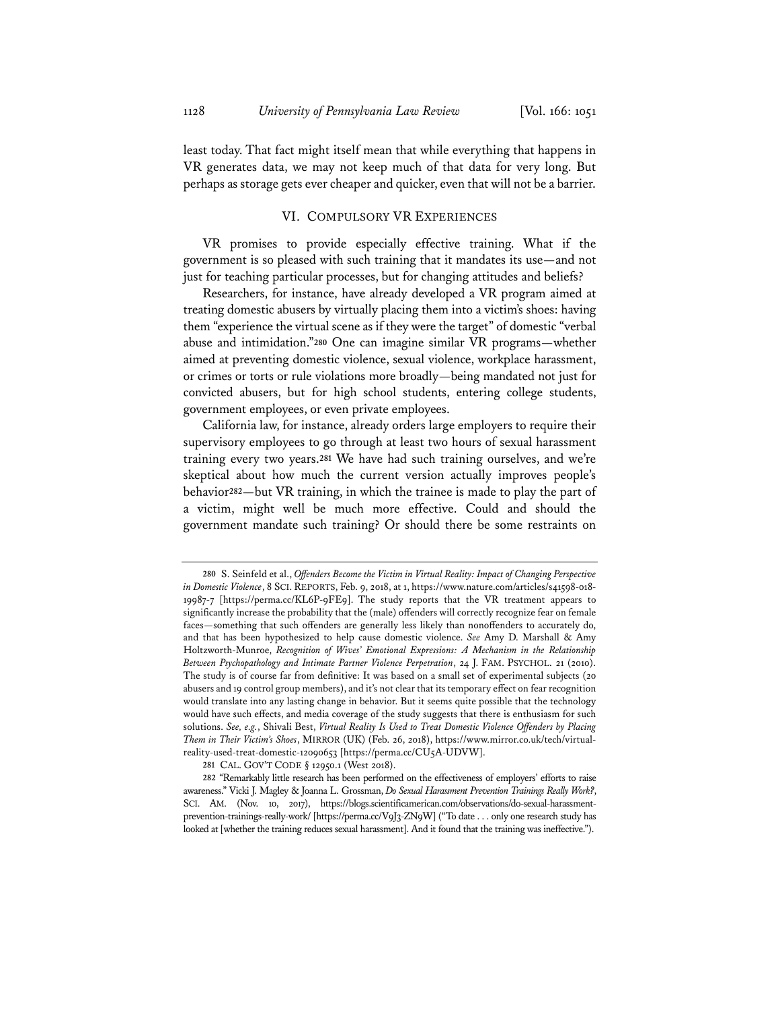least today. That fact might itself mean that while everything that happens in VR generates data, we may not keep much of that data for very long. But perhaps as storage gets ever cheaper and quicker, even that will not be a barrier.

# VI. COMPULSORY VR EXPERIENCES

VR promises to provide especially effective training. What if the government is so pleased with such training that it mandates its use—and not just for teaching particular processes, but for changing attitudes and beliefs?

Researchers, for instance, have already developed a VR program aimed at treating domestic abusers by virtually placing them into a victim's shoes: having them "experience the virtual scene as if they were the target" of domestic "verbal abuse and intimidation."**<sup>280</sup>** One can imagine similar VR programs—whether aimed at preventing domestic violence, sexual violence, workplace harassment, or crimes or torts or rule violations more broadly—being mandated not just for convicted abusers, but for high school students, entering college students, government employees, or even private employees.

California law, for instance, already orders large employers to require their supervisory employees to go through at least two hours of sexual harassment training every two years.**<sup>281</sup>** We have had such training ourselves, and we're skeptical about how much the current version actually improves people's behavior**<sup>282</sup>**—but VR training, in which the trainee is made to play the part of a victim, might well be much more effective. Could and should the government mandate such training? Or should there be some restraints on

**<sup>280</sup>** S. Seinfeld et al., *Offenders Become the Victim in Virtual Reality: Impact of Changing Perspective in Domestic Violence*, 8 SCI. REPORTS, Feb. 9, 2018, at 1, https://www.nature.com/articles/s41598-018- 19987-7 [https://perma.cc/KL6P-9FE9]. The study reports that the VR treatment appears to significantly increase the probability that the (male) offenders will correctly recognize fear on female faces—something that such offenders are generally less likely than nonoffenders to accurately do, and that has been hypothesized to help cause domestic violence. *See* Amy D. Marshall & Amy Holtzworth-Munroe, *Recognition of Wives' Emotional Expressions: A Mechanism in the Relationship Between Psychopathology and Intimate Partner Violence Perpetration*, 24 J. FAM. PSYCHOL. 21 (2010). The study is of course far from definitive: It was based on a small set of experimental subjects (20 abusers and 19 control group members), and it's not clear that its temporary effect on fear recognition would translate into any lasting change in behavior. But it seems quite possible that the technology would have such effects, and media coverage of the study suggests that there is enthusiasm for such solutions. *See, e.g.*, Shivali Best, *Virtual Reality Is Used to Treat Domestic Violence Offenders by Placing Them in Their Victim's Shoes*, MIRROR (UK) (Feb. 26, 2018), https://www.mirror.co.uk/tech/virtualreality-used-treat-domestic-12090653 [https://perma.cc/CU5A-UDVW].

**<sup>281</sup>** CAL. GOV'T CODE § 12950.1 (West 2018).

**<sup>282</sup>** "Remarkably little research has been performed on the effectiveness of employers' efforts to raise awareness." Vicki J. Magley & Joanna L. Grossman, *Do Sexual Harassment Prevention Trainings Really Work?*, SCI. AM. (Nov. 10, 2017), https://blogs.scientificamerican.com/observations/do-sexual-harassmentprevention-trainings-really-work/ [https://perma.cc/V9J3-ZN9W] ("To date . . . only one research study has looked at [whether the training reduces sexual harassment]. And it found that the training was ineffective.").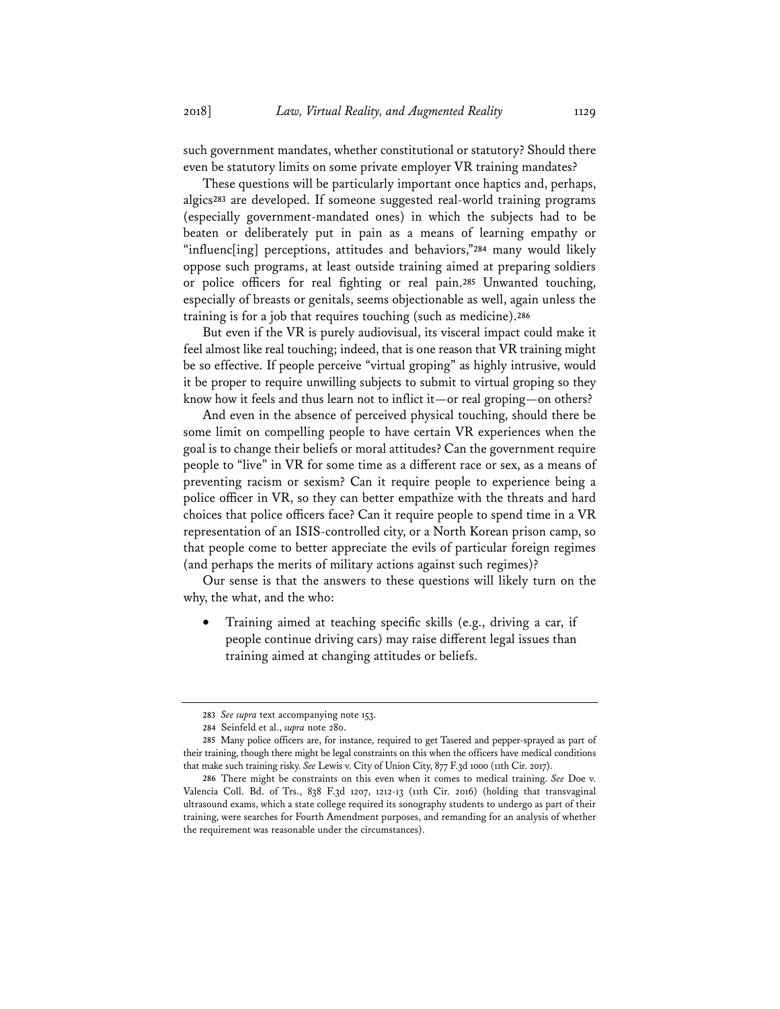such government mandates, whether constitutional or statutory? Should there even be statutory limits on some private employer VR training mandates?

These questions will be particularly important once haptics and, perhaps, algics**<sup>283</sup>** are developed. If someone suggested real-world training programs (especially government-mandated ones) in which the subjects had to be beaten or deliberately put in pain as a means of learning empathy or "influenc[ing] perceptions, attitudes and behaviors,"**<sup>284</sup>** many would likely oppose such programs, at least outside training aimed at preparing soldiers or police officers for real fighting or real pain.**<sup>285</sup>** Unwanted touching, especially of breasts or genitals, seems objectionable as well, again unless the training is for a job that requires touching (such as medicine).**<sup>286</sup>**

But even if the VR is purely audiovisual, its visceral impact could make it feel almost like real touching; indeed, that is one reason that VR training might be so effective. If people perceive "virtual groping" as highly intrusive, would it be proper to require unwilling subjects to submit to virtual groping so they know how it feels and thus learn not to inflict it—or real groping—on others?

And even in the absence of perceived physical touching, should there be some limit on compelling people to have certain VR experiences when the goal is to change their beliefs or moral attitudes? Can the government require people to "live" in VR for some time as a different race or sex, as a means of preventing racism or sexism? Can it require people to experience being a police officer in VR, so they can better empathize with the threats and hard choices that police officers face? Can it require people to spend time in a VR representation of an ISIS-controlled city, or a North Korean prison camp, so that people come to better appreciate the evils of particular foreign regimes (and perhaps the merits of military actions against such regimes)?

Our sense is that the answers to these questions will likely turn on the why, the what, and the who:

• Training aimed at teaching specific skills (e.g., driving a car, if people continue driving cars) may raise different legal issues than training aimed at changing attitudes or beliefs.

**<sup>283</sup>** *See supra* text accompanying note 153.

**<sup>284</sup>** Seinfeld et al., *supra* note 280.

**<sup>285</sup>** Many police officers are, for instance, required to get Tasered and pepper-sprayed as part of their training, though there might be legal constraints on this when the officers have medical conditions that make such training risky. *See* Lewis v. City of Union City, 877 F.3d 1000 (11th Cir. 2017).

**<sup>286</sup>** There might be constraints on this even when it comes to medical training. *See* Doe v. Valencia Coll. Bd. of Trs., 838 F.3d 1207, 1212-13 (11th Cir. 2016) (holding that transvaginal ultrasound exams, which a state college required its sonography students to undergo as part of their training, were searches for Fourth Amendment purposes, and remanding for an analysis of whether the requirement was reasonable under the circumstances).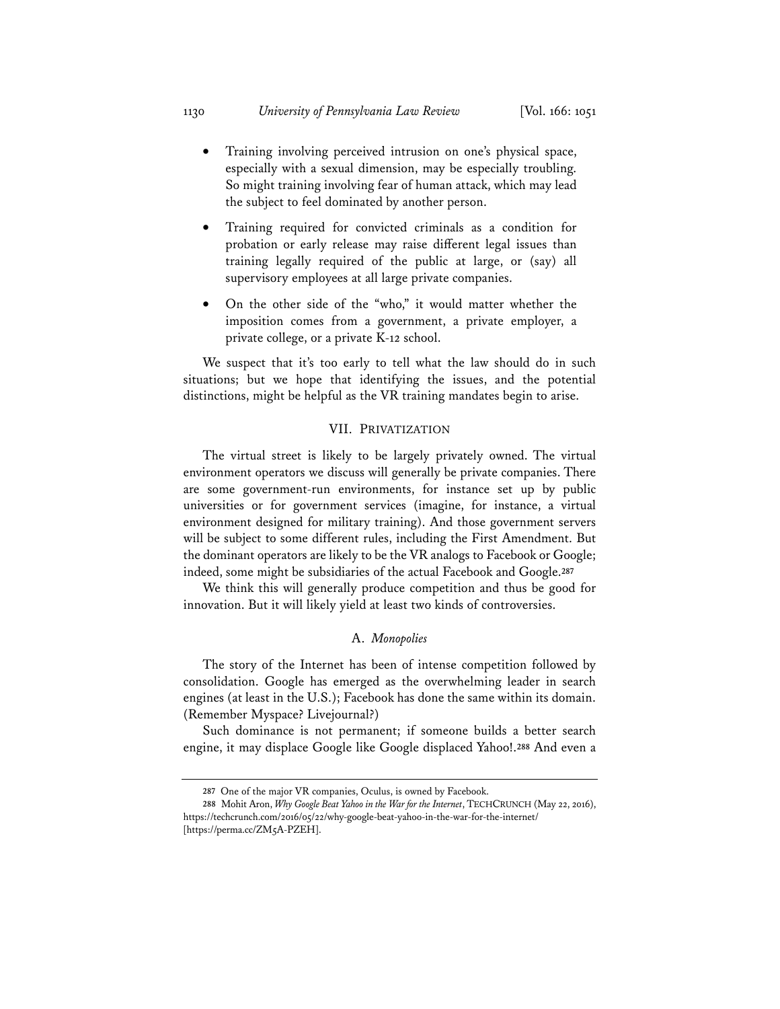- Training involving perceived intrusion on one's physical space, especially with a sexual dimension, may be especially troubling. So might training involving fear of human attack, which may lead the subject to feel dominated by another person.
- Training required for convicted criminals as a condition for probation or early release may raise different legal issues than training legally required of the public at large, or (say) all supervisory employees at all large private companies.
- On the other side of the "who," it would matter whether the imposition comes from a government, a private employer, a private college, or a private K-12 school.

We suspect that it's too early to tell what the law should do in such situations; but we hope that identifying the issues, and the potential distinctions, might be helpful as the VR training mandates begin to arise.

# VII. PRIVATIZATION

The virtual street is likely to be largely privately owned. The virtual environment operators we discuss will generally be private companies. There are some government-run environments, for instance set up by public universities or for government services (imagine, for instance, a virtual environment designed for military training). And those government servers will be subject to some different rules, including the First Amendment. But the dominant operators are likely to be the VR analogs to Facebook or Google; indeed, some might be subsidiaries of the actual Facebook and Google.**<sup>287</sup>**

We think this will generally produce competition and thus be good for innovation. But it will likely yield at least two kinds of controversies.

### A. *Monopolies*

The story of the Internet has been of intense competition followed by consolidation. Google has emerged as the overwhelming leader in search engines (at least in the U.S.); Facebook has done the same within its domain. (Remember Myspace? Livejournal?)

Such dominance is not permanent; if someone builds a better search engine, it may displace Google like Google displaced Yahoo!.**<sup>288</sup>** And even a

**<sup>287</sup>** One of the major VR companies, Oculus, is owned by Facebook.

**<sup>288</sup>** Mohit Aron, *Why Google Beat Yahoo in the War for the Internet*, TECHCRUNCH (May 22, 2016), https://techcrunch.com/2016/05/22/why-google-beat-yahoo-in-the-war-for-the-internet/ [https://perma.cc/ZM5A-PZEH].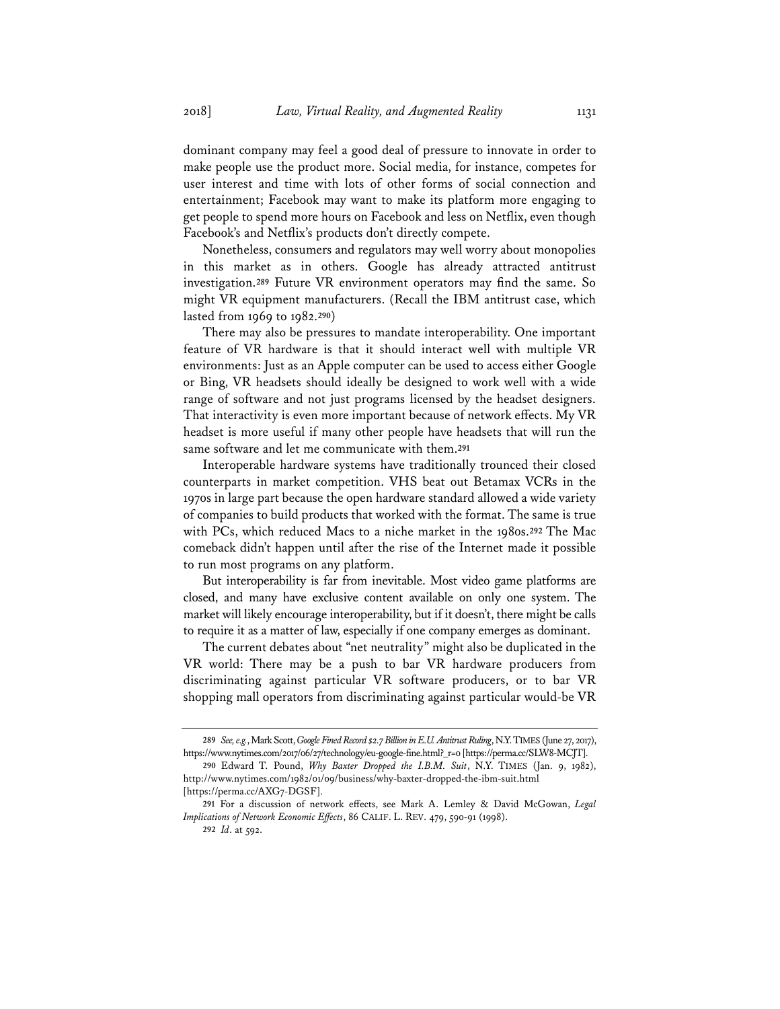dominant company may feel a good deal of pressure to innovate in order to make people use the product more. Social media, for instance, competes for user interest and time with lots of other forms of social connection and entertainment; Facebook may want to make its platform more engaging to get people to spend more hours on Facebook and less on Netflix, even though Facebook's and Netflix's products don't directly compete.

Nonetheless, consumers and regulators may well worry about monopolies in this market as in others. Google has already attracted antitrust investigation.**<sup>289</sup>** Future VR environment operators may find the same. So might VR equipment manufacturers. (Recall the IBM antitrust case, which lasted from 1969 to 1982.**<sup>290</sup>**)

There may also be pressures to mandate interoperability. One important feature of VR hardware is that it should interact well with multiple VR environments: Just as an Apple computer can be used to access either Google or Bing, VR headsets should ideally be designed to work well with a wide range of software and not just programs licensed by the headset designers. That interactivity is even more important because of network effects. My VR headset is more useful if many other people have headsets that will run the same software and let me communicate with them.**<sup>291</sup>**

Interoperable hardware systems have traditionally trounced their closed counterparts in market competition. VHS beat out Betamax VCRs in the 1970s in large part because the open hardware standard allowed a wide variety of companies to build products that worked with the format. The same is true with PCs, which reduced Macs to a niche market in the 1980s.**<sup>292</sup>** The Mac comeback didn't happen until after the rise of the Internet made it possible to run most programs on any platform.

But interoperability is far from inevitable. Most video game platforms are closed, and many have exclusive content available on only one system. The market will likely encourage interoperability, but if it doesn't, there might be calls to require it as a matter of law, especially if one company emerges as dominant.

The current debates about "net neutrality" might also be duplicated in the VR world: There may be a push to bar VR hardware producers from discriminating against particular VR software producers, or to bar VR shopping mall operators from discriminating against particular would-be VR

**<sup>289</sup>** *See, e.g.*, Mark Scott, *Google Fined Record \$2.7 Billion in E.U. Antitrust Ruling*, N.Y.TIMES (June 27, 2017), https://www.nytimes.com/2017/06/27/technology/eu-google-fine.html?\_r=0 [https://perma.cc/SLW8-MCJT].

**<sup>290</sup>** Edward T. Pound, *Why Baxter Dropped the I.B.M. Suit*, N.Y. TIMES (Jan. 9, 1982), http://www.nytimes.com/1982/01/09/business/why-baxter-dropped-the-ibm-suit.html [https://perma.cc/AXG7-DGSF].

**<sup>291</sup>** For a discussion of network effects, see Mark A. Lemley & David McGowan, *Legal Implications of Network Economic Effects*, 86 CALIF. L. REV. 479, 590-91 (1998).

**<sup>292</sup>** *Id*. at 592.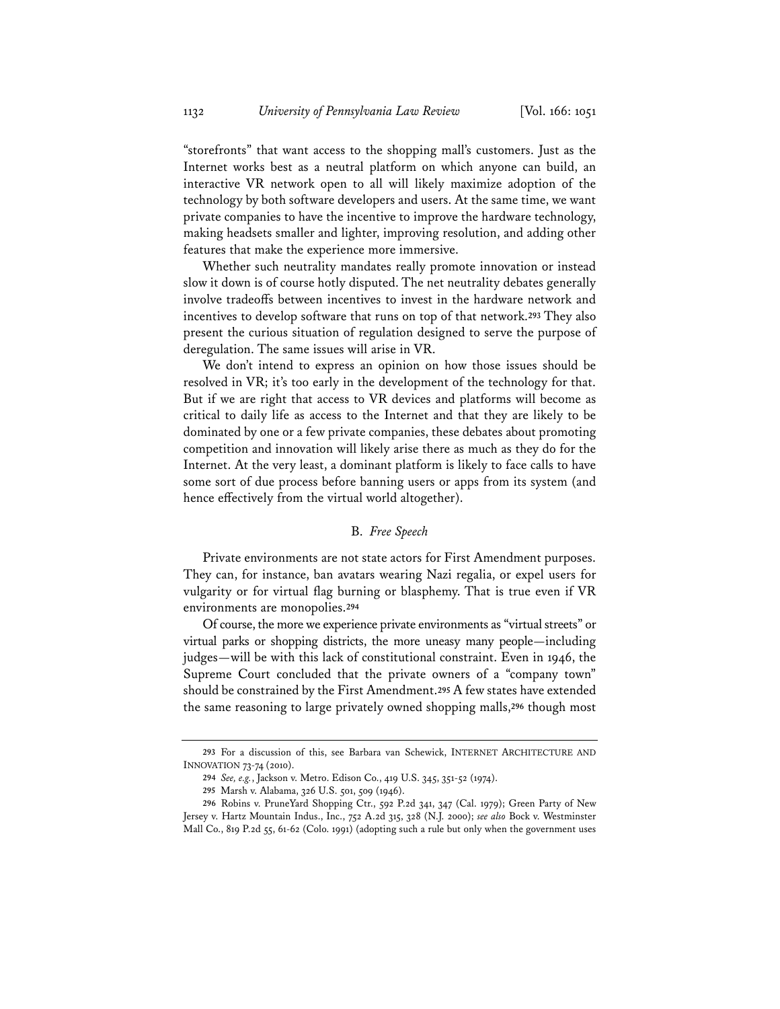"storefronts" that want access to the shopping mall's customers. Just as the Internet works best as a neutral platform on which anyone can build, an interactive VR network open to all will likely maximize adoption of the technology by both software developers and users. At the same time, we want private companies to have the incentive to improve the hardware technology, making headsets smaller and lighter, improving resolution, and adding other features that make the experience more immersive.

Whether such neutrality mandates really promote innovation or instead slow it down is of course hotly disputed. The net neutrality debates generally involve tradeoffs between incentives to invest in the hardware network and incentives to develop software that runs on top of that network.**<sup>293</sup>** They also present the curious situation of regulation designed to serve the purpose of deregulation. The same issues will arise in VR.

We don't intend to express an opinion on how those issues should be resolved in VR; it's too early in the development of the technology for that. But if we are right that access to VR devices and platforms will become as critical to daily life as access to the Internet and that they are likely to be dominated by one or a few private companies, these debates about promoting competition and innovation will likely arise there as much as they do for the Internet. At the very least, a dominant platform is likely to face calls to have some sort of due process before banning users or apps from its system (and hence effectively from the virtual world altogether).

### B. *Free Speech*

Private environments are not state actors for First Amendment purposes. They can, for instance, ban avatars wearing Nazi regalia, or expel users for vulgarity or for virtual flag burning or blasphemy. That is true even if VR environments are monopolies.**<sup>294</sup>**

Of course, the more we experience private environments as "virtual streets" or virtual parks or shopping districts, the more uneasy many people—including judges—will be with this lack of constitutional constraint. Even in 1946, the Supreme Court concluded that the private owners of a "company town" should be constrained by the First Amendment.**<sup>295</sup>** A few states have extended the same reasoning to large privately owned shopping malls,**<sup>296</sup>** though most

**<sup>293</sup>** For a discussion of this, see Barbara van Schewick, INTERNET ARCHITECTURE AND INNOVATION 73-74 (2010).

**<sup>294</sup>** *See, e.g.*, Jackson v. Metro. Edison Co., 419 U.S. 345, 351-52 (1974).

**<sup>295</sup>** Marsh v. Alabama, 326 U.S. 501, 509 (1946).

**<sup>296</sup>** Robins v. PruneYard Shopping Ctr., 592 P.2d 341, 347 (Cal. 1979); Green Party of New Jersey v. Hartz Mountain Indus., Inc., 752 A.2d 315, 328 (N.J. 2000); *see also* Bock v. Westminster Mall Co., 819 P.2d 55, 61-62 (Colo. 1991) (adopting such a rule but only when the government uses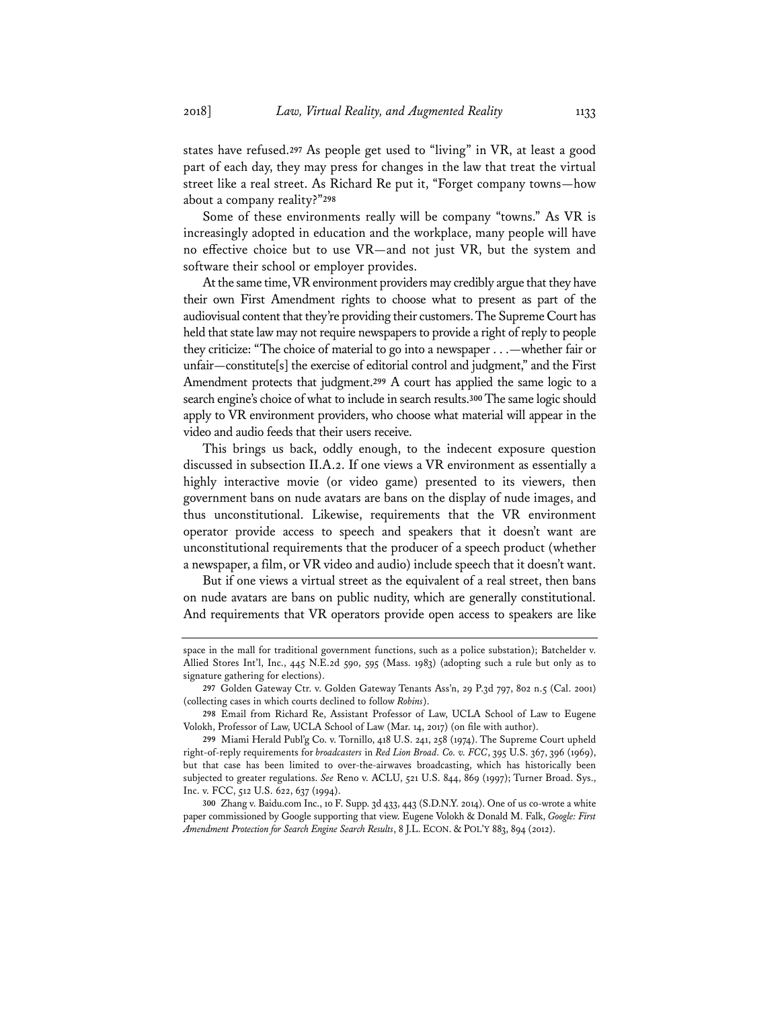states have refused.**<sup>297</sup>** As people get used to "living" in VR, at least a good part of each day, they may press for changes in the law that treat the virtual street like a real street. As Richard Re put it, "Forget company towns—how about a company reality?"**<sup>298</sup>**

Some of these environments really will be company "towns." As VR is increasingly adopted in education and the workplace, many people will have no effective choice but to use VR—and not just VR, but the system and software their school or employer provides.

At the same time, VR environment providers may credibly argue that they have their own First Amendment rights to choose what to present as part of the audiovisual content that they're providing their customers. The Supreme Court has held that state law may not require newspapers to provide a right of reply to people they criticize: "The choice of material to go into a newspaper . . .—whether fair or unfair—constitute[s] the exercise of editorial control and judgment," and the First Amendment protects that judgment.**<sup>299</sup>** A court has applied the same logic to a search engine's choice of what to include in search results.**<sup>300</sup>** The same logic should apply to VR environment providers, who choose what material will appear in the video and audio feeds that their users receive.

This brings us back, oddly enough, to the indecent exposure question discussed in subsection II.A.2. If one views a VR environment as essentially a highly interactive movie (or video game) presented to its viewers, then government bans on nude avatars are bans on the display of nude images, and thus unconstitutional. Likewise, requirements that the VR environment operator provide access to speech and speakers that it doesn't want are unconstitutional requirements that the producer of a speech product (whether a newspaper, a film, or VR video and audio) include speech that it doesn't want.

But if one views a virtual street as the equivalent of a real street, then bans on nude avatars are bans on public nudity, which are generally constitutional. And requirements that VR operators provide open access to speakers are like

space in the mall for traditional government functions, such as a police substation); Batchelder v. Allied Stores Int'l, Inc., 445 N.E.2d 590, 595 (Mass. 1983) (adopting such a rule but only as to signature gathering for elections).

**<sup>297</sup>** Golden Gateway Ctr. v. Golden Gateway Tenants Ass'n, 29 P.3d 797, 802 n.5 (Cal. 2001) (collecting cases in which courts declined to follow *Robins*).

**<sup>298</sup>** Email from Richard Re, Assistant Professor of Law, UCLA School of Law to Eugene Volokh, Professor of Law, UCLA School of Law (Mar. 14, 2017) (on file with author).

**<sup>299</sup>** Miami Herald Publ'g Co. v. Tornillo, 418 U.S. 241, 258 (1974). The Supreme Court upheld right-of-reply requirements for *broadcasters* in *Red Lion Broad. Co. v. FCC*, 395 U.S. 367, 396 (1969), but that case has been limited to over-the-airwaves broadcasting, which has historically been subjected to greater regulations. *See* Reno v. ACLU, 521 U.S. 844, 869 (1997); Turner Broad. Sys., Inc. v. FCC, 512 U.S. 622, 637 (1994).

**<sup>300</sup>** Zhang v. Baidu.com Inc., 10 F. Supp. 3d 433, 443 (S.D.N.Y. 2014). One of us co-wrote a white paper commissioned by Google supporting that view. Eugene Volokh & Donald M. Falk, *Google: First Amendment Protection for Search Engine Search Results*, 8 J.L. ECON. & POL'Y 883, 894 (2012).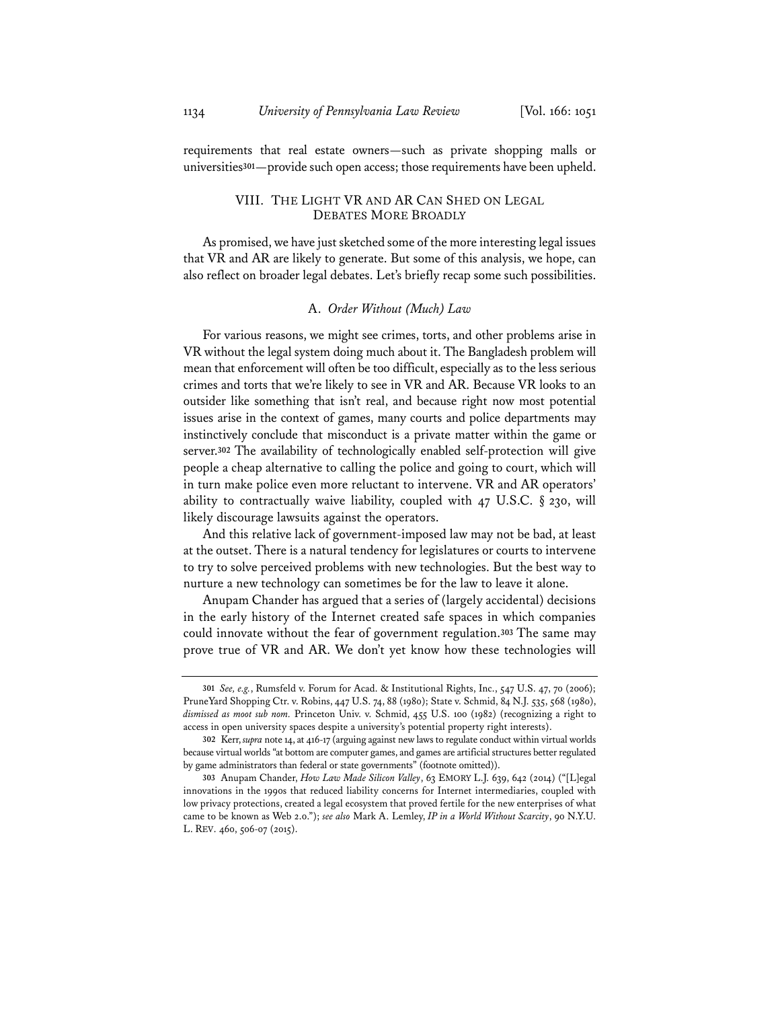requirements that real estate owners—such as private shopping malls or universities**<sup>301</sup>**—provide such open access; those requirements have been upheld.

# VIII. THE LIGHT VR AND AR CAN SHED ON LEGAL DEBATES MORE BROADLY

As promised, we have just sketched some of the more interesting legal issues that VR and AR are likely to generate. But some of this analysis, we hope, can also reflect on broader legal debates. Let's briefly recap some such possibilities.

## A. *Order Without (Much) Law*

For various reasons, we might see crimes, torts, and other problems arise in VR without the legal system doing much about it. The Bangladesh problem will mean that enforcement will often be too difficult, especially as to the less serious crimes and torts that we're likely to see in VR and AR. Because VR looks to an outsider like something that isn't real, and because right now most potential issues arise in the context of games, many courts and police departments may instinctively conclude that misconduct is a private matter within the game or server.**<sup>302</sup>** The availability of technologically enabled self-protection will give people a cheap alternative to calling the police and going to court, which will in turn make police even more reluctant to intervene. VR and AR operators' ability to contractually waive liability, coupled with 47 U.S.C. § 230, will likely discourage lawsuits against the operators.

And this relative lack of government-imposed law may not be bad, at least at the outset. There is a natural tendency for legislatures or courts to intervene to try to solve perceived problems with new technologies. But the best way to nurture a new technology can sometimes be for the law to leave it alone.

Anupam Chander has argued that a series of (largely accidental) decisions in the early history of the Internet created safe spaces in which companies could innovate without the fear of government regulation.**<sup>303</sup>** The same may prove true of VR and AR. We don't yet know how these technologies will

**<sup>301</sup>** *See, e.g.*, Rumsfeld v. Forum for Acad. & Institutional Rights, Inc., 547 U.S. 47, 70 (2006); PruneYard Shopping Ctr. v. Robins, 447 U.S. 74, 88 (1980); State v. Schmid, 84 N.J. 535, 568 (1980), *dismissed as moot sub nom.* Princeton Univ. v. Schmid, 455 U.S. 100 (1982) (recognizing a right to access in open university spaces despite a university's potential property right interests).

**<sup>302</sup>** Kerr, *supra* note 14, at 416-17 (arguing against new laws to regulate conduct within virtual worlds because virtual worlds "at bottom are computer games, and games are artificial structures better regulated by game administrators than federal or state governments" (footnote omitted)).

**<sup>303</sup>** Anupam Chander, *How Law Made Silicon Valley*, 63 EMORY L.J. 639, 642 (2014) ("[L]egal innovations in the 1990s that reduced liability concerns for Internet intermediaries, coupled with low privacy protections, created a legal ecosystem that proved fertile for the new enterprises of what came to be known as Web 2.0."); *see also* Mark A. Lemley, *IP in a World Without Scarcity*, 90 N.Y.U. L. REV. 460, 506-07 (2015).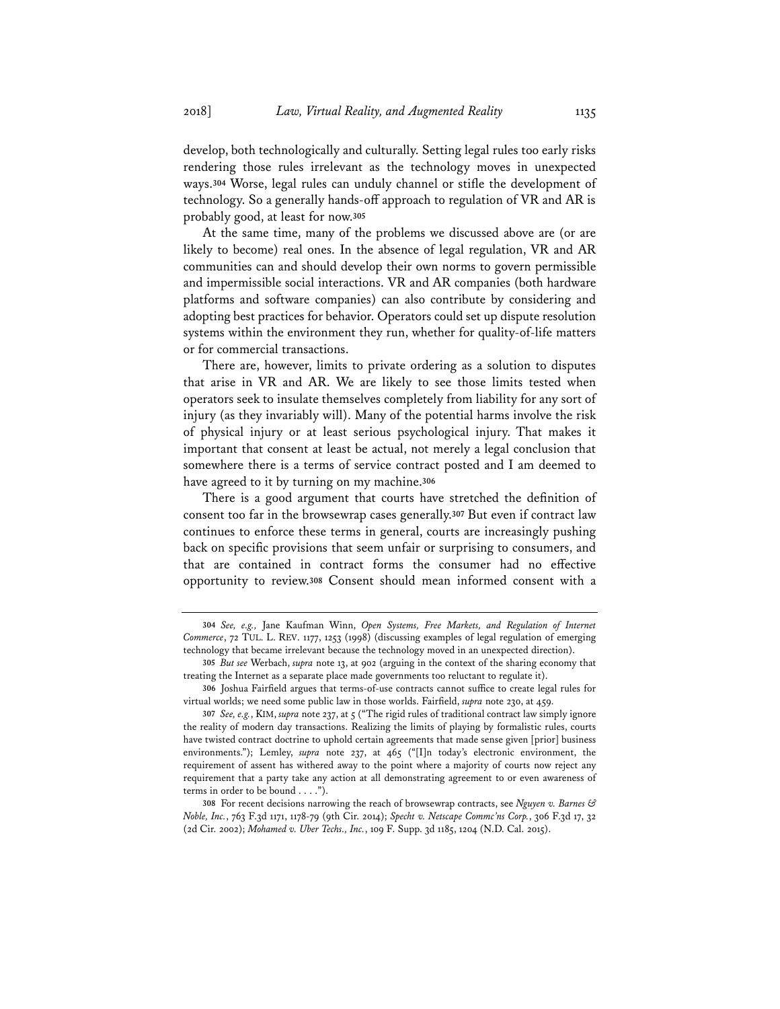develop, both technologically and culturally. Setting legal rules too early risks rendering those rules irrelevant as the technology moves in unexpected ways.**<sup>304</sup>** Worse, legal rules can unduly channel or stifle the development of technology. So a generally hands-off approach to regulation of VR and AR is probably good, at least for now.**<sup>305</sup>**

At the same time, many of the problems we discussed above are (or are likely to become) real ones. In the absence of legal regulation, VR and AR communities can and should develop their own norms to govern permissible and impermissible social interactions. VR and AR companies (both hardware platforms and software companies) can also contribute by considering and adopting best practices for behavior. Operators could set up dispute resolution systems within the environment they run, whether for quality-of-life matters or for commercial transactions.

There are, however, limits to private ordering as a solution to disputes that arise in VR and AR. We are likely to see those limits tested when operators seek to insulate themselves completely from liability for any sort of injury (as they invariably will). Many of the potential harms involve the risk of physical injury or at least serious psychological injury. That makes it important that consent at least be actual, not merely a legal conclusion that somewhere there is a terms of service contract posted and I am deemed to have agreed to it by turning on my machine.**<sup>306</sup>**

There is a good argument that courts have stretched the definition of consent too far in the browsewrap cases generally.**<sup>307</sup>** But even if contract law continues to enforce these terms in general, courts are increasingly pushing back on specific provisions that seem unfair or surprising to consumers, and that are contained in contract forms the consumer had no effective opportunity to review.**<sup>308</sup>** Consent should mean informed consent with a

**<sup>304</sup>** *See, e.g.,* Jane Kaufman Winn, *Open Systems, Free Markets, and Regulation of Internet Commerce*, 72 TUL. L. REV. 1177, 1253 (1998) (discussing examples of legal regulation of emerging technology that became irrelevant because the technology moved in an unexpected direction).

**<sup>305</sup>** *But see* Werbach, *supra* note 13, at 902 (arguing in the context of the sharing economy that treating the Internet as a separate place made governments too reluctant to regulate it).

**<sup>306</sup>** Joshua Fairfield argues that terms-of-use contracts cannot suffice to create legal rules for virtual worlds; we need some public law in those worlds. Fairfield, *supra* note 230, at 459.

**<sup>307</sup>** *See, e.g.*, KIM, *supra* note 237, at 5 ("The rigid rules of traditional contract law simply ignore the reality of modern day transactions. Realizing the limits of playing by formalistic rules, courts have twisted contract doctrine to uphold certain agreements that made sense given [prior] business environments."); Lemley, *supra* note 237, at 465 ("[I]n today's electronic environment, the requirement of assent has withered away to the point where a majority of courts now reject any requirement that a party take any action at all demonstrating agreement to or even awareness of terms in order to be bound . . . .").

**<sup>308</sup>** For recent decisions narrowing the reach of browsewrap contracts, see *Nguyen v. Barnes & Noble, Inc.*, 763 F.3d 1171, 1178-79 (9th Cir. 2014); *Specht v. Netscape Commc'ns Corp.*, 306 F.3d 17, 32 (2d Cir. 2002); *Mohamed v. Uber Techs., Inc.*, 109 F. Supp. 3d 1185, 1204 (N.D. Cal. 2015).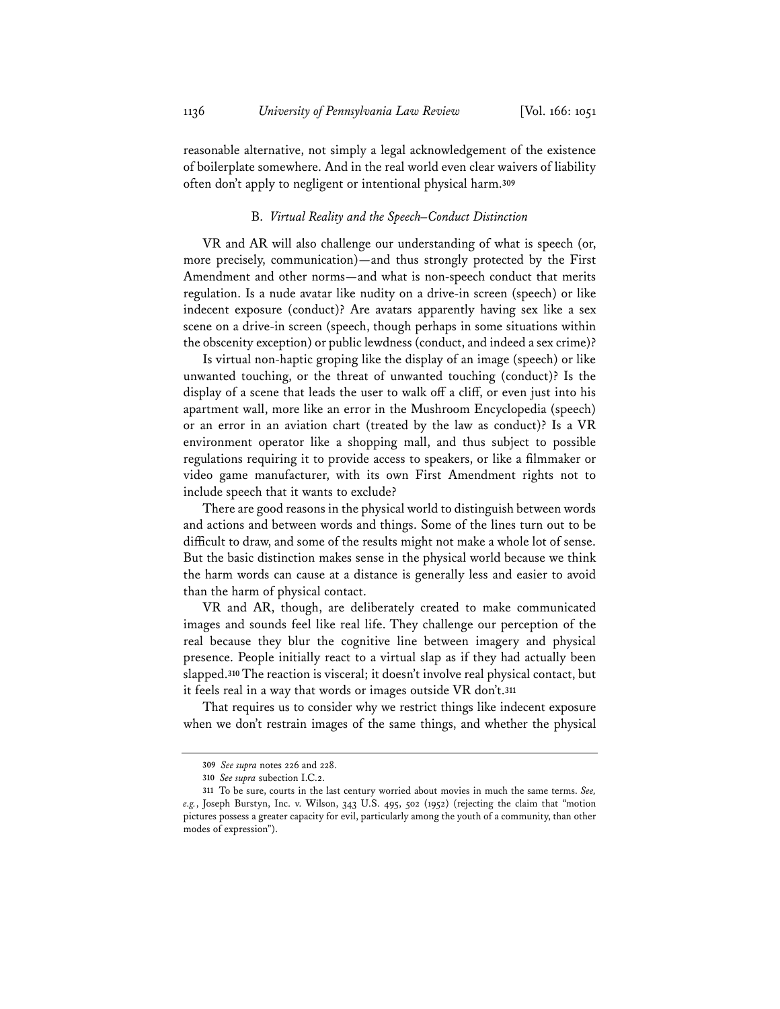reasonable alternative, not simply a legal acknowledgement of the existence of boilerplate somewhere. And in the real world even clear waivers of liability often don't apply to negligent or intentional physical harm.**<sup>309</sup>**

## B. *Virtual Reality and the Speech–Conduct Distinction*

VR and AR will also challenge our understanding of what is speech (or, more precisely, communication)—and thus strongly protected by the First Amendment and other norms—and what is non-speech conduct that merits regulation. Is a nude avatar like nudity on a drive-in screen (speech) or like indecent exposure (conduct)? Are avatars apparently having sex like a sex scene on a drive-in screen (speech, though perhaps in some situations within the obscenity exception) or public lewdness (conduct, and indeed a sex crime)?

Is virtual non-haptic groping like the display of an image (speech) or like unwanted touching, or the threat of unwanted touching (conduct)? Is the display of a scene that leads the user to walk off a cliff, or even just into his apartment wall, more like an error in the Mushroom Encyclopedia (speech) or an error in an aviation chart (treated by the law as conduct)? Is a VR environment operator like a shopping mall, and thus subject to possible regulations requiring it to provide access to speakers, or like a filmmaker or video game manufacturer, with its own First Amendment rights not to include speech that it wants to exclude?

There are good reasons in the physical world to distinguish between words and actions and between words and things. Some of the lines turn out to be difficult to draw, and some of the results might not make a whole lot of sense. But the basic distinction makes sense in the physical world because we think the harm words can cause at a distance is generally less and easier to avoid than the harm of physical contact.

VR and AR, though, are deliberately created to make communicated images and sounds feel like real life. They challenge our perception of the real because they blur the cognitive line between imagery and physical presence. People initially react to a virtual slap as if they had actually been slapped.**<sup>310</sup>** The reaction is visceral; it doesn't involve real physical contact, but it feels real in a way that words or images outside VR don't.**<sup>311</sup>**

That requires us to consider why we restrict things like indecent exposure when we don't restrain images of the same things, and whether the physical

**<sup>309</sup>** *See supra* notes 226 and 228.

**<sup>310</sup>** *See supra* subection I.C.2.

**<sup>311</sup>** To be sure, courts in the last century worried about movies in much the same terms. *See, e.g.*, Joseph Burstyn, Inc. v. Wilson, 343 U.S. 495, 502 (1952) (rejecting the claim that "motion pictures possess a greater capacity for evil, particularly among the youth of a community, than other modes of expression").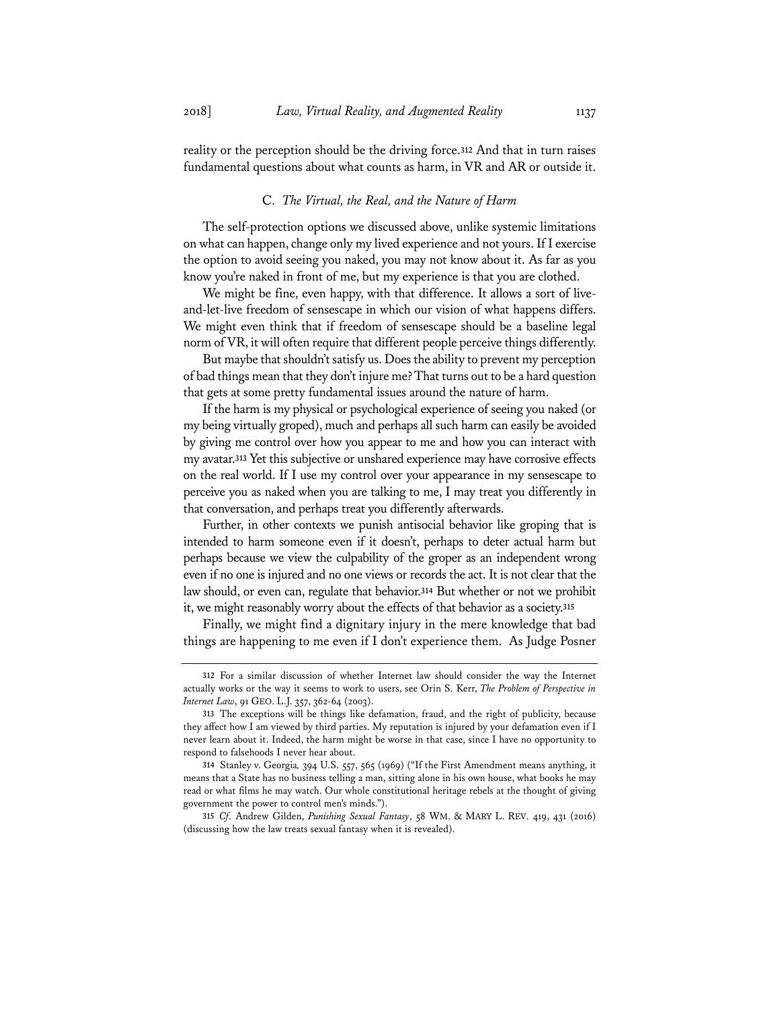reality or the perception should be the driving force.**<sup>312</sup>** And that in turn raises fundamental questions about what counts as harm, in VR and AR or outside it.

### C. *The Virtual, the Real, and the Nature of Harm*

The self-protection options we discussed above, unlike systemic limitations on what can happen, change only my lived experience and not yours. If I exercise the option to avoid seeing you naked, you may not know about it. As far as you know you're naked in front of me, but my experience is that you are clothed.

We might be fine, even happy, with that difference. It allows a sort of liveand-let-live freedom of sensescape in which our vision of what happens differs. We might even think that if freedom of sensescape should be a baseline legal norm of VR, it will often require that different people perceive things differently.

But maybe that shouldn't satisfy us. Does the ability to prevent my perception of bad things mean that they don't injure me? That turns out to be a hard question that gets at some pretty fundamental issues around the nature of harm.

If the harm is my physical or psychological experience of seeing you naked (or my being virtually groped), much and perhaps all such harm can easily be avoided by giving me control over how you appear to me and how you can interact with my avatar.**<sup>313</sup>** Yet this subjective or unshared experience may have corrosive effects on the real world. If I use my control over your appearance in my sensescape to perceive you as naked when you are talking to me, I may treat you differently in that conversation, and perhaps treat you differently afterwards.

Further, in other contexts we punish antisocial behavior like groping that is intended to harm someone even if it doesn't, perhaps to deter actual harm but perhaps because we view the culpability of the groper as an independent wrong even if no one is injured and no one views or records the act. It is not clear that the law should, or even can, regulate that behavior.**<sup>314</sup>** But whether or not we prohibit it, we might reasonably worry about the effects of that behavior as a society.**<sup>315</sup>**

Finally, we might find a dignitary injury in the mere knowledge that bad things are happening to me even if I don't experience them. As Judge Posner

**<sup>312</sup>** For a similar discussion of whether Internet law should consider the way the Internet actually works or the way it seems to work to users, see Orin S. Kerr, *The Problem of Perspective in Internet Law*, 91 GEO. L.J. 357, 362-64 (2003).

**<sup>313</sup>** The exceptions will be things like defamation, fraud, and the right of publicity, because they affect how I am viewed by third parties. My reputation is injured by your defamation even if I never learn about it. Indeed, the harm might be worse in that case, since I have no opportunity to respond to falsehoods I never hear about.

**<sup>314</sup>** Stanley v. Georgia*,* 394 U.S. 557, 565 (1969) ("If the First Amendment means anything, it means that a State has no business telling a man, sitting alone in his own house, what books he may read or what films he may watch. Our whole constitutional heritage rebels at the thought of giving government the power to control men's minds.").

**<sup>315</sup>** *Cf*. Andrew Gilden, *Punishing Sexual Fantasy*, 58 WM. & MARY L. REV. 419, 431 (2016) (discussing how the law treats sexual fantasy when it is revealed).